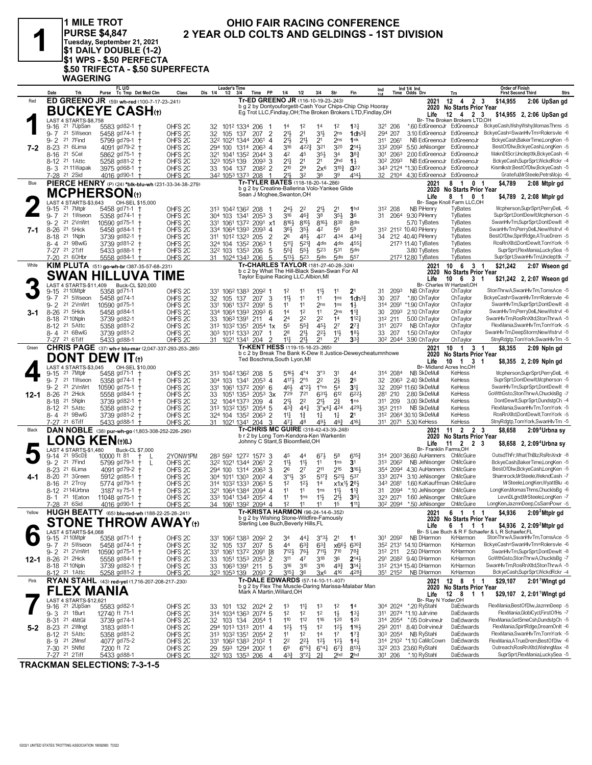

## 1 MILE TROT PURSE \$4,847<br>Tuesday, September 21, 2021<br>\$1 DAILY DOUBLE (1-2) **4: UNDERFECTA<br>\$1 WPS - \$.50 PERFECTA<br>\$.50 TRIFECTA - \$.50 SUPERFECTA WAGERING**

## OHIO FAIR RACING CONFERENCE 2 YEAR OLD COLTS AND GELDINGS - 1ST DIVISION

|               | Date                | Trk                                                           | Purse         | FL U/D<br>Tc Tmp Det Med Clm                                   | Class                                    | Dis 1/4 | Leader's Time<br>$1/2$ $3/4$                                  | Time               | PP                          | 1/4                               | 1/2                                  | 3/4                                                                             | Str                                    | Fin                                                           | Ind      |                                  | Ind 1/4 Ind<br>Time Odds Drv                                     | Trn                                              | Order of Finish<br><b>First Second Third</b>     |                                                                        | <b>Strs</b> |
|---------------|---------------------|---------------------------------------------------------------|---------------|----------------------------------------------------------------|------------------------------------------|---------|---------------------------------------------------------------|--------------------|-----------------------------|-----------------------------------|--------------------------------------|---------------------------------------------------------------------------------|----------------------------------------|---------------------------------------------------------------|----------|----------------------------------|------------------------------------------------------------------|--------------------------------------------------|--------------------------------------------------|------------------------------------------------------------------------|-------------|
| Red           |                     |                                                               |               | ED GREENO JR (59) wh-red (100-7-17-23-.241)                    |                                          |         |                                                               |                    |                             |                                   |                                      | Tr-ED GREENO JR (116-10-19-23-.243)                                             |                                        | b g 2 by Dontyouforgetit-Cash Your Chips-Chip Chip Hooray     |          |                                  | 2021                                                             | $12$ 4 2 3                                       | \$14,955                                         | 2:06 UpSan gd                                                          |             |
|               |                     |                                                               |               | <b>BUCKEYE CASH</b> ⊕                                          |                                          |         |                                                               |                    |                             |                                   |                                      |                                                                                 |                                        | Eg Trot LLC, Findlay, OH; The Broken Brokers LTD, Findlay, OH |          |                                  | Life                                                             | 2020 No Starts Prior Year<br>$12 \t 4 \t 2 \t 3$ |                                                  | \$14,955 2, 2:06 UpSan gd                                              |             |
|               |                     | LAST 4 STARTS-\$8,758                                         |               |                                                                |                                          |         |                                                               |                    |                             |                                   |                                      |                                                                                 |                                        |                                                               |          |                                  |                                                                  | Br- The Broken Brokers LTD,OH                    |                                                  |                                                                        |             |
|               | $9 - 7$             | 9-16 <sup>21</sup> 7UpSan<br>21 5Wseon                        |               | 5583 gd82-1<br>5458 gd74-1 +                                   | OHFS <sub>2C</sub><br>OHFS <sub>2C</sub> |         | 32 1012 1334 206                                              |                    | $\overline{2}$              | 14<br>213                         | 1 <sup>2</sup><br>2 <sup>1</sup>     | 14<br>31}                                                                       | 12<br>2 <sub>ns</sub>                  | $13\frac{1}{4}$                                               |          | 321 206<br>294 207               | *.60 EdGreenoJr EdGreenoJr<br>3.10 EdGreenoJr EdGreenoJr         |                                                  |                                                  | BckyeCash,WshyWshy,MomasThms -5<br>BckyeCash=SwanHlvTm=Rolersvle -6    |             |
|               | 9- 2                | 21 7 Find                                                     |               | 5799 gd79-1 +                                                  | OHFS <sub>2C</sub>                       | 32      | 105 137<br>322 1021 1344                                      | 207<br>2061        | 4                           | $21\frac{1}{2}$                   | $21\frac{1}{2}$                      | 2 <sup>1</sup>                                                                  | 2 <sub>ns</sub>                        | 1dh <sup>31</sup><br>1nk                                      |          | 311 2061                         | NB EdGreenoJr EdGreenoJr                                         |                                                  |                                                  | BckyeCash,BakerTime,LongKen -5                                         |             |
| 7-2           | $8 - 23$            | 21 6Lima                                                      |               | 4091 gd79-2 +                                                  | OHFS 2C                                  |         | 294 100 1314 2063                                             |                    | $\overline{4}$              | 316                               | $4^{22}\frac{3}{4}$                  | 321                                                                             | 320                                    | $2^{14}$                                                      |          | 332 2092                         | 5.50 JeNisonger EdGreenoJr                                       |                                                  |                                                  | BestOfDlw,BckyeCash,LongKen -5                                         |             |
|               | 8-16                | 21 5 Cel                                                      |               | 5862 gd75-1 †                                                  | OHFS 2C                                  |         | 321 1041 1352 2044 3                                          |                    |                             | 42                                | 45                                   | $35\frac{1}{2}$                                                                 | 3 <sup>4</sup>                         | $3^{8}3$                                                      |          | 301 2063                         | 2.00 EdGreenoJr EdGreenoJr                                       |                                                  |                                                  | MaknDtScr,Unclepttk,BckyeCash -6                                       |             |
|               |                     | 8-12 <sup>21</sup> 1 Attc<br>8-3 2111 Wapak                   |               | 5258 gd81-2<br><b>t</b><br>3975 gd68-1 +                       | OHFS 2C<br>OHFS 2C                       |         | 323 1053 139<br>33 104 137                                    | 2093 3<br>2082 2   |                             | 2 <sup>11</sup><br>210            | 2 <sup>1</sup><br>29                 | 2 <sup>1</sup><br>$2x^6$                                                        | 2 <sub>hd</sub><br>$3^{10}$            | $1\frac{1}{2}$<br>3 <sup>22</sup>                             |          | 30 <sup>2</sup> 2093             | NB EdGreenoJr EdGreenoJr<br>343 2124 *1.30 EdGreenoJr EdGreenoJr |                                                  |                                                  | BckyeCash,SuprSprt,WickdRckr -4<br>Kismlkstr,BestOfDlw,BckyeCash -5    |             |
|               |                     | 7-28 <sup>21</sup> 2Sid                                       |               | 4016 gd90-1 +                                                  | OHFS <sub>2C</sub>                       |         | 342 1053 1373 208                                             |                    | -1                          | $21\frac{1}{2}$                   | 3 <sup>2</sup>                       | 36                                                                              | 39                                     | 4141                                                          |          |                                  | 32 2104 4.30 EdGreenoJr EdGreenoJr                               |                                                  |                                                  | Grateful, MrSteele, Petrs Mojo -6                                      |             |
| Blue          |                     |                                                               |               | PIERCE HENRY (P) (24) *blk-blu-wh (231-33-34-38-279)           |                                          |         |                                                               |                    |                             |                                   |                                      | Tr-TYLER BATES (118-18-20-14-.286)                                              |                                        |                                                               |          |                                  | 2021                                                             | 81<br>0 <sub>1</sub>                             | \$4,789                                          | 2:08 Mtplr gd                                                          |             |
|               |                     | <b>MCPHERSON</b> (t)                                          |               |                                                                |                                          |         |                                                               |                    | Sean J Mcghee, Swanton, OH  |                                   |                                      | b g 2 by Creatine-Ballerina Volo-Yankee Glide                                   |                                        |                                                               |          |                                  | 2020<br>Life                                                     | <b>No Starts Prior Year</b><br>8 1 0 1           |                                                  | \$4,789 2, 2:08 Mtplr gd                                               |             |
|               |                     | LAST 4 STARTS-\$3.643                                         |               | OH-SEL \$15,000                                                |                                          |         |                                                               |                    |                             |                                   |                                      |                                                                                 |                                        |                                                               |          |                                  |                                                                  | Br- Sage Knoll Farm LLC,OH                       |                                                  |                                                                        |             |
|               | $9 - 15$<br>$9 - 7$ | 21 7Mtplr<br>21 1Wseon                                        |               | 5458 gd71-1<br>5358 gd74-1 +                                   | OHFS <sub>2C</sub>                       |         | 313 1042 1362 208                                             | $205^3$ 3          |                             | 24}<br>316                        | 2 <sup>2</sup><br>$46\frac{3}{4}$    | $21\frac{1}{2}$<br>38                                                           | 2 <sup>1</sup>                         | 1 <sub>hd</sub><br>36                                         |          | 312 208                          | <b>NB PiHenry</b><br>31 2064 9.30 PiHenry                        | TyBates<br>TyBates                               |                                                  | Mcpherson,SuprSprt,PerryDelL -6<br>SuprSprt.DontDewItMcpherson -5      |             |
|               | 9- 2                | 21 2VnWrt                                                     |               | 10590 gd75-1 +                                                 | OHFS <sub>2C</sub><br>OHFS 2C            |         | 304 103 1341<br>331 1061 1372 2091 x1                         |                    |                             | 8163                              | $8^{10}$                             | 8161                                                                            | $35\frac{1}{2}$<br>830                 | <b>8dis</b>                                                   |          |                                  | 5.70 TyBates                                                     | TyBates                                          |                                                  | SwanHlvTm,SuprSprt,DontDewIt -8                                        |             |
| 7-1           | $8 - 26$            | 21 5Hick                                                      |               | 5458 gd84-1 +                                                  | OHFS 2C                                  |         | 334 1064 1393 2093 4                                          |                    |                             | 36}                               | $35\frac{1}{2}$                      | 42                                                                              | 56                                     | 59                                                            |          |                                  | 312 2112 10.40 PiHenry                                           | TyBates                                          |                                                  | SwanHlvTm,PerryDelL,NewWstrvl -6                                       |             |
|               | $8 - 18$            | 21 1Npln                                                      |               | 3739 gd82-1                                                    | OHFS 2C                                  |         | 311 1012 1323 205                                             |                    | $\overline{2}$              | 26                                | 481                                  | 427                                                                             | 434                                    | 4343                                                          | 34       |                                  | 212 40.40 PiHenry                                                | TyBates                                          |                                                  | BestOfDlw,SpirtRdge,ATrueDrem -5                                       |             |
|               |                     | 8-4 21 9BwlG<br>7-27 21 2Tiff                                 |               | 3739 gd81-2<br>5433 gd88–1 †                                   | OHFS <sub>2C</sub><br>OHFS <sub>2C</sub> |         | 324 104 1352 2063<br>32 <sup>2</sup> 103 135 <sup>3</sup> 206 |                    | 1<br>5                      | $5^{11}$<br>$55\frac{3}{4}$       | $5^{21}$<br>$55\frac{1}{2}$          | 4 <sub>dis</sub><br>523                                                         | 4 <sub>dis</sub><br>531                | 4551<br>5 <sub>dis</sub>                                      |          |                                  | 2173 11.40 TyBates<br>3.80 TyBates                               | TyBates<br>TyBates                               |                                                  | RosRnXltd,DontDewIt,TomYork -5<br>SuprSprt,FlexMania,LuckySea -5       |             |
|               |                     | 7-20 21 60Hbr                                                 |               | 5558 gd84-1 +                                                  | OHFS <sub>20</sub>                       |         | 31 1024 1343 206                                              |                    | 5                           | 5134                              | 523                                  | 5 <sub>dis</sub>                                                                | 5 <sub>dis</sub>                       | 557                                                           |          |                                  | 2172 12.80 TyBates                                               | TyBates                                          |                                                  | SuprSprt,SwanHlvTm,Unclepttk -7                                        |             |
| White         |                     |                                                               |               | KIM PLUTA (51) go-wh-br (387-35-57-68-.231)                    |                                          |         |                                                               |                    |                             |                                   |                                      | Tr-CHARLES TAYLOR (181-27-40-28-.324)                                           |                                        |                                                               |          |                                  | 2021                                                             | 10 6 3 1                                         | \$21,242                                         | 2:07 Wseon gd                                                          |             |
|               |                     |                                                               |               | <b>SWAN HILLUVA TIME</b>                                       |                                          |         |                                                               |                    |                             |                                   | Taylor Equine Racing LLC, Albion, MI | b c 2 by What The Hill-Black Swan-Swan For All                                  |                                        |                                                               |          |                                  | 2020<br>Life                                                     | <b>No Starts Prior Year</b><br>10 6 3            |                                                  | \$21,242 2, 2:07 Wseon gd                                              |             |
|               |                     | LAST 4 STARTS-\$11.409                                        |               | Buck-CL \$20,000                                               |                                          |         |                                                               |                    |                             |                                   |                                      |                                                                                 |                                        |                                                               |          |                                  |                                                                  | Br- Charles W Hartzell.OH                        |                                                  |                                                                        |             |
|               | $9 - 15$<br>$9 - 7$ | 21 10Mtplr<br>21 5Wseon                                       |               | 5358 gd71-1<br>5458 gd74-1                                     | OHFS <sub>2C</sub><br>OHFS <sub>2C</sub> |         | 331 1062 1383 2092 1<br>105 137                               |                    |                             | 1 <sup>2</sup><br>$11\frac{1}{2}$ | 11<br>11                             | $11\frac{1}{2}$<br>11                                                           | 11<br>1 <sub>ns</sub>                  | 2 <sup>1</sup>                                                | 31<br>30 | 2093<br>207                      | NB ChTaylor<br>*.80 ChTavlor                                     | ChTaylor<br>ChTaylor                             |                                                  | StonThrwA,SwanHlvTm,TomsAce -5<br>BckyeCash=SwanHlvTm=Rolersvle -6     |             |
|               |                     | 9-2 <sup>21</sup> 2VnWrt                                      |               | 10590 gd75-1                                                   | OHFS 2C                                  | 32      | 331 1061 1372 2091                                            | 207 3              | 5                           | 11                                | 11                                   | 2 <sub>ns</sub>                                                                 | 1 <sub>ns</sub>                        | 1 $dh^3$<br>$1\frac{1}{2}$                                    |          | 314 2091                         | *1.90 ChTaylor                                                   | ChTaylor                                         |                                                  | SwanHlvTm.SuprSprt.DontDewlt -8                                        |             |
| 3-1           | $8 - 26$            | 21 5Hick                                                      |               | 5458 gd84-1                                                    | OHFS 2C                                  |         | 334 1064 1393                                                 | 209 <sup>3</sup> 6 |                             | 14                                | 1 <sup>2</sup>                       | 11                                                                              | 2 <sub>ns</sub>                        | $1^{13}$                                                      | 30       | 2093                             | 2.10 ChTaylor                                                    | ChTaylor                                         |                                                  | SwanHlvTm,PerryDelL,NewWstrvl -6                                       |             |
|               |                     | 8-18 21 10 Npln                                               |               | 3739 gd82-1                                                    | OHFS <sub>2C</sub>                       |         | 33 1063 1391                                                  | -211               | 4                           | 2 <sup>4</sup>                    | 2 <sup>2</sup>                       | 2 <sup>2</sup>                                                                  | 14                                     | 112 <sup>1</sup>                                              |          | 312 211                          | 5.00 ChTaylor                                                    | ChTaylor                                         |                                                  | SwanHlvTm,RosRnXltd,StonThrwA -5                                       |             |
|               |                     | 8-12 21 5 Attc<br>8-4 <sup>21</sup> 6BwlG                     |               | 5358 gd81-2<br>3739 gd81-2                                     | OHFS <sub>2C</sub><br>OHFS 2C            |         | 313 1032 1351<br>303 1012 1333 207                            | $2054$ 1x          |                             | 55<br>28                          | $55\frac{3}{4}$<br>$21\frac{1}{2}$   | 45}<br>$2^{2}$                                                                  | 2 <sup>7</sup><br>11                   | $2^{7}3$<br>183                                               | 33       | 311 2072<br>207                  | NB ChTaylor<br>1.50 ChTaylor                                     | ChTaylor<br>ChTaylor                             |                                                  | FlexMania,SwanHlvTm,TomYork -5<br>SwanHlvTm,DeepStorm,NewWstrvl -5     |             |
|               |                     | 7-27 <sup>21</sup> 6Tiff                                      |               | 5433 gd88-1                                                    | OHFS <sub>2C</sub>                       |         | 31 1021 1341 204                                              |                    | 2                           | $11\frac{1}{4}$                   | $21\frac{1}{2}$                      | 2 <sup>1</sup>                                                                  | 21                                     | 3 <sup>3</sup>                                                |          | 302 2044                         | 3.90 ChTaylor                                                    | ChTaylor                                         |                                                  | StnyRdgtp,TomYork,SwanHlvTm -5                                         |             |
| Green         |                     |                                                               |               | <b>CHRIS PAGE</b> (37) wh-r blu-mar (2,047-337-293-253-285)    |                                          |         |                                                               |                    |                             |                                   |                                      | Tr-KENT HESS (119-15-16-23-.265)                                                |                                        | b c 2 by Break The Bank K-Dew It Justice-Deweycheatumnhowe    |          |                                  | 2021                                                             | 10 1 3 1                                         | \$8,355                                          | 2:09 Npln gd                                                           |             |
|               |                     | <b>DONT DEW IT</b> (t)                                        |               |                                                                |                                          |         |                                                               |                    | Ted Boschma, South Lyon, MI |                                   |                                      |                                                                                 |                                        |                                                               |          |                                  | 2020<br>Life                                                     | <b>No Starts Prior Year</b><br>10 1 3 1          |                                                  | \$8,355 2, 2:09 Npln gd                                                |             |
|               |                     | LAST 4 STARTS-\$3,045                                         |               | OH-SEL \$10,000                                                |                                          |         |                                                               |                    |                             |                                   |                                      |                                                                                 |                                        |                                                               |          |                                  |                                                                  | Br- Midland Acres Inc,OH                         |                                                  |                                                                        |             |
|               | $9 - 15$<br>$9 - 7$ | 21 7Mtplr<br>21 1Wseon                                        |               | 5458 gd71-1 †<br>5358 gd74-1 +                                 | OHFS <sub>2C</sub><br>OHFS 2C            |         | 313 1042 1362 208<br>304 103 1341 2053 4                      |                    | -5                          | $5^{16}$<br>4174                  | $4^{\circ}4$<br>$2^{\circ 5}$        | $3^{\circ}3$<br>2 <sup>2</sup>                                                  | 31<br>$2\frac{1}{2}$                   | 44<br>25                                                      | 32       | 314 2084                         | NB SkDeMull<br>2063 2.40 SkDeMull                                | KeHess<br>KeHess                                 |                                                  | Mcpherson,SuprSprt,PerryDelL -6<br>SuprSprt,DontDewIt,Mcpherson -5     |             |
|               | $9 - 2$             | 21 2VnWrt                                                     |               | 10590 gd75-1                                                   | OHFS 2C                                  |         | 331 1061 1372 2091 6                                          |                    |                             | 461                               | $4^{\circ}23$                        | $1^{\circ}$ ns                                                                  | 54                                     | 34                                                            | 32       |                                  | 2092 11.60 SkDeMull                                              | KeHess                                           |                                                  | SwanHlvTm,SuprSprt,DontDewIt -8                                        |             |
| $12 - 1$ 8-26 |                     | 21 2Hick                                                      |               | 5558 gd84-1                                                    | OHFS <sub>2C</sub>                       | 33      | 1051 1353 2053 3x                                             |                    |                             | 729                               | 721                                  | 6313                                                                            | 612                                    | 6223                                                          |          | 281 210                          | 2.80 SkDeMull                                                    | KeHess                                           |                                                  | GoWthGsto,StonThrwA,ChuckIsBg -7                                       |             |
|               |                     | 8-18 <sup>21</sup> 5Npln<br>8-12 <sup>21</sup> 5 Attc         |               | 3739 gd82-1 †<br>5358 gd81-2                                   | OHFS <sub>2C</sub><br>OHFS 2C            | 32      | 1044 1373<br>313 1032 1351                                    | 209<br>2054 5      | 4                           | $21\frac{1}{2}$<br>$4^{3}3$       | 2 <sup>2</sup><br>$44\frac{1}{4}$    | 2 <sup>1</sup><br>$3^{\circ}x^{4}\frac{1}{4}$ 424                               | $2\frac{3}{4}$                         | 1 <sub>ns</sub><br>4291                                       |          | 311 209<br>353 2113              | 3.00 SkDeMull<br>NB SkDeMull                                     | KeHess<br>KeHess                                 |                                                  | DontDewIt,SuprSprt,DundstpCh -4<br>FlexMania,SwanHlvTm,TomYork -5      |             |
|               |                     | 8-4 <sup>21</sup> 9BwlG                                       |               | 3739 gd81-2 †                                                  | OHFS 2C                                  |         | 324 104 1352 2063 2                                           |                    |                             | $11\frac{1}{4}$                   | $1\frac{3}{4}$                       | $1\frac{1}{4}$                                                                  | $1\frac{1}{4}$                         | 2 <sup>1</sup>                                                |          |                                  | 312 2064 30.10 SkDeMull                                          | KeHess                                           |                                                  | RosRnXItdDontDewIt,TomYork -5                                          |             |
|               |                     | 7-27 <sup>21</sup> 6Tiff                                      |               | 5433 gd88-1                                                    | OHFS <sub>2C</sub>                       |         | 31 1021 1341                                                  | 204                |                             | 471                               | 48                                   | 493                                                                             | 46 <sup>3</sup>                        | 4161                                                          |          |                                  | 311 2071 5.30 KeHess                                             | KeHess                                           |                                                  | StnyRdgtp,TomYork,SwanHlvTm -5                                         |             |
| Black         |                     |                                                               |               | DAN NOBLE (38) pur-wh-go (1,803-308-252-226-.290)              |                                          |         |                                                               |                    |                             |                                   |                                      | Tr-CHRIS MC GUIRE (318-42-43-39-248)<br>b r 2 by Long Tom-Kendora-Ken Warkentin |                                        |                                                               |          |                                  | 2021<br>2020                                                     | 11 2 2 3<br><b>No Starts Prior Year</b>          | \$8,658                                          | 2:09 <sup>4</sup> Urbna sy                                             |             |
|               |                     | LONG KEN(t)(L)                                                |               |                                                                |                                          |         |                                                               |                    |                             |                                   | Johnny C Stant, S Bloomfield, OH     |                                                                                 |                                        |                                                               |          |                                  | Life                                                             | $11 \quad 2 \quad 2 \quad 3$                     |                                                  | \$8,658 2, 2:09 <sup>4</sup> Urbna sy                                  |             |
|               |                     | LAST 4 STARTS-\$1,480<br>9-14 <sup>21</sup> 9ScD <sup>3</sup> | 10000 ft 81   | Buck-CL \$7,000                                                | 2YONW1PM                                 |         | 283 592 1272 1572 3                                           |                    |                             | 45                                | 44                                   | $6^{7}\frac{1}{2}$                                                              | 58                                     | $6^{15}$                                                      |          |                                  | Br- Franklin Farms, OH<br>314 2003 36.60 AuHanners ChMcGuire     |                                                  |                                                  | OutsdThFr,WhatThBlz,RsRnXndr -8                                        |             |
|               |                     | 9-2 21 7 Find                                                 |               | L<br>5799 gd79-1<br>$^+$<br>L                                  | OHFS <sub>2C</sub>                       |         | 322 1021 1344 2061 2                                          |                    |                             | 11}                               | 11}                                  | 11                                                                              | 1 <sub>ns</sub>                        | 3 <sup>1</sup>                                                |          | 313 2062                         | NB JeNisonger                                                    | ChMcGuire                                        |                                                  | BckyeCash,BakerTime,LongKen -5                                         |             |
|               |                     | 8-23 <sup>21</sup> 6 Lima                                     |               | 4091 gd79-2                                                    | OHFS <sub>2C</sub>                       |         | 294 100 1314 2063 3                                           |                    |                             | 26                                | 2 <sup>7</sup>                       | 211                                                                             | 215                                    | 3161                                                          |          |                                  | 354 2094 4.30 AuHanners                                          | ChMcGuire                                        |                                                  | BestOfDlw,BckyeCash,LongKen -5                                         |             |
| 4-1           |                     | 8-20 <sup>21</sup> 3Green<br>8-16 <sup>21</sup> 2Troy         |               | 5912 gd85-1 +<br>5774 gd79-1 †                                 | OHFS <sub>2C</sub><br>OHFS 2C            |         | 304 1011 1303<br>314 1032 1333 2063 5                         | $200^2$ 4          |                             | $3^{01}$<br>1 <sup>2</sup>        | 35<br>$12\frac{1}{2}$                | $5^{17}\frac{3}{4}$<br>1 <sup>4</sup>                                           | $5^{21}$<br>$x1x^{11}$ 2 <sup>81</sup> | 537                                                           |          | 333 2074<br>343 2081             | 3.10 JeNisonger ChMcGuire<br>1.60 KaKauffman ChMcGuire           |                                                  |                                                  | Shamrock.MrSteele.WekndCash -7<br>MrSteele,LongKen,WyattBlu -6         |             |
|               |                     | 8-12 <sup>21</sup> 14Urbna                                    |               | 3187 sy 75-1 +                                                 | OHFS 2C                                  |         | 321 1064 1384 2094 4                                          |                    |                             | 11                                | 11                                   | 1 <sub>ns</sub>                                                                 | $11\frac{1}{2}$                        | $1\frac{13}{4}$                                               |          | 31 2094                          | *.10 JeNisonger ChMcGuire                                        |                                                  |                                                  | LongKen,MomasThms,ChuckIsBg -6                                         |             |
|               | 8- 1                | 21 1Eaton                                                     |               | 11048 gd75-1                                                   | OHFS 2C                                  |         | 333 1041 1343 2052 4                                          |                    |                             | 11                                | 1 <sub>ns</sub>                      | 11支                                                                             | 2 <sup>1</sup>                         | 39 <sub>7</sub>                                               |          | 323 2071                         | 1.60 JeNisonger                                                  | ChMcGuire                                        |                                                  | LevnDLgnd, MrSteele, LongKen -7                                        |             |
|               |                     | 7-28 21 6Sid                                                  |               | 4016 gd90-1                                                    | OHFS <sub>2C</sub>                       |         | 34 1061 1392 2094 4                                           |                    |                             | 1 <sup>2</sup>                    | 11                                   | 11<br>Tr-KRISTA HARMON (96-24-14-6-.352)                                        | 1 <sup>5</sup>                         | $111\frac{1}{4}$                                              |          | 30 <sup>2</sup> 209 <sup>4</sup> | *.50 JeNisonger ChMcGuire                                        |                                                  |                                                  | LongKen,JazmnDeep,CsSamPowr -5                                         |             |
| Yellow        |                     |                                                               |               | HUGH BEATTY (65) blu-red-wh (188-22-25-28-.241)<br>NIAI AIAIAV |                                          |         |                                                               |                    |                             |                                   |                                      | b g 2 by Wishing Stone-Wildfire-Famously                                        |                                        |                                                               |          |                                  | 2021                                                             | 6 1 1 1<br>2020 No Starts Prior Year             | \$4,936                                          | $2:092$ Mtplr gd                                                       |             |
|               |                     |                                                               |               | SIUNE IHRUW AWAY(t)                                            |                                          |         |                                                               |                    |                             |                                   | Sterling Lee Buch, Beverly Hills, FL |                                                                                 |                                        |                                                               |          |                                  | Life                                                             | 6 1 1 1                                          |                                                  | \$4,936 2, $2:092$ Mtpl r gd                                           |             |
|               |                     | LAST 4 STARTS-\$4,068<br>9-15 21 10Mtplr                      |               | 5358 gd71-1 +                                                  | OHFS <sub>2C</sub>                       |         | 331 1062 1383 2092 2                                          |                    |                             | 34                                | $44\frac{1}{4}$                      | $3°3\frac{1}{2}$                                                                | 2 <sup>1</sup>                         | 11                                                            |          | 301 2092                         | NB DHarmon                                                       | KrHarmon                                         | Br- S Lee Buch & R F Schaefer & L R Schaefer, FL | StonThrwA,SwanHlvTm,TomsAce -5                                         |             |
|               |                     | 9-7 21 5Wseon                                                 |               | 5458 gd74-1 +                                                  | OHFS <sub>2C</sub>                       | 32      | 105 137 207                                                   |                    | 5                           | 44                                | $63\frac{3}{4}$                      | $63\frac{3}{4}$                                                                 | $x66\frac{1}{2}$                       | $6^{30}\%$                                                    |          |                                  | 352 2131 14.10 DHarmon                                           | KrHarmon                                         |                                                  | BckyeCash=SwanHlvTm=Rolersvle -6                                       |             |
|               |                     | 9-2 <sup>21</sup> 2VnWrt                                      |               | 10590 gd75-1 +                                                 | OHFS <sub>2C</sub>                       |         | 331 1061 1372 2091                                            |                    | [8                          | $712\frac{1}{2}$                  | 76}                                  | 711,                                                                            | $7^{10}$                               | $78\frac{3}{4}$                                               |          | 312 211                          | 2.50 DHarmon                                                     | KrHarmon                                         |                                                  | SwanHlvTm,SuprSprt,DontDewIt -8<br>GoWthGsto,StonThrwA,ChuckIsBg -7    |             |
| 12-1          |                     | 8-26 <sup>21</sup> 2Hick<br>8-18 <sup>21</sup> 10Npln         |               | 5558 gd84-1 †<br>3739 gd82-1 †                                 | OHFS 2C<br>OHFS 2C                       | 33      | 1051 1353 2053 2<br>33 1063 1391 211 5                        |                    |                             | 3 <sup>11</sup><br>316            | 47<br>$3^{10}$                       | 318<br>316                                                                      | 36<br>$49\frac{3}{4}$                  | $2^{14}$<br>$3^{14}$                                          |          |                                  | 291 2082 9.40 DHarmon<br>312 2134 15.40 DHarmon                  | KrHarmon<br>KrHarmon                             |                                                  | SwanHlvTm,RosRnXltd,StonThrwA -5                                       |             |
|               |                     | 8-12 <sup>21</sup> 1 Attc                                     |               | 5258 gd81-2 †                                                  | <u>OHFS 2C</u>                           |         | 323 1053 139                                                  | 209 <sup>3</sup> 2 |                             | $3^{15}$                          | 36                                   | $3x^6$                                                                          | 416                                    | 4283                                                          |          | 351 2152                         | NB DHarmon                                                       | KrHarmon                                         |                                                  | BckyeCash,SuprSprt,WickdRckr -4                                        |             |
| Pink          |                     |                                                               |               | RYAN STAHL (43) red-yel (1,716-207-208-217-.230)               |                                          |         |                                                               |                    |                             |                                   |                                      | Tr-DALE EDWARDS (57-14-10-11-.407)                                              |                                        | b g 2 by Flex The Muscle-Daring Marissa-Malabar Man           |          |                                  | 2021                                                             | 12 8 1 1                                         | \$29,107                                         | 2:01 Wingt gd                                                          |             |
|               |                     | <b>FLEX MANIA</b>                                             |               |                                                                |                                          |         |                                                               |                    | Mark A Martin, Willard, OH  |                                   |                                      |                                                                                 |                                        |                                                               |          |                                  | 2020<br>Life                                                     | <b>No Starts Prior Year</b><br>12 8 1 1          |                                                  | \$29,107 2, 2:01 Wingt gd                                              |             |
|               |                     | LAST 4 STARTS-\$12.621                                        |               |                                                                |                                          |         |                                                               |                    |                             |                                   |                                      |                                                                                 |                                        |                                                               |          |                                  | Br- Ray N Yoder, OH                                              |                                                  |                                                  |                                                                        |             |
|               |                     | 9-16 <sup>21</sup> 2UpSan<br>9-3 <sup>21</sup> 1Burt          | 12740 ft 71-1 | 5583 gd82-1                                                    | OHFS 2C<br>OHFS <sub>2C</sub>            |         | 33 101 132 2024 2<br>314 1034 1363 2074 5                     |                    |                             | 1 <sup>3</sup><br>1 <sup>2</sup>  | $11\frac{1}{4}$<br>1 <sup>2</sup>    | 1 <sup>3</sup><br>1 <sup>2</sup>                                                | 1 <sup>2</sup><br>$1\frac{1}{2}$       | 1 <sup>4</sup><br>$13\frac{1}{4}$                             |          |                                  | 304 2024 *.20 RyStahl<br>311 2074 *1.10 Julrvine                 | DaEdwards<br>DaEdwards                           |                                                  | FlexMania,BestOfDlw,JazmnDeep -5<br>FlexMania, GloblCycl, FirstOfHs -7 |             |
|               |                     | 8-31 21 4MtGil                                                |               | 3739 gd74-1                                                    | OHFS <sub>2C</sub>                       |         | 32 103 134                                                    | 2054 1             |                             | 110                               | 112                                  | 116                                                                             | 120                                    | 120                                                           |          |                                  | 314 2054 *05 DolrvineJr                                          | DaEdwards                                        |                                                  | FlexMania,GetSmeCsh,DundstpCh -5                                       |             |
| $5 - 2$       |                     | 8-23 <sup>21</sup> 2Wingt                                     |               | 3183 gd81-1                                                    | OHFS <sub>2C</sub>                       |         | 294 1013 1313                                                 | 2011 4             |                             | $12\frac{1}{2}$                   | $11\frac{1}{2}$                      | 1 <sup>2</sup>                                                                  | 12 <sup>1</sup>                        | 1163                                                          |          |                                  | 293 2011 8.40 DolrvineJr                                         | DaEdwards                                        |                                                  | FlexMania,SpirtRdge,DreamOnIt -6                                       |             |
|               |                     | 8-12 <sup>21</sup> 5 Attc<br>8-9 <sup>21</sup> 2Mnsf          |               | 5358 gd81-2<br>4077 gd75-2                                     | OHFS 2C<br>OHFS 2C                       |         | 313 1032 1351 2054 2<br>331 1062 1383 2102 1                  |                    |                             | 11<br>2 <sup>2</sup>              | 1 <sup>2</sup><br>$2^{2}$            | 1 <sup>4</sup><br>$12\frac{1}{2}$                                               | 1 <sup>7</sup><br>$12\frac{1}{2}$      | $17\frac{3}{4}$<br>$14\frac{1}{2}$                            |          |                                  | 303 2054 NB RyStahl<br>314 210 <sup>2</sup> *1.10 CaMcCown       | DaEdwards<br>DaEdwards                           |                                                  | FlexMania,SwanHlvTm,TomYork -5<br>FlexMania,ATrueDrem,BestOfDlw -6     |             |
|               |                     | 7-30 <sup>21</sup> 5Nfld                                      |               | 7200 ft 72                                                     | OHFS 2C                                  |         | 29 593 1294 2002 1                                            |                    |                             | 6 <sup>9</sup>                    | $6^{\circ 5\frac{3}{4}}$             | $6^{\circ}4^{\frac{1}{4}}$                                                      | $6^{73}$                               | $8^{13}\frac{1}{2}$                                           |          |                                  | 32 <sup>2</sup> 203 23.60 RyStahl                                | DaEdwards                                        |                                                  | Outreach, Ros Rn XItd, Wishing Max -8                                  |             |
|               |                     | 7-27 21 2Tiff                                                 |               | 5433 gd88-1                                                    | OHFS <sub>2C</sub>                       |         | 32 <sup>2</sup> 103 135 <sup>3</sup> 206 4                    |                    |                             | $4^{3}\frac{3}{4}$                | $3^{\circ}2^{\frac{1}{4}}$           | $2^{3}$                                                                         | 2 <sub>hd</sub>                        | 2 <sub>hd</sub>                                               |          | 301 206                          | *.10 RyStahl                                                     | DaEdwards                                        |                                                  | SuprSprt,FlexMania,LuckySea -5                                         |             |

**TRACKMAN SELECTIONS: 7-3-1-5**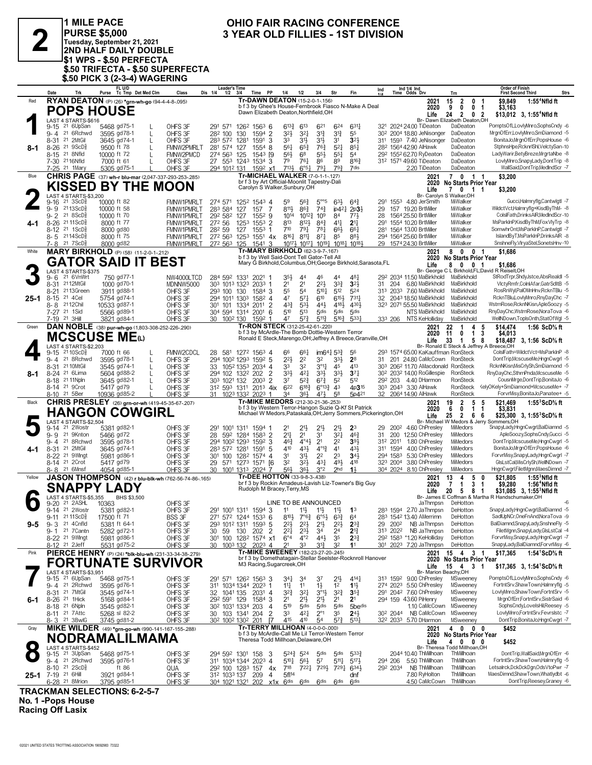

1 MILE PACE PURSE \$5,000<br>PURSE \$5,000<br>2ND HALF DAILY DOUBLE S1 WPS - \$.50 PERFECTA! \$.50 TRIFECTA - \$.50 SUPERFECTA<br>\$.50 PICK 3 (2-3-4) WAGERING

## OHIO FAIR RACING CONFERENCE 3 YEAR OLD FILLIES - 1ST DIVISION

|           | Date                                                  | Trk                                             |                         | FL U/D<br>Purse Tc Tmp Det Med Clm            | Class                                                        | Leader's Time<br>Dis 1/4<br>1/2                                 | 3/4  | Time PP                                                                                      | 1/4                       | 1/2                                     | 3/4                                                                                                                                                                         | Str                                | Fin                                                                                                                      | Ind |                      | Ind 1/4 Ind<br>Time Odds Drv                                                    | Trn                                  |                                | <b>Order of Finish</b><br><b>First Second Third</b>                                                                     | <b>Strs</b>               |
|-----------|-------------------------------------------------------|-------------------------------------------------|-------------------------|-----------------------------------------------|--------------------------------------------------------------|-----------------------------------------------------------------|------|----------------------------------------------------------------------------------------------|---------------------------|-----------------------------------------|-----------------------------------------------------------------------------------------------------------------------------------------------------------------------------|------------------------------------|--------------------------------------------------------------------------------------------------------------------------|-----|----------------------|---------------------------------------------------------------------------------|--------------------------------------|--------------------------------|-------------------------------------------------------------------------------------------------------------------------|---------------------------|
| Red       |                                                       |                                                 |                         |                                               | RYAN DEATON (P) (26) *grn-wh-go (94-4-4-8-.095)              |                                                                 |      | Tr-DAWN DEATON (15-2-0-1-.156)                                                               |                           |                                         |                                                                                                                                                                             |                                    |                                                                                                                          |     |                      | 2021                                                                            | $\overline{2}$<br>15                 | 0                              | \$9.849                                                                                                                 | 1:55 <sup>4</sup> Nfld ft |
|           |                                                       | <b>POPS HOUSE</b>                               |                         |                                               |                                                              |                                                                 |      | Dawn Elizabeth Deaton, Northfield, OH                                                        |                           |                                         |                                                                                                                                                                             |                                    | b f 3 by Ghee's House-Fernbrook Fiasco N-Make A Deal                                                                     |     |                      | 2020                                                                            | 9<br>0                               | $\mathbf 0$<br>-1              | \$3,163                                                                                                                 |                           |
|           |                                                       | LAST 4 STARTS-\$616                             |                         |                                               |                                                              |                                                                 |      |                                                                                              |                           |                                         |                                                                                                                                                                             |                                    |                                                                                                                          |     |                      | Life<br>Br- Dawn Elizabeth Deaton, OH                                           | $\overline{2}$<br>24                 | 0 <sub>2</sub>                 | $$13,012$ 3, 1:55 <sup>4</sup> Nfld ft                                                                                  |                           |
|           |                                                       | 9-15 <sup>21</sup> 6UpSan                       |                         | 5468 gd75-1                                   | OHFS 3F<br>L                                                 | 291 571 1262 1563 6                                             |      |                                                                                              | $6^{13}\frac{3}{4}$       | 613                                     | 621                                                                                                                                                                         | 624                                | $631\frac{1}{4}$                                                                                                         |     |                      | 321 2024 24.00 TiDeaton                                                         | DaDeaton                             |                                | PomptsOfL,LovlyMnro,SophsCndy -6                                                                                        |                           |
|           |                                                       | 9-4 21 6 Rchwd                                  |                         | 3595 gd78-1                                   | OHFS 3F<br>L                                                 | 282 100                                                         | 130  | 1594 2                                                                                       | $3^{21}$                  | $3^{21}$                                | 3 <sup>12</sup>                                                                                                                                                             | $3^{13}$                           | 55                                                                                                                       |     |                      | 30 <sup>2</sup> 200 <sup>4</sup> 18.80 JeNisonger                               | DaDeaton                             |                                | MrgnOfErr,LovlyMnro,SmDiamond -5                                                                                        |                           |
|           | 8-31 21 2MtGil                                        |                                                 |                         | 3645 gd74-1                                   | OHFS 3F                                                      | 283 572 1281                                                    |      | 1591<br>-3                                                                                   | 33                        | 3½                                      | 31}                                                                                                                                                                         | 3 <sup>1</sup>                     | 3 <sup>2</sup>                                                                                                           |     |                      | 311 1593 7.40 JeNisonger                                                        | DaDeaton                             |                                | BonitaJoMrgnOfErr.PopsHouse -6                                                                                          |                           |
| 8-1       | 8-26 21 9ScD <sup>5</sup>                             |                                                 | 9500 ft 78              |                                               | L<br>FMNW2PMRLT                                              | 281 574 127                                                     |      | $1554$ 8                                                                                     | 56 <sub>1</sub>           | $65\frac{3}{4}$                         | $76\frac{3}{4}$                                                                                                                                                             | $5^{21}$                           | 85 <sup>1</sup>                                                                                                          |     |                      | 282 1564 42.90 AlHawk                                                           | DaDeaton                             |                                | StphnsHpe,RcknrlShl,VelctySan-10                                                                                        |                           |
|           | 8-15 <sup>21</sup> 8Nfld<br>7-30 2116Nfld             |                                                 | 10000 ft 72             |                                               | FMNW2PMCD                                                    | 274 563 125                                                     |      | $1543$ [9                                                                                    | 56}<br>79                 | 68                                      | 55}                                                                                                                                                                         | $55\frac{1}{4}$<br>89              | 54<br>8163                                                                                                               |     |                      | 29 <sup>2</sup> 155 <sup>2</sup> 62.70 RyDeaton<br>312 1571 49.60 TiDeaton      | DaDeaton<br>DaDeaton                 |                                | LadyWarir,BetyBreze,MrgrtaNbe -8<br>LovlyMnro,SnapyLady,DontTrip -8                                                     |                           |
|           | 7-25 <sup>21</sup> 1Mary                              |                                                 | 7000 ft 61              | 5305 gd75-1                                   | OHFS 3F<br>OHFS 3F                                           | 27 553 1243 1534 3<br>294 1012 131                              |      | 159 <sup>2</sup> x1                                                                          | 7131                      | 761<br>$6^{\circ 51}$                   | 86<br>791                                                                                                                                                                   | 793                                | 7dis                                                                                                                     |     |                      | 2.20 TiDeaton                                                                   | DaDeaton                             |                                | WallSaid,DontTrip,MedIndScr -7                                                                                          |                           |
| Blue      |                                                       |                                                 |                         |                                               | <b>CHRIS PAGE</b> (37) wh-r blu-mar (2,047-337-293-253-.285) |                                                                 |      | <b>Tr-MICHAEL WALKER (7-0-1-1-127)</b>                                                       |                           |                                         |                                                                                                                                                                             |                                    |                                                                                                                          |     |                      | 2021                                                                            | 7 0 1 1                              |                                | \$3,200                                                                                                                 |                           |
|           |                                                       |                                                 |                         |                                               | KISSED BY THE MOON                                           |                                                                 |      | br f 3 by Art Official-Moonlit Tapestry-Dali                                                 |                           |                                         |                                                                                                                                                                             |                                    |                                                                                                                          |     |                      | 2020                                                                            | No Starts Prior Year                 |                                |                                                                                                                         |                           |
|           |                                                       |                                                 |                         |                                               |                                                              |                                                                 |      | Carolyn S Walker, Sunbury, OH                                                                |                           |                                         |                                                                                                                                                                             |                                    |                                                                                                                          |     |                      | Life                                                                            | 7 0 1 1                              |                                | \$3,200                                                                                                                 |                           |
|           | 9-16                                                  | LAST 4 STARTS-\$3.200<br>$21 \text{ 3ScD}$      | 10000 ft 82             |                                               | <b>FMNW1PMRLT</b>                                            | 274 571 1252 1543 4                                             |      |                                                                                              | 59                        | 56}                                     | $5^{\circ 5}$                                                                                                                                                               | 63}                                | $64\frac{3}{4}$                                                                                                          |     |                      | Br- Carolyn S Walker, OH<br>291 1553 4.80 JerSmith                              | MiWalker                             |                                | Gucci,Halmryflg,Cantwlgtl -7                                                                                            |                           |
|           | 9-9 2113ScD3                                          |                                                 | 10000 ft 58             |                                               | FMNW1PMRLT                                                   | 283 584                                                         | 127  | -7<br>157                                                                                    | 8111,                     | $86\frac{3}{4}$                         | $74\frac{3}{4}$                                                                                                                                                             |                                    | $ip42\frac{1}{4}$ 2p3 $\frac{1}{2}$                                                                                      | 29  |                      | 157 19.20 BrtMiller                                                             | MiWalker                             |                                | WildctVct,Halmryflg+KisdByThM- -8                                                                                       |                           |
|           | 9-2 <sup>21</sup> 8ScD∛                               |                                                 | 10000 ft 70             |                                               | FMNW1PMRLT                                                   | 292 582 127                                                     |      | 1552 9                                                                                       | 1014                      | $10^{12}$ $\frac{3}{4}$ 10 <sup>9</sup> |                                                                                                                                                                             | 84                                 | 771                                                                                                                      | 28  |                      | 1564 25.50 BrtMiller                                                            | MiWalker                             |                                | ColsIFath.DrinksAIR.MedIndScr-10                                                                                        |                           |
| 4-1       | 8-26 2111ScD <sup>5</sup>                             |                                                 | 8000 ft 77              |                                               | <b>FMNW1PMRLT</b>                                            | 272 56                                                          | 1253 | $1553$ 2                                                                                     | 813                       | 8121                                    | $8^{4}$                                                                                                                                                                     | 411                                | 2 <sup>11</sup>                                                                                                          | 291 |                      | 1554 10.20 BrtMiller                                                            | MiWalker                             |                                | MsParkInP,KisdByThM,FoxVIyTrp -8                                                                                        |                           |
|           | 8-12 <sup>21</sup> 1ScD <sup>3</sup><br>8-5 2114ScD   |                                                 | 8000 gd80<br>8000 ft 75 |                                               | <b>FMNW1PMRLT</b>                                            | 282 59<br>272 563                                               | 127  | $155^3$ 1<br>$125^3$ 1551 4x                                                                 | 710<br>8161               | 791<br>$8^{11}\frac{1}{4}$              | $78\frac{1}{4}$<br>$8^{71}$                                                                                                                                                 | 66}<br>85                          | 661<br>881                                                                                                               | 281 |                      | 1564 13.00 BrtMiller<br>294 1564 25.60 BrtMiller                                | MiWalker<br>MiWalker                 |                                | SomwhrOnt, MsParkInP, Cantwlgtl -7<br>IslandByT,MsParkInP,DrinksAIR -8                                                  |                           |
|           | 7-8 21 7 ScD <sup>5</sup>                             |                                                 | 8000 gd82               |                                               | <b>FMNW1PMRLT</b><br>FMNW1PMRLT                              | 272 563 125                                                     |      | $154^1$ 3                                                                                    |                           |                                         | 10 <sup>17</sup> <sup>1</sup> <sub>2</sub> 10 <sup>17</sup> <sup>1</sup> <sub>4</sub> 10 <sup>19</sup> <sup>1</sup> <sub>4</sub> 10 <sup>18</sup> <sup>1</sup> <sub>2</sub> |                                    |                                                                                                                          |     |                      | 29 1574 24.30 BrtMiller                                                         | MiWalker                             |                                | SnshneFly,VlryaStel,SonetsHnv-10                                                                                        |                           |
| White     |                                                       |                                                 |                         | <b>MARY BIRKHOLD</b> (P) (58) (11-2-0-1-.212) |                                                              |                                                                 |      | Tr-MARY BIRKHOLD (62-3-9-7-.167)                                                             |                           |                                         |                                                                                                                                                                             |                                    |                                                                                                                          |     |                      | 2021                                                                            | 80                                   | 0 <sub>1</sub>                 | \$1,686                                                                                                                 |                           |
|           |                                                       |                                                 |                         |                                               | GATOR SAID IT BEST                                           |                                                                 |      | b f 3 by Well Said-Dont Tell Gator-Tell All                                                  |                           |                                         |                                                                                                                                                                             |                                    |                                                                                                                          |     |                      | 2020                                                                            | <b>No Starts Prior Year</b>          |                                |                                                                                                                         |                           |
|           |                                                       |                                                 |                         |                                               |                                                              |                                                                 |      |                                                                                              |                           |                                         |                                                                                                                                                                             |                                    | Mary G Birkhold, Columbus, OH; George Birkhold, Sarasota, FL                                                             |     |                      | Life                                                                            | 80                                   | 0 <sub>1</sub>                 | \$1,686                                                                                                                 |                           |
|           | $9 - 6$                                               | LAST 4 STARTS-\$375<br>21 6VnWrt                |                         | 750 gd77-1                                    | NW4000LTCD                                                   | 284 592 1331 2021 1                                             |      |                                                                                              | 35}                       | 44                                      | 46                                                                                                                                                                          | 44                                 | 481                                                                                                                      |     |                      | 292 2034 11.50 MaBirkhold                                                       | MaBirkhold                           |                                | Br- George C L Birkhold, FL; David R Reiselt, OH<br>StRodTrpr,ShdyJstce,AbsRealdl -5                                    |                           |
|           | 8-31 2112MtGil                                        |                                                 |                         | 1000 gd70-1                                   | MDNNW5000                                                    | 303 1013 1323 2033 1                                            |      |                                                                                              | 2 <sup>1</sup>            | 21                                      | $2^{2}$                                                                                                                                                                     | $3^{34}$                           | 3 <sup>2</sup>                                                                                                           | 31  | 204                  | 6.80 MaBirkhold                                                                 | MaBirkhold                           |                                | VlctvRmfr.ColnlAfar.GatrSdltB -5                                                                                        |                           |
|           | 8-21                                                  | 2113Green                                       |                         | 3911 gd88-1                                   | OHFS 3F                                                      | 293 100 130                                                     |      | 1584 3                                                                                       | 55                        | 54                                      | $5^{10}$                                                                                                                                                                    | 512                                | 524                                                                                                                      |     |                      | 313 2033 7.60 MaBirkhold                                                        | MaBirkhold                           |                                | RosRnWvlPalOMnHnv.RcknTBlu -5                                                                                           |                           |
| $25 - 1$  | 8-15 <sup>21</sup> 4 Cel                              |                                                 |                         | 5754 gd74-1                                   | OHFS 3F                                                      | 294 1011 1303                                                   |      | $158^2$ 4                                                                                    | 47                        | 57 <sub>7</sub>                         | 610                                                                                                                                                                         | 6153                               | $731\frac{1}{7}$                                                                                                         | 32  |                      | 2043 18.50 MaBirkhold                                                           | MaBirkhold                           |                                | RcknTBlu,LovlyMnro,RnyDayChc -7                                                                                         |                           |
|           | 8-8 2112Chil<br>7-27 21 1Sid                          |                                                 | 10533 gd87-1            | 5566 gd89-1                                   | OHFS 3F                                                      | 301 101 1334 2011 2                                             |      |                                                                                              | $4^{3}\frac{3}{4}$<br>510 | $53\frac{1}{2}$<br>513                  | 443<br>5 <sub>dis</sub>                                                                                                                                                     | 4181<br>5 <sub>dis</sub>           | 4304<br>5 <sub>dis</sub>                                                                                                 |     |                      | 323 2071 55.50 MaBirkhold<br>NTS MaBirkhold                                     | MaBirkhold<br>MaBirkhold             |                                | WstrnRose.RcknNKisn.ApleSoozv -5<br>RnyDayChc,WstrnRose,NoraTova -6                                                     |                           |
|           | 7-19 21 3Hill                                         |                                                 |                         | 3821 gd84-1                                   | OHFS 3F<br>OHFS 3F                                           | 304 594 1314 2001<br>30 100 <sup>2</sup> 130                    |      | - 6<br>1592 1                                                                                | 47                        | $5^{7}$                                 | $5^{11}$                                                                                                                                                                    | $5^{16}\frac{3}{4}$                | 5331                                                                                                                     |     | 333 206              | NTS KeHolliday                                                                  | MaBirkhold                           |                                | WellNDown,TopIsOnth,StatOfWgl -5                                                                                        |                           |
| Green     |                                                       |                                                 |                         |                                               | DAN NOBLE (38) pur-wh-go (1,803-308-252-226-.290)            |                                                                 |      | Tr-RON STECK (312-25-42-61-.220)                                                             |                           |                                         |                                                                                                                                                                             |                                    |                                                                                                                          |     |                      | 2021                                                                            | $\overline{1}$<br>22                 | 4<br>5                         | \$14,474                                                                                                                | 1:56 ScD% ft              |
|           |                                                       |                                                 |                         | MCSCUSE MEധ                                   |                                                              |                                                                 |      | b f 3 by McArdle-The Bomb Dottie-Western Terror                                              |                           |                                         |                                                                                                                                                                             |                                    |                                                                                                                          |     |                      | 2020                                                                            | $\mathbf 0$<br>11                    | 3<br>$\mathbf{1}$              | \$4,013                                                                                                                 |                           |
|           |                                                       |                                                 |                         |                                               |                                                              |                                                                 |      |                                                                                              |                           |                                         |                                                                                                                                                                             |                                    | Ronald E Steck, Marengo, OH; Jeffrey A Breece, Granville, OH                                                             |     |                      | Life                                                                            | 33<br>$\overline{1}$                 | 58                             | \$18,487 3, 1:56 ScD <sup>5</sup> / <sub>8</sub> ft                                                                     |                           |
|           | 9-15                                                  | LAST 4 STARTS-\$2,203<br>21 10 ScD <sup>5</sup> | 7000 ft 66              |                                               | FMNW2CDCL                                                    | 28 581 1272 1563 4                                              |      |                                                                                              | 66                        | $66\frac{1}{4}$                         | $im64\frac{1}{4}$ 53 $\frac{3}{4}$                                                                                                                                          |                                    | 56                                                                                                                       |     |                      | Br- Ronald E Steck & Jeffrey A Breece, OH<br>293 1574 65.00 KaKauffman RonSteck |                                      |                                | ColsIFath=WildctVct=MsParkInP -8                                                                                        |                           |
|           |                                                       | 9-4 21 8Rchwd                                   |                         | 3595 gd78-1                                   | OHFS 3F                                                      | 294 1002 1293 1592 5                                            |      |                                                                                              | $2^{2}$                   | 2 <sup>2</sup>                          | 32                                                                                                                                                                          | $3^{3}\frac{1}{2}$                 | 2 <sup>8</sup>                                                                                                           |     |                      | 31 201 24.80 CaMcCown RonSteck                                                  |                                      |                                | DontTrip,McscuseMe,HngnCwgrl -5                                                                                         |                           |
|           | 8-31 21 10 MtGil                                      |                                                 |                         | 3545 gd74-1                                   | OHFS 3F                                                      | 33 1052 1353 2034 4                                             |      |                                                                                              | 33                        | 32                                      | $3^{\circ}1\frac{1}{4}$                                                                                                                                                     | 45                                 | 413                                                                                                                      |     |                      | 303 2062 11.70 AMacdonald RonSteck                                              |                                      |                                | RcknNKisn, MisCrlySh, SmDiamond -5                                                                                      |                           |
| 8-1       | 8-24 <sup>21</sup> 6Lima                              |                                                 |                         | 5604 gd88-2                                   | OHFS 3F                                                      | 294 102 1322 202                                                |      | $\overline{2}$                                                                               | 33}                       | 421                                     | 3 <sup>3</sup>                                                                                                                                                              | 333                                | 37 <sub>7</sub>                                                                                                          |     |                      | 30 <sup>2</sup> 203 <sup>2</sup> 14.00 RoGillespie                              | RonSteck                             |                                | RnyDayChc,SthrnPnda,McscuseMe -5                                                                                        |                           |
|           | 8-18 <sup>21</sup> 11Npln<br>8-14 <sup>21</sup> 9Crot |                                                 | 5417 gd79               | 3645 gd82-1                                   | OHFS 3F<br>OHFS 3F                                           | 303 1021 132 2003 2<br>312 593 1311                             |      | $201^3$ 4ix                                                                                  | 37<br>622                 | $5^{2}$<br>$6^{18}$                     | $6^{73}$<br>$6^{\circ}13\frac{3}{4}$ 43                                                                                                                                     | 5 <sup>2</sup>                     | 512<br>4p3 <sup>15</sup>                                                                                                 |     | 292 203              | 4.40 DHarmon<br>303 2043 3.30 AlHawk                                            | <b>RonSteck</b><br>RonSteck          |                                | CousnMrge,DontTrip,BonitaJo -6<br><elyokely+smdiamond+mcscuseme+ -7<="" th=""><th></th></elyokely+smdiamond+mcscuseme+> |                           |
|           | 8-10 21 5Ber                                          |                                                 |                         | 10936 gd85-2                                  | OHFS 3F                                                      | 31 1023 1332 2023 1                                             |      |                                                                                              | 34                        | 36}                                     | 471                                                                                                                                                                         | 58                                 | 5p421                                                                                                                    |     |                      | 32 2064 14.90 AlHawk                                                            | RonSteck                             |                                | ForvrMisy,BonitaJo,Panatee+ -5                                                                                          |                           |
| Black     |                                                       |                                                 |                         |                                               | <b>CHRIS PRESLEY</b> (26) grn-or-wh (419-45-35-67-207)       |                                                                 |      | Tr-MIKE MEDORS (212-30-21-36-.253)                                                           |                           |                                         |                                                                                                                                                                             |                                    |                                                                                                                          |     |                      | 2021                                                                            | $\overline{2}$<br>19                 | 5<br>5                         | \$21,469                                                                                                                | 1:55 $3$ ScD $\%$ ft      |
|           |                                                       |                                                 |                         | <b>HANGON COWGIRL</b>                         |                                                              |                                                                 |      |                                                                                              |                           |                                         |                                                                                                                                                                             |                                    | b f 3 by Western Terror-Hangon Suzie Q-Kf St Patrick<br>Michael W Medors, Pataskala, OH; Jerry Sommers, Pickerington, OH |     |                      | 2020                                                                            | $\mathbf 0$<br>6                     | $\mathbf{1}$<br>$\mathbf{1}$   | \$3,831                                                                                                                 |                           |
|           |                                                       | LAST 4 STARTS-\$2,504                           |                         |                                               |                                                              |                                                                 |      |                                                                                              |                           |                                         |                                                                                                                                                                             |                                    |                                                                                                                          |     |                      | Life                                                                            | 25 2                                 | 6 6                            | \$25,300 3, 1:55 ${}^3$ ScD ${}^5$ ft<br>Br- Michael W Medors & Jerry Sommers, OH                                       |                           |
|           | $9-14$                                                | 21 2Wostr                                       |                         | 5381 gd82-1                                   | OHFS 3F                                                      | 291 1001 1311 1594 1                                            |      |                                                                                              | 2 <sup>1</sup>            | 21}                                     | 2 <sup>1</sup>                                                                                                                                                              | 2 <sup>1</sup>                     | 2 <sup>3</sup>                                                                                                           | 29  |                      | 200 <sup>2</sup> 4.60 ChPresley                                                 | MiMedors                             |                                | SnapyLady,HngnCwgrl,BalDiamnd -5                                                                                        |                           |
|           | $9 - 9$                                               | 21 9Knton                                       | 5466 gd72               |                                               | OHFS 3F                                                      | 28 592 1284 1583 2                                              |      |                                                                                              | 2 <sup>11</sup>           | 2 <sup>1</sup>                          | 31                                                                                                                                                                          | $3^{2}$                            | $46\frac{3}{4}$                                                                                                          | 31  |                      | 200 12.50 ChPresley                                                             | MiMedors                             |                                | ApleSoozy,SophsCndy,Gucci -5                                                                                            |                           |
|           | 9- 4                                                  | 21 8Rchwd                                       |                         | 3595 gd78-1                                   | OHFS 3F                                                      | 294 1002 1293 1592 3                                            |      |                                                                                              | $46\frac{3}{4}$           | $4^{\circ}4^{\frac{1}{2}}$              | 2 <sup>1</sup>                                                                                                                                                              | 2 <sup>2</sup>                     | 391                                                                                                                      |     | 312 2011             | 1.80 ChPresley                                                                  | MiMedors                             |                                | DontTrip,McscuseMe,HngnCwgrl -5                                                                                         |                           |
| 4-1       | 8-31 21 2MtGil<br>8-22 <sup>21</sup> 9Wingt           |                                                 |                         | 3645 gd74-1<br>5981 gd86-1                    | OHFS 3F<br>OHFS 3F                                           | 283 572 1281<br>301 100 1282 1574 4                             |      | 1591 5                                                                                       | 410<br>31                 | 431<br>31}                              | $4^{\circ}1_{7}^{3}$<br>2 <sup>2</sup>                                                                                                                                      | 4 <sup>1</sup><br>23               | 431<br>34 <sup>1</sup>                                                                                                   |     | 311 1594<br>294 1583 | 4.00 ChPresley<br>5.30 ChPresley                                                | <b>MiMedors</b><br>MiMedors          |                                | BonitaJo,MrgnOfErr,PopsHouse -6<br>ForvrMisy,SnapyLady,HngnCwgrl -7                                                     |                           |
|           | 8-14 <sup>21</sup> 2Crot                              |                                                 | 5417 gd79               |                                               | OHFS 3F                                                      | 29 571 1273 1571 [6                                             |      |                                                                                              | 3 <sup>2</sup>            | 32}                                     | $4^{3}\frac{1}{4}$                                                                                                                                                          | 491                                | 418                                                                                                                      |     | 323 2004             | 3.80 ChPresley                                                                  | MiMedors                             |                                | GlsLstCal, MisCrlySh, WellNDown -7                                                                                      |                           |
|           | 8-8 21 6Mnsf                                          |                                                 |                         | 4054 gd85-1                                   | OHFS 3F                                                      | 30                                                              |      | 1001 1313 2024 7                                                                             | 56}                       | 361                                     | 3°2                                                                                                                                                                         | 2 <sub>hd</sub>                    | $1\frac{1}{2}$                                                                                                           |     |                      | 304 2024 8.10 ChPresley                                                         | MiMedors                             |                                | HngnCwgrl,FiletMgnn,MaesDimnd -7                                                                                        |                           |
| Yellow    |                                                       |                                                 |                         |                                               | <b>JASON THOMPSON</b> (42) r blu-blk-wh (762-56-74-86-165)   |                                                                 |      | Tr-DEE HOTTON (33-9-8-3-.438)                                                                |                           |                                         |                                                                                                                                                                             |                                    |                                                                                                                          |     |                      | 2021                                                                            | 13<br>4                              | 5<br>0                         | \$21,805                                                                                                                | $1:553$ Nfld ft           |
|           |                                                       | SNAPPY LADY                                     |                         |                                               |                                                              |                                                                 |      | Rudolph M Bracey, Terry, MS                                                                  |                           |                                         |                                                                                                                                                                             |                                    | br f 3 by Rockin Amadeus-Lavish Liz-Towner's Big Guy                                                                     |     |                      | 2020                                                                            | $\overline{1}$<br>7                  | $\mathbf{3}$<br>$\overline{1}$ | \$9,280                                                                                                                 | 1:56 <sup>4</sup> Nfld ft |
|           |                                                       | LAST 4 STARTS-\$5,355                           |                         | BHS \$3,500                                   |                                                              |                                                                 |      |                                                                                              |                           |                                         |                                                                                                                                                                             |                                    |                                                                                                                          |     |                      | Life                                                                            | 20<br>5                              | 81                             | \$31,085 3. 1:55 ${}^{3}$ Nfld ft<br>Br- James E Coffman & Martha R Handschumaker, OH                                   |                           |
|           | 9-20                                                  | 21 2 A SHL                                      | 10363                   |                                               | OHFS 3F                                                      |                                                                 |      |                                                                                              | LINE TO BE ANNOUNCED      |                                         |                                                                                                                                                                             |                                    |                                                                                                                          |     |                      | JaThmpsn                                                                        | DeHotton                             |                                |                                                                                                                         |                           |
|           |                                                       | 9-14 21 2Wostr                                  |                         | 5381 gd82-1                                   | OHFS 3F                                                      | 291 1001 1311 1594 3                                            |      |                                                                                              | 11                        | $11\frac{1}{2}$                         | $11\frac{1}{2}$                                                                                                                                                             | 11}                                | 1 <sup>3</sup>                                                                                                           |     |                      | 283 1594 2.70 JaThmpsn                                                          | DeHotton                             |                                | SnapyLady,HngnCwgrl,BalDiamnd -5                                                                                        |                           |
|           | 9-3 <sup>21</sup> 4 Cnfld                             | 9-11 21 11 ScD <sup>5</sup>                     | 17500 ft 71             | 5381 ft 64-1                                  | <b>BSS 3F</b><br>OHFS 3F                                     | 271 572 1244 1533 6<br>293 1012 1311 1593 <b>5</b>              |      |                                                                                              | $2^{2}$                   | 22}                                     | $8^{10\frac{1}{2}}$ $7^{06\frac{3}{4}}$ $6^{05\frac{1}{2}}$ $6^{3\frac{3}{4}}$                                                                                              | $2^{2}$                            | 64<br>$2^{3}$                                                                                                            | 29  | 2002                 | 283 1542 13.40 AMerrimn<br>NB JaThmpsn                                          | DeHotton<br>DeHotton                 |                                | SadlUpNCr, OneFnAnd, NoraTova -9<br>BalDiamnd,SnapyLady,SnshneFly -5                                                    |                           |
| 9-5       |                                                       | 9-1 21 7 Cantn                                  |                         | 5282 gd72-1                                   | OHFS 3F                                                      | 30<br>59                                                        |      | 130 202 2                                                                                    | $2^{2}$                   | $2^{3}\frac{1}{2}$                      | 21}<br>34                                                                                                                                                                   | 2 <sup>4</sup>                     | $2^{13}$                                                                                                                 |     | 313 2022             | NB JaThmpsn                                                                     | DeHotton                             |                                | FiletMgnn,SnapyLady,GlsLstCal -4                                                                                        |                           |
|           | 8-22 <sup>21</sup> 9Wlngt                             |                                                 |                         | 5981 gd86-1                                   | OHFS 3F                                                      | 301 100 1282 1574 x1                                            |      |                                                                                              | $6^{\circ}4$              | $4^{\circ}2$                            | $44\frac{1}{2}$                                                                                                                                                             | 35                                 | $2^{3}\frac{3}{4}$                                                                                                       |     |                      | 292 1583 *1.20 KeHolliday                                                       | DeHotton                             |                                | ForvrMisy,SnapyLady,HngnCwgrl -7                                                                                        |                           |
|           | 8-12 <sup>21</sup> 2Jeff                              |                                                 |                         | 5531 gd75-2                                   | OHFS 3F                                                      | 1003 132<br>30                                                  |      | 2023 4                                                                                       | 21                        | 33                                      | 31}                                                                                                                                                                         | 3 <sup>2</sup>                     | 1 <sup>1</sup>                                                                                                           |     |                      | 301 2023 7.20 JaThmpsn                                                          | DeHotton                             |                                | SnapyLady,BalDiamnd,ForvrMisy -6                                                                                        |                           |
| Pink      |                                                       |                                                 |                         |                                               | PIERCE HENRY (P) (24) *blk-blu-wh (231-33-34-38-279)         |                                                                 |      | Tr-MIKE SWEENEY (182-23-27-20-.245)                                                          |                           |                                         |                                                                                                                                                                             |                                    |                                                                                                                          |     |                      | 2021                                                                            | 15  4  3  1                          |                                | \$17,365                                                                                                                | 1:54 <sup>1</sup> ScD% ft |
|           |                                                       |                                                 |                         |                                               | <b>FORTUNATE SURVIVOR</b>                                    |                                                                 |      | M3 Racing, Sugarcreek, OH                                                                    |                           |                                         |                                                                                                                                                                             |                                    | br f 3 by Domethatagain-Stellar Seelster-Rocknroll Hanover                                                               |     |                      |                                                                                 | 2020 No Starts Prior Year            |                                |                                                                                                                         |                           |
|           |                                                       | LAST 4 STARTS-\$3,951                           |                         |                                               |                                                              |                                                                 |      |                                                                                              |                           |                                         |                                                                                                                                                                             |                                    |                                                                                                                          |     |                      | Life<br>Br- Marion Beachy, OH                                                   | $15 \quad 4 \quad 3$                 | -1                             | \$17,365 3, 1:54 ScD % ft                                                                                               |                           |
|           |                                                       | 9-15 <sup>21</sup> 6UpSan                       |                         | 5468 gd75-1                                   | OHFS 3F                                                      | 291 571 1262 1563 3                                             |      |                                                                                              | 34}                       | 34                                      | 37                                                                                                                                                                          | 2 <sup>1</sup>                     | $4^{14}$                                                                                                                 |     |                      | 313 1592 9.00 ChPresley                                                         | MSweeney                             |                                | PomptsOfL,LovlyMnro,SophsCndy -6                                                                                        |                           |
|           |                                                       | 9-4 21 2Rchwd                                   |                         | 3595 gd76-1                                   | OHFS 3F                                                      | 311 1034 1344 2023 1                                            |      |                                                                                              | 14                        | 11                                      | $1\frac{1}{2}$                                                                                                                                                              | 1 <sup>2</sup>                     | $1\frac{11}{2}$                                                                                                          |     |                      | 274 2023 5.50 ChPresley                                                         | MSweeney                             |                                | FortntSrv,ShawTown,Halmryflg -5                                                                                         |                           |
|           | 8-31 21 7MtGil                                        |                                                 |                         | 3545 gd74-1                                   | OHFS 3F                                                      | 32 1041 135                                                     |      | 2031 4                                                                                       | $3^{2}\frac{3}{4}$        | $3^{21}$                                | $3^{01}\frac{1}{2}$                                                                                                                                                         | $3^{2}3$                           | $35\frac{3}{4}$                                                                                                          |     |                      | 291 2042 7.60 ChPresley                                                         | MSweeney<br>MSweeney                 |                                | LovlvMnro.ShawTown.FortntSrv -5<br>MrgnOfErr,FortntSrv,SistrSaid -6                                                     |                           |
| 6-1       | 8-26 <sup>21</sup> 1Hick<br>8-18 <sup>21</sup> 6Npln  |                                                 |                         | 5168 gd84-1<br>3545 gd82-1                    | OHFS 3F<br>OHFS 3F                                           | 292 591 129<br>30 <sup>2</sup> 103 <sup>1</sup> 1334 203        |      | 1584 3<br>4                                                                                  | 2 <sup>1</sup><br>519     | 21}<br>5 <sub>dis</sub>                 | 2 <sup>1</sup><br>5 <sub>dis</sub>                                                                                                                                          | 2 <sup>1</sup><br>5 <sub>dis</sub> | 2 <sup>1</sup><br>5bedis                                                                                                 |     |                      | 294 159 43.60 PiHenry<br>1.10 CaMcCown                                          | MSweeney                             |                                | SophsCndy,LoveIsHil,Reesey -5                                                                                           |                           |
|           | 8-11 <sup>21</sup> 7 Attc                             |                                                 |                         | 5268 sl 82-2                                  | OHFS 3F                                                      | 30 103 1341 204                                                 |      | 2                                                                                            | 33                        | 421                                     | $2^{\circ}1$                                                                                                                                                                | 35                                 | $24\frac{1}{2}$                                                                                                          |     |                      | 30 <sup>2</sup> 204 <sup>4</sup> NB CaMcCown                                    | MSweeney                             |                                | LovlyMnro,FortntSrv,Fevrslstc -7                                                                                        |                           |
|           | 8-3 21 3BwlG                                          |                                                 |                         | 3745 gd81-2                                   | OHFS 3F                                                      | 30 <sup>2</sup> 100 <sup>2</sup> 130 <sup>2</sup> 201           |      | $\mathsf{I}7$                                                                                | 415                       | 410                                     | 54                                                                                                                                                                          | $5^{7}$                            | $5^{13}$                                                                                                                 |     |                      | 322 2033 5.70 DHarmon                                                           | MSweeney                             |                                | DontTrip,BonitaJo,HngnCwgrl -7                                                                                          |                           |
| Gray      |                                                       |                                                 |                         |                                               | MIKE WILDER (49) *grn-go-wh (990-141-167-155-288)            |                                                                 |      | <b>Tr-TERRY MILLHOAN (4-0-0-0-000)</b><br>b f 3 by McArdle-Call Me Lil Terror-Western Terror |                           |                                         |                                                                                                                                                                             |                                    |                                                                                                                          |     |                      | 2021                                                                            | 4000                                 |                                | \$452                                                                                                                   |                           |
|           |                                                       |                                                 |                         | NODRAMALILMAMA                                |                                                              |                                                                 |      | Theresa Todd Millhoan, Delaware, OH                                                          |                           |                                         |                                                                                                                                                                             |                                    |                                                                                                                          |     |                      | Life                                                                            | 2020 No Starts Prior Year<br>4 0 0 0 |                                | \$452                                                                                                                   |                           |
| $\bullet$ |                                                       | LAST 4 STARTS-\$452                             |                         |                                               |                                                              |                                                                 |      |                                                                                              |                           |                                         |                                                                                                                                                                             |                                    |                                                                                                                          |     |                      | Br- Theresa Todd Millhoan, OH                                                   |                                      |                                |                                                                                                                         |                           |
|           |                                                       | 9-15 <sup>21</sup> 3UpSan                       |                         | 5468 gd75-1                                   | OHFS 3F                                                      | 294 592 1301 158                                                |      | -3                                                                                           | 524 <sup>3</sup> 524      |                                         | 5 <sup>dis</sup>                                                                                                                                                            | 5 <sub>dis</sub>                   | 533}                                                                                                                     |     |                      | 2044 10.40 ThMillhoan                                                           | ThMillhoan                           |                                | DontTrip, WallSaid, MrgnOfErr -6                                                                                        |                           |
|           |                                                       | 9-4 21 2Rchwd                                   |                         | 3595 gd76-1                                   | OHFS 3F                                                      | 311 1034 1344 2023 4                                            |      |                                                                                              | $5^{10}$                  | $56\frac{1}{2}$                         | 57                                                                                                                                                                          | $5^{11}\frac{1}{4}$                | $5^{17}\frac{1}{2}$                                                                                                      |     |                      | 294 206 5.50 ThMillhoan                                                         | ThMillhoan<br>ThMillhoan             |                                | FortntSrv,ShawTown,Halmryflg -5<br>Letsalrck,DckDckDgn,OdsVtoPwr -7                                                     |                           |
|           | 8-10 21 2ScD <sup>5</sup><br>25-1 7-19 21 6Hill       |                                                 |                         | ft 86<br>3921 gd84-1                          | QUA<br>OHFS 3F                                               | 29 <sup>2</sup> 100 128 <sup>3</sup> 157 4x<br>312 1033 137 209 |      | 4                                                                                            | $7^{18}$<br>5f114         |                                         | 7221 7291                                                                                                                                                                   | 7291 6341                          | dnf                                                                                                                      |     |                      | 29 <sup>2</sup> 2034 NB ThMillhoan<br>7.80 RyHolton                             | ThMillhoan                           |                                | MaesDimnd,ShawTown,Whatlydbt -6                                                                                         |                           |
|           |                                                       | 6-28 21 8Mrion                                  |                         | 3795 ad85-1                                   | OHES 3F                                                      | 304 1021 1321 202 x1x Rdis Rdis Rdis                            |      |                                                                                              |                           |                                         |                                                                                                                                                                             | <b>Adis</b>                        | <b>Rdis</b>                                                                                                              |     |                      | 4.50 CaMcCown ThMillhoan                                                        |                                      |                                | DontTrip.Reesev.Granev -6                                                                                               |                           |

TRACKMAN SELECTIONS: 6-2-5-7<br>No. 1 -Pops House

**Racing Off Lasix**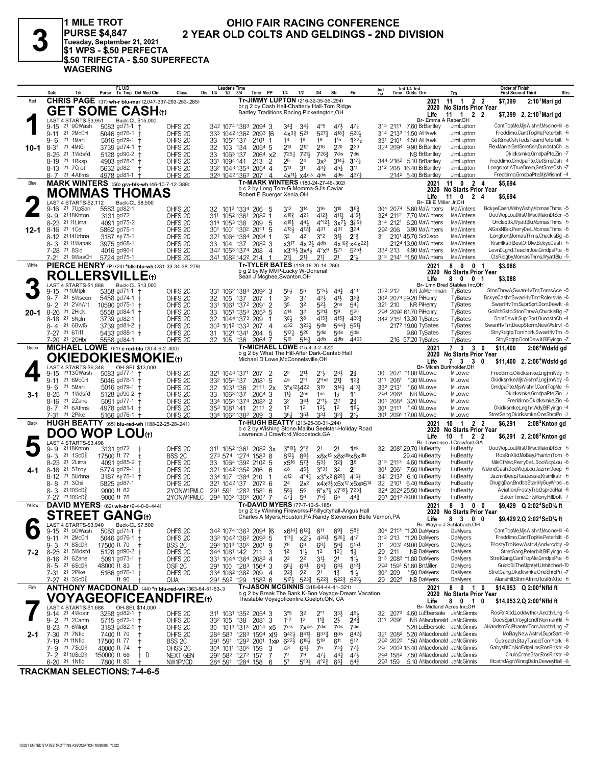

1 MILE TROT PURSE \$4,847<br>Tuesday, September 21, 2021<br>\$1 WPS - \$.50 PERFECTA \$.50 TRIFECTA - \$.50 SUPERFECTA **WAGERING** 

## OHIO FAIR RACING CONFERENCE 2 YEAR OLD COLTS AND GELDINGS - 2ND DIVISION

|          | Date                                                      | Trk                               | rı unu<br>Purse Tc Tmp Det Med Clm                           |                   | Class                                    | Leaders ilme<br>Dis 1/4<br>$1/2$ $3/4$ | Time                                                                                      | PP<br>1/4                             | 1/2                                              | 3/4                                                | Str                                               | Fin                                                                  | Ind<br>11A      |                     | ina 1/4 ina<br>Time Odds Drv                       | Trn                                             | Order of Finish<br>Strs<br><b>First Second Third</b>                 |
|----------|-----------------------------------------------------------|-----------------------------------|--------------------------------------------------------------|-------------------|------------------------------------------|----------------------------------------|-------------------------------------------------------------------------------------------|---------------------------------------|--------------------------------------------------|----------------------------------------------------|---------------------------------------------------|----------------------------------------------------------------------|-----------------|---------------------|----------------------------------------------------|-------------------------------------------------|----------------------------------------------------------------------|
| Red      |                                                           |                                   | <b>CHRIS PAGE</b> (37) wh-r blu-mar (2,047-337-293-253-.285) |                   |                                          |                                        | Tr-JIMMY LUPTON (216-32-35-36-294)                                                        |                                       |                                                  |                                                    |                                                   |                                                                      |                 |                     | 2021                                               | 11 1 2 2                                        | \$7,399<br>2:10 Mari gd                                              |
|          |                                                           |                                   | <b>GET SOME CASH</b> th                                      |                   |                                          |                                        | br g 2 by Cash Hall-Chatterly Hall-Tom Ridge                                              |                                       |                                                  |                                                    |                                                   |                                                                      |                 |                     | 2020                                               | <b>No Starts Prior Year</b>                     |                                                                      |
|          |                                                           |                                   |                                                              |                   |                                          |                                        | Bartley Traditions Racing, Pickerington, OH                                               |                                       |                                                  |                                                    |                                                   |                                                                      |                 |                     | Life                                               | 11 1 2 2                                        | \$7,399 2, $2:10^7$ Marigd                                           |
|          | LAST 4 STARTS-\$3,951                                     |                                   | Buck-CL \$15,000                                             |                   |                                          |                                        |                                                                                           |                                       |                                                  |                                                    |                                                   |                                                                      |                 |                     |                                                    | Br- Emma A Raber, OH                            |                                                                      |
|          | $9 - 15$                                                  | 21 90Wash                         | 5083 gd71-1                                                  |                   | OHFS <sub>2C</sub>                       |                                        | 342 1074 1383 2094 3                                                                      | $3^{4^{3}_{2}}$                       | $3^{4}3$                                         | $4^{\circ}5$                                       | 471                                               | $47\frac{1}{4}$                                                      |                 |                     | 313 2111 7.60 BrBartley                            | JimLupton                                       | CantTopMe, MisWishnf, MsclneHil -6                                   |
|          | $9 - 11$                                                  | 21 2McCnl                         | 5046 $gd76-1$ +                                              |                   | OHFS <sub>2C</sub>                       |                                        | 333 1042 1362 2093 [6                                                                     | $4x^{3}\frac{3}{4}$                   | 521                                              | $5^{27}$                                           | $4^{18}\frac{1}{4}$                               | 5203                                                                 |                 |                     | 314 2133 11.50 AlHawk                              | JimLupton                                       | Freddimo,CantTopMe,Peterbilt -6                                      |
|          | 21<br>9-6                                                 | 1Mari                             | 5016 gd79-1 +                                                |                   | OHFS <sub>2C</sub>                       | 33<br>1052 137                         | 2101                                                                                      | 18                                    | 18                                               | 19                                                 | 115                                               | 122 <sub>7</sub>                                                     |                 |                     | 331 2101 4.50 AlHawk                               | JimLupton                                       | GetSmeCsh,TedsTeam,Peterbilt -5                                      |
| 10-1     | 8-31 21 4MtGil                                            |                                   | 3739 gd74-1 +                                                |                   | OHFS <sub>2C</sub>                       | 32<br>103 134                          | 2054 5                                                                                    | 210                                   | 212                                              | 216                                                | 220                                               | 220                                                                  |                 |                     | 323 2094 9.90 BrBartley                            | JimLupton                                       | FlexMania, GetSmeCsh, DundstpCh -5                                   |
|          | 8-25 <sup>21</sup> 1Wdsfd                                 |                                   | 5128 gd90-2 +                                                |                   | OHFS <sub>2C</sub>                       | 33<br>1063 137                         | $2064$ x2                                                                                 | 725 <sub>7</sub>                      | 7211                                             | 7263                                               | 7dis                                              | 7dis                                                                 |                 |                     | <b>NB BrBartley</b>                                | JimLupton                                       | Okidksmke, GrndpaPte, Zin - 7                                        |
|          | 8-19 <sup>21</sup> 1Rksp                                  |                                   | 4903 gd78-5                                                  |                   | OHFS <sub>2C</sub>                       | 331 1094 141                           | 213                                                                                       | 28<br>2                               | 2 <sup>4</sup>                                   | 3x <sup>3</sup>                                    | 3141                                              | $3^{17}$                                                             |                 |                     | 344 216 <sup>2</sup> 5.10 BrBartley                | JimLupton                                       | Freddimo, GrndpaPte, GetSmeCsh -4                                    |
|          | 8-13 21 7 Crot                                            |                                   | 5632 gd82                                                    |                   | OHFS <sub>2C</sub>                       |                                        | 332 1043 1354 2054                                                                        | 510<br>$\overline{4}$                 | 3 <sup>1</sup>                                   | $43\frac{3}{4}$                                    | 451                                               | 311                                                                  |                 |                     | 312 208 16.40 BrBartley                            | JimLupton                                       | Longshot,ATrueDrem,GetSmeCsh -7                                      |
|          | 8-7 21 4 Athns                                            |                                   | 4978 gd81-1                                                  |                   | OHFS <sub>20</sub>                       |                                        | 323 1042 1363 207 4                                                                       |                                       | $4x^{11}$ $x4$ dis 4 dis                         |                                                    | 4 <sub>dis</sub>                                  | 4371                                                                 |                 |                     | 2142 5.40 BrBartley                                | JimLupton                                       | Freddimo, GrndpaPte, MjsWishnf -4                                    |
| Blue     |                                                           |                                   | <b>MARK WINTERS</b> (56) gra-blk-wh (46-10-7-12-389)         |                   |                                          |                                        | Tr-MARK WINTERS (180-24-27-46-.302)<br>b c 2 by Long Tom-G Momma-SJ's Caviar              |                                       |                                                  |                                                    |                                                   |                                                                      |                 |                     | 2021                                               | 11 0 2 4                                        | \$5,694                                                              |
|          | <b>MOMMAS</b>                                             |                                   |                                                              | <b>THOMAS</b>     |                                          |                                        | Robert E Buerger, Xenia, OH                                                               |                                       |                                                  |                                                    |                                                   |                                                                      |                 |                     | 2020                                               | No Starts Prior Year                            |                                                                      |
|          | LAST 4 STARTS-\$2,112                                     |                                   | Buck-CL \$8,500                                              |                   |                                          |                                        |                                                                                           |                                       |                                                  |                                                    |                                                   |                                                                      |                 |                     | Life<br>Br- Eli E Miller Jr.OH                     | 11<br>$\mathbf{0}$<br>24                        | \$5,694                                                              |
|          | $9 - 16$                                                  | 21 7UpSan                         | 5583 gd82-1                                                  |                   | OHFS <sub>2C</sub>                       | 32                                     | 1012 1334 206                                                                             | 312<br>-5                             | 314                                              | 316                                                | $3^{10}$                                          | 38 <sub>1</sub>                                                      |                 |                     | 304 2074 5.60 MaWinters                            | MaWinters                                       | BckyeCash,WshyWshy,MomasThms -5                                      |
|          | 9-9 2118Knton                                             |                                   | 3131 gd72                                                    |                   | OHFS <sub>2C</sub>                       | 311<br>1052 1361                       | 2082                                                                                      | $4^{10\frac{3}{4}}$<br>1              | $4^{2}$                                          | 4121                                               | 4111                                              | 4154                                                                 |                 |                     | 324 2112 7.70 MaWinters                            | MaWinters                                       | DooWopLou, MilsOfMsc, MaknDtScr -5                                   |
|          | 8-23 <sup>21</sup> 11 Lima                                |                                   | 4091 gd75-2                                                  |                   | OHFS <sub>2C</sub>                       | 314 1053 138                           | 209                                                                                       | 4104<br>5                             | $44\frac{1}{2}$                                  | $4^{\circ}12\frac{1}{2}$                           | $3x^{7}\frac{1}{2}$                               | $3^{15}$                                                             |                 |                     | 314 2121 6.20 MaWinters                            | <b>MaWinters</b>                                | Unclepttk, WyattBlu, Momas Thms -5                                   |
| 12-1     | $8 - 16$<br>21 1 Cel                                      |                                   | 5862 gd75-1                                                  |                   | OHFS <sub>2C</sub>                       | 301<br>1001 1302                       | 2011                                                                                      | 4131<br>5                             | 4121                                             | 431                                                | 431                                               | 324                                                                  |                 | 292 206             | 3.90 MaWinters                                     | MaWinters                                       | AlGasNBrk,PerryDelL,MomasThms -6                                     |
|          | 8-12 <sup>21</sup> 14Urbna                                |                                   | 3187 sy 75-1                                                 |                   | OHFS <sub>2C</sub>                       |                                        | 321 1064 1384 2094                                                                        | 32                                    | 42                                               | 3°2                                                | 31}                                               | $2^{13}$                                                             |                 |                     | 31 2101 45.70 ScCisco                              | <b>MaWinters</b>                                | LongKen,MomasThms,ChuckIsBg -6                                       |
|          | 8-3 2111 Wapak                                            |                                   | 3975 gd68-1                                                  |                   | OHFS <sub>2C</sub>                       | 104 137<br>33.                         | 2082 3                                                                                    |                                       | $x3^{17}$ 4 $x^{13}\frac{1}{2}$ 4dis             |                                                    |                                                   | $4x^{16}$ <sup>3</sup> $x^{4}x^{22}$ <sup>1</sup>                    |                 |                     | 2124 13.90 MaWinters                               | <b>MaWinters</b>                                | Kismlkstr,BestOfDlw,BckyeCash -5                                     |
|          | 7-28 21 8 Sid                                             |                                   | 4016 gd90-1                                                  |                   | OHFS <sub>2C</sub>                       |                                        | 342 1053 1374 208                                                                         | $\overline{4}$                        |                                                  | $x3^{\circ}5\frac{1}{2}3x4\frac{1}{2}4^{\circ}x^9$ | 521                                               | 525}                                                                 |                 | 332 213             | 4.90 MaWinters                                     | MaWinters                                       | LevnDLgnd,TeachrJoe,GrndpaPte -6                                     |
|          | 7-21 <sup>21</sup> 9WasCH                                 |                                   | 5724 gd75-1                                                  |                   | OHFS <sub>2C</sub>                       | 341 1082 1422 214                      |                                                                                           | $21\frac{1}{4}$                       | $21\frac{1}{4}$                                  | $21\frac{1}{2}$                                    | 2 <sup>1</sup>                                    | $21\frac{1}{2}$                                                      |                 |                     | 313 2141 *1.50 MaWinters                           | MaWinters                                       | CtsRidgby,MomasThms,WyattBlu -5                                      |
| White    |                                                           |                                   | PIERCE HENRY (P) (24) *blk-blu-wh (231-33-34-38-279)         |                   |                                          |                                        | Tr-TYLER BATES (118-18-20-14-.286)                                                        |                                       |                                                  |                                                    |                                                   |                                                                      |                 |                     | 2021                                               | 80<br>0 <sub>1</sub>                            | \$3,088                                                              |
|          |                                                           |                                   | <b>ROLLERSVILI</b>                                           |                   |                                          |                                        | b g 2 by My MVP-Lucky W-Donerail<br>Sean J Mcghee, Swanton, OH                            |                                       |                                                  |                                                    |                                                   |                                                                      |                 |                     | 2020                                               | <b>No Starts Prior Year</b>                     |                                                                      |
|          | <b>LAST 4 STARTS-\$1.888</b>                              |                                   |                                                              |                   |                                          |                                        |                                                                                           |                                       |                                                  |                                                    |                                                   |                                                                      |                 |                     | Life                                               | $\overline{\mathbf{0}}$<br>$\mathbf 0$<br>8     | \$3,088<br>-1                                                        |
|          | 21 10Mtplr<br>9-15                                        |                                   | Buck-CL \$13,000<br>5358 gd71-1                              |                   | OHFS <sub>2C</sub>                       |                                        | 331 1062 1383 2092 3                                                                      | $55\frac{1}{2}$                       | 55                                               | $5^{\circ 5}$                                      | 461                                               | 413                                                                  |                 | 322 212             | NB JaMerriman                                      | Br- Lmn Bred Stables Inc,OH<br>TyBates          | StonThrwA,SwanHlvTm,TomsAce -5                                       |
|          | 9- 7                                                      | 21 5Wseon                         | 5458 gd74-1 +                                                |                   | OHFS <sub>2C</sub>                       | 32<br>105                              | 137<br>207                                                                                | 33<br>-1                              | 32                                               | 42}                                                | 41}                                               | 3 <sup>3</sup>                                                       |                 |                     | 30 <sup>2</sup> 2074 29.20 PiHenry                 | TyBates                                         | BckyeCash=SwanHlvTm=Rolersvle -6                                     |
|          | $9 - 2$                                                   | 21 2VnWrt                         | 10590 gd75-1 +                                               |                   | OHFS <sub>2C</sub>                       | 331                                    | 1061 1372 2091                                                                            | 35<br>$\overline{2}$                  | 32                                               | $5^{2}$                                            | 2 <sub>ns</sub>                                   | $5^{4}$                                                              |                 | 321 210             | NR PiHenry                                         | TyBates                                         | SwanHlvTm,SuprSprt,DontDewlt -8                                      |
| $20 - 1$ | 21 2Hick<br>$8 - 26$                                      |                                   | 5558 gd84-1 +                                                |                   | OHFS <sub>2C</sub>                       | 33                                     | 1051 1353 2053                                                                            | 414<br>-5                             | 32                                               | 521}                                               | 59                                                | 520                                                                  |                 |                     | 294 2093 61.70 PiHenry                             | TyBates                                         | GoWthGsto,StonThrwA,ChuckIsBg -7                                     |
|          | 8-18 <sup>21</sup> 5Npln                                  |                                   | 3739 gd82-1 +                                                |                   | OHFS <sub>2C</sub>                       | 32                                     | 1044 1373 209                                                                             | 36}<br>1                              | 38                                               | 415}                                               | $4^{15}$                                          | 4303                                                                 |                 |                     | 343 2151 13.30 TyBates                             | TyBates                                         | DontDewIt,SuprSprt,DundstpCh -4                                      |
|          | 8-4 21 6BwlG                                              |                                   | 3739 gd81-2 +                                                |                   | OHFS <sub>2C</sub>                       | 303                                    | 1012 1333 207                                                                             | 432<br>4                              | 323}                                             | 5 <sub>dis</sub>                                   | $5^{44}$                                          | $551\frac{3}{4}$                                                     |                 |                     | 2172 19.00 TyBates                                 | TyBates                                         | SwanHlvTm,DeepStorm,NewWstrvl -5                                     |
|          | 7-27 21 6Tiff                                             |                                   | 5433 gd88-1 +                                                |                   | OHFS <sub>2C</sub>                       | 31                                     | 1021 1341 204                                                                             | $5^{12}$<br>5                         | 520                                              | $5$ dis                                            | $5$ dis                                           | $5$ dis                                                              |                 |                     | 9.60 TyBates                                       | TyBates                                         | StnyRdgtp,TomYork,SwanHlvTm -5                                       |
|          | 7-20 21 20Hbr                                             |                                   | 5558 gd84-1                                                  |                   | OHFS <sub>2C</sub>                       | 32<br>105 136                          | 2064                                                                                      | 519<br>-7                             | $5^{14}$                                         | 4 <sub>dis</sub>                                   | 4 <sub>dis</sub>                                  | 4461                                                                 |                 |                     | 216 57.20 TyBates                                  | TyBates                                         | StnyRdgtp,DontDewIt,BlFlyingn -7                                     |
| Green    |                                                           |                                   | MICHAEL LOWE (61) c red-blu (20-4-6-2-.400)                  |                   |                                          |                                        | Tr-MICHAEL LOWE (15-4-3-2-.422)                                                           |                                       |                                                  |                                                    |                                                   |                                                                      |                 |                     | 2021                                               | 7 3 3 0                                         | \$11,400<br>2:06 <sup>4</sup> Wdsfd gd                               |
|          |                                                           |                                   | <b>OKIEDOKIESMOKIE</b> (t)                                   |                   |                                          |                                        | b g 2 by What The Hill-After Dark-Cantab Hall<br>Michael D Lowe, McConnelsville, OH       |                                       |                                                  |                                                    |                                                   |                                                                      |                 |                     | 2020                                               | <b>No Starts Prior Year</b>                     |                                                                      |
|          | LAST 4 STARTS-\$6,348                                     |                                   | OH-SEL \$13,000                                              |                   |                                          |                                        |                                                                                           |                                       |                                                  |                                                    |                                                   |                                                                      |                 |                     | Life                                               | 7 3 3 0<br>Br- Micah Burkholder.OH              | \$11,400 2, 2:06 <sup>4</sup> Wdsfd gd                               |
|          | 9-15                                                      | 21130Wash                         | 5083 gd77-1 +                                                |                   | OHFS <sub>2C</sub>                       | 321 1044 1371                          | 207                                                                                       | 2<br>22                               | 21}                                              | $2^{\circ}$ <sub>2</sub>                           | $2^{3}\frac{1}{2}$                                | $2\frac{3}{4}$                                                       | 30              |                     | 2071 *1.80 MiLowe                                  | MiLowe                                          | Freddimo, Okidksmke, Lngjhn Wdy - 5                                  |
|          | $9 - 11$                                                  | 21 6McCnl                         | 5046 gd76-1 +                                                |                   | OHFS <sub>2C</sub>                       | 332 1054 137                           | 2081                                                                                      | 45<br>5                               | $2^{\circ}1$                                     | 2 <sup>o</sup> hd                                  | $21\frac{1}{4}$                                   | 12 <sub>1</sub>                                                      | 311             | 2081                | *.30 MiLowe                                        | MiLowe                                          | Okidksmke, MisWishnf, Lngjhn Wdy -5                                  |
|          | 21 5Mari<br>9-6                                           |                                   | 5016 gd79-1                                                  |                   | OHFS <sub>2C</sub>                       | 32<br>1031 136                         | $211^1$ 2x                                                                                |                                       | 3°x <sup>121</sup> / <sub>2422</sub>             | 319                                                | 3143                                              | 4101                                                                 |                 | 332 2131            | *.60 MiLowe                                        | MiLowe                                          | GrndpaPte, MjsWishnf, CantTopMe -5                                   |
| 3-1      | 8-25 <sup>21</sup> 1Wdsfd                                 |                                   | 5128 gd90-2 +                                                |                   | OHFS <sub>2C</sub>                       | 1063 137<br>33.                        | 2064                                                                                      | $11\frac{3}{4}$<br>3                  | 2 <sub>ns</sub>                                  | 1 <sub>ns</sub>                                    | $1\frac{1}{2}$                                    | 1 <sup>1</sup>                                                       |                 | 294 2064            | NB MiLowe                                          | MiLowe                                          | Okidksmke,GrndpaPte,Zin -7                                           |
|          | 8-16 21 2Zane                                             |                                   | 5091 gd77-1 +                                                |                   | OHFS <sub>2C</sub>                       |                                        | 334 1053 1374 2083                                                                        | $\overline{2}$<br>32                  | $34\frac{1}{2}$                                  | $2^{01}\frac{1}{2}$                                | 2 <sup>2</sup>                                    | $2\frac{3}{4}$                                                       |                 | 304 2084            | 3.20 MiLowe                                        | MiLowe                                          | Freddimo, Okidksmke, Zin - 6                                         |
|          | 8-7 21 6 Athns                                            |                                   | 4978 gd81-1 †                                                |                   | OHFS <sub>2C</sub>                       | 35 <sup>3</sup> 108 <sup>1</sup> 141   | 2111                                                                                      | $\overline{2}$<br>1 <sup>2</sup>      | $1^2$                                            | $12\frac{1}{2}$                                    | 1 <sup>2</sup>                                    | 15 <sup>1</sup>                                                      |                 |                     | 301 2111 *.40 MiLowe                               | MiLowe                                          | Okidksmke,LngjhnWdy,BlFlyingn -4                                     |
|          | 21 2Pike<br>7-31                                          |                                   | 5166 gd76-1 †                                                |                   | OHFS <sub>2C</sub>                       | 334 1062 1382 209                      |                                                                                           | 361<br>3                              | $35\frac{1}{2}$                                  | $3^{3}\frac{1}{2}$                                 | $3^{2^{3}}$                                       | 213                                                                  |                 |                     | 301 2091 17.00 MiLowe                              | MiLowe                                          | StretGang, Okidksmke, OneShrpPn -7                                   |
| Black    |                                                           |                                   | HUGH BEATTY (65) blu-red-wh (188-22-25-28-241)               |                   |                                          |                                        | Tr-HUGH BEATTY (213-25-30-31-.244)<br>b c 2 by Wishing Stone-Malibu Seelster-Holiday Road |                                       |                                                  |                                                    |                                                   |                                                                      |                 |                     | 2021                                               | 10<br>2 <sub>2</sub><br>$\overline{1}$          | \$6,291<br>2:08 <sup>2</sup> Knton gd                                |
|          | <b>DOO WOP</b>                                            |                                   | <b>LOU</b> <sub>tt</sub>                                     |                   |                                          |                                        | Lawrence J Crawford, Woodstock, GA                                                        |                                       |                                                  |                                                    |                                                   |                                                                      |                 |                     | 2020<br>Life                                       | <b>No Starts Prior Year</b><br>1 2 2<br>10      | \$6,291 2, $2:082$ Knton gd                                          |
|          | LAST 4 STARTS-\$3,498                                     |                                   |                                                              |                   |                                          |                                        |                                                                                           |                                       |                                                  |                                                    |                                                   |                                                                      |                 |                     |                                                    | Br- Lawrence J Crawford, GA                     |                                                                      |
|          | 9- 9                                                      | 2118Knton                         | 3131 gd72                                                    |                   | OHFS <sub>2C</sub>                       |                                        | 311 1052 1361 2082 3x                                                                     |                                       | $3^{\circ}10^{\frac{1}{2}}$ $2^{\circ}3^{\circ}$ | 2 <sup>1</sup>                                     | 2 <sup>1</sup>                                    | 1nk                                                                  |                 |                     | 32 208 <sup>2</sup> 29.70 HuBeatty                 | HuBeatty                                        | DooWopLou, MilsOfMsc, MaknDtScr -5                                   |
|          | $9 - 3$                                                   | $21 \text{ } 1$ ScD $\frac{5}{8}$ | 17500 ft 77                                                  | BSS <sub>2C</sub> |                                          |                                        | 273 574 1274 1583 8                                                                       | 8123                                  | 881                                              |                                                    |                                                   | x8x <sup>15</sup> x8x <sup>dis</sup> x8xdis                          |                 |                     | 29.40 HuBeatty                                     | HuBeatty                                        | RosRnXltd,MoBay,PhantmTom -8                                         |
|          | 8-23 <sup>21</sup> 2Lima                                  |                                   | 4091 gd85-2                                                  |                   | OHFS <sub>2C</sub>                       | 33                                     | 1064 1392 2102 5                                                                          | x5 <sup>16</sup>                      | $5^{7}$                                          | $53\frac{1}{4}$                                    | $3^{2}3$                                          | 3 <sup>6</sup>                                                       |                 |                     | 313 2113 4.60 HuBeatty                             | HuBeatty                                        | MilsOfMsc,PerryDelL,DooWopLou -6                                     |
| 4-1      | $8 - 16$                                                  | 21 5Troy                          | 5774 gd79-1                                                  | $\pm$             | OHFS <sub>2C</sub>                       | 321                                    | 1042 1352 206                                                                             | 48<br>-6                              | 45}                                              | $3^{0}3^{1}3^{2}$                                  |                                                   | 2 <sup>1</sup>                                                       | 30 <sup>1</sup> | 2061                | 7.60 HuBeatty                                      | HuBeatty                                        | WekndCash,DooWopLou,JazmnDeep -6                                     |
|          | 8-12                                                      | 21 5Urbna                         | 3187 sy 75-1 +                                               |                   | OHFS <sub>2C</sub>                       | 334 107 1384 210                       |                                                                                           | 412<br>1                              | $4^{\circ}4^{\frac{1}{4}}$                       |                                                    | $x3^{\circ}x^26^{20}\frac{1}{4}$ 416 <sup>3</sup> |                                                                      |                 |                     | 341 2132 6.10 HuBeatty                             | HuBeatty                                        | JazmnDeep,RsaJessie,Kismlkstr -6                                     |
|          | 8-8 <sup>21</sup> 3Chil                                   |                                   | 5825 gd87-1                                                  |                   | OHFS <sub>2C</sub>                       | 321 1042 137                           | 2072 6                                                                                    | 24<br>583                             | $2x^2$                                           |                                                    |                                                   | x4x <sup>61</sup> <sub>3</sub> x5x <sup>12</sup> x5xp6 <sup>14</sup> |                 |                     | 32 2101 6.40 HuBeatty                              | HuBeatty<br>HuBeatty                            | ChuglgDan,BndbeStar,MyGuyWrps -6                                     |
|          | 8- 3<br>7-27 2110ScD                                      | $2110$ ScD $\frac{5}{2}$          | 9000 ft 82<br>9000 ft 78                                     |                   | 2YONW1PMLC                               |                                        | 291 591 1283 1581<br>294 1002 1303 2002                                                   | 6<br>471                              | 56<br>56                                         |                                                    | 65                                                | 6°x71 x7181 7231<br>44 <sup>3</sup>                                  |                 |                     | 324 2024 25.50 HuBeatty<br>293 2012 40.00 HuBeatty | HuBeatty                                        | Aviation,FrostyTrb,DsprdoHal -8<br>BakerTime,DirtyMony,HillDolt -7   |
| Yellow   |                                                           |                                   | DAVID MYERS (62) wh-br (9-4-0-0-.444)                        |                   | 2YONW1PMLC                               |                                        | Tr-DAVID MYERS (77-7-10-5-185)                                                            |                                       |                                                  | $75\frac{3}{4}$                                    |                                                   |                                                                      |                 |                     |                                                    |                                                 |                                                                      |
|          |                                                           |                                   |                                                              |                   |                                          |                                        | br g 2 by Winning Fireworks-Phillycityhall-Angus Hall                                     |                                       |                                                  |                                                    |                                                   |                                                                      |                 |                     | 2021<br>2020                                       | 83<br>$0\quad 0$<br><b>No Starts Prior Year</b> | \$9,429 Q 2:02 <sup>4</sup> ScD% ft                                  |
|          |                                                           |                                   | <b>STREET GANG</b> (t)                                       |                   |                                          |                                        | Charles A Myers, Houston, PA; Randy Stevenson, Belle Vernon, PA                           |                                       |                                                  |                                                    |                                                   |                                                                      |                 |                     | Life                                               | 8 3<br>0                                        | \$9,429 2, Q 2:02 <sup>4</sup> ScD% ft<br>0                          |
|          | LAST 4 STARTS-\$3,940                                     |                                   | Buck-CL \$7,500                                              |                   |                                          |                                        |                                                                                           |                                       |                                                  |                                                    |                                                   |                                                                      |                 |                     |                                                    | Br- Wayne J Schlabach, OH                       |                                                                      |
|          | 9-15 <sup>21</sup> 90Wash                                 |                                   | $5083$ gd71-1 †                                              |                   | OHFS <sub>2C</sub>                       |                                        | 342 1074 1383 2094 I6                                                                     |                                       | x6141 6121                                       | 611                                                | $69\frac{3}{4}$                                   | $58\frac{3}{4}$                                                      |                 |                     | 304 2113 *1.20 DaMyers                             | DaMyers                                         | CantTopMe, MisWishnf, MsclneHil -6                                   |
|          | 9-11 21 2McCnl                                            |                                   | 5046 $gd76-1$ +                                              |                   | OHFS <sub>2C</sub>                       |                                        | 333 1042 1362 2093 5                                                                      | $1^{\circ}1^3$                        | $x2^{11}$                                        | 4261                                               | 5201                                              | 417                                                                  |                 |                     | 312 213 *1.20 DaMyers                              | DaMyers                                         | Freddimo,CantTopMe,Peterbilt -6                                      |
|          | $9 - 3$ 21 8ScD <sup>5</sup> <sub>8</sub>                 |                                   | 17500 ft 70                                                  | BSS <sub>2C</sub> |                                          |                                        | 293 1013 1303 2001                                                                        | 78<br>9                               | 6 <sup>8</sup>                                   | $6^{81}$                                           | $56\frac{3}{4}$                                   | $5^{15}\frac{1}{2}$                                                  | 31              |                     | 2031 49.00 DaMyers                                 | DaMyers                                         | FrostyTrb,NewWstrvl,Andvrcddy -9<br>StretGang,Peterbilt,BIFIyingn -6 |
| 7-2      | 8-25 <sup>21</sup> 5Wdsfd                                 |                                   | 5128 gd90-2 +                                                |                   | OHFS <sub>2C</sub>                       | 344 1081 142 211                       |                                                                                           | 1 <sup>2</sup><br>3<br>2 <sup>2</sup> | $11\frac{1}{2}$                                  | 1 <sup>2</sup>                                     | $12\frac{1}{4}$                                   | $1\frac{1}{2}$                                                       | 29              | 211                 | <b>NB DaMyers</b><br>313 2083 *1.80 DaMyers        | DaMyers<br>DaMyers                              | StretGang,CantTopMe,GrndpaPte -6                                     |
|          | 8-16 <sup>21</sup> 6Zane<br>$8 - 5$ 21 6 ScD <sup>5</sup> |                                   | 5091 $gd73-1$ +<br>48000 ft 83                               | $\overline{1}$    | OHFS <sub>2C</sub><br>OSF <sub>2C</sub>  |                                        | 331 1044 1364 2083 4<br>291 100 1283 1564 3                                               | 681                                   | 2 <sup>2</sup><br>$64\frac{1}{2}$                | 3 <sup>1</sup><br>$64\frac{3}{4}$                  | 2 <sup>1</sup><br>$6^{8}$                         | $1\frac{11}{2}$<br>$8^{12}$                                          |                 |                     | 293 1591 51.60 BrtMiller                           | DaMyers                                         | GuidoDi, The MghtyH, Unhitched-10                                    |
|          | 7-31 <sup>21</sup> 2Pike                                  |                                   | 5166 gd76-1 †                                                |                   |                                          |                                        |                                                                                           | $2^{2}\frac{3}{4}$                    | 2 <sup>2</sup>                                   | 2 <sup>1</sup>                                     |                                                   | 1 <sup>11</sup>                                                      |                 | 30 <sup>2</sup> 209 | *.50 DaMyers                                       | DaMyers                                         | StretGang, Okidksmke, OneShrpPn -7                                   |
|          | 7-27 21 3ScD}                                             |                                   | ft 90                                                        | QUA               | OHFS <sub>2C</sub>                       | 291 592 129                            | 334 1062 1382 209<br>1583 6                                                               | 4<br>$5^{17}$                         | $5^{23}\frac{3}{4}$                              | $5^{22\frac{3}{4}}$                                | $1\frac{3}{4}$                                    | 5223 5203                                                            |                 | 29 2023             | NB DaMyers                                         | DaMyers                                         | AlanaHill,SthrnAtmn,RosRnXttc -6                                     |
| Pink     |                                                           |                                   | ANTHONY MACDONALD (44) *n blu-red-wh (363-64-51-53-.3        |                   |                                          |                                        | Tr-JASON MCGINNIS (318-64-44-41-321)                                                      |                                       |                                                  |                                                    |                                                   |                                                                      |                 |                     | 2021                                               | 801                                             | 0<br>\$14,953 Q 2:00 <sup>4</sup> Nfld ft                            |
|          |                                                           |                                   | <b>VOYAGEOFICEANDFIRE(t)</b>                                 |                   |                                          |                                        | b g 2 by Break The Bank K-Bon Voyage-Dream Vacation                                       |                                       |                                                  |                                                    |                                                   |                                                                      |                 |                     | 2020                                               | <b>No Starts Prior Year</b>                     |                                                                      |
|          |                                                           |                                   |                                                              |                   |                                          |                                        | Thestable Voyagoficenfire, Guelph, ON, CA                                                 |                                       |                                                  |                                                    |                                                   |                                                                      |                 |                     | Life                                               | 8 0 1                                           | 0<br>\$14,953 2,Q 2:00 <sup>4</sup> Nfld ft                          |
|          | LAST 4 STARTS-\$1,688<br>9-14 <sup>21</sup> 4Wostr        |                                   | OH-SEL \$14,000                                              |                   |                                          |                                        |                                                                                           |                                       |                                                  |                                                    |                                                   |                                                                      |                 |                     | 32 2073 4.60 LuEbersole JaMcGinnis                 | Br- Midland Acres Inc,OH                        | RosRnXItd,Loddwthcr,AnothrLng -5                                     |
|          | 9-2 <sup>21</sup> 2 Cantn                                 |                                   | 3258 gd82-1 +<br>5715 $gd72-1$ +                             |                   | OHFS <sub>2C</sub><br>OHFS <sub>2C</sub> | 332 105 138                            | 311 1031 1352 2054 3<br>2081                                                              | 3°5<br>$1^{\circ}2$<br>3              | 32<br>1 <sup>2</sup>                             | $2^{\circ}1$<br>$11\frac{3}{4}$                    | $3^{3}\frac{1}{2}$<br>$2\frac{1}{2}$              | 491<br>$2^{4^3}$                                                     |                 | 311 2091            | NB AMacdonald JaMcGinnis                           |                                                 | DocsSpirt.Vovafcndf.NormanHil -5                                     |
|          | 8-23 21 6Wlngt                                            |                                   | 3183 gd82-1 +                                                |                   | OHFS <sub>2C</sub>                       |                                        | 30 1013 1313 2014 x5                                                                      | 7dis                                  |                                                  | 7xdis 7dis                                         | 7dis                                              | 7dis                                                                 |                 |                     | 5.20 LuEbersole JaMcGinnis                         |                                                 | AHandsmFc,PhantmTom,AnothrLng -7                                     |
| $2 - 1$  | 7-30 <sup>21</sup> 7Nfld                                  |                                   | 7400 ft 70                                                   | $\pm$             | OHFS <sub>2C</sub>                       |                                        | 284 583 1283 1594 xJ9                                                                     | $9^{42}\frac{1}{2}$                   | 841}                                             | 8373                                               | 8 <sub>dis</sub>                                  | 8423                                                                 |                 |                     | 321 2082 5.20 AMacdonald JaMcGinnis                |                                                 | MoBay, New Wstrvl, SuprSprt -9                                       |
|          | 7-19 21 11 Nfld                                           |                                   | 17500 ft 77                                                  | t                 | BSS <sub>2C</sub>                        |                                        | 291 591 1292 2001                                                                         | $6^{22}$<br>1xip                      | 6183                                             | 519                                                | 611                                               | 512                                                                  |                 | 292 2023            | *.50 AMacdonald JaMcGinnis                         |                                                 | Outreach, StayTuned, TomYork -8                                      |
|          | 7-9 21 7 ScD <sup>3</sup>                                 |                                   | 40000 ft 74                                                  | $^+$              | OHSS <sub>2C</sub>                       | 304 1011 1303 159                      |                                                                                           | 43<br>3                               | 641                                              | 75                                                 | $74\frac{3}{4}$                                   | $77\frac{3}{4}$                                                      |                 |                     | 29 2003 16.40 AMacdonald JaMcGinnis                |                                                 | GabysBtCn, NoEdgeLns, RosRnXtr -9                                    |
|          | 7-2 2110ScD <sup>3</sup>                                  |                                   | 150000 ft 68                                                 | D<br>t.           | <b>NEXT GEN</b>                          | 292 582 1272 157                       |                                                                                           | $7^7$<br>7                            | 79                                               | 471                                                | $44\frac{3}{4}$                                   | $47\frac{1}{2}$                                                      |                 |                     | 293 1582 7.50 AMacdonald JaMcGinnis                |                                                 | Chulo, CrtneStar, RosRnXtr -9                                        |
|          | 6-20 21 1 Nfld                                            |                                   | 7800 ft 80                                                   | $\pm$             | NW1PMCD                                  |                                        | 284 591 1284 158                                                                          | 57<br>6                               | 5°3 <sup>3</sup>                                 | $4^{\circ}2^{\frac{3}{2}}$                         | 65 <sup>1</sup>                                   | 54 <sup>3</sup>                                                      |                 |                     | 293 159 5.10 AMacdonald JaMcGinnis                 |                                                 | McstndAgn,WinngDstn,DeweyHall -8                                     |

**TRACKMAN SELECTIONS: 7-4-6-5**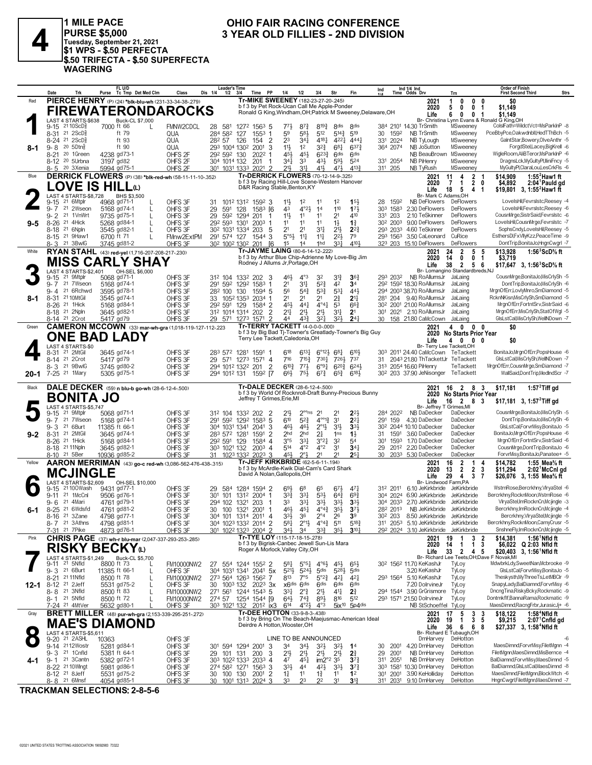

1 MILE PACE<br>|PURSE \$5,000<br>|Tuesday, September 21, 2021<br>|\$1 WPS - \$.50 PERFECTA \$.50 TRIFECTA - \$.50 SUPERFECTA **WAGERING** 

## OHIO FAIR RACING CONFERENCE 3 YEAR OLD FILLIES - 2ND DIVISION

|         | Date                                                     | Trk       | FL U/D<br>Tc Tmp Det Med Clm<br>Purse                                      |        | Class                     | <b>Leader's Time</b><br>Dis 1/4<br>$1/2$ $3/4$        |          | Time<br><b>PP</b>                                                                  | 1/4                                  | 1/2                                     | 3/4                                                    | Str                                 | Fin                                                         | Ind             |                                             | Ind 1/4 Ind<br>Time Odds Drv                                          | Trn                                                           |                     | <b>Order of Finish</b><br><b>First Second Third</b>                      | <b>Strs</b>                                      |
|---------|----------------------------------------------------------|-----------|----------------------------------------------------------------------------|--------|---------------------------|-------------------------------------------------------|----------|------------------------------------------------------------------------------------|--------------------------------------|-----------------------------------------|--------------------------------------------------------|-------------------------------------|-------------------------------------------------------------|-----------------|---------------------------------------------|-----------------------------------------------------------------------|---------------------------------------------------------------|---------------------|--------------------------------------------------------------------------|--------------------------------------------------|
| Red     |                                                          |           | PIERCE HENRY (P) (24) *blk-blu-wh (231-33-34-38-279)                       |        |                           |                                                       |          | Tr-MIKE SWEENEY (182-23-27-20-.245)<br>b f 3 by Pet Rock-Ucan Call Me Apple-Ponder |                                      |                                         |                                                        |                                     |                                                             |                 |                                             | 2021<br>2020                                                          | 0<br>0<br>1<br>0<br>5                                         | 0<br>0 <sub>1</sub> | \$0<br>\$1,149                                                           |                                                  |
|         |                                                          |           | <b>FIREWATERONDAROCKS</b>                                                  |        |                           |                                                       |          |                                                                                    |                                      |                                         |                                                        |                                     | Ronald G King, Windham, OH; Patrick M Sweeney, Delaware, OH |                 |                                             | Life                                                                  | 6<br>0<br>0                                                   | -1                  | \$1,149                                                                  |                                                  |
|         | LAST 4 STARTS-\$638<br>$9-15$ 21 10ScD <sup>5</sup>      |           | Buck-CL \$7,000<br>7000 ft 66                                              | L      | FMNW2CDCL                 | 28 581                                                |          | 1272 1563 5                                                                        | 77}                                  | 87}                                     | $8^{19\frac{3}{4}}$                                    | 8 <sup>dis</sup>                    | <b><i><u>Rdis</u></i></b>                                   |                 |                                             | 384 2101 14.30 TrSmith                                                | Br- Christina Lynn Evans & Ronald G King, OH<br>MSweeney      |                     | Cols Fath=WildctVct=MsParkInP -8                                         |                                                  |
|         | 8-31 21 2ScD <sup>3</sup>                                |           | ft 79                                                                      |        | QUA                       | 284 582                                               | 127      | $155^3$ 1                                                                          | 59                                   | 584                                     | 512                                                    | $5^{14}$                            | 519                                                         | 30              | 1592                                        | NB TrSmith                                                            | MSweeney                                                      |                     | PceBbyPce,Oakwdnbll,HedTThBch -5                                         |                                                  |
|         | 8-24 21 2ScD <sup>5</sup>                                |           | ft 93                                                                      |        | QUA                       | 282 57                                                | 126      | $\overline{2}$<br>154                                                              | 23                                   | $34\frac{1}{4}$                         | 4181                                                   | 4221                                | $4^{44}$                                                    | 331             | 2024                                        | NB TyLough                                                            | MSweeney                                                      |                     | GaintStar,Bowery,OlveAnthr -5<br>ForgdStel,Lacey,BigKrell -6             |                                                  |
| 8-1     | $9 - 8$<br>$20,50$ tn $\frac{5}{8}$<br>20 1Green<br>8-21 |           | ft 90<br>4238 gd73-1                                                       |        | QUA<br>OHFS <sub>2F</sub> | 293 1004 1302<br>292 592 130                          |          | 2001<br>-3<br>$2022$ 1                                                             | 11}<br>451                           | 1 <sup>2</sup><br>45}                   | $3^{2}3$<br>$6^{23}\frac{3}{4}$                        | $68\frac{1}{4}$<br>6 <sup>dis</sup> | $6^{37}\frac{3}{4}$<br>6 <sup>dis</sup>                     |                 | 364 2074                                    | NB JoSutton<br>NB BeauBrown                                           | MSweeney<br>MSweeney                                          |                     | WigleRoom.AliBTeror.MsParkInP -6                                         |                                                  |
|         | 8-12 <sup>20</sup> 5Urbna                                |           | 3197 gd82                                                                  |        | OHFS <sub>2F</sub>        | 304 1014 132                                          |          | 201<br>- 1                                                                         | $34\frac{1}{4}$                      | 33                                      | 43}                                                    | $59\frac{1}{2}$                     | 524                                                         |                 | 331 2054                                    | <b>NB PiHenry</b>                                                     | MSweeney                                                      |                     | DragnsLck,MyGultyPl,IliniFncy -5                                         |                                                  |
|         | 8-5 20 3Xenia                                            |           | 5994 gd75-1                                                                |        | OHFS <sub>2F</sub>        | 301 1031 1333 2021 2                                  |          | Tr-DERRICK FLOWERS (70-12-14-9-.325)                                               | $21\frac{1}{2}$                      | 31                                      | 411                                                    | 471,                                | 4133                                                        | 311 205         |                                             | NB TyRush                                                             | MSweeney                                                      |                     | MyGultyPl,ClaraLou,LesCrkFls -6                                          |                                                  |
| Blue    |                                                          |           | DERRICK FLOWERS (P) (38) *blk-red-wh (58-11-11-10-.352)                    |        |                           |                                                       |          | b f 3 by Racing Hill-Love Scene-Western Hanover                                    |                                      |                                         |                                                        |                                     |                                                             |                 |                                             | 2021<br>2020                                                          | 2 <sub>1</sub><br>11<br>4<br>$\mathbf{1}$<br>7                | 2 <sub>0</sub>      | \$14.909<br>\$4,892                                                      | 1:55 $2$ Haw1 ft<br>$2:04$ <sup>1</sup> Pauld gd |
|         |                                                          |           | LOVE IS HILLധ                                                              |        |                           |                                                       |          | D&R Racing Stable, Benton, KY                                                      |                                      |                                         |                                                        |                                     |                                                             |                 |                                             | Life                                                                  | 18<br>5<br>4                                                  | -1                  | \$19.801 3. 1:55 <sup>2</sup> Haw1 ft                                    |                                                  |
|         | LAST 4 STARTS-\$8.728<br>21 6Mtplr<br>9-15               |           | BHS \$3,500<br>4968 gd71-1                                                 |        | OHFS 3F                   | 31                                                    |          | 1012 1312 1592 3                                                                   | $11\frac{1}{2}$                      | 1 <sup>2</sup>                          | 11                                                     | 1 <sup>2</sup>                      | 15 <sup>1</sup>                                             | 28              | 1592                                        | Br- Mark C Adams, OH<br>NB DeFlowers                                  | DeFlowers                                                     |                     | LoveIsHilFevrsIstc.Reesev -4                                             |                                                  |
|         | 21 2Wseon<br>$9 - 7$                                     |           | 5168 gd74-1                                                                | L      | OHFS 3F                   | 29<br>591                                             | 128      | $1583$ [6                                                                          | 43                                   | 4°2 <sub>3</sub>                        | 14                                                     | 110                                 | 173                                                         |                 | 303 1583                                    | 2.30 DeFlowers                                                        | DeFlowers                                                     |                     | LovelsHil,Fevrslstc,Reesey -6                                            |                                                  |
| 9-5     | $9 - 2$<br>21 1VnWrt<br>$8 - 26$<br>21 4Hick             |           | 9735 gd75-1<br>5268 gd84-1                                                 | L<br>L | OHFS 3F<br>OHFS 3F        | 29<br>592<br>292 593 1301                             | 1294     | 201<br>-1<br>$2003$ 1                                                              | 11}<br>11                            | 11<br>11                                | 11<br>11                                               | 2 <sup>1</sup><br>$1\frac{1}{2}$    | 410<br>$1\frac{3}{4}$                                       |                 | 331 203<br>30 <sup>2</sup> 200 <sup>3</sup> | 2.10 TeSkinner<br>9.00 DeFlowers                                      | DeFlowers<br><b>DeFlowers</b>                                 |                     | CousnMrge,SistrSaid,Fevrslstc -6<br>LovelsHil,CousnMrge,Fevrslstc -7     |                                                  |
|         | 21 6Npln<br>8-18                                         |           | 3545 gd82-1                                                                |        | OHFS 3F                   | 30 <sup>2</sup> 103 <sup>1</sup> 133 <sup>4</sup> 203 |          | -5                                                                                 | 2 <sup>1</sup>                       | 2 <sup>1</sup>                          | 34                                                     | 2 <sup>11</sup>                     | $2^{2}\frac{3}{4}$                                          |                 | 293 2033                                    | 4.60 TeSkinner                                                        | <b>DeFlowers</b>                                              |                     | SophsCndy,LoveIsHil,Reesey -5                                            |                                                  |
|         | 8-15 <sup>21</sup> 9Haw1                                 |           | 6700 ft 71                                                                 | L      | FMnw2ExtPM                | 291 574 127                                           |          | 1544 3                                                                             | $5°5\frac{1}{2}$                     | $1^{11}$                                | 11                                                     | $2^{21}$                            | 79                                                          |                 |                                             | 293 1563 3.50 CaLeonard                                               | CuRice                                                        |                     | EsthersDI,FxVIIyKzz,PeaceTime -9                                         |                                                  |
| White   | 8-3 21 3BwlG                                             |           | 3745 gd81-2<br>RYAN STAHL (43) red-yel (1,716-207-208-217-.230)            |        | OHFS 3F                   | 30 <sup>2</sup> 100 <sup>2</sup> 130 <sup>2</sup> 201 |          | - 16<br>Tr-JAYME LAING (80-6-14-12-222)                                            | 1 <sup>5</sup>                       | 14                                      | 1hd                                                    | 33 <sup>1</sup>                     | 4104                                                        |                 |                                             | 323 203 15.10 DeFlowers<br>2021                                       | DeFlowers<br>$\overline{\mathbf{2}}$<br>5<br>24               | -5                  | DontTrip,BonitaJo,HngnCwgrl -7<br>\$13,928                               | 1:56 $3$ ScD $\%$ ft                             |
|         |                                                          |           | <b>MISS CARLY SHAY</b>                                                     |        |                           |                                                       |          | b f 3 by Arthur Blue Chip-Adrienne My Love-Big Jim                                 |                                      |                                         |                                                        |                                     |                                                             |                 |                                             | 2020                                                                  | 0<br>0<br>14                                                  | -1                  | \$3,719                                                                  |                                                  |
|         | LAST 4 STARTS-\$2.401                                    |           | OH-SEL \$6,000                                                             |        |                           |                                                       |          | Rodney J Allums Jr, Portage, OH                                                    |                                      |                                         |                                                        |                                     |                                                             |                 |                                             | Life                                                                  | $\overline{2}$<br>38<br>56<br>Br- Lomangino Standardbreds, NJ |                     | \$17,647 3, 1:56 <sup>3</sup> ScD% ft                                    |                                                  |
|         | $9 - 15$<br>21 9Mtplr                                    |           | 5068 gd71-1                                                                |        | OHFS 3F                   | 312 104 1332 202 3                                    |          |                                                                                    | 461                                  | $4^{\circ}3$                            | 32                                                     | 31}                                 | 36 <sub>1</sub>                                             |                 | 293 2032                                    | NB RoAllumsJr                                                         | JaLaing                                                       |                     | CousnMrge,BonitaJo,MisCrlySh -5                                          |                                                  |
|         | 21 7Wseon<br>$9 - 7$<br>21 6Rchwd<br>$9 - 4$             |           | 5168 gd74-1<br>3595 gd78-1                                                 |        | OHFS 3F<br>OHFS 3F        | 291 592 1292 1583 1<br>282 100                        | 130      | 1594 5                                                                             | 2 <sup>1</sup><br>56                 | 31<br>$5^{4}3$                          | $5^{2}$<br>$5^{3}{}_{4}^{3}$                           | 42<br>$5^{3}$                       | 3 <sup>4</sup><br>44}                                       |                 |                                             | 292 1592 18.30 RoAllumsJr<br>294 2003 38.70 RoAllumsJr                | JaLaing<br>JaLaing                                            |                     | DontTrip.BonitaJo.MisCrlvSh -6<br>MrgnOfErr,LovlyMnro,SmDiamond -5       |                                                  |
| 8-1     | $8 - 31$<br>21 10MtGil                                   |           | 3545 gd74-1                                                                |        | OHFS 3F                   | 33 1052 1353                                          |          | 2034 1                                                                             | 2 <sup>1</sup>                       | 21                                      | 2 <sup>1</sup>                                         | $2\frac{3}{4}$                      | 2 <sup>11</sup>                                             |                 | 281 204                                     | 9.40 RoAllumsJr                                                       | JaLaing                                                       |                     | RcknNKisn, MisCrlySh, SmDiamond -5                                       |                                                  |
|         | 8-26 <sup>21</sup> 1Hick                                 |           | 5168 gd84-1                                                                |        | OHFS 3F                   | 292 591 129                                           |          | 1584 2                                                                             | 45}                                  | $44\frac{1}{4}$                         | $4^{\circ}4^{\circ}$                                   | 53                                  | $66\frac{3}{4}$                                             |                 |                                             | 30 <sup>2</sup> 200 <sup>1</sup> 21.00 RoAllumsJr                     | JaLaing                                                       |                     | MranOfErrFortntSrv.SistrSaid -6                                          |                                                  |
|         | 8-18 <sup>21</sup> 2Npln<br>8-14 21 2Crot                |           | 3645 gd82-1<br>5417 gd79                                                   |        | OHFS 3F<br>OHFS 3F        | 312 1014 1314 202<br>29 571 1273 1571                 |          | $\overline{2}$<br>$\overline{2}$                                                   | $2^{11}$<br>44                       | $21\frac{1}{2}$<br>43}                  | 2 <sup>11</sup><br>3 <sup>2</sup>                      | $3^{11}$<br>32 <sub>3</sub>         | 2 <sup>1</sup><br>24 <sub>1</sub>                           |                 |                                             | 301 2021 2.10 RoAllumsJr<br>30 158 21.80 CaMcCown                     | JaLaing<br>JaLaing                                            |                     | MrgnOfErr, MisCrlySh, StatOfWgl -5<br>GlsLstCal, MisCrlySh, WellNDown -7 |                                                  |
| Green   |                                                          |           | <b>CAMERON MCCOWN</b> (33) mar-wh-gra (1,018-119-127-112-.223              |        |                           |                                                       |          | <b>Tr-TERRY TACKETT (4-0-0-0-.000)</b>                                             |                                      |                                         |                                                        |                                     |                                                             |                 |                                             | 2021                                                                  | 4 0 0 0                                                       |                     | \$0                                                                      |                                                  |
|         |                                                          |           | ONE BAD LADY                                                               |        |                           |                                                       |          | Terry Lee Tackett, Caledonia, OH                                                   |                                      |                                         |                                                        |                                     | b f 3 by Big Bad Tj-Towner's Greatlady-Towner's Big Guy     |                 |                                             |                                                                       | 2020 No Starts Prior Year<br>$\mathbf{0}$                     |                     |                                                                          |                                                  |
|         | LAST 4 STARTS-\$0                                        |           |                                                                            |        |                           |                                                       |          |                                                                                    |                                      |                                         |                                                        |                                     |                                                             |                 |                                             | Life<br>Br- Terry Lee Tackett, OH                                     | 4                                                             | 0 <sub>0</sub>      | \$0                                                                      |                                                  |
|         | 21 2MtGil<br>8-31<br>8-14 21 2Crot                       |           | 3645 gd74-1<br>5417 gd79                                                   |        | OHFS 3F                   | 283 572 1281 1591 1                                   |          |                                                                                    | 618<br>716                           | $6^{13}\frac{1}{4}$<br>715 <sup>3</sup> | $6^{\circ}12\frac{1}{2}$<br>7301                       | $6^{8}$<br>7261                     | 6104<br>737                                                 | 31              |                                             | 303 2011 24.40 CaMcCown TeTackett<br>2043 21.80 ThTackettJr TeTackett |                                                               |                     | BonitaJoMrgnOfErr.PopsHouse -6<br>GlsLstCal,MisCrIySh,WellNDown -7       |                                                  |
|         | 8-3 21 9BwlG                                             |           | 3745 gd80-2                                                                |        | OHFS 3F<br>OHFS 3F        | 29<br>294 1012 1322 201                               |          | 571 1273 1571 4<br>$\overline{2}$                                                  | $6^{10\frac{3}{4}}$                  | $77\frac{1}{2}$                         | $6^{99}$                                               | $6^{20}$                            | $6^{24}$                                                    |                 |                                             | 313 2054 16.60 PiHenry                                                | TeTackett                                                     |                     | MrgnOfErr,CousnMrge,SmDiamond -7                                         |                                                  |
| 20-1    | 7-25 <sup>21</sup> 1Mary                                 |           | 5305 gd75-1                                                                |        | OHFS 3F                   | 294 1012 131                                          |          | 1592 [7                                                                            | $66\frac{1}{2}$                      | $75\frac{1}{2}$                         | $6^{73}$                                               | $65\frac{3}{4}$                     | $6^{18}$                                                    |                 |                                             | 30 <sup>2</sup> 203 37.90 JeNisonger TeTackett                        |                                                               |                     | WallSaid,DontTrip,MedIndScr -7                                           |                                                  |
|         |                                                          |           |                                                                            |        |                           |                                                       |          |                                                                                    |                                      |                                         |                                                        |                                     |                                                             |                 |                                             |                                                                       |                                                               |                     |                                                                          |                                                  |
| Black   |                                                          |           |                                                                            |        |                           |                                                       |          | <b>Tr-DALE DECKER (28-6-12-4-500)</b>                                              |                                      |                                         |                                                        |                                     |                                                             |                 |                                             | 2021                                                                  | 16 2 8 3                                                      |                     | \$17,181                                                                 | 1:57 $2$ Tiff gd                                 |
|         |                                                          |           | DALE DECKER (59) n blu-b go-wh (28-6-12-4-500)                             |        |                           |                                                       |          |                                                                                    |                                      |                                         |                                                        |                                     | b f 3 by World Of Rocknroll-Draft Bunny-Precious Bunny      |                 |                                             | 2020                                                                  | <b>No Starts Prior Year</b>                                   |                     |                                                                          |                                                  |
|         | <b>BONITA JO</b><br>LAST 4 STARTS-\$5,747                |           |                                                                            |        |                           |                                                       |          | Jeffrey T Grimes, Erie, MI                                                         |                                      |                                         |                                                        |                                     |                                                             |                 |                                             | Life<br>Br- Jeffrey T Grimes, MI                                      | 2 8 3<br>16                                                   |                     | \$17,181 3, 1:57 <sup>2</sup> Tiff gd                                    |                                                  |
|         | 9-15 21 9Mtplr                                           |           | 5068 gd71-1                                                                |        | OHFS 3F                   | 312 104                                               | 1332 202 | - 2                                                                                | $21\frac{1}{2}$                      | $2^{\circ \circ}$ ns                    | 2 <sup>1</sup>                                         | 21                                  | $2^{2}$                                                     |                 | 284 2022                                    | NB DaDecker                                                           | DaDecker                                                      |                     | CousnMrge,BonitaJo,MisCrlySh -5                                          |                                                  |
|         | 21 7Wseon<br>$9 - 7$<br>$9 - 3$<br>21 6Burt              |           | 5168 gd74-1<br>11385 ft 66-1                                               |        | OHFS 3F<br>OHFS 3F        | 291 592<br>304 1031 1341                              |          | 1292 1583 5<br>2041 3                                                              | 610<br>461                           | 52 <sup>3</sup><br>46}                  | $4^{\circ 0}$ <sup>13</sup><br>$2^{\circ}1\frac{1}{2}$ | 3 <sup>1</sup><br>$3^{11}$          | $2^{2}$<br>3 <sup>3</sup>                                   |                 | 291 159                                     | 4.30 DaDecker<br>30 <sup>2</sup> 2044 10.10 DaDecker                  | DaDecker<br>DaDecker                                          |                     | DontTrip,BonitaJo,MisCrlySh -6<br>GIsLstCal,ForvrMisy,BonitaJo -5        |                                                  |
| $9 - 2$ | 21 2MtGi<br>$8 - 31$                                     |           | 3645 gd74-1                                                                |        | OHFS 3F                   | 283 572 1281                                          |          | 1591<br>$\overline{2}$                                                             | 2 <sub>hd</sub>                      | 2 <sub>hd</sub>                         | 21                                                     | 1 <sub>ns</sub>                     | $1\frac{1}{2}$                                              | 31              | 1591                                        | 3.60 DaDecker                                                         | DaDecker                                                      |                     | BonitaJo,MrgnOfErr,PopsHouse -6                                          |                                                  |
|         | 8-26 <sup>21</sup> 1Hick                                 |           | 5168 gd84-1                                                                |        | OHFS 3F                   | 292 591 129                                           |          | 1584 4                                                                             | 3°5                                  | $3^{3}$                                 | $3^{°2}$                                               | 32                                  | 5 <sup>4</sup>                                              | 30 <sup>1</sup> | 1593                                        | 1.70 DaDecker                                                         | DaDecker<br>DaDecker                                          |                     | MrgnOfErr,FortntSrv,SistrSaid -6                                         |                                                  |
|         | 8-18 21 11 Npln<br>8-10 21 5Ber                          |           | 3645 gd82-1<br>10936 gd85-2                                                |        | OHFS 3F<br>OHFS 3F        | 303 1021 132<br>31                                    |          | $200^3$ 4<br>1023 1332 2023 3                                                      | 514<br>451                           | $4^{\circ}2$<br>$2^{\circ}1$            | $4^{\circ}2$<br>21                                     | 31<br>21                            | 34 <sub>1</sub><br>25 <sub>1</sub>                          | 29<br>30        |                                             | 2012 2.20 DaDecker<br>2033 5.30 DaDecker                              | DaDecker                                                      |                     | CousnMrge,DontTrip,BonitaJo -6<br>ForvrMisy,BonitaJo,Panatee+ -5         |                                                  |
| Yellow  |                                                          |           | AARON MERRIMAN (43) go-c red-wh (3,086-562-476-438-.315)                   |        |                           |                                                       |          | <b>Tr-JEFF KIRKBRIDE</b> (62-5-6-11-194)                                           |                                      |                                         |                                                        |                                     |                                                             |                 |                                             | 2021                                                                  | $\overline{2}$<br>16<br>$\mathbf{1}$                          | 4                   | \$14,782                                                                 | 1:55 Mea $\%$ ft                                 |
|         | <b>MCJINGLE</b>                                          |           |                                                                            |        |                           |                                                       |          | b f 3 by McArdle-Kwik Dial-Cam's Card Shark<br>David A Nolan, Gallopolis, OH       |                                      |                                         |                                                        |                                     |                                                             |                 |                                             | 2020<br>Life                                                          | $\overline{2}$<br>13<br>$\overline{2}$<br>29<br>4<br>3        | -3<br>7             | \$11,294<br>\$26,076 3, 1:55 Mea% ft                                     | 2:02 McCnl gd                                    |
|         | LAST 4 STARTS-\$2,609                                    |           | OH-SEL \$10,000                                                            |        |                           |                                                       |          |                                                                                    |                                      |                                         |                                                        |                                     |                                                             |                 |                                             | Br- Lindwood Farm.PA                                                  |                                                               |                     |                                                                          |                                                  |
|         | $9 - 15$<br>21 1McCnl<br>$9 - 11$                        | 21100Wash | 9431 gd77-1<br>9506 gd76-1                                                 |        | OHFS 3F<br>OHFS 3F        | 29 584<br>301 101                                     |          | 1284 1594 2<br>1312 2004 1                                                         | 691<br>$3^{3}$                       | $6^8$<br>$3^{3}$                        | 65<br>53}                                              | $67\frac{1}{2}$<br>$64\frac{3}{4}$  | 471<br>$69\frac{3}{4}$                                      |                 | 312 2011<br>304 2024                        | 6.10 JeKirkbride JeKirkbride<br>6.90 JeKirkbride                      | JeKirkbride                                                   |                     | WstrnRose,Bercrkhny,VlryaStel -6<br>Bercrkhny, RocknMoon, WstrnRose -6   |                                                  |
|         | 21 4Mari<br>$9 - 6$                                      |           | 4761 gd79-1                                                                |        | OHFS 3F                   | 294 102                                               | 1321     | 203<br>-1                                                                          | 33                                   | $33\frac{1}{4}$                         | $3^{3}$                                                | $3^{3}\frac{1}{2}$                  | 3 <sup>3</sup>                                              |                 | 304 2033                                    | 2.70 JeKirkbride                                                      | JeKirkbride                                                   |                     | VlryaStel,ImRocknCn,Mcjingle -3                                          |                                                  |
| 6-1     | 21 6Wdsfd<br>$8 - 25$<br>8-16 <sup>21</sup> 3Zane        |           | 4761 gd81-2<br>4798 gd77-1                                                 |        | OHFS 3F<br>OHFS 3F        | 30 100                                                | 1321     | $2001$ 1                                                                           | 461<br>333                           | $45\frac{1}{4}$<br>36                   | $4^{\circ}4^{\frac{3}{4}}$<br>$2^{\circ}4$             | $35\frac{1}{2}$<br>26               | $3^{7}$<br>39                                               |                 | 282 2013<br>30 <sup>2</sup> 203             | NB JeKirkbride<br>8.50 JeKirkbride                                    | JeKirkbride<br>JeKirkbride                                    |                     | Bercrkhny, Im RocknCn, Mcjingle -4<br>Bercrkhny, VlryaStel, Mcjingle -5  |                                                  |
|         | 8-7 21 3 Athns                                           |           | 4798 gd81-1                                                                |        | OHFS 3F                   | 304 101 1314 2011 4<br>304 1023 1332 2014 2           |          |                                                                                    | $5^{81}$                             | $2^{\circ}1\frac{1}{2}$                 | $4^{\circ}4^{\frac{3}{4}}$ 5 <sup>11</sup>             |                                     | $5^{18}$                                                    |                 |                                             | 311 2053 5.10 JeKirkbride JeKirkbride                                 |                                                               |                     | Bercrkhny, RocknMoon, CamyCrusr -5                                       |                                                  |
|         | 7-31 21 7Pike                                            |           | 4873 gd76-1                                                                |        | OHFS 3F                   | 301 1022 1323 2004 2                                  |          |                                                                                    | $34\frac{1}{2}$                      | 34                                      | $3^{3}_{4}$                                            | 3 <sup>5</sup>                      | $3^{10}$                                                    |                 |                                             | 292 2024 3.10 JeKirkbride JeKirkbride                                 |                                                               |                     | SnshneFly,ImRocknCn,Mcjingle -5                                          |                                                  |
| Pink    |                                                          |           | <b>CHRIS PAGE</b> (37) wh-r blu-mar (2,047-337-293-253-.285)               |        |                           |                                                       |          | Tr-TYE LOY (115-17-18-15-278)<br>b f 3 by Bigrisk-Canbec Jewell Sun-Lis Mara       |                                      |                                         |                                                        |                                     |                                                             |                 |                                             | 2021<br>2020                                                          | 19<br>-1<br>14<br>$\overline{1}$<br>-1                        | 3 <sub>2</sub><br>3 | \$14,381<br>\$6,022 Q 2:03 Nfld ft                                       | $1:561$ Nfld ft                                  |
|         |                                                          |           | <b>RISKY BECKY</b>                                                         |        |                           |                                                       |          | Roger A Morlock, Valley City, OH                                                   |                                      |                                         |                                                        |                                     |                                                             |                 |                                             | Life                                                                  | 33<br>$\overline{2}$<br>45                                    |                     | \$20,403 3, 1:56 <sup>1</sup> Nfld ft                                    |                                                  |
|         | LAST 4 STARTS-\$1,249<br>9-11 <sup>21</sup> 5Nfld        |           | Buck-CL \$5,700<br>8800 ft 73                                              |        | FM10000NW2                | 27 554 1244 1552 2                                    |          |                                                                                    | 581                                  | $5^{\circ 5}$ <sup>1</sup>              | $4^{\circ}6\frac{1}{2}$                                | 45}                                 | $65\frac{1}{2}$                                             |                 |                                             | 30 <sup>2</sup> 156 <sup>2</sup> 11.70 KeKashJr                       | Br- Richard Lee Teets, OH; Dave F Novak, MI<br>TyLoy          |                     | MdwbrkLdy,SweetNan,Mcbrooke -9                                           |                                                  |
|         | 9-3 <sup>21</sup> 6Burt                                  |           | 11385 ft 66-1                                                              | L      | OHFS 3F                   | 304 1031 1341 2041 5x                                 |          |                                                                                    | $5^{21}$                             | 5243                                    | 5 <sub>dis</sub>                                       | 5283                                | 5 <sup>dis</sup>                                            |                 |                                             | 3.20 KeKashJr                                                         | TyLoy                                                         |                     | GlsLstCal,ForvrMisy,BonitaJo -5                                          |                                                  |
|         | 8-21 21 11 Nfld<br>21 2Jeff<br>8-12                      |           | 8500 ft 78<br>5531 gd75-2                                                  | L      | FM10000NW2<br>OHFS 3F     | 273 564 1263 1562 7<br>30 100 <sup>3</sup> 132        |          | $202^3$ 3x                                                                         | 813<br>x6dis 6dis                    | 7°5                                     | $5^{\circ}2^{\frac{3}{4}}$<br>6 <sup>dis</sup>         | 421<br>6 <sup>dis</sup>             | $4^{21}$<br>6 <sup>dis</sup>                                |                 |                                             | 293 1564 5.10 KeKashJr<br>7.20 DolrvineJr                             | TyLoy<br>TyLoy                                                |                     | Theskysth, MyThree Ts, LetMBClr -9<br>SnapyLady,BalDiamnd,ForvrMisy -6   |                                                  |
| 12-1    | 8-8 <sup>21</sup> 3Nfld                                  |           | 8500 ft 83                                                                 | L      | FM10000NW2                | 271 561 1244 1543 5                                   |          |                                                                                    | 331                                  | $2^{\circ}$ $\frac{3}{4}$               | 2 <sup>1</sup>                                         | 41                                  | $2\frac{3}{4}$                                              |                 |                                             | 294 1544 3.90 GrGrismore                                              | TyLoy                                                         |                     | DncngTina,RiskyBcky,Rockmatic -9                                         |                                                  |
|         | 8-1 21 5Nfld                                             |           | 8500 ft 72                                                                 | L      | FM10000NW2                | 274 57                                                |          | 1254 1544 [9                                                                       | 643                                  | $74\frac{3}{4}$                         | 893                                                    | 816                                 | 512                                                         |                 |                                             | 293 1571 21.50 DolrvineJr                                             | TyLoy                                                         |                     | Dontmkflf,BannaRama,Rockmatic -9                                         |                                                  |
| Gray    | 7-24 21 4MtVer                                           |           | 5632 gd80-1<br><b>BRETT MILLER</b> (48) pur-wh-gra (2,153-339-295-251-272) |        | OHFS 3F                   | 303 1021 132                                          |          | 201 <sup>2</sup> ix3<br><b>Tr-DEE HOTTON</b> (33-9-8-3-.438)                       | 614                                  | $4^{\circ}2\frac{1}{2}$                 | $4^{\circ}3$                                           |                                     | 5ix <sup>10</sup> 5p4dis                                    |                 |                                             | NB StSchoeffel TyLoy<br>2021                                          | 5<br>3 <sub>3</sub><br>17                                     |                     | MaesDimnd,RacngFrbr,JurasicJj+ -6<br>\$18,122                            | 1:58 <sup>4</sup> Nfld ft                        |
|         |                                                          |           |                                                                            |        |                           |                                                       |          |                                                                                    |                                      |                                         |                                                        |                                     | b f 3 by Bring On The Beach-Maejusmac-American Ideal        |                 |                                             | 2020                                                                  | $\mathbf{3}$<br>$\overline{1}$<br>19                          | - 5                 | \$9,215                                                                  | 2:07 Cnfld gd                                    |
|         |                                                          |           | <b>MAE'S DIAMOND</b>                                                       |        |                           |                                                       |          | Deirdre A Hotton, Wooster, OH                                                      |                                      |                                         |                                                        |                                     |                                                             |                 |                                             | Life                                                                  | 36<br>6<br>6<br>Br- Richard E Tubaugh, OH                     | 8                   | \$27,337 3, 1:58 <sup>4</sup> Nfld ft                                    |                                                  |
|         | LAST 4 STARTS-\$5,611<br>9-20 <sup>21</sup> 2ASHL 10     |           | 10363                                                                      |        | OHFS 3F                   |                                                       |          |                                                                                    | LINE TO BE ANNOUNCED                 |                                         |                                                        |                                     |                                                             |                 |                                             | DrnHarvey                                                             | DeHotton                                                      |                     |                                                                          | -6                                               |
|         | 9-14 2112Wostr<br>9-3 <sup>21</sup> 1 Cnfld              |           | 5281 gd84-1<br>5381 ft 64-1                                                |        | OHFS 3F<br>OHFS 3F        | 301 594 1294 2001 3<br>101 131<br>29                  |          | 3<br>200                                                                           | 34<br>21}                            | 34}<br>2 <sup>11</sup>                  | $3^{21}$                                               | 3 <sup>2</sup>                      | 1 <sup>4</sup><br>$2\frac{3}{4}$                            | 30<br>29        | 2001<br>2001                                | 4.20 DrnHarvey<br>NB DrnHarvey                                        | DeHotton<br>DeHotton                                          |                     | MaesDimnd,ForvrMisy,FiletMgnn -4<br>FiletMgnn, MaesDimnd, MisBernce -4   |                                                  |
| 4-1     | 9-1 <sup>21</sup> 3 Cantn                                |           | 5382 gd72-1                                                                |        | OHFS 3F                   | 303 1022 1333 2033 4                                  |          |                                                                                    | 47                                   | 451                                     | 2 <sup>11</sup><br>im2° <sup>2</sup> 3 <sup>5</sup>    | 2 <sup>1</sup>                      | $3^{72}$                                                    | 311             | 2051                                        | NB DrnHarvey                                                          | DeHotton                                                      |                     | BalDiamnd,ForvrMisy,MaesDimnd -5                                         |                                                  |
|         | 8-22 <sup>21</sup> 10 Wingt<br>8-12 <sup>21</sup> 8 Jeff |           | 5981 gd86-1<br>5531 gd75-2                                                 |        | OHFS 3F<br>OHFS 3F        | 274 582 1271 1563 3<br>30 100 130 2001 2              |          |                                                                                    | $3^{3}\frac{1}{2}$<br>$1\frac{1}{4}$ | 44<br>11                                | 42}<br>$1\frac{3}{4}$                                  | $3^{3}\frac{1}{2}$<br>11            | $3^{72}$<br>1 <sup>2</sup>                                  | 301             |                                             | 303 1581 10.30 DrnHarvey<br>2001 3.90 KeHolliday                      | DeHotton<br>DeHotton                                          |                     | BalDiamnd, GIsLstCal, MaesDimnd -8<br>MaesDimnd,FiletMgnn,BlockWtch -6   |                                                  |

**TRACKMAN SELECTIONS: 2-8-5-6**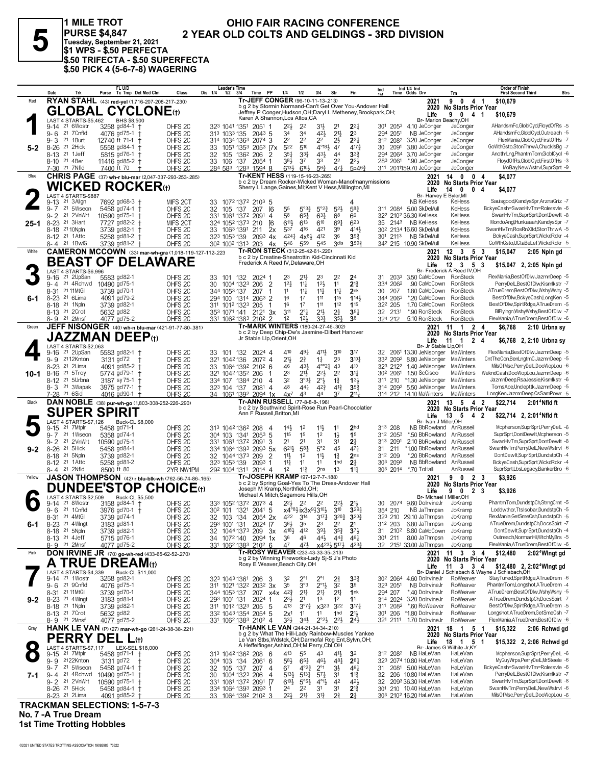5

1 MILE TROT OHIO FAIR RACING CONFERENCE PURSE \$4,847<br>Tuesday, September 21, 2021<br>\$1 WPS - \$.50 PERFECTA 2 YEAR OLD COLTS AND GELDINGS - 3RD DIVISION \$.50 TRIFECTA - \$.50 SUPERFECTA<br>\$.50 PICK 4 (5-6-7-8) WAGERING

| Tr-JEFF CONGER (96-10-11-13-213)<br>RYAN STAHL (43) red-yel (1,716-207-208-217-.230)<br>Red<br>90<br>4 1<br>\$10,679<br>2021<br>b g 2 by Stormin Normand-Can't Get Over You-Andover Hall<br>No Starts Prior Year<br>2020<br><b>GLOBAL CYCLONE(t)</b><br>Jeffrey P Conger, Hudson, OH; Daryl L Metheney, Brookpark, OH;<br>9 0 4 1<br>Life<br>\$10.679<br>Karen A Shannon, Los Altos, CA<br>LAST 4 STARTS-\$5,462<br>BHS \$8,500<br>Br- Marion Beachy, OH<br>3258 gd84-1 +<br>AHandsmFc,GlobICycl,FloydOfRs -5<br>21 6Wostr<br>$2^{21}$<br>301 2053<br>9-14<br>OHFS <sub>2C</sub><br>323 1041 1351 2051 1<br>22<br>2 <sup>1</sup><br>$2^{2}$<br>4.10 JeConger<br>JeConger<br>3½<br>21 7 Cnfld<br>34<br>$42\frac{1}{2}$<br>2 <sup>11</sup><br>2 <sup>3</sup><br>AHandsmFc,GloblCycl,Outreach -5<br>$9 - 6$<br>4076 gd75-1 +<br>OHFS <sub>2C</sub><br>294 2051<br>NB JeConger<br>JeConger<br>313 1033 135<br>2043 5<br>34<br>2 <sup>2</sup><br>2 <sup>2</sup><br>FlexMania, GlobIC ycl, First Of Hs -7<br>$9 - 3$<br>21 1Burt<br>12740 ft 71-1 +<br>OHFS <sub>2C</sub><br>314 1034 1363<br>2 <sup>2</sup><br>$2\frac{1}{2}$<br>$2^{3}$<br>3.20 JeConger<br>JeConger<br>2074 3<br>312 2082<br>510<br>$4^{\circ}18\frac{1}{2}$<br>GoWthGsto,StonThrwA,ChuckIsBg -7<br>21 2Hick<br>522<br>47<br>$4^{17}\frac{3}{4}$<br>3.80 JeConger<br>$8 - 26$<br>5558 gd84-1 +<br>OHFS <sub>2C</sub><br>33<br>1051 1353<br>$205^3$ $7x$<br>30<br>2091<br>JeConger<br>5-2<br>$43\frac{1}{2}$<br>8-13 <sup>21</sup> 1Jeff<br>$35\frac{1}{4}$<br>$3^{3}$<br>3 <sup>3</sup><br>AnothrLng,PhantmTom,GlobICycl -6<br>5815 gd76-1 †<br>OHFS <sub>2C</sub><br>32<br>105 136 <sup>2</sup> 206<br>4 <sup>4</sup><br>294 2064<br>3.70 JeConger<br>JeConger<br>-2<br>8-10 <sup>21</sup> 4Ber<br>37<br>33<br>2 <sup>2</sup><br>$2^{2}$<br>283 2061<br>*.90 JeConger<br>FloydOfRs,GloblCycl,FirstOfHs -3<br>11416 gd85-2 +<br>2054 1<br>383<br>JeConger<br>OHFS <sub>2C</sub><br>33 106 137<br>7-30 21 7Nfld<br>7400 ft 70<br>$6^{10}$<br>56}<br>471<br>5p463<br>311 2011159.70 JeConger<br>MoBay, New Wstrvl, SuprSprt -9<br>OHFS <sub>2C</sub><br>$6^{13}$<br>JeConger<br>284 583 1283 1594 8<br>Tr-KENT HESS (119-15-16-23-.265)<br><b>CHRIS PAGE</b> (37) wh-r blu-mar (2,047-337-293-253-.285)<br>14 0 0 4<br>Blue<br>2021<br>\$4,077<br>b c 2 by Dream Rocker-Wicked Woman-Manofmanymissions<br>2020 No Starts Prior Year<br><b>WICKED ROCKER</b> ⊕<br>Sherry L Lange, Gaines, MI; Kent V Hess, Millington, MI<br>14 0<br>0 <sub>4</sub><br>Life<br>\$4,077<br>LAST 4 STARTS-\$887<br>Br- Harvev E Byler.MI<br>21 3 Allgn<br>7692 gd68-3 +<br>Saulsgood,KandysSpr,ArznaGriz -7<br><b>NB KeHess</b><br>9-13<br>MIFS 2CT<br>33 1072 1372 2103 5<br>KeHess<br>21 5Wseon<br>311 2084 5.00 SkDeMull<br>KeHess<br>BckyeCash=SwanHlvTm=Rolersvle -6<br>$9 - 7$<br>5458 gd74-1 +<br>OHFS <sub>2C</sub><br>32<br>5°3?<br>$5^{\circ}2^{\frac{3}{4}}$<br>$5^{2}$<br>$58\frac{3}{4}$<br>105 137 207<br>- 16<br>55<br>21 2VnWrt<br>SwanHlvTm.SuprSprt.DontDewlt -8<br>$9 - 2$<br>10590 gd75-1 +<br>OHFS <sub>2C</sub><br>331<br>1061 1372<br>58<br>$65\frac{1}{2}$<br>633<br>68<br>66<br>32 <sup>2</sup> 210 <sup>2</sup> 36.30 KeHess<br>KeHess<br>2091<br>4<br>6111<br>623<br>MondoAngl,Hunkaaah,KandysSpr -7<br>$8 - 23$<br>21 3Hart<br>$6^{13}$<br>610<br>69 <sub>1</sub><br>35 2143 NB KeHess<br>KeHess<br>7727 gd82-2 +<br>MIFS 2CT<br>324 1052 1373 210<br>ſ6<br>25-1<br>8-18 21 10 Npln<br>416<br>421<br>39<br>4141<br>SwanHlvTm,RosRnXltd,StonThrwA -5<br>3739 gd82-1 +<br>OHFS <sub>2C</sub><br>33 106 <sup>3</sup> 1391 211<br>537<br>30 <sup>2</sup> 2134 16.60 SkDeMull<br>KeHess<br>2x<br>$4^{24}\frac{1}{4}$ $4x^{8}\frac{1}{2}$<br>412<br>$39\frac{3}{4}$<br>301 2113<br>NB SkDeMull<br>BckyeCash,SuprSprt,WickdRckr -4<br>8-12 <sup>21</sup> 1 Attc<br>5258 gd81-2 +<br>OHFS <sub>2C</sub><br>36<br>KeHess<br>323 1053 139<br>$209^3$ 4x<br>GoWthGsto,UGtaBeLef,WickdRckr -5<br>546<br>559<br>545<br>3 <sub>dis</sub><br>3593<br>342 215 10.90 SkDeMull<br>KeHess<br>8-4 21 1BwlG<br>$3739$ gd81-2 +<br>OHFS <sub>2C</sub><br>30 <sup>2</sup> 100 <sup>2</sup> 131 <sup>3</sup> 203 4x<br>Tr-RON STECK (312-25-42-61-.220)<br><b>CAMERON MCCOWN</b> (33) mar-wh-gra (1,018-119-127-112-.223<br>$12 \quad 3 \quad 5 \quad 3$<br>\$15,047<br>White<br>2021<br>2:05 Npln gd<br>b c 2 by Creatine-Sheatrottin Kid-Cincinnati Kid<br><b>No Starts Prior Year</b><br>2020<br><b>BEAST OF DELAWARE</b><br>Frederick A Reed IV, Delaware, OH<br>$12 \quad 3 \quad 5 \quad 3$<br>Life<br>\$15,047 2, 2:05 Npln gd<br>LAST 4 STARTS-\$6,996<br>Br- Frederick A Reed IV, OH<br>21 2UpSan<br>5583 gd82-1<br>2 <sup>4</sup><br>2033<br>FlexMania,BestOfDlw,JazmnDeep -5<br>OHFS <sub>2C</sub><br>23<br>2 <sup>2</sup><br>31<br>3.50 CaMcCown RonSteck<br>9-16<br>33 101 132<br>2024 1<br>$21\frac{1}{4}$<br>23<br>9-4 21 4Rchwd<br>12 <sup>1</sup><br>11<br>$2^{13}$<br>.90 CaMcCown RonSteck<br>PerryDelL,BestOfDlw,Kismlkstr -7<br>10490 gd75-1<br>OHFS <sub>2C</sub><br>$\overline{2}$<br>12 <sup>1</sup><br>$11\frac{1}{4}$<br>334 2062<br>30<br>1004 1323 206<br>$11\frac{1}{4}$<br>RonSteck<br>ATrueDrem,BestOfDlw,WshyWshy -5<br>8-31<br>21 11MtGil<br>3739 gd70-1<br>OHFS <sub>2C</sub><br>11<br>$11\frac{1}{4}$<br>$11\frac{1}{4}$<br>2nk<br>1.80 CaMcCown<br>344 1053 137<br>207<br>30<br>207<br>1<br>BestOfDlw,BckyeCash,LongKen -5<br>8-23 <sup>21</sup> 6Lima<br>294 100 1314<br>16<br>17<br>111<br>115<br>1143<br>344 2063<br>*.20 CaMcCown<br>RonSteck<br>4091 gd79-2<br>OHFS <sub>2C</sub><br>$2063$ 2<br>6-1<br>111<br>112<br>8-18 <sup>21</sup> 1Npln<br>16<br>17<br>115<br>1.70 CaMcCown<br>BestOfDlw,SpirtRdge,ATrueDrem -5<br>3739 gd82-1<br>OHFS <sub>2C</sub><br>311 1012 1323 205<br>32 <sup>2</sup> 205<br>RonSteck<br>$\mathbf{1}$<br>$2^{\circ}1$<br>2 <sup>11</sup><br>$2^{3}_{4}$<br>32 2131<br>*.90 RonSteck<br><b>RonSteck</b><br>BIFlyingn, Wshy Wshy, Best Of Dlw -7<br>8-13 <sup>21</sup> 20rot<br>5632 gd82<br>OHFS <sub>2C</sub><br>311<br>$35\frac{1}{4}$<br>353 1071 141<br>$212^1$ 3x<br>8-9 21 2Mnsf<br>4077 gd75-2<br>334<br>35}<br>3 <sup>8</sup><br>5.10 RonSteck<br>RonSteck<br>FlexMania,ATrueDrem,BestOfDlw -6<br>OHFS <sub>2C</sub><br>12<br>123<br>324 212<br>331 1062 1383 2102<br>JEFF NISONGER (40) wh-n blu-mar (421-91-77-80-381)<br>Tr-MARK WINTERS (180-24-27-46-302)<br>2021<br>$11 \t1 \t2 \t4$<br>\$6,768<br>Green<br>2:10 Urbna sy<br>b c 2 by Deep Chip-Dw's Jasmine-Dilbert Hanover<br>2020 No Starts Prior Year<br><b>JAZZMAN DEEP(t)</b><br>Jr Stable Llp, Orient, OH<br>$11 \quad 1$<br>2 4<br>Life<br>\$6,768 2, 2:10 Urbna sy<br>LAST 4 STARTS-\$2,063<br>Br- Jr Stable Llp,OH<br>5583 gd82-1 +<br>411}<br>310<br>3 <sup>17</sup><br>FlexMania,BestOfDlw,JazmnDeep -5<br>21 2UpSan<br>410<br>491<br>2061 13.30 JeNisonger MaWinters<br>9-16<br>OHFS <sub>2C</sub><br>101 132<br>2024 4<br>32<br>33<br>9-9 2112Knton<br>$21\frac{1}{2}$<br>$2^{3}_{4}$<br>23<br>$3^{10}$<br>8.80 JeNisonger<br>CntTheCon,BenLngtmC,JazmnDeep -5<br>OHFS <sub>2C</sub><br>2072 4<br>$1\frac{1}{4}$<br>332 2092<br>MaWinters<br>3131 gd72<br>321<br>1042136<br>$4^{\circ}21$<br>MilsOfMsc,PerryDelL,DooWopLou -6<br>8-23 <sup>21</sup> 2Lima<br>4091 gd85-2 +<br>OHFS <sub>2C</sub><br>1064 1392 2102 6<br>46<br>431<br>4 <sup>3</sup><br>410<br>323 2122<br>1.40 JeNisonger<br>MaWinters<br>33<br>WekndCash,DooWopLou,JazmnDeep -6<br>8-16 <sup>21</sup> 5Troy<br>321 1042 1352<br>23<br>$21\frac{1}{2}$<br>$2^{21}$<br>2 <sup>2</sup><br>3 <sup>11</sup><br>1.50 ScCisco<br><b>MaWinters</b><br>5774 gd79-1 +<br>OHFS <sub>2C</sub><br>206<br>30 <sup>2</sup> 2061<br>$10 - 1$<br>-1<br>32<br>$2^{\circ}$<br>$1\frac{3}{4}$<br>133<br>JazmnDeep,RsaJessie,Kismlkstr -6<br>8-12 <sup>21</sup> 5Urbna<br>3187 sy 75-1 +<br>OHFS <sub>2C</sub><br>334 107 1384 210<br>$3^{\circ}3^{\circ}$<br>311 210<br>*1.30 JeNisonger<br>MaWinters<br>4<br>8-3 <sup>21</sup> 3Wapak<br>48<br>441<br>$4^{2}\frac{3}{4}$<br>$35\frac{3}{4}$<br>5.50 JeNisonger<br>MaWinters<br>TomsAce,Unclepttk,JazmnDeep -5<br>3975 gd77-1<br>OHFS <sub>2C</sub><br>$4^{13}$<br>314 2092<br>323 104 137<br>$2081$ 4<br>7-28 21 6Sid<br>37<br>2111<br>314 212 14.10 MaWinters<br>MaWinters<br>LongKen,JazmnDeep,CsSamPowr -5<br>4016 gd90-1<br>OHFS <sub>2C</sub><br>43<br>44<br>34 1061 1392 2094 1x<br>$4x^7$<br>Tr-ANN RUSSELL (77-8-8-8-196)<br>DAN NOBLE (38) pur-wh-go (1,803-308-252-226-.290)<br>13 5<br>4 <sub>2</sub><br>\$22,714<br>2:01 <sup>4</sup> Nfld ft<br>Black<br>2021<br>b c 2 by Southwind Spirit-Rose Run Pearl-Chocolatier<br>2020 No Starts Prior Year<br><b>SUPER SPIRIT</b><br>Ann F Russell, Britton, MI<br>Life<br>$13 \quad 5$<br>42<br>\$22,714 2, 2:01 Nfld ft<br>LAST 4 STARTS-\$7,126<br>Buck-CL \$8,000<br>Br- Ivan J Miller, OH<br>2 <sub>hd</sub><br>313 208<br>Mcpherson,SuprSprt,PerryDelL -6<br>21 7Mtplr<br>313 1042 1362 208<br>$11\frac{1}{2}$<br>NB BbRowland AnRussell<br>$9 - 15$<br>5458 gd71-1<br>OHFS <sub>2C</sub><br>$14\frac{1}{2}$<br>1 <sup>2</sup><br>11<br>-4<br>21 1Wseon<br>115<br>15<br>1 <sup>2</sup><br>$1\frac{1}{2}$<br>*.50 BbRowland<br>AnRussell<br>SuprSprt,DontDewIt,Mcpherson -5<br>$9 - 7$<br>5358 gd74-1<br>OHFS <sub>2C</sub><br>304 103 1341 2053 5<br>1 <sup>5</sup><br>312 2053<br>9-2 21 2VnWrt<br>2.10 BbRowland<br>SwanHlvTm,SuprSprt,DontDewIt -8<br>10590 gd75-1<br>OHFS <sub>2C</sub><br>2091<br>2 <sup>1</sup><br>2 <sup>1</sup><br>3 <sup>1</sup><br>3 <sup>1</sup><br>$2\frac{1}{2}$<br>313 2091<br>AnRussell<br>331 1061 1372<br>3<br>5°2<br>45<br>SwanHlvTm,PerryDelL,NewWstrvl -6<br>21 5Hick<br>$6^{21}$<br>$5^{8}$<br>$47\frac{1}{4}$<br>*1.00 BbRowland<br>AnRussell<br>$8 - 26$<br>5458 gd84-1<br>OHFS <sub>2C</sub><br>334 1064 1393 2093 5x<br>31 211<br>$9 - 2$<br>8-18 <sup>21</sup> 5Npln<br>11<br>11<br>$1\frac{3}{4}$<br>2 <sub>ns</sub><br>*.20 BbRowland<br>DontDewIt,SuprSprt,DundstpCh -4<br>3739 gd82-1<br>OHFS <sub>2C</sub><br>32 1044 1373 209<br>$\overline{2}$<br>1 <sup>2</sup><br>312 209<br>AnRussell<br>$2\frac{1}{2}$<br>303 2093<br>NB BbRowland<br>AnRussell<br>BckyeCash,SuprSprt,WickdRckr -4<br>8-12 <sup>21</sup> 1Attc<br>5258 gd81-2<br>OHFS <sub>2C</sub><br>$11\frac{1}{4}$<br>11<br>1hd<br>323 1053 139<br>2093 1<br>11<br>SuprSprt,LbsLegacy,BankerBro -6<br>8-4 21 2Nfld<br>8500 ft 80<br>$11\frac{3}{4}$<br>2 <sub>ns</sub><br>1 <sup>3</sup><br>11<br>303 2014<br>*.70 ToHall<br>AnRussell<br>2YR NW1PM<br>292 1004 1311 2014 4<br>1 <sup>2</sup><br>Tr-JOSEPH KRAMP (97-12-7-7-188)<br><b>JASON THOMPSON</b> (42) r blu-blk-wh (762-56-74-86-165)<br>9 0 2 3<br>\$3,926<br>Yellow<br>2021<br>b c 2 by Spring Goal-Yes To The Dress-Andover Hall<br><b>No Starts Prior Year</b><br>2020<br><b>DUNDEE'STOP</b><br><b>CHOICE</b> (t)<br>Joseph M Kramp, Northfield, OH;<br>90<br>2 3<br>Life<br>\$3,926<br>Michael A Mitch, Sagamore Hills, OH<br>Buck-CL \$5,500<br>4 STARTS-\$2,509<br>Br- Michael I Miller, OH<br><b>AST</b><br>PhantmTom,DundstpCh,StrngCrnt -5<br>21 8Wostr<br>3158 gd84-1<br>333 1052 1372 2073 4<br>$2^{2}\frac{1}{2}$ 2 <sup>2</sup><br>30<br>2074<br>9.60 DolrvineJr<br>OHFS <sub>2C</sub><br>2 <sup>2</sup><br>$2^{2}$<br>2 <sup>11</sup><br>JoKramp<br>9-14<br>21 1 Cnfld<br>x4°81 ix3x913101<br>$3^{10}$<br>Loddwthcr, Ttslsobar, DundstpCh -5<br>$9 - 6$<br>3976 gd70-1 +<br>OHFS <sub>2C</sub><br>30 <sup>2</sup> 101 132 <sup>1</sup> 204 <sup>1</sup> 5<br>$3^{29}$<br>354 210<br>NB JaThmpsn<br>JoKramp<br>8-31 21 4MtGil<br>320} 320}<br>FlexMania, GetSmeCsh, DundstpCh -5<br>3739 gd74-1<br>OHFS <sub>2C</sub><br>32 103 134 2054 2x 422 314 3171<br>323 210 29.10 JaThmpsn<br>JoKramp<br>ATrueDrem,DundstpCh,DocsSpirt -7<br>8-23<br>21 4Wlngt<br>3183 gd81-1<br>OHFS <sub>2C</sub><br>293 1001 131<br>2024 [7<br>$38\frac{1}{2}$<br>35<br>23<br>22<br>2 <sup>1</sup><br>6.80 JaThmpsn<br>JoKramp<br>312 203<br>6-1<br>$39\frac{1}{2}$<br>412<br>$35\frac{3}{4}$<br>DontDewIt.SuprSprt.DundstpCh -4<br>8-18 <sup>21</sup> 5Npln<br>3739 gd82-1<br>OHFS <sub>2C</sub><br>32<br>1044 1373 209<br>$4^{18}\frac{1}{2}$<br>$3^{7}$<br>31 210 <sup>2</sup> 8.80 CaMcCown<br>JoKramp<br>-3x<br>Outreach, NormanHil, Wtch MyBrs -5<br>8.00 JaThmpsn<br>8-13 <sup>21</sup> 4 Jeff<br>5715 gd76-1<br>36<br>46<br>44}<br>$44\frac{3}{4}$<br>301 211<br>JoKramp<br>OHFS <sub>2C</sub><br>34 1072 140<br>$2094$ 1x<br>$46\frac{1}{4}$<br>FlexMania,ATrueDrem,BestOfDlw -6<br>8-9 21 2Mnsf<br>4077 gd75-2<br>x423} 517}<br>47<br>471<br>4233<br>32 2151 33.00 JaThmpsn<br>JoKramp<br>OHFS <sub>2C</sub><br>331 1062 1383 2102 6<br>Tr-ROSY WEAVER (233-43-33-35-.313)<br><b>DON IRVINE JR</b> (70) go-wh-red (433-65-62-52-270)<br>$11 \t3 \t3 \t4$<br>\$12,480<br>2:02 <sup>4</sup> Wingt gd<br>Pink<br>2021<br>b g 2 by Winning Fireworks-Lady Sj-S J's Photo<br>2020 No Starts Prior Year<br><b>TRUE DREAM</b> (t)<br>Rosy E Weaver, Beach City, OH<br>Life 11 3 3 4 \$12,480 2, 2:02 <sup>4</sup> Wingt gd<br>Br- Daniel J Schlabach & Wayne J Schlabach,OH<br>4 STARTS-\$4,339<br>Buck-CL \$11,000<br>LAST<br>21 1Wostr<br>3258 gd82-1<br>$9 - 14$<br>30 <sup>2</sup> 2064<br>StayTuned,SpirtRdge,ATrueDrem -6<br>OHFS <sub>2C</sub><br>323 1043 1361 206<br>$2^{\circ}1$<br>$2^{\circ}1$<br>$3^{3}_{2}$<br>4.60 DolrvineJr<br>RoWeaver<br>-3<br>32<br>$2\frac{3}{4}$<br>9-6 21 9Cnfld<br>3°3<br>$2^{\circ}1\frac{1}{2}$<br>32<br>3 <sup>9</sup><br>PhantmTom,Longshot,ATrueDrem -4<br>OHFS <sub>2C</sub><br>3 <sup>5</sup><br>NB DolrvineJr<br>RoWeaver<br>4076 gd75-1<br>311 1021 1322 2032 3x<br>323 2051<br>RoWeaver<br>ATrueDrem,BestOfDlw,WshyWshy -5<br>21 11 MtGil<br>3739 gd70-1<br>OHFS <sub>2C</sub><br>344 1053 137<br>$x4x$ $4^{2}\frac{3}{4}$<br>$2^{11}$<br>2 <sup>11</sup><br>2 <sup>11</sup><br>1nk<br>*.40 DolrvineJr<br>8-31<br>207<br>294 207<br>ATrueDrem,DundstpCh,DocsSpirt -7<br>8-23 <sup>21</sup> 4Wlngt<br>$2^{3}\frac{1}{2}$<br>2 <sup>1</sup><br>3.20 DolrvineJr<br>RoWeaver<br>3183 gd81-1<br>OHFS <sub>2C</sub><br>293 1001 131<br>2024<br>1 <sup>3</sup><br>1 <sup>2</sup><br>11<br>314 2024<br>$9-2$<br>1<br>$3^{07}\frac{3}{4}$<br>322<br>RoWeaver<br>BestOfDlw,SpirtRdge,ATrueDrem -5<br>8-18 <sup>21</sup> 1Npln<br>3739 gd82-1<br>OHFS <sub>2C</sub><br>311 1012 1323 205<br>413<br>x3 <sup>23</sup><br>$3^{17}\frac{1}{4}$<br>311 2082<br>*.60 RoWeaver<br>-5<br>2 <sup>11</sup><br>*1.80 DolrvineJr<br>RoWeaver<br>Longshot,ATrueDrem,GetSmeCsh -7<br>8-13 <sup>21</sup> 7 Crot<br>5632 gd82<br>332 1043 1354 2054 5<br>2x <sup>1</sup><br>11<br>1hd<br>301 206<br>OHFS <sub>2C</sub><br>11<br>333<br>RoWeaver<br>FlexMania,ATrueDrem,BestOfDlw -6<br>8-9 21 2Mnst<br>4077 gd75-2<br>34}<br>$2^{\circ}2^{\circ}$<br>$2^{2}$<br>24 <sub>3</sub><br>321 2111<br>1.70 DolrvineJr<br>OHFS <sub>2C</sub><br>331 1062 1383 2102 4<br>Tr-HANK LE VAN (244-21-34-34-.210)<br>HANK LE VAN (P) (27) mar-wh-go (261-24-38-38-.221)<br>18 1 5 1<br>\$15,322<br>Gray<br>2021<br>2:06 Rchwd gd<br>b g 2 by What The Hill-Lady Rainbow-Muscles Yankee<br>2020 No Starts Prior Year<br><b>PERRY</b><br><b>DEL</b><br>L(t)<br>Le Van Stbs, Wdstck, OH; Darmofal Rcg Ent, Sylvn, OH;<br>18 1 5 1<br>Life<br>\$15,322 2, 2:06 Rchwd gd<br>A Heffelfinger, Ashind, OH; M Perry, Cbl, OH<br>LAST 4 STARTS-\$7,117<br>LEX-SEL \$18,000<br>Br- James G Wilhite Jr,KY<br>21 7Mtplr<br>Mcpherson,SuprSprt,PerryDelL -6<br>5458 gd71-1 +<br>313 1042 1362 208<br>413<br>312 2082<br>NB HaLeVan<br>9-15<br>OHFS <sub>2C</sub><br>-6<br>55<br>43<br>41}<br>HaLeVan<br>32<br>MyGuyWrps,PerryDelL,MrSteele -6<br>481<br>323 2074 10.80 HaLeVan<br>9-9 2122Knton<br>OHFS <sub>2C</sub><br>$5^{8}$<br>46}<br>$2^{8}$<br>HaLeVan<br>3131 gd72<br>304 103 134<br>2061<br>6<br>$65\frac{1}{4}$<br>BckyeCash=SwanHlvTm=Rolersvle -6<br>$9 - 7$<br>21 5Wseon<br>5458 gd74-1 +<br>OHFS <sub>2C</sub><br>$4^{\circ}2^{\frac{3}{4}}$<br>$2^{\circ}1$<br>3½<br>2081 5.00 HaLeVan<br>HaLeVan<br>32<br>105 137<br>207<br>67<br>$46\frac{1}{4}$<br>4<br>31<br>PerryDelL,BestOfDlw,Kismlkstr -7<br>9-4 <sup>21</sup> 4Rchwd<br>$5^{13}\frac{1}{2}$<br>$5^{13}\frac{1}{4}$<br>$5^{71}$<br>3 <sup>1</sup><br>206 10.80 HaLeVan<br>HaLeVan<br>10490 gd75-1 +<br>OHFS <sub>2C</sub><br>1004 1323<br>206<br>$\overline{4}$<br>$1\frac{13}{4}$<br>32<br>30<br>7-1<br>$6^{10}\frac{1}{2}$<br>$4^{2}\frac{1}{2}$<br>SwanHlvTm,SuprSprt,DontDewIt -8<br>9-2 <sup>21</sup> 2VnWrt<br>10590 gd75-1 +<br>OHFS <sub>2C</sub><br>331 1061 1372 2091 [7<br>$5^{\circ 5\frac{1}{2}}$<br>$4^{01}\frac{1}{2}$<br>42<br>2093 36.30 HaLeVan<br>HaLeVan<br>32<br>210 10.40 HaLeVan<br>SwanHlvTm,PerryDelL,NewWstrvl -6<br>8-26 <sup>21</sup> 5Hick<br>5458 gd84-1<br>2 <sup>2</sup><br>$2^{13}$<br>HaLeVan<br>OHFS <sub>2C</sub><br>334 1064 1393 2093 1<br>24<br>3 <sup>1</sup><br>3 <sup>1</sup><br>301<br>MilsOfMsc,PerryDelL,DooWopLou -6<br>8-23 <sup>21</sup> 2Lima<br>4091 gd85-2<br>221<br>21 <sub>1</sub><br>31 <sup>3</sup><br>27<br>2 <sup>1</sup><br>1064 1392 2102 3<br>303 2102 16.20 HaLeVan<br>HaLeVan<br>OHFS <sub>2C</sub><br>33<br><b>TRACKMAN SELECTIONS: 1-5-7-3</b> | Date | Trk | FL U/D<br>Purse Tc Tmp Det Med Clm | Class | Leader's Time<br>Dis 1/4<br>$1/2$ $3/4$ | Time PP | 1/4<br>1/2 | 3/4 | Str | Fin | Ind | Ind 1/4 Ind<br>Time Odds Drv | Trn | <b>Order of Finish</b><br><b>First Second Third</b> | <b>Strs</b> |
|------------------------------------------------------------------------------------------------------------------------------------------------------------------------------------------------------------------------------------------------------------------------------------------------------------------------------------------------------------------------------------------------------------------------------------------------------------------------------------------------------------------------------------------------------------------------------------------------------------------------------------------------------------------------------------------------------------------------------------------------------------------------------------------------------------------------------------------------------------------------------------------------------------------------------------------------------------------------------------------------------------------------------------------------------------------------------------------------------------------------------------------------------------------------------------------------------------------------------------------------------------------------------------------------------------------------------------------------------------------------------------------------------------------------------------------------------------------------------------------------------------------------------------------------------------------------------------------------------------------------------------------------------------------------------------------------------------------------------------------------------------------------------------------------------------------------------------------------------------------------------------------------------------------------------------------------------------------------------------------------------------------------------------------------------------------------------------------------------------------------------------------------------------------------------------------------------------------------------------------------------------------------------------------------------------------------------------------------------------------------------------------------------------------------------------------------------------------------------------------------------------------------------------------------------------------------------------------------------------------------------------------------------------------------------------------------------------------------------------------------------------------------------------------------------------------------------------------------------------------------------------------------------------------------------------------------------------------------------------------------------------------------------------------------------------------------------------------------------------------------------------------------------------------------------------------------------------------------------------------------------------------------------------------------------------------------------------------------------------------------------------------------------------------------------------------------------------------------------------------------------------------------------------------------------------------------------------------------------------------------------------------------------------------------------------------------------------------------------------------------------------------------------------------------------------------------------------------------------------------------------------------------------------------------------------------------------------------------------------------------------------------------------------------------------------------------------------------------------------------------------------------------------------------------------------------------------------------------------------------------------------------------------------------------------------------------------------------------------------------------------------------------------------------------------------------------------------------------------------------------------------------------------------------------------------------------------------------------------------------------------------------------------------------------------------------------------------------------------------------------------------------------------------------------------------------------------------------------------------------------------------------------------------------------------------------------------------------------------------------------------------------------------------------------------------------------------------------------------------------------------------------------------------------------------------------------------------------------------------------------------------------------------------------------------------------------------------------------------------------------------------------------------------------------------------------------------------------------------------------------------------------------------------------------------------------------------------------------------------------------------------------------------------------------------------------------------------------------------------------------------------------------------------------------------------------------------------------------------------------------------------------------------------------------------------------------------------------------------------------------------------------------------------------------------------------------------------------------------------------------------------------------------------------------------------------------------------------------------------------------------------------------------------------------------------------------------------------------------------------------------------------------------------------------------------------------------------------------------------------------------------------------------------------------------------------------------------------------------------------------------------------------------------------------------------------------------------------------------------------------------------------------------------------------------------------------------------------------------------------------------------------------------------------------------------------------------------------------------------------------------------------------------------------------------------------------------------------------------------------------------------------------------------------------------------------------------------------------------------------------------------------------------------------------------------------------------------------------------------------------------------------------------------------------------------------------------------------------------------------------------------------------------------------------------------------------------------------------------------------------------------------------------------------------------------------------------------------------------------------------------------------------------------------------------------------------------------------------------------------------------------------------------------------------------------------------------------------------------------------------------------------------------------------------------------------------------------------------------------------------------------------------------------------------------------------------------------------------------------------------------------------------------------------------------------------------------------------------------------------------------------------------------------------------------------------------------------------------------------------------------------------------------------------------------------------------------------------------------------------------------------------------------------------------------------------------------------------------------------------------------------------------------------------------------------------------------------------------------------------------------------------------------------------------------------------------------------------------------------------------------------------------------------------------------------------------------------------------------------------------------------------------------------------------------------------------------------------------------------------------------------------------------------------------------------------------------------------------------------------------------------------------------------------------------------------------------------------------------------------------------------------------------------------------------------------------------------------------------------------------------------------------------------------------------------------------------------------------------------------------------------------------------------------------------------------------------------------------------------------------------------------------------------------------------------------------------------------------------------------------------------------------------------------------------------------------------------------------------------------------------------------------------------------------------------------------------------------------------------------------------------------------------------------------------------------------------------------------------------------------------------------------------------------------------------------------------------------------------------------------------------------------------------------------------------------------------------------------------------------------------------------------------------------------------------------------------------------------------------------------------------------------------------------------------------------------------------------------------------------------------------------------------------------------------------------------------------------------------------------------------------------------------------------------------------------------------------------------------------------------------------------------------------------------------------------------------------------------------------------------------------------------------------------------------------------------------------------------------------------------------------------------------------------------------------------------------------------------------------------------------------------------------------------------------------------------------------------------------------------------------------------------------------------------------------------------------------------------------------------------------------------------------------------------------------------------------------------------------------------------------------------------------------------------------------------------------------------------------------------------------------------------------------------------------------------------------------------------------------------------------------------------------------------------------------------------------------------------------------------------------------------------------------------------------------------------------------------------------------------------------------------------------------------------------------------------------------------------------------------------------------------------------------------------------------------------------------------------------------------------------------------------------------------------------------------------------------------------------------------------------------------------------------------------------------------------------------------------------------------------------------------------------------------------------------------------------------------------------------------------------------------------------------------------------------------------------------------------------------------------------------------------------------------------------------------------------------------------------------------------------------------------------------------------------------------------------------------------------------------------------------------------------------------------------------------------------------------------------------------------------------------------------------------------------------------------------------------------------------------------------------------------------------------------------------------------------------------------------------------------------------------------------------------------------------------------------------------------------------------------------------------------------------------------------------------------------------------------------------------------------------------------------------------------------------------------------------------------------------------------------------------------------------------------------------------------------------------------------------------------------------------------------------------------------------------------------------------------------------------------------------------------------------------------------------------------------------------------------------------------------------------------------------------------------------------------------------------------------------------------------------------------------------------------------------------------------------------------------------------------------------------------------------------------------------------------------------------------------------------------------------------------------------------------------------------------------------------------------------------------------------------------------------------------------------------------------------------------------------------------------------------------------------------------------------------------------------------------------------------------------------------------------------------------------------------------------------------------------------------------------------------------------------------------------------------------------------------------------------------------------------------------------------------------------------------------------------------------------------------------------------------------------------------------------------------------------------------------------------------------------------------------------------------------------------------------------------------------------------------------------------------------------------------------------------------------------------------------------------------------------------------------------------------------------------------------------------------------------------------------------------------------------------------------------------------------------------------------------------------------------------------------------------------------------------------------------------------------------------------------------------------------------------------------------------------------------------------------------------------------------------------------------------------------------------------------------------------------------------------------------------------------------------------------------------------------------------------------------------------------------------------------------------------------------------------------------------------------------------------------------------------------------------------------------------------------------------------------------------------------------------------------------------------------------------------------------------------------------------------------------------------------------------------------------------------------------|------|-----|------------------------------------|-------|-----------------------------------------|---------|------------|-----|-----|-----|-----|------------------------------|-----|-----------------------------------------------------|-------------|
|                                                                                                                                                                                                                                                                                                                                                                                                                                                                                                                                                                                                                                                                                                                                                                                                                                                                                                                                                                                                                                                                                                                                                                                                                                                                                                                                                                                                                                                                                                                                                                                                                                                                                                                                                                                                                                                                                                                                                                                                                                                                                                                                                                                                                                                                                                                                                                                                                                                                                                                                                                                                                                                                                                                                                                                                                                                                                                                                                                                                                                                                                                                                                                                                                                                                                                                                                                                                                                                                                                                                                                                                                                                                                                                                                                                                                                                                                                                                                                                                                                                                                                                                                                                                                                                                                                                                                                                                                                                                                                                                                                                                                                                                                                                                                                                                                                                                                                                                                                                                                                                                                                                                                                                                                                                                                                                                                                                                                                                                                                                                                                                                                                                                                                                                                                                                                                                                                                                                                                                                                                                                                                                                                                                                                                                                                                                                                                                                                                                                                                                                                                                                                                                                                                                                                                                                                                                                                                                                                                                                                                                                                                                                                                                                                                                                                                                                                                                                                                                                                                                                                                                                                                                                                                                                                                                                                                                                                                                                                                                                                                                                                                                                                                                                                                                                                                                                                                                                                                                                                                                                                                                                                                                                                                                                                                                                                                                                                                                                                                                                                                                                                                                                                                                                                                                                                                                                                                                                                                                                                                                                                                                                                                                                                                                                                                                                                                                                                                                                                                                                                                                                                                                                                                                                                                                                                                                                                                                                                                                                                                                                                                                                                                                                                                                                                                                                                                                                                                                                                                                                                                                                                                                                                                                                                                                                                                                                                                                                                                                                                                                                                                                                                                                                                                                                                                                                                                                                                                                                                                                                                                                                                                                                                                                                                                                                                                                                                                                                                                                                                                                                                                                                                                                                                                                                                                                                                                                                                                                                                                                                                                                                                                                                                                                                                                                                                                                                                                                                                                                                                                                                                                                                                                                                                                                                                                                                                                                                                                                                                                                                                                                                                                                                                                                                                                                                                                                                                                                                                                                                                                                                                                                                                                                                                                                                                                                                                                                                                                                                                                                                                                                                                                                                                                                                                                                                                                                                                                                                                                                                                                                                                                                                                                                                                                                                                                                                                                                                                                                                                                                                                                                                                                                                                                                                                                                                                                                                                                                                                                                                                                                                                                                                                                                                                                                                                                                                                                                                                                                                                                                                                                                                                                                                                                                                      |      |     |                                    |       |                                         |         |            |     |     |     |     |                              |     |                                                     |             |
|                                                                                                                                                                                                                                                                                                                                                                                                                                                                                                                                                                                                                                                                                                                                                                                                                                                                                                                                                                                                                                                                                                                                                                                                                                                                                                                                                                                                                                                                                                                                                                                                                                                                                                                                                                                                                                                                                                                                                                                                                                                                                                                                                                                                                                                                                                                                                                                                                                                                                                                                                                                                                                                                                                                                                                                                                                                                                                                                                                                                                                                                                                                                                                                                                                                                                                                                                                                                                                                                                                                                                                                                                                                                                                                                                                                                                                                                                                                                                                                                                                                                                                                                                                                                                                                                                                                                                                                                                                                                                                                                                                                                                                                                                                                                                                                                                                                                                                                                                                                                                                                                                                                                                                                                                                                                                                                                                                                                                                                                                                                                                                                                                                                                                                                                                                                                                                                                                                                                                                                                                                                                                                                                                                                                                                                                                                                                                                                                                                                                                                                                                                                                                                                                                                                                                                                                                                                                                                                                                                                                                                                                                                                                                                                                                                                                                                                                                                                                                                                                                                                                                                                                                                                                                                                                                                                                                                                                                                                                                                                                                                                                                                                                                                                                                                                                                                                                                                                                                                                                                                                                                                                                                                                                                                                                                                                                                                                                                                                                                                                                                                                                                                                                                                                                                                                                                                                                                                                                                                                                                                                                                                                                                                                                                                                                                                                                                                                                                                                                                                                                                                                                                                                                                                                                                                                                                                                                                                                                                                                                                                                                                                                                                                                                                                                                                                                                                                                                                                                                                                                                                                                                                                                                                                                                                                                                                                                                                                                                                                                                                                                                                                                                                                                                                                                                                                                                                                                                                                                                                                                                                                                                                                                                                                                                                                                                                                                                                                                                                                                                                                                                                                                                                                                                                                                                                                                                                                                                                                                                                                                                                                                                                                                                                                                                                                                                                                                                                                                                                                                                                                                                                                                                                                                                                                                                                                                                                                                                                                                                                                                                                                                                                                                                                                                                                                                                                                                                                                                                                                                                                                                                                                                                                                                                                                                                                                                                                                                                                                                                                                                                                                                                                                                                                                                                                                                                                                                                                                                                                                                                                                                                                                                                                                                                                                                                                                                                                                                                                                                                                                                                                                                                                                                                                                                                                                                                                                                                                                                                                                                                                                                                                                                                                                                                                                                                                                                                                                                                                                                                                                                                                                                                                                                                                                                                      |      |     |                                    |       |                                         |         |            |     |     |     |     |                              |     |                                                     |             |
|                                                                                                                                                                                                                                                                                                                                                                                                                                                                                                                                                                                                                                                                                                                                                                                                                                                                                                                                                                                                                                                                                                                                                                                                                                                                                                                                                                                                                                                                                                                                                                                                                                                                                                                                                                                                                                                                                                                                                                                                                                                                                                                                                                                                                                                                                                                                                                                                                                                                                                                                                                                                                                                                                                                                                                                                                                                                                                                                                                                                                                                                                                                                                                                                                                                                                                                                                                                                                                                                                                                                                                                                                                                                                                                                                                                                                                                                                                                                                                                                                                                                                                                                                                                                                                                                                                                                                                                                                                                                                                                                                                                                                                                                                                                                                                                                                                                                                                                                                                                                                                                                                                                                                                                                                                                                                                                                                                                                                                                                                                                                                                                                                                                                                                                                                                                                                                                                                                                                                                                                                                                                                                                                                                                                                                                                                                                                                                                                                                                                                                                                                                                                                                                                                                                                                                                                                                                                                                                                                                                                                                                                                                                                                                                                                                                                                                                                                                                                                                                                                                                                                                                                                                                                                                                                                                                                                                                                                                                                                                                                                                                                                                                                                                                                                                                                                                                                                                                                                                                                                                                                                                                                                                                                                                                                                                                                                                                                                                                                                                                                                                                                                                                                                                                                                                                                                                                                                                                                                                                                                                                                                                                                                                                                                                                                                                                                                                                                                                                                                                                                                                                                                                                                                                                                                                                                                                                                                                                                                                                                                                                                                                                                                                                                                                                                                                                                                                                                                                                                                                                                                                                                                                                                                                                                                                                                                                                                                                                                                                                                                                                                                                                                                                                                                                                                                                                                                                                                                                                                                                                                                                                                                                                                                                                                                                                                                                                                                                                                                                                                                                                                                                                                                                                                                                                                                                                                                                                                                                                                                                                                                                                                                                                                                                                                                                                                                                                                                                                                                                                                                                                                                                                                                                                                                                                                                                                                                                                                                                                                                                                                                                                                                                                                                                                                                                                                                                                                                                                                                                                                                                                                                                                                                                                                                                                                                                                                                                                                                                                                                                                                                                                                                                                                                                                                                                                                                                                                                                                                                                                                                                                                                                                                                                                                                                                                                                                                                                                                                                                                                                                                                                                                                                                                                                                                                                                                                                                                                                                                                                                                                                                                                                                                                                                                                                                                                                                                                                                                                                                                                                                                                                                                                                                                                                                                      |      |     |                                    |       |                                         |         |            |     |     |     |     |                              |     |                                                     |             |
|                                                                                                                                                                                                                                                                                                                                                                                                                                                                                                                                                                                                                                                                                                                                                                                                                                                                                                                                                                                                                                                                                                                                                                                                                                                                                                                                                                                                                                                                                                                                                                                                                                                                                                                                                                                                                                                                                                                                                                                                                                                                                                                                                                                                                                                                                                                                                                                                                                                                                                                                                                                                                                                                                                                                                                                                                                                                                                                                                                                                                                                                                                                                                                                                                                                                                                                                                                                                                                                                                                                                                                                                                                                                                                                                                                                                                                                                                                                                                                                                                                                                                                                                                                                                                                                                                                                                                                                                                                                                                                                                                                                                                                                                                                                                                                                                                                                                                                                                                                                                                                                                                                                                                                                                                                                                                                                                                                                                                                                                                                                                                                                                                                                                                                                                                                                                                                                                                                                                                                                                                                                                                                                                                                                                                                                                                                                                                                                                                                                                                                                                                                                                                                                                                                                                                                                                                                                                                                                                                                                                                                                                                                                                                                                                                                                                                                                                                                                                                                                                                                                                                                                                                                                                                                                                                                                                                                                                                                                                                                                                                                                                                                                                                                                                                                                                                                                                                                                                                                                                                                                                                                                                                                                                                                                                                                                                                                                                                                                                                                                                                                                                                                                                                                                                                                                                                                                                                                                                                                                                                                                                                                                                                                                                                                                                                                                                                                                                                                                                                                                                                                                                                                                                                                                                                                                                                                                                                                                                                                                                                                                                                                                                                                                                                                                                                                                                                                                                                                                                                                                                                                                                                                                                                                                                                                                                                                                                                                                                                                                                                                                                                                                                                                                                                                                                                                                                                                                                                                                                                                                                                                                                                                                                                                                                                                                                                                                                                                                                                                                                                                                                                                                                                                                                                                                                                                                                                                                                                                                                                                                                                                                                                                                                                                                                                                                                                                                                                                                                                                                                                                                                                                                                                                                                                                                                                                                                                                                                                                                                                                                                                                                                                                                                                                                                                                                                                                                                                                                                                                                                                                                                                                                                                                                                                                                                                                                                                                                                                                                                                                                                                                                                                                                                                                                                                                                                                                                                                                                                                                                                                                                                                                                                                                                                                                                                                                                                                                                                                                                                                                                                                                                                                                                                                                                                                                                                                                                                                                                                                                                                                                                                                                                                                                                                                                                                                                                                                                                                                                                                                                                                                                                                                                                                                                                                      |      |     |                                    |       |                                         |         |            |     |     |     |     |                              |     |                                                     |             |
|                                                                                                                                                                                                                                                                                                                                                                                                                                                                                                                                                                                                                                                                                                                                                                                                                                                                                                                                                                                                                                                                                                                                                                                                                                                                                                                                                                                                                                                                                                                                                                                                                                                                                                                                                                                                                                                                                                                                                                                                                                                                                                                                                                                                                                                                                                                                                                                                                                                                                                                                                                                                                                                                                                                                                                                                                                                                                                                                                                                                                                                                                                                                                                                                                                                                                                                                                                                                                                                                                                                                                                                                                                                                                                                                                                                                                                                                                                                                                                                                                                                                                                                                                                                                                                                                                                                                                                                                                                                                                                                                                                                                                                                                                                                                                                                                                                                                                                                                                                                                                                                                                                                                                                                                                                                                                                                                                                                                                                                                                                                                                                                                                                                                                                                                                                                                                                                                                                                                                                                                                                                                                                                                                                                                                                                                                                                                                                                                                                                                                                                                                                                                                                                                                                                                                                                                                                                                                                                                                                                                                                                                                                                                                                                                                                                                                                                                                                                                                                                                                                                                                                                                                                                                                                                                                                                                                                                                                                                                                                                                                                                                                                                                                                                                                                                                                                                                                                                                                                                                                                                                                                                                                                                                                                                                                                                                                                                                                                                                                                                                                                                                                                                                                                                                                                                                                                                                                                                                                                                                                                                                                                                                                                                                                                                                                                                                                                                                                                                                                                                                                                                                                                                                                                                                                                                                                                                                                                                                                                                                                                                                                                                                                                                                                                                                                                                                                                                                                                                                                                                                                                                                                                                                                                                                                                                                                                                                                                                                                                                                                                                                                                                                                                                                                                                                                                                                                                                                                                                                                                                                                                                                                                                                                                                                                                                                                                                                                                                                                                                                                                                                                                                                                                                                                                                                                                                                                                                                                                                                                                                                                                                                                                                                                                                                                                                                                                                                                                                                                                                                                                                                                                                                                                                                                                                                                                                                                                                                                                                                                                                                                                                                                                                                                                                                                                                                                                                                                                                                                                                                                                                                                                                                                                                                                                                                                                                                                                                                                                                                                                                                                                                                                                                                                                                                                                                                                                                                                                                                                                                                                                                                                                                                                                                                                                                                                                                                                                                                                                                                                                                                                                                                                                                                                                                                                                                                                                                                                                                                                                                                                                                                                                                                                                                                                                                                                                                                                                                                                                                                                                                                                                                                                                                                                                                                      |      |     |                                    |       |                                         |         |            |     |     |     |     |                              |     |                                                     |             |
|                                                                                                                                                                                                                                                                                                                                                                                                                                                                                                                                                                                                                                                                                                                                                                                                                                                                                                                                                                                                                                                                                                                                                                                                                                                                                                                                                                                                                                                                                                                                                                                                                                                                                                                                                                                                                                                                                                                                                                                                                                                                                                                                                                                                                                                                                                                                                                                                                                                                                                                                                                                                                                                                                                                                                                                                                                                                                                                                                                                                                                                                                                                                                                                                                                                                                                                                                                                                                                                                                                                                                                                                                                                                                                                                                                                                                                                                                                                                                                                                                                                                                                                                                                                                                                                                                                                                                                                                                                                                                                                                                                                                                                                                                                                                                                                                                                                                                                                                                                                                                                                                                                                                                                                                                                                                                                                                                                                                                                                                                                                                                                                                                                                                                                                                                                                                                                                                                                                                                                                                                                                                                                                                                                                                                                                                                                                                                                                                                                                                                                                                                                                                                                                                                                                                                                                                                                                                                                                                                                                                                                                                                                                                                                                                                                                                                                                                                                                                                                                                                                                                                                                                                                                                                                                                                                                                                                                                                                                                                                                                                                                                                                                                                                                                                                                                                                                                                                                                                                                                                                                                                                                                                                                                                                                                                                                                                                                                                                                                                                                                                                                                                                                                                                                                                                                                                                                                                                                                                                                                                                                                                                                                                                                                                                                                                                                                                                                                                                                                                                                                                                                                                                                                                                                                                                                                                                                                                                                                                                                                                                                                                                                                                                                                                                                                                                                                                                                                                                                                                                                                                                                                                                                                                                                                                                                                                                                                                                                                                                                                                                                                                                                                                                                                                                                                                                                                                                                                                                                                                                                                                                                                                                                                                                                                                                                                                                                                                                                                                                                                                                                                                                                                                                                                                                                                                                                                                                                                                                                                                                                                                                                                                                                                                                                                                                                                                                                                                                                                                                                                                                                                                                                                                                                                                                                                                                                                                                                                                                                                                                                                                                                                                                                                                                                                                                                                                                                                                                                                                                                                                                                                                                                                                                                                                                                                                                                                                                                                                                                                                                                                                                                                                                                                                                                                                                                                                                                                                                                                                                                                                                                                                                                                                                                                                                                                                                                                                                                                                                                                                                                                                                                                                                                                                                                                                                                                                                                                                                                                                                                                                                                                                                                                                                                                                                                                                                                                                                                                                                                                                                                                                                                                                                                                                                                                      |      |     |                                    |       |                                         |         |            |     |     |     |     |                              |     |                                                     |             |
|                                                                                                                                                                                                                                                                                                                                                                                                                                                                                                                                                                                                                                                                                                                                                                                                                                                                                                                                                                                                                                                                                                                                                                                                                                                                                                                                                                                                                                                                                                                                                                                                                                                                                                                                                                                                                                                                                                                                                                                                                                                                                                                                                                                                                                                                                                                                                                                                                                                                                                                                                                                                                                                                                                                                                                                                                                                                                                                                                                                                                                                                                                                                                                                                                                                                                                                                                                                                                                                                                                                                                                                                                                                                                                                                                                                                                                                                                                                                                                                                                                                                                                                                                                                                                                                                                                                                                                                                                                                                                                                                                                                                                                                                                                                                                                                                                                                                                                                                                                                                                                                                                                                                                                                                                                                                                                                                                                                                                                                                                                                                                                                                                                                                                                                                                                                                                                                                                                                                                                                                                                                                                                                                                                                                                                                                                                                                                                                                                                                                                                                                                                                                                                                                                                                                                                                                                                                                                                                                                                                                                                                                                                                                                                                                                                                                                                                                                                                                                                                                                                                                                                                                                                                                                                                                                                                                                                                                                                                                                                                                                                                                                                                                                                                                                                                                                                                                                                                                                                                                                                                                                                                                                                                                                                                                                                                                                                                                                                                                                                                                                                                                                                                                                                                                                                                                                                                                                                                                                                                                                                                                                                                                                                                                                                                                                                                                                                                                                                                                                                                                                                                                                                                                                                                                                                                                                                                                                                                                                                                                                                                                                                                                                                                                                                                                                                                                                                                                                                                                                                                                                                                                                                                                                                                                                                                                                                                                                                                                                                                                                                                                                                                                                                                                                                                                                                                                                                                                                                                                                                                                                                                                                                                                                                                                                                                                                                                                                                                                                                                                                                                                                                                                                                                                                                                                                                                                                                                                                                                                                                                                                                                                                                                                                                                                                                                                                                                                                                                                                                                                                                                                                                                                                                                                                                                                                                                                                                                                                                                                                                                                                                                                                                                                                                                                                                                                                                                                                                                                                                                                                                                                                                                                                                                                                                                                                                                                                                                                                                                                                                                                                                                                                                                                                                                                                                                                                                                                                                                                                                                                                                                                                                                                                                                                                                                                                                                                                                                                                                                                                                                                                                                                                                                                                                                                                                                                                                                                                                                                                                                                                                                                                                                                                                                                                                                                                                                                                                                                                                                                                                                                                                                                                                                                                                                                      |      |     |                                    |       |                                         |         |            |     |     |     |     |                              |     |                                                     |             |
|                                                                                                                                                                                                                                                                                                                                                                                                                                                                                                                                                                                                                                                                                                                                                                                                                                                                                                                                                                                                                                                                                                                                                                                                                                                                                                                                                                                                                                                                                                                                                                                                                                                                                                                                                                                                                                                                                                                                                                                                                                                                                                                                                                                                                                                                                                                                                                                                                                                                                                                                                                                                                                                                                                                                                                                                                                                                                                                                                                                                                                                                                                                                                                                                                                                                                                                                                                                                                                                                                                                                                                                                                                                                                                                                                                                                                                                                                                                                                                                                                                                                                                                                                                                                                                                                                                                                                                                                                                                                                                                                                                                                                                                                                                                                                                                                                                                                                                                                                                                                                                                                                                                                                                                                                                                                                                                                                                                                                                                                                                                                                                                                                                                                                                                                                                                                                                                                                                                                                                                                                                                                                                                                                                                                                                                                                                                                                                                                                                                                                                                                                                                                                                                                                                                                                                                                                                                                                                                                                                                                                                                                                                                                                                                                                                                                                                                                                                                                                                                                                                                                                                                                                                                                                                                                                                                                                                                                                                                                                                                                                                                                                                                                                                                                                                                                                                                                                                                                                                                                                                                                                                                                                                                                                                                                                                                                                                                                                                                                                                                                                                                                                                                                                                                                                                                                                                                                                                                                                                                                                                                                                                                                                                                                                                                                                                                                                                                                                                                                                                                                                                                                                                                                                                                                                                                                                                                                                                                                                                                                                                                                                                                                                                                                                                                                                                                                                                                                                                                                                                                                                                                                                                                                                                                                                                                                                                                                                                                                                                                                                                                                                                                                                                                                                                                                                                                                                                                                                                                                                                                                                                                                                                                                                                                                                                                                                                                                                                                                                                                                                                                                                                                                                                                                                                                                                                                                                                                                                                                                                                                                                                                                                                                                                                                                                                                                                                                                                                                                                                                                                                                                                                                                                                                                                                                                                                                                                                                                                                                                                                                                                                                                                                                                                                                                                                                                                                                                                                                                                                                                                                                                                                                                                                                                                                                                                                                                                                                                                                                                                                                                                                                                                                                                                                                                                                                                                                                                                                                                                                                                                                                                                                                                                                                                                                                                                                                                                                                                                                                                                                                                                                                                                                                                                                                                                                                                                                                                                                                                                                                                                                                                                                                                                                                                                                                                                                                                                                                                                                                                                                                                                                                                                                                                                                                                      |      |     |                                    |       |                                         |         |            |     |     |     |     |                              |     |                                                     |             |
|                                                                                                                                                                                                                                                                                                                                                                                                                                                                                                                                                                                                                                                                                                                                                                                                                                                                                                                                                                                                                                                                                                                                                                                                                                                                                                                                                                                                                                                                                                                                                                                                                                                                                                                                                                                                                                                                                                                                                                                                                                                                                                                                                                                                                                                                                                                                                                                                                                                                                                                                                                                                                                                                                                                                                                                                                                                                                                                                                                                                                                                                                                                                                                                                                                                                                                                                                                                                                                                                                                                                                                                                                                                                                                                                                                                                                                                                                                                                                                                                                                                                                                                                                                                                                                                                                                                                                                                                                                                                                                                                                                                                                                                                                                                                                                                                                                                                                                                                                                                                                                                                                                                                                                                                                                                                                                                                                                                                                                                                                                                                                                                                                                                                                                                                                                                                                                                                                                                                                                                                                                                                                                                                                                                                                                                                                                                                                                                                                                                                                                                                                                                                                                                                                                                                                                                                                                                                                                                                                                                                                                                                                                                                                                                                                                                                                                                                                                                                                                                                                                                                                                                                                                                                                                                                                                                                                                                                                                                                                                                                                                                                                                                                                                                                                                                                                                                                                                                                                                                                                                                                                                                                                                                                                                                                                                                                                                                                                                                                                                                                                                                                                                                                                                                                                                                                                                                                                                                                                                                                                                                                                                                                                                                                                                                                                                                                                                                                                                                                                                                                                                                                                                                                                                                                                                                                                                                                                                                                                                                                                                                                                                                                                                                                                                                                                                                                                                                                                                                                                                                                                                                                                                                                                                                                                                                                                                                                                                                                                                                                                                                                                                                                                                                                                                                                                                                                                                                                                                                                                                                                                                                                                                                                                                                                                                                                                                                                                                                                                                                                                                                                                                                                                                                                                                                                                                                                                                                                                                                                                                                                                                                                                                                                                                                                                                                                                                                                                                                                                                                                                                                                                                                                                                                                                                                                                                                                                                                                                                                                                                                                                                                                                                                                                                                                                                                                                                                                                                                                                                                                                                                                                                                                                                                                                                                                                                                                                                                                                                                                                                                                                                                                                                                                                                                                                                                                                                                                                                                                                                                                                                                                                                                                                                                                                                                                                                                                                                                                                                                                                                                                                                                                                                                                                                                                                                                                                                                                                                                                                                                                                                                                                                                                                                                                                                                                                                                                                                                                                                                                                                                                                                                                                                                                                                                                      |      |     |                                    |       |                                         |         |            |     |     |     |     |                              |     |                                                     |             |
|                                                                                                                                                                                                                                                                                                                                                                                                                                                                                                                                                                                                                                                                                                                                                                                                                                                                                                                                                                                                                                                                                                                                                                                                                                                                                                                                                                                                                                                                                                                                                                                                                                                                                                                                                                                                                                                                                                                                                                                                                                                                                                                                                                                                                                                                                                                                                                                                                                                                                                                                                                                                                                                                                                                                                                                                                                                                                                                                                                                                                                                                                                                                                                                                                                                                                                                                                                                                                                                                                                                                                                                                                                                                                                                                                                                                                                                                                                                                                                                                                                                                                                                                                                                                                                                                                                                                                                                                                                                                                                                                                                                                                                                                                                                                                                                                                                                                                                                                                                                                                                                                                                                                                                                                                                                                                                                                                                                                                                                                                                                                                                                                                                                                                                                                                                                                                                                                                                                                                                                                                                                                                                                                                                                                                                                                                                                                                                                                                                                                                                                                                                                                                                                                                                                                                                                                                                                                                                                                                                                                                                                                                                                                                                                                                                                                                                                                                                                                                                                                                                                                                                                                                                                                                                                                                                                                                                                                                                                                                                                                                                                                                                                                                                                                                                                                                                                                                                                                                                                                                                                                                                                                                                                                                                                                                                                                                                                                                                                                                                                                                                                                                                                                                                                                                                                                                                                                                                                                                                                                                                                                                                                                                                                                                                                                                                                                                                                                                                                                                                                                                                                                                                                                                                                                                                                                                                                                                                                                                                                                                                                                                                                                                                                                                                                                                                                                                                                                                                                                                                                                                                                                                                                                                                                                                                                                                                                                                                                                                                                                                                                                                                                                                                                                                                                                                                                                                                                                                                                                                                                                                                                                                                                                                                                                                                                                                                                                                                                                                                                                                                                                                                                                                                                                                                                                                                                                                                                                                                                                                                                                                                                                                                                                                                                                                                                                                                                                                                                                                                                                                                                                                                                                                                                                                                                                                                                                                                                                                                                                                                                                                                                                                                                                                                                                                                                                                                                                                                                                                                                                                                                                                                                                                                                                                                                                                                                                                                                                                                                                                                                                                                                                                                                                                                                                                                                                                                                                                                                                                                                                                                                                                                                                                                                                                                                                                                                                                                                                                                                                                                                                                                                                                                                                                                                                                                                                                                                                                                                                                                                                                                                                                                                                                                                                                                                                                                                                                                                                                                                                                                                                                                                                                                                                                                                                      |      |     |                                    |       |                                         |         |            |     |     |     |     |                              |     |                                                     |             |
|                                                                                                                                                                                                                                                                                                                                                                                                                                                                                                                                                                                                                                                                                                                                                                                                                                                                                                                                                                                                                                                                                                                                                                                                                                                                                                                                                                                                                                                                                                                                                                                                                                                                                                                                                                                                                                                                                                                                                                                                                                                                                                                                                                                                                                                                                                                                                                                                                                                                                                                                                                                                                                                                                                                                                                                                                                                                                                                                                                                                                                                                                                                                                                                                                                                                                                                                                                                                                                                                                                                                                                                                                                                                                                                                                                                                                                                                                                                                                                                                                                                                                                                                                                                                                                                                                                                                                                                                                                                                                                                                                                                                                                                                                                                                                                                                                                                                                                                                                                                                                                                                                                                                                                                                                                                                                                                                                                                                                                                                                                                                                                                                                                                                                                                                                                                                                                                                                                                                                                                                                                                                                                                                                                                                                                                                                                                                                                                                                                                                                                                                                                                                                                                                                                                                                                                                                                                                                                                                                                                                                                                                                                                                                                                                                                                                                                                                                                                                                                                                                                                                                                                                                                                                                                                                                                                                                                                                                                                                                                                                                                                                                                                                                                                                                                                                                                                                                                                                                                                                                                                                                                                                                                                                                                                                                                                                                                                                                                                                                                                                                                                                                                                                                                                                                                                                                                                                                                                                                                                                                                                                                                                                                                                                                                                                                                                                                                                                                                                                                                                                                                                                                                                                                                                                                                                                                                                                                                                                                                                                                                                                                                                                                                                                                                                                                                                                                                                                                                                                                                                                                                                                                                                                                                                                                                                                                                                                                                                                                                                                                                                                                                                                                                                                                                                                                                                                                                                                                                                                                                                                                                                                                                                                                                                                                                                                                                                                                                                                                                                                                                                                                                                                                                                                                                                                                                                                                                                                                                                                                                                                                                                                                                                                                                                                                                                                                                                                                                                                                                                                                                                                                                                                                                                                                                                                                                                                                                                                                                                                                                                                                                                                                                                                                                                                                                                                                                                                                                                                                                                                                                                                                                                                                                                                                                                                                                                                                                                                                                                                                                                                                                                                                                                                                                                                                                                                                                                                                                                                                                                                                                                                                                                                                                                                                                                                                                                                                                                                                                                                                                                                                                                                                                                                                                                                                                                                                                                                                                                                                                                                                                                                                                                                                                                                                                                                                                                                                                                                                                                                                                                                                                                                                                                                                                                                      |      |     |                                    |       |                                         |         |            |     |     |     |     |                              |     |                                                     |             |
|                                                                                                                                                                                                                                                                                                                                                                                                                                                                                                                                                                                                                                                                                                                                                                                                                                                                                                                                                                                                                                                                                                                                                                                                                                                                                                                                                                                                                                                                                                                                                                                                                                                                                                                                                                                                                                                                                                                                                                                                                                                                                                                                                                                                                                                                                                                                                                                                                                                                                                                                                                                                                                                                                                                                                                                                                                                                                                                                                                                                                                                                                                                                                                                                                                                                                                                                                                                                                                                                                                                                                                                                                                                                                                                                                                                                                                                                                                                                                                                                                                                                                                                                                                                                                                                                                                                                                                                                                                                                                                                                                                                                                                                                                                                                                                                                                                                                                                                                                                                                                                                                                                                                                                                                                                                                                                                                                                                                                                                                                                                                                                                                                                                                                                                                                                                                                                                                                                                                                                                                                                                                                                                                                                                                                                                                                                                                                                                                                                                                                                                                                                                                                                                                                                                                                                                                                                                                                                                                                                                                                                                                                                                                                                                                                                                                                                                                                                                                                                                                                                                                                                                                                                                                                                                                                                                                                                                                                                                                                                                                                                                                                                                                                                                                                                                                                                                                                                                                                                                                                                                                                                                                                                                                                                                                                                                                                                                                                                                                                                                                                                                                                                                                                                                                                                                                                                                                                                                                                                                                                                                                                                                                                                                                                                                                                                                                                                                                                                                                                                                                                                                                                                                                                                                                                                                                                                                                                                                                                                                                                                                                                                                                                                                                                                                                                                                                                                                                                                                                                                                                                                                                                                                                                                                                                                                                                                                                                                                                                                                                                                                                                                                                                                                                                                                                                                                                                                                                                                                                                                                                                                                                                                                                                                                                                                                                                                                                                                                                                                                                                                                                                                                                                                                                                                                                                                                                                                                                                                                                                                                                                                                                                                                                                                                                                                                                                                                                                                                                                                                                                                                                                                                                                                                                                                                                                                                                                                                                                                                                                                                                                                                                                                                                                                                                                                                                                                                                                                                                                                                                                                                                                                                                                                                                                                                                                                                                                                                                                                                                                                                                                                                                                                                                                                                                                                                                                                                                                                                                                                                                                                                                                                                                                                                                                                                                                                                                                                                                                                                                                                                                                                                                                                                                                                                                                                                                                                                                                                                                                                                                                                                                                                                                                                                                                                                                                                                                                                                                                                                                                                                                                                                                                                                                                                                                      |      |     |                                    |       |                                         |         |            |     |     |     |     |                              |     |                                                     |             |
|                                                                                                                                                                                                                                                                                                                                                                                                                                                                                                                                                                                                                                                                                                                                                                                                                                                                                                                                                                                                                                                                                                                                                                                                                                                                                                                                                                                                                                                                                                                                                                                                                                                                                                                                                                                                                                                                                                                                                                                                                                                                                                                                                                                                                                                                                                                                                                                                                                                                                                                                                                                                                                                                                                                                                                                                                                                                                                                                                                                                                                                                                                                                                                                                                                                                                                                                                                                                                                                                                                                                                                                                                                                                                                                                                                                                                                                                                                                                                                                                                                                                                                                                                                                                                                                                                                                                                                                                                                                                                                                                                                                                                                                                                                                                                                                                                                                                                                                                                                                                                                                                                                                                                                                                                                                                                                                                                                                                                                                                                                                                                                                                                                                                                                                                                                                                                                                                                                                                                                                                                                                                                                                                                                                                                                                                                                                                                                                                                                                                                                                                                                                                                                                                                                                                                                                                                                                                                                                                                                                                                                                                                                                                                                                                                                                                                                                                                                                                                                                                                                                                                                                                                                                                                                                                                                                                                                                                                                                                                                                                                                                                                                                                                                                                                                                                                                                                                                                                                                                                                                                                                                                                                                                                                                                                                                                                                                                                                                                                                                                                                                                                                                                                                                                                                                                                                                                                                                                                                                                                                                                                                                                                                                                                                                                                                                                                                                                                                                                                                                                                                                                                                                                                                                                                                                                                                                                                                                                                                                                                                                                                                                                                                                                                                                                                                                                                                                                                                                                                                                                                                                                                                                                                                                                                                                                                                                                                                                                                                                                                                                                                                                                                                                                                                                                                                                                                                                                                                                                                                                                                                                                                                                                                                                                                                                                                                                                                                                                                                                                                                                                                                                                                                                                                                                                                                                                                                                                                                                                                                                                                                                                                                                                                                                                                                                                                                                                                                                                                                                                                                                                                                                                                                                                                                                                                                                                                                                                                                                                                                                                                                                                                                                                                                                                                                                                                                                                                                                                                                                                                                                                                                                                                                                                                                                                                                                                                                                                                                                                                                                                                                                                                                                                                                                                                                                                                                                                                                                                                                                                                                                                                                                                                                                                                                                                                                                                                                                                                                                                                                                                                                                                                                                                                                                                                                                                                                                                                                                                                                                                                                                                                                                                                                                                                                                                                                                                                                                                                                                                                                                                                                                                                                                                                                                                                      |      |     |                                    |       |                                         |         |            |     |     |     |     |                              |     |                                                     |             |
|                                                                                                                                                                                                                                                                                                                                                                                                                                                                                                                                                                                                                                                                                                                                                                                                                                                                                                                                                                                                                                                                                                                                                                                                                                                                                                                                                                                                                                                                                                                                                                                                                                                                                                                                                                                                                                                                                                                                                                                                                                                                                                                                                                                                                                                                                                                                                                                                                                                                                                                                                                                                                                                                                                                                                                                                                                                                                                                                                                                                                                                                                                                                                                                                                                                                                                                                                                                                                                                                                                                                                                                                                                                                                                                                                                                                                                                                                                                                                                                                                                                                                                                                                                                                                                                                                                                                                                                                                                                                                                                                                                                                                                                                                                                                                                                                                                                                                                                                                                                                                                                                                                                                                                                                                                                                                                                                                                                                                                                                                                                                                                                                                                                                                                                                                                                                                                                                                                                                                                                                                                                                                                                                                                                                                                                                                                                                                                                                                                                                                                                                                                                                                                                                                                                                                                                                                                                                                                                                                                                                                                                                                                                                                                                                                                                                                                                                                                                                                                                                                                                                                                                                                                                                                                                                                                                                                                                                                                                                                                                                                                                                                                                                                                                                                                                                                                                                                                                                                                                                                                                                                                                                                                                                                                                                                                                                                                                                                                                                                                                                                                                                                                                                                                                                                                                                                                                                                                                                                                                                                                                                                                                                                                                                                                                                                                                                                                                                                                                                                                                                                                                                                                                                                                                                                                                                                                                                                                                                                                                                                                                                                                                                                                                                                                                                                                                                                                                                                                                                                                                                                                                                                                                                                                                                                                                                                                                                                                                                                                                                                                                                                                                                                                                                                                                                                                                                                                                                                                                                                                                                                                                                                                                                                                                                                                                                                                                                                                                                                                                                                                                                                                                                                                                                                                                                                                                                                                                                                                                                                                                                                                                                                                                                                                                                                                                                                                                                                                                                                                                                                                                                                                                                                                                                                                                                                                                                                                                                                                                                                                                                                                                                                                                                                                                                                                                                                                                                                                                                                                                                                                                                                                                                                                                                                                                                                                                                                                                                                                                                                                                                                                                                                                                                                                                                                                                                                                                                                                                                                                                                                                                                                                                                                                                                                                                                                                                                                                                                                                                                                                                                                                                                                                                                                                                                                                                                                                                                                                                                                                                                                                                                                                                                                                                                                                                                                                                                                                                                                                                                                                                                                                                                                                                                                                                                      |      |     |                                    |       |                                         |         |            |     |     |     |     |                              |     |                                                     |             |
|                                                                                                                                                                                                                                                                                                                                                                                                                                                                                                                                                                                                                                                                                                                                                                                                                                                                                                                                                                                                                                                                                                                                                                                                                                                                                                                                                                                                                                                                                                                                                                                                                                                                                                                                                                                                                                                                                                                                                                                                                                                                                                                                                                                                                                                                                                                                                                                                                                                                                                                                                                                                                                                                                                                                                                                                                                                                                                                                                                                                                                                                                                                                                                                                                                                                                                                                                                                                                                                                                                                                                                                                                                                                                                                                                                                                                                                                                                                                                                                                                                                                                                                                                                                                                                                                                                                                                                                                                                                                                                                                                                                                                                                                                                                                                                                                                                                                                                                                                                                                                                                                                                                                                                                                                                                                                                                                                                                                                                                                                                                                                                                                                                                                                                                                                                                                                                                                                                                                                                                                                                                                                                                                                                                                                                                                                                                                                                                                                                                                                                                                                                                                                                                                                                                                                                                                                                                                                                                                                                                                                                                                                                                                                                                                                                                                                                                                                                                                                                                                                                                                                                                                                                                                                                                                                                                                                                                                                                                                                                                                                                                                                                                                                                                                                                                                                                                                                                                                                                                                                                                                                                                                                                                                                                                                                                                                                                                                                                                                                                                                                                                                                                                                                                                                                                                                                                                                                                                                                                                                                                                                                                                                                                                                                                                                                                                                                                                                                                                                                                                                                                                                                                                                                                                                                                                                                                                                                                                                                                                                                                                                                                                                                                                                                                                                                                                                                                                                                                                                                                                                                                                                                                                                                                                                                                                                                                                                                                                                                                                                                                                                                                                                                                                                                                                                                                                                                                                                                                                                                                                                                                                                                                                                                                                                                                                                                                                                                                                                                                                                                                                                                                                                                                                                                                                                                                                                                                                                                                                                                                                                                                                                                                                                                                                                                                                                                                                                                                                                                                                                                                                                                                                                                                                                                                                                                                                                                                                                                                                                                                                                                                                                                                                                                                                                                                                                                                                                                                                                                                                                                                                                                                                                                                                                                                                                                                                                                                                                                                                                                                                                                                                                                                                                                                                                                                                                                                                                                                                                                                                                                                                                                                                                                                                                                                                                                                                                                                                                                                                                                                                                                                                                                                                                                                                                                                                                                                                                                                                                                                                                                                                                                                                                                                                                                                                                                                                                                                                                                                                                                                                                                                                                                                                                                                                                      |      |     |                                    |       |                                         |         |            |     |     |     |     |                              |     |                                                     |             |
|                                                                                                                                                                                                                                                                                                                                                                                                                                                                                                                                                                                                                                                                                                                                                                                                                                                                                                                                                                                                                                                                                                                                                                                                                                                                                                                                                                                                                                                                                                                                                                                                                                                                                                                                                                                                                                                                                                                                                                                                                                                                                                                                                                                                                                                                                                                                                                                                                                                                                                                                                                                                                                                                                                                                                                                                                                                                                                                                                                                                                                                                                                                                                                                                                                                                                                                                                                                                                                                                                                                                                                                                                                                                                                                                                                                                                                                                                                                                                                                                                                                                                                                                                                                                                                                                                                                                                                                                                                                                                                                                                                                                                                                                                                                                                                                                                                                                                                                                                                                                                                                                                                                                                                                                                                                                                                                                                                                                                                                                                                                                                                                                                                                                                                                                                                                                                                                                                                                                                                                                                                                                                                                                                                                                                                                                                                                                                                                                                                                                                                                                                                                                                                                                                                                                                                                                                                                                                                                                                                                                                                                                                                                                                                                                                                                                                                                                                                                                                                                                                                                                                                                                                                                                                                                                                                                                                                                                                                                                                                                                                                                                                                                                                                                                                                                                                                                                                                                                                                                                                                                                                                                                                                                                                                                                                                                                                                                                                                                                                                                                                                                                                                                                                                                                                                                                                                                                                                                                                                                                                                                                                                                                                                                                                                                                                                                                                                                                                                                                                                                                                                                                                                                                                                                                                                                                                                                                                                                                                                                                                                                                                                                                                                                                                                                                                                                                                                                                                                                                                                                                                                                                                                                                                                                                                                                                                                                                                                                                                                                                                                                                                                                                                                                                                                                                                                                                                                                                                                                                                                                                                                                                                                                                                                                                                                                                                                                                                                                                                                                                                                                                                                                                                                                                                                                                                                                                                                                                                                                                                                                                                                                                                                                                                                                                                                                                                                                                                                                                                                                                                                                                                                                                                                                                                                                                                                                                                                                                                                                                                                                                                                                                                                                                                                                                                                                                                                                                                                                                                                                                                                                                                                                                                                                                                                                                                                                                                                                                                                                                                                                                                                                                                                                                                                                                                                                                                                                                                                                                                                                                                                                                                                                                                                                                                                                                                                                                                                                                                                                                                                                                                                                                                                                                                                                                                                                                                                                                                                                                                                                                                                                                                                                                                                                                                                                                                                                                                                                                                                                                                                                                                                                                                                                                                                                                      |      |     |                                    |       |                                         |         |            |     |     |     |     |                              |     |                                                     |             |
|                                                                                                                                                                                                                                                                                                                                                                                                                                                                                                                                                                                                                                                                                                                                                                                                                                                                                                                                                                                                                                                                                                                                                                                                                                                                                                                                                                                                                                                                                                                                                                                                                                                                                                                                                                                                                                                                                                                                                                                                                                                                                                                                                                                                                                                                                                                                                                                                                                                                                                                                                                                                                                                                                                                                                                                                                                                                                                                                                                                                                                                                                                                                                                                                                                                                                                                                                                                                                                                                                                                                                                                                                                                                                                                                                                                                                                                                                                                                                                                                                                                                                                                                                                                                                                                                                                                                                                                                                                                                                                                                                                                                                                                                                                                                                                                                                                                                                                                                                                                                                                                                                                                                                                                                                                                                                                                                                                                                                                                                                                                                                                                                                                                                                                                                                                                                                                                                                                                                                                                                                                                                                                                                                                                                                                                                                                                                                                                                                                                                                                                                                                                                                                                                                                                                                                                                                                                                                                                                                                                                                                                                                                                                                                                                                                                                                                                                                                                                                                                                                                                                                                                                                                                                                                                                                                                                                                                                                                                                                                                                                                                                                                                                                                                                                                                                                                                                                                                                                                                                                                                                                                                                                                                                                                                                                                                                                                                                                                                                                                                                                                                                                                                                                                                                                                                                                                                                                                                                                                                                                                                                                                                                                                                                                                                                                                                                                                                                                                                                                                                                                                                                                                                                                                                                                                                                                                                                                                                                                                                                                                                                                                                                                                                                                                                                                                                                                                                                                                                                                                                                                                                                                                                                                                                                                                                                                                                                                                                                                                                                                                                                                                                                                                                                                                                                                                                                                                                                                                                                                                                                                                                                                                                                                                                                                                                                                                                                                                                                                                                                                                                                                                                                                                                                                                                                                                                                                                                                                                                                                                                                                                                                                                                                                                                                                                                                                                                                                                                                                                                                                                                                                                                                                                                                                                                                                                                                                                                                                                                                                                                                                                                                                                                                                                                                                                                                                                                                                                                                                                                                                                                                                                                                                                                                                                                                                                                                                                                                                                                                                                                                                                                                                                                                                                                                                                                                                                                                                                                                                                                                                                                                                                                                                                                                                                                                                                                                                                                                                                                                                                                                                                                                                                                                                                                                                                                                                                                                                                                                                                                                                                                                                                                                                                                                                                                                                                                                                                                                                                                                                                                                                                                                                                                                                                                                      |      |     |                                    |       |                                         |         |            |     |     |     |     |                              |     |                                                     |             |
|                                                                                                                                                                                                                                                                                                                                                                                                                                                                                                                                                                                                                                                                                                                                                                                                                                                                                                                                                                                                                                                                                                                                                                                                                                                                                                                                                                                                                                                                                                                                                                                                                                                                                                                                                                                                                                                                                                                                                                                                                                                                                                                                                                                                                                                                                                                                                                                                                                                                                                                                                                                                                                                                                                                                                                                                                                                                                                                                                                                                                                                                                                                                                                                                                                                                                                                                                                                                                                                                                                                                                                                                                                                                                                                                                                                                                                                                                                                                                                                                                                                                                                                                                                                                                                                                                                                                                                                                                                                                                                                                                                                                                                                                                                                                                                                                                                                                                                                                                                                                                                                                                                                                                                                                                                                                                                                                                                                                                                                                                                                                                                                                                                                                                                                                                                                                                                                                                                                                                                                                                                                                                                                                                                                                                                                                                                                                                                                                                                                                                                                                                                                                                                                                                                                                                                                                                                                                                                                                                                                                                                                                                                                                                                                                                                                                                                                                                                                                                                                                                                                                                                                                                                                                                                                                                                                                                                                                                                                                                                                                                                                                                                                                                                                                                                                                                                                                                                                                                                                                                                                                                                                                                                                                                                                                                                                                                                                                                                                                                                                                                                                                                                                                                                                                                                                                                                                                                                                                                                                                                                                                                                                                                                                                                                                                                                                                                                                                                                                                                                                                                                                                                                                                                                                                                                                                                                                                                                                                                                                                                                                                                                                                                                                                                                                                                                                                                                                                                                                                                                                                                                                                                                                                                                                                                                                                                                                                                                                                                                                                                                                                                                                                                                                                                                                                                                                                                                                                                                                                                                                                                                                                                                                                                                                                                                                                                                                                                                                                                                                                                                                                                                                                                                                                                                                                                                                                                                                                                                                                                                                                                                                                                                                                                                                                                                                                                                                                                                                                                                                                                                                                                                                                                                                                                                                                                                                                                                                                                                                                                                                                                                                                                                                                                                                                                                                                                                                                                                                                                                                                                                                                                                                                                                                                                                                                                                                                                                                                                                                                                                                                                                                                                                                                                                                                                                                                                                                                                                                                                                                                                                                                                                                                                                                                                                                                                                                                                                                                                                                                                                                                                                                                                                                                                                                                                                                                                                                                                                                                                                                                                                                                                                                                                                                                                                                                                                                                                                                                                                                                                                                                                                                                                                                                                                                                      |      |     |                                    |       |                                         |         |            |     |     |     |     |                              |     |                                                     |             |
|                                                                                                                                                                                                                                                                                                                                                                                                                                                                                                                                                                                                                                                                                                                                                                                                                                                                                                                                                                                                                                                                                                                                                                                                                                                                                                                                                                                                                                                                                                                                                                                                                                                                                                                                                                                                                                                                                                                                                                                                                                                                                                                                                                                                                                                                                                                                                                                                                                                                                                                                                                                                                                                                                                                                                                                                                                                                                                                                                                                                                                                                                                                                                                                                                                                                                                                                                                                                                                                                                                                                                                                                                                                                                                                                                                                                                                                                                                                                                                                                                                                                                                                                                                                                                                                                                                                                                                                                                                                                                                                                                                                                                                                                                                                                                                                                                                                                                                                                                                                                                                                                                                                                                                                                                                                                                                                                                                                                                                                                                                                                                                                                                                                                                                                                                                                                                                                                                                                                                                                                                                                                                                                                                                                                                                                                                                                                                                                                                                                                                                                                                                                                                                                                                                                                                                                                                                                                                                                                                                                                                                                                                                                                                                                                                                                                                                                                                                                                                                                                                                                                                                                                                                                                                                                                                                                                                                                                                                                                                                                                                                                                                                                                                                                                                                                                                                                                                                                                                                                                                                                                                                                                                                                                                                                                                                                                                                                                                                                                                                                                                                                                                                                                                                                                                                                                                                                                                                                                                                                                                                                                                                                                                                                                                                                                                                                                                                                                                                                                                                                                                                                                                                                                                                                                                                                                                                                                                                                                                                                                                                                                                                                                                                                                                                                                                                                                                                                                                                                                                                                                                                                                                                                                                                                                                                                                                                                                                                                                                                                                                                                                                                                                                                                                                                                                                                                                                                                                                                                                                                                                                                                                                                                                                                                                                                                                                                                                                                                                                                                                                                                                                                                                                                                                                                                                                                                                                                                                                                                                                                                                                                                                                                                                                                                                                                                                                                                                                                                                                                                                                                                                                                                                                                                                                                                                                                                                                                                                                                                                                                                                                                                                                                                                                                                                                                                                                                                                                                                                                                                                                                                                                                                                                                                                                                                                                                                                                                                                                                                                                                                                                                                                                                                                                                                                                                                                                                                                                                                                                                                                                                                                                                                                                                                                                                                                                                                                                                                                                                                                                                                                                                                                                                                                                                                                                                                                                                                                                                                                                                                                                                                                                                                                                                                                                                                                                                                                                                                                                                                                                                                                                                                                                                                                                                                                      |      |     |                                    |       |                                         |         |            |     |     |     |     |                              |     |                                                     |             |
|                                                                                                                                                                                                                                                                                                                                                                                                                                                                                                                                                                                                                                                                                                                                                                                                                                                                                                                                                                                                                                                                                                                                                                                                                                                                                                                                                                                                                                                                                                                                                                                                                                                                                                                                                                                                                                                                                                                                                                                                                                                                                                                                                                                                                                                                                                                                                                                                                                                                                                                                                                                                                                                                                                                                                                                                                                                                                                                                                                                                                                                                                                                                                                                                                                                                                                                                                                                                                                                                                                                                                                                                                                                                                                                                                                                                                                                                                                                                                                                                                                                                                                                                                                                                                                                                                                                                                                                                                                                                                                                                                                                                                                                                                                                                                                                                                                                                                                                                                                                                                                                                                                                                                                                                                                                                                                                                                                                                                                                                                                                                                                                                                                                                                                                                                                                                                                                                                                                                                                                                                                                                                                                                                                                                                                                                                                                                                                                                                                                                                                                                                                                                                                                                                                                                                                                                                                                                                                                                                                                                                                                                                                                                                                                                                                                                                                                                                                                                                                                                                                                                                                                                                                                                                                                                                                                                                                                                                                                                                                                                                                                                                                                                                                                                                                                                                                                                                                                                                                                                                                                                                                                                                                                                                                                                                                                                                                                                                                                                                                                                                                                                                                                                                                                                                                                                                                                                                                                                                                                                                                                                                                                                                                                                                                                                                                                                                                                                                                                                                                                                                                                                                                                                                                                                                                                                                                                                                                                                                                                                                                                                                                                                                                                                                                                                                                                                                                                                                                                                                                                                                                                                                                                                                                                                                                                                                                                                                                                                                                                                                                                                                                                                                                                                                                                                                                                                                                                                                                                                                                                                                                                                                                                                                                                                                                                                                                                                                                                                                                                                                                                                                                                                                                                                                                                                                                                                                                                                                                                                                                                                                                                                                                                                                                                                                                                                                                                                                                                                                                                                                                                                                                                                                                                                                                                                                                                                                                                                                                                                                                                                                                                                                                                                                                                                                                                                                                                                                                                                                                                                                                                                                                                                                                                                                                                                                                                                                                                                                                                                                                                                                                                                                                                                                                                                                                                                                                                                                                                                                                                                                                                                                                                                                                                                                                                                                                                                                                                                                                                                                                                                                                                                                                                                                                                                                                                                                                                                                                                                                                                                                                                                                                                                                                                                                                                                                                                                                                                                                                                                                                                                                                                                                                                                                                                                      |      |     |                                    |       |                                         |         |            |     |     |     |     |                              |     |                                                     |             |
|                                                                                                                                                                                                                                                                                                                                                                                                                                                                                                                                                                                                                                                                                                                                                                                                                                                                                                                                                                                                                                                                                                                                                                                                                                                                                                                                                                                                                                                                                                                                                                                                                                                                                                                                                                                                                                                                                                                                                                                                                                                                                                                                                                                                                                                                                                                                                                                                                                                                                                                                                                                                                                                                                                                                                                                                                                                                                                                                                                                                                                                                                                                                                                                                                                                                                                                                                                                                                                                                                                                                                                                                                                                                                                                                                                                                                                                                                                                                                                                                                                                                                                                                                                                                                                                                                                                                                                                                                                                                                                                                                                                                                                                                                                                                                                                                                                                                                                                                                                                                                                                                                                                                                                                                                                                                                                                                                                                                                                                                                                                                                                                                                                                                                                                                                                                                                                                                                                                                                                                                                                                                                                                                                                                                                                                                                                                                                                                                                                                                                                                                                                                                                                                                                                                                                                                                                                                                                                                                                                                                                                                                                                                                                                                                                                                                                                                                                                                                                                                                                                                                                                                                                                                                                                                                                                                                                                                                                                                                                                                                                                                                                                                                                                                                                                                                                                                                                                                                                                                                                                                                                                                                                                                                                                                                                                                                                                                                                                                                                                                                                                                                                                                                                                                                                                                                                                                                                                                                                                                                                                                                                                                                                                                                                                                                                                                                                                                                                                                                                                                                                                                                                                                                                                                                                                                                                                                                                                                                                                                                                                                                                                                                                                                                                                                                                                                                                                                                                                                                                                                                                                                                                                                                                                                                                                                                                                                                                                                                                                                                                                                                                                                                                                                                                                                                                                                                                                                                                                                                                                                                                                                                                                                                                                                                                                                                                                                                                                                                                                                                                                                                                                                                                                                                                                                                                                                                                                                                                                                                                                                                                                                                                                                                                                                                                                                                                                                                                                                                                                                                                                                                                                                                                                                                                                                                                                                                                                                                                                                                                                                                                                                                                                                                                                                                                                                                                                                                                                                                                                                                                                                                                                                                                                                                                                                                                                                                                                                                                                                                                                                                                                                                                                                                                                                                                                                                                                                                                                                                                                                                                                                                                                                                                                                                                                                                                                                                                                                                                                                                                                                                                                                                                                                                                                                                                                                                                                                                                                                                                                                                                                                                                                                                                                                                                                                                                                                                                                                                                                                                                                                                                                                                                                                                                                                                      |      |     |                                    |       |                                         |         |            |     |     |     |     |                              |     |                                                     |             |
|                                                                                                                                                                                                                                                                                                                                                                                                                                                                                                                                                                                                                                                                                                                                                                                                                                                                                                                                                                                                                                                                                                                                                                                                                                                                                                                                                                                                                                                                                                                                                                                                                                                                                                                                                                                                                                                                                                                                                                                                                                                                                                                                                                                                                                                                                                                                                                                                                                                                                                                                                                                                                                                                                                                                                                                                                                                                                                                                                                                                                                                                                                                                                                                                                                                                                                                                                                                                                                                                                                                                                                                                                                                                                                                                                                                                                                                                                                                                                                                                                                                                                                                                                                                                                                                                                                                                                                                                                                                                                                                                                                                                                                                                                                                                                                                                                                                                                                                                                                                                                                                                                                                                                                                                                                                                                                                                                                                                                                                                                                                                                                                                                                                                                                                                                                                                                                                                                                                                                                                                                                                                                                                                                                                                                                                                                                                                                                                                                                                                                                                                                                                                                                                                                                                                                                                                                                                                                                                                                                                                                                                                                                                                                                                                                                                                                                                                                                                                                                                                                                                                                                                                                                                                                                                                                                                                                                                                                                                                                                                                                                                                                                                                                                                                                                                                                                                                                                                                                                                                                                                                                                                                                                                                                                                                                                                                                                                                                                                                                                                                                                                                                                                                                                                                                                                                                                                                                                                                                                                                                                                                                                                                                                                                                                                                                                                                                                                                                                                                                                                                                                                                                                                                                                                                                                                                                                                                                                                                                                                                                                                                                                                                                                                                                                                                                                                                                                                                                                                                                                                                                                                                                                                                                                                                                                                                                                                                                                                                                                                                                                                                                                                                                                                                                                                                                                                                                                                                                                                                                                                                                                                                                                                                                                                                                                                                                                                                                                                                                                                                                                                                                                                                                                                                                                                                                                                                                                                                                                                                                                                                                                                                                                                                                                                                                                                                                                                                                                                                                                                                                                                                                                                                                                                                                                                                                                                                                                                                                                                                                                                                                                                                                                                                                                                                                                                                                                                                                                                                                                                                                                                                                                                                                                                                                                                                                                                                                                                                                                                                                                                                                                                                                                                                                                                                                                                                                                                                                                                                                                                                                                                                                                                                                                                                                                                                                                                                                                                                                                                                                                                                                                                                                                                                                                                                                                                                                                                                                                                                                                                                                                                                                                                                                                                                                                                                                                                                                                                                                                                                                                                                                                                                                                                                                                                                      |      |     |                                    |       |                                         |         |            |     |     |     |     |                              |     |                                                     |             |
|                                                                                                                                                                                                                                                                                                                                                                                                                                                                                                                                                                                                                                                                                                                                                                                                                                                                                                                                                                                                                                                                                                                                                                                                                                                                                                                                                                                                                                                                                                                                                                                                                                                                                                                                                                                                                                                                                                                                                                                                                                                                                                                                                                                                                                                                                                                                                                                                                                                                                                                                                                                                                                                                                                                                                                                                                                                                                                                                                                                                                                                                                                                                                                                                                                                                                                                                                                                                                                                                                                                                                                                                                                                                                                                                                                                                                                                                                                                                                                                                                                                                                                                                                                                                                                                                                                                                                                                                                                                                                                                                                                                                                                                                                                                                                                                                                                                                                                                                                                                                                                                                                                                                                                                                                                                                                                                                                                                                                                                                                                                                                                                                                                                                                                                                                                                                                                                                                                                                                                                                                                                                                                                                                                                                                                                                                                                                                                                                                                                                                                                                                                                                                                                                                                                                                                                                                                                                                                                                                                                                                                                                                                                                                                                                                                                                                                                                                                                                                                                                                                                                                                                                                                                                                                                                                                                                                                                                                                                                                                                                                                                                                                                                                                                                                                                                                                                                                                                                                                                                                                                                                                                                                                                                                                                                                                                                                                                                                                                                                                                                                                                                                                                                                                                                                                                                                                                                                                                                                                                                                                                                                                                                                                                                                                                                                                                                                                                                                                                                                                                                                                                                                                                                                                                                                                                                                                                                                                                                                                                                                                                                                                                                                                                                                                                                                                                                                                                                                                                                                                                                                                                                                                                                                                                                                                                                                                                                                                                                                                                                                                                                                                                                                                                                                                                                                                                                                                                                                                                                                                                                                                                                                                                                                                                                                                                                                                                                                                                                                                                                                                                                                                                                                                                                                                                                                                                                                                                                                                                                                                                                                                                                                                                                                                                                                                                                                                                                                                                                                                                                                                                                                                                                                                                                                                                                                                                                                                                                                                                                                                                                                                                                                                                                                                                                                                                                                                                                                                                                                                                                                                                                                                                                                                                                                                                                                                                                                                                                                                                                                                                                                                                                                                                                                                                                                                                                                                                                                                                                                                                                                                                                                                                                                                                                                                                                                                                                                                                                                                                                                                                                                                                                                                                                                                                                                                                                                                                                                                                                                                                                                                                                                                                                                                                                                                                                                                                                                                                                                                                                                                                                                                                                                                                                                                                                      |      |     |                                    |       |                                         |         |            |     |     |     |     |                              |     |                                                     |             |
|                                                                                                                                                                                                                                                                                                                                                                                                                                                                                                                                                                                                                                                                                                                                                                                                                                                                                                                                                                                                                                                                                                                                                                                                                                                                                                                                                                                                                                                                                                                                                                                                                                                                                                                                                                                                                                                                                                                                                                                                                                                                                                                                                                                                                                                                                                                                                                                                                                                                                                                                                                                                                                                                                                                                                                                                                                                                                                                                                                                                                                                                                                                                                                                                                                                                                                                                                                                                                                                                                                                                                                                                                                                                                                                                                                                                                                                                                                                                                                                                                                                                                                                                                                                                                                                                                                                                                                                                                                                                                                                                                                                                                                                                                                                                                                                                                                                                                                                                                                                                                                                                                                                                                                                                                                                                                                                                                                                                                                                                                                                                                                                                                                                                                                                                                                                                                                                                                                                                                                                                                                                                                                                                                                                                                                                                                                                                                                                                                                                                                                                                                                                                                                                                                                                                                                                                                                                                                                                                                                                                                                                                                                                                                                                                                                                                                                                                                                                                                                                                                                                                                                                                                                                                                                                                                                                                                                                                                                                                                                                                                                                                                                                                                                                                                                                                                                                                                                                                                                                                                                                                                                                                                                                                                                                                                                                                                                                                                                                                                                                                                                                                                                                                                                                                                                                                                                                                                                                                                                                                                                                                                                                                                                                                                                                                                                                                                                                                                                                                                                                                                                                                                                                                                                                                                                                                                                                                                                                                                                                                                                                                                                                                                                                                                                                                                                                                                                                                                                                                                                                                                                                                                                                                                                                                                                                                                                                                                                                                                                                                                                                                                                                                                                                                                                                                                                                                                                                                                                                                                                                                                                                                                                                                                                                                                                                                                                                                                                                                                                                                                                                                                                                                                                                                                                                                                                                                                                                                                                                                                                                                                                                                                                                                                                                                                                                                                                                                                                                                                                                                                                                                                                                                                                                                                                                                                                                                                                                                                                                                                                                                                                                                                                                                                                                                                                                                                                                                                                                                                                                                                                                                                                                                                                                                                                                                                                                                                                                                                                                                                                                                                                                                                                                                                                                                                                                                                                                                                                                                                                                                                                                                                                                                                                                                                                                                                                                                                                                                                                                                                                                                                                                                                                                                                                                                                                                                                                                                                                                                                                                                                                                                                                                                                                                                                                                                                                                                                                                                                                                                                                                                                                                                                                                                                                                                      |      |     |                                    |       |                                         |         |            |     |     |     |     |                              |     |                                                     |             |
|                                                                                                                                                                                                                                                                                                                                                                                                                                                                                                                                                                                                                                                                                                                                                                                                                                                                                                                                                                                                                                                                                                                                                                                                                                                                                                                                                                                                                                                                                                                                                                                                                                                                                                                                                                                                                                                                                                                                                                                                                                                                                                                                                                                                                                                                                                                                                                                                                                                                                                                                                                                                                                                                                                                                                                                                                                                                                                                                                                                                                                                                                                                                                                                                                                                                                                                                                                                                                                                                                                                                                                                                                                                                                                                                                                                                                                                                                                                                                                                                                                                                                                                                                                                                                                                                                                                                                                                                                                                                                                                                                                                                                                                                                                                                                                                                                                                                                                                                                                                                                                                                                                                                                                                                                                                                                                                                                                                                                                                                                                                                                                                                                                                                                                                                                                                                                                                                                                                                                                                                                                                                                                                                                                                                                                                                                                                                                                                                                                                                                                                                                                                                                                                                                                                                                                                                                                                                                                                                                                                                                                                                                                                                                                                                                                                                                                                                                                                                                                                                                                                                                                                                                                                                                                                                                                                                                                                                                                                                                                                                                                                                                                                                                                                                                                                                                                                                                                                                                                                                                                                                                                                                                                                                                                                                                                                                                                                                                                                                                                                                                                                                                                                                                                                                                                                                                                                                                                                                                                                                                                                                                                                                                                                                                                                                                                                                                                                                                                                                                                                                                                                                                                                                                                                                                                                                                                                                                                                                                                                                                                                                                                                                                                                                                                                                                                                                                                                                                                                                                                                                                                                                                                                                                                                                                                                                                                                                                                                                                                                                                                                                                                                                                                                                                                                                                                                                                                                                                                                                                                                                                                                                                                                                                                                                                                                                                                                                                                                                                                                                                                                                                                                                                                                                                                                                                                                                                                                                                                                                                                                                                                                                                                                                                                                                                                                                                                                                                                                                                                                                                                                                                                                                                                                                                                                                                                                                                                                                                                                                                                                                                                                                                                                                                                                                                                                                                                                                                                                                                                                                                                                                                                                                                                                                                                                                                                                                                                                                                                                                                                                                                                                                                                                                                                                                                                                                                                                                                                                                                                                                                                                                                                                                                                                                                                                                                                                                                                                                                                                                                                                                                                                                                                                                                                                                                                                                                                                                                                                                                                                                                                                                                                                                                                                                                                                                                                                                                                                                                                                                                                                                                                                                                                                                                                                                      |      |     |                                    |       |                                         |         |            |     |     |     |     |                              |     |                                                     |             |
|                                                                                                                                                                                                                                                                                                                                                                                                                                                                                                                                                                                                                                                                                                                                                                                                                                                                                                                                                                                                                                                                                                                                                                                                                                                                                                                                                                                                                                                                                                                                                                                                                                                                                                                                                                                                                                                                                                                                                                                                                                                                                                                                                                                                                                                                                                                                                                                                                                                                                                                                                                                                                                                                                                                                                                                                                                                                                                                                                                                                                                                                                                                                                                                                                                                                                                                                                                                                                                                                                                                                                                                                                                                                                                                                                                                                                                                                                                                                                                                                                                                                                                                                                                                                                                                                                                                                                                                                                                                                                                                                                                                                                                                                                                                                                                                                                                                                                                                                                                                                                                                                                                                                                                                                                                                                                                                                                                                                                                                                                                                                                                                                                                                                                                                                                                                                                                                                                                                                                                                                                                                                                                                                                                                                                                                                                                                                                                                                                                                                                                                                                                                                                                                                                                                                                                                                                                                                                                                                                                                                                                                                                                                                                                                                                                                                                                                                                                                                                                                                                                                                                                                                                                                                                                                                                                                                                                                                                                                                                                                                                                                                                                                                                                                                                                                                                                                                                                                                                                                                                                                                                                                                                                                                                                                                                                                                                                                                                                                                                                                                                                                                                                                                                                                                                                                                                                                                                                                                                                                                                                                                                                                                                                                                                                                                                                                                                                                                                                                                                                                                                                                                                                                                                                                                                                                                                                                                                                                                                                                                                                                                                                                                                                                                                                                                                                                                                                                                                                                                                                                                                                                                                                                                                                                                                                                                                                                                                                                                                                                                                                                                                                                                                                                                                                                                                                                                                                                                                                                                                                                                                                                                                                                                                                                                                                                                                                                                                                                                                                                                                                                                                                                                                                                                                                                                                                                                                                                                                                                                                                                                                                                                                                                                                                                                                                                                                                                                                                                                                                                                                                                                                                                                                                                                                                                                                                                                                                                                                                                                                                                                                                                                                                                                                                                                                                                                                                                                                                                                                                                                                                                                                                                                                                                                                                                                                                                                                                                                                                                                                                                                                                                                                                                                                                                                                                                                                                                                                                                                                                                                                                                                                                                                                                                                                                                                                                                                                                                                                                                                                                                                                                                                                                                                                                                                                                                                                                                                                                                                                                                                                                                                                                                                                                                                                                                                                                                                                                                                                                                                                                                                                                                                                                                                                                                                      |      |     |                                    |       |                                         |         |            |     |     |     |     |                              |     |                                                     |             |
|                                                                                                                                                                                                                                                                                                                                                                                                                                                                                                                                                                                                                                                                                                                                                                                                                                                                                                                                                                                                                                                                                                                                                                                                                                                                                                                                                                                                                                                                                                                                                                                                                                                                                                                                                                                                                                                                                                                                                                                                                                                                                                                                                                                                                                                                                                                                                                                                                                                                                                                                                                                                                                                                                                                                                                                                                                                                                                                                                                                                                                                                                                                                                                                                                                                                                                                                                                                                                                                                                                                                                                                                                                                                                                                                                                                                                                                                                                                                                                                                                                                                                                                                                                                                                                                                                                                                                                                                                                                                                                                                                                                                                                                                                                                                                                                                                                                                                                                                                                                                                                                                                                                                                                                                                                                                                                                                                                                                                                                                                                                                                                                                                                                                                                                                                                                                                                                                                                                                                                                                                                                                                                                                                                                                                                                                                                                                                                                                                                                                                                                                                                                                                                                                                                                                                                                                                                                                                                                                                                                                                                                                                                                                                                                                                                                                                                                                                                                                                                                                                                                                                                                                                                                                                                                                                                                                                                                                                                                                                                                                                                                                                                                                                                                                                                                                                                                                                                                                                                                                                                                                                                                                                                                                                                                                                                                                                                                                                                                                                                                                                                                                                                                                                                                                                                                                                                                                                                                                                                                                                                                                                                                                                                                                                                                                                                                                                                                                                                                                                                                                                                                                                                                                                                                                                                                                                                                                                                                                                                                                                                                                                                                                                                                                                                                                                                                                                                                                                                                                                                                                                                                                                                                                                                                                                                                                                                                                                                                                                                                                                                                                                                                                                                                                                                                                                                                                                                                                                                                                                                                                                                                                                                                                                                                                                                                                                                                                                                                                                                                                                                                                                                                                                                                                                                                                                                                                                                                                                                                                                                                                                                                                                                                                                                                                                                                                                                                                                                                                                                                                                                                                                                                                                                                                                                                                                                                                                                                                                                                                                                                                                                                                                                                                                                                                                                                                                                                                                                                                                                                                                                                                                                                                                                                                                                                                                                                                                                                                                                                                                                                                                                                                                                                                                                                                                                                                                                                                                                                                                                                                                                                                                                                                                                                                                                                                                                                                                                                                                                                                                                                                                                                                                                                                                                                                                                                                                                                                                                                                                                                                                                                                                                                                                                                                                                                                                                                                                                                                                                                                                                                                                                                                                                                                                                                                      |      |     |                                    |       |                                         |         |            |     |     |     |     |                              |     |                                                     |             |
|                                                                                                                                                                                                                                                                                                                                                                                                                                                                                                                                                                                                                                                                                                                                                                                                                                                                                                                                                                                                                                                                                                                                                                                                                                                                                                                                                                                                                                                                                                                                                                                                                                                                                                                                                                                                                                                                                                                                                                                                                                                                                                                                                                                                                                                                                                                                                                                                                                                                                                                                                                                                                                                                                                                                                                                                                                                                                                                                                                                                                                                                                                                                                                                                                                                                                                                                                                                                                                                                                                                                                                                                                                                                                                                                                                                                                                                                                                                                                                                                                                                                                                                                                                                                                                                                                                                                                                                                                                                                                                                                                                                                                                                                                                                                                                                                                                                                                                                                                                                                                                                                                                                                                                                                                                                                                                                                                                                                                                                                                                                                                                                                                                                                                                                                                                                                                                                                                                                                                                                                                                                                                                                                                                                                                                                                                                                                                                                                                                                                                                                                                                                                                                                                                                                                                                                                                                                                                                                                                                                                                                                                                                                                                                                                                                                                                                                                                                                                                                                                                                                                                                                                                                                                                                                                                                                                                                                                                                                                                                                                                                                                                                                                                                                                                                                                                                                                                                                                                                                                                                                                                                                                                                                                                                                                                                                                                                                                                                                                                                                                                                                                                                                                                                                                                                                                                                                                                                                                                                                                                                                                                                                                                                                                                                                                                                                                                                                                                                                                                                                                                                                                                                                                                                                                                                                                                                                                                                                                                                                                                                                                                                                                                                                                                                                                                                                                                                                                                                                                                                                                                                                                                                                                                                                                                                                                                                                                                                                                                                                                                                                                                                                                                                                                                                                                                                                                                                                                                                                                                                                                                                                                                                                                                                                                                                                                                                                                                                                                                                                                                                                                                                                                                                                                                                                                                                                                                                                                                                                                                                                                                                                                                                                                                                                                                                                                                                                                                                                                                                                                                                                                                                                                                                                                                                                                                                                                                                                                                                                                                                                                                                                                                                                                                                                                                                                                                                                                                                                                                                                                                                                                                                                                                                                                                                                                                                                                                                                                                                                                                                                                                                                                                                                                                                                                                                                                                                                                                                                                                                                                                                                                                                                                                                                                                                                                                                                                                                                                                                                                                                                                                                                                                                                                                                                                                                                                                                                                                                                                                                                                                                                                                                                                                                                                                                                                                                                                                                                                                                                                                                                                                                                                                                                                                                                                      |      |     |                                    |       |                                         |         |            |     |     |     |     |                              |     |                                                     |             |
|                                                                                                                                                                                                                                                                                                                                                                                                                                                                                                                                                                                                                                                                                                                                                                                                                                                                                                                                                                                                                                                                                                                                                                                                                                                                                                                                                                                                                                                                                                                                                                                                                                                                                                                                                                                                                                                                                                                                                                                                                                                                                                                                                                                                                                                                                                                                                                                                                                                                                                                                                                                                                                                                                                                                                                                                                                                                                                                                                                                                                                                                                                                                                                                                                                                                                                                                                                                                                                                                                                                                                                                                                                                                                                                                                                                                                                                                                                                                                                                                                                                                                                                                                                                                                                                                                                                                                                                                                                                                                                                                                                                                                                                                                                                                                                                                                                                                                                                                                                                                                                                                                                                                                                                                                                                                                                                                                                                                                                                                                                                                                                                                                                                                                                                                                                                                                                                                                                                                                                                                                                                                                                                                                                                                                                                                                                                                                                                                                                                                                                                                                                                                                                                                                                                                                                                                                                                                                                                                                                                                                                                                                                                                                                                                                                                                                                                                                                                                                                                                                                                                                                                                                                                                                                                                                                                                                                                                                                                                                                                                                                                                                                                                                                                                                                                                                                                                                                                                                                                                                                                                                                                                                                                                                                                                                                                                                                                                                                                                                                                                                                                                                                                                                                                                                                                                                                                                                                                                                                                                                                                                                                                                                                                                                                                                                                                                                                                                                                                                                                                                                                                                                                                                                                                                                                                                                                                                                                                                                                                                                                                                                                                                                                                                                                                                                                                                                                                                                                                                                                                                                                                                                                                                                                                                                                                                                                                                                                                                                                                                                                                                                                                                                                                                                                                                                                                                                                                                                                                                                                                                                                                                                                                                                                                                                                                                                                                                                                                                                                                                                                                                                                                                                                                                                                                                                                                                                                                                                                                                                                                                                                                                                                                                                                                                                                                                                                                                                                                                                                                                                                                                                                                                                                                                                                                                                                                                                                                                                                                                                                                                                                                                                                                                                                                                                                                                                                                                                                                                                                                                                                                                                                                                                                                                                                                                                                                                                                                                                                                                                                                                                                                                                                                                                                                                                                                                                                                                                                                                                                                                                                                                                                                                                                                                                                                                                                                                                                                                                                                                                                                                                                                                                                                                                                                                                                                                                                                                                                                                                                                                                                                                                                                                                                                                                                                                                                                                                                                                                                                                                                                                                                                                                                                                                                                                      |      |     |                                    |       |                                         |         |            |     |     |     |     |                              |     |                                                     |             |
|                                                                                                                                                                                                                                                                                                                                                                                                                                                                                                                                                                                                                                                                                                                                                                                                                                                                                                                                                                                                                                                                                                                                                                                                                                                                                                                                                                                                                                                                                                                                                                                                                                                                                                                                                                                                                                                                                                                                                                                                                                                                                                                                                                                                                                                                                                                                                                                                                                                                                                                                                                                                                                                                                                                                                                                                                                                                                                                                                                                                                                                                                                                                                                                                                                                                                                                                                                                                                                                                                                                                                                                                                                                                                                                                                                                                                                                                                                                                                                                                                                                                                                                                                                                                                                                                                                                                                                                                                                                                                                                                                                                                                                                                                                                                                                                                                                                                                                                                                                                                                                                                                                                                                                                                                                                                                                                                                                                                                                                                                                                                                                                                                                                                                                                                                                                                                                                                                                                                                                                                                                                                                                                                                                                                                                                                                                                                                                                                                                                                                                                                                                                                                                                                                                                                                                                                                                                                                                                                                                                                                                                                                                                                                                                                                                                                                                                                                                                                                                                                                                                                                                                                                                                                                                                                                                                                                                                                                                                                                                                                                                                                                                                                                                                                                                                                                                                                                                                                                                                                                                                                                                                                                                                                                                                                                                                                                                                                                                                                                                                                                                                                                                                                                                                                                                                                                                                                                                                                                                                                                                                                                                                                                                                                                                                                                                                                                                                                                                                                                                                                                                                                                                                                                                                                                                                                                                                                                                                                                                                                                                                                                                                                                                                                                                                                                                                                                                                                                                                                                                                                                                                                                                                                                                                                                                                                                                                                                                                                                                                                                                                                                                                                                                                                                                                                                                                                                                                                                                                                                                                                                                                                                                                                                                                                                                                                                                                                                                                                                                                                                                                                                                                                                                                                                                                                                                                                                                                                                                                                                                                                                                                                                                                                                                                                                                                                                                                                                                                                                                                                                                                                                                                                                                                                                                                                                                                                                                                                                                                                                                                                                                                                                                                                                                                                                                                                                                                                                                                                                                                                                                                                                                                                                                                                                                                                                                                                                                                                                                                                                                                                                                                                                                                                                                                                                                                                                                                                                                                                                                                                                                                                                                                                                                                                                                                                                                                                                                                                                                                                                                                                                                                                                                                                                                                                                                                                                                                                                                                                                                                                                                                                                                                                                                                                                                                                                                                                                                                                                                                                                                                                                                                                                                                                                                                                      |      |     |                                    |       |                                         |         |            |     |     |     |     |                              |     |                                                     |             |
|                                                                                                                                                                                                                                                                                                                                                                                                                                                                                                                                                                                                                                                                                                                                                                                                                                                                                                                                                                                                                                                                                                                                                                                                                                                                                                                                                                                                                                                                                                                                                                                                                                                                                                                                                                                                                                                                                                                                                                                                                                                                                                                                                                                                                                                                                                                                                                                                                                                                                                                                                                                                                                                                                                                                                                                                                                                                                                                                                                                                                                                                                                                                                                                                                                                                                                                                                                                                                                                                                                                                                                                                                                                                                                                                                                                                                                                                                                                                                                                                                                                                                                                                                                                                                                                                                                                                                                                                                                                                                                                                                                                                                                                                                                                                                                                                                                                                                                                                                                                                                                                                                                                                                                                                                                                                                                                                                                                                                                                                                                                                                                                                                                                                                                                                                                                                                                                                                                                                                                                                                                                                                                                                                                                                                                                                                                                                                                                                                                                                                                                                                                                                                                                                                                                                                                                                                                                                                                                                                                                                                                                                                                                                                                                                                                                                                                                                                                                                                                                                                                                                                                                                                                                                                                                                                                                                                                                                                                                                                                                                                                                                                                                                                                                                                                                                                                                                                                                                                                                                                                                                                                                                                                                                                                                                                                                                                                                                                                                                                                                                                                                                                                                                                                                                                                                                                                                                                                                                                                                                                                                                                                                                                                                                                                                                                                                                                                                                                                                                                                                                                                                                                                                                                                                                                                                                                                                                                                                                                                                                                                                                                                                                                                                                                                                                                                                                                                                                                                                                                                                                                                                                                                                                                                                                                                                                                                                                                                                                                                                                                                                                                                                                                                                                                                                                                                                                                                                                                                                                                                                                                                                                                                                                                                                                                                                                                                                                                                                                                                                                                                                                                                                                                                                                                                                                                                                                                                                                                                                                                                                                                                                                                                                                                                                                                                                                                                                                                                                                                                                                                                                                                                                                                                                                                                                                                                                                                                                                                                                                                                                                                                                                                                                                                                                                                                                                                                                                                                                                                                                                                                                                                                                                                                                                                                                                                                                                                                                                                                                                                                                                                                                                                                                                                                                                                                                                                                                                                                                                                                                                                                                                                                                                                                                                                                                                                                                                                                                                                                                                                                                                                                                                                                                                                                                                                                                                                                                                                                                                                                                                                                                                                                                                                                                                                                                                                                                                                                                                                                                                                                                                                                                                                                                                                                                                      |      |     |                                    |       |                                         |         |            |     |     |     |     |                              |     |                                                     |             |
|                                                                                                                                                                                                                                                                                                                                                                                                                                                                                                                                                                                                                                                                                                                                                                                                                                                                                                                                                                                                                                                                                                                                                                                                                                                                                                                                                                                                                                                                                                                                                                                                                                                                                                                                                                                                                                                                                                                                                                                                                                                                                                                                                                                                                                                                                                                                                                                                                                                                                                                                                                                                                                                                                                                                                                                                                                                                                                                                                                                                                                                                                                                                                                                                                                                                                                                                                                                                                                                                                                                                                                                                                                                                                                                                                                                                                                                                                                                                                                                                                                                                                                                                                                                                                                                                                                                                                                                                                                                                                                                                                                                                                                                                                                                                                                                                                                                                                                                                                                                                                                                                                                                                                                                                                                                                                                                                                                                                                                                                                                                                                                                                                                                                                                                                                                                                                                                                                                                                                                                                                                                                                                                                                                                                                                                                                                                                                                                                                                                                                                                                                                                                                                                                                                                                                                                                                                                                                                                                                                                                                                                                                                                                                                                                                                                                                                                                                                                                                                                                                                                                                                                                                                                                                                                                                                                                                                                                                                                                                                                                                                                                                                                                                                                                                                                                                                                                                                                                                                                                                                                                                                                                                                                                                                                                                                                                                                                                                                                                                                                                                                                                                                                                                                                                                                                                                                                                                                                                                                                                                                                                                                                                                                                                                                                                                                                                                                                                                                                                                                                                                                                                                                                                                                                                                                                                                                                                                                                                                                                                                                                                                                                                                                                                                                                                                                                                                                                                                                                                                                                                                                                                                                                                                                                                                                                                                                                                                                                                                                                                                                                                                                                                                                                                                                                                                                                                                                                                                                                                                                                                                                                                                                                                                                                                                                                                                                                                                                                                                                                                                                                                                                                                                                                                                                                                                                                                                                                                                                                                                                                                                                                                                                                                                                                                                                                                                                                                                                                                                                                                                                                                                                                                                                                                                                                                                                                                                                                                                                                                                                                                                                                                                                                                                                                                                                                                                                                                                                                                                                                                                                                                                                                                                                                                                                                                                                                                                                                                                                                                                                                                                                                                                                                                                                                                                                                                                                                                                                                                                                                                                                                                                                                                                                                                                                                                                                                                                                                                                                                                                                                                                                                                                                                                                                                                                                                                                                                                                                                                                                                                                                                                                                                                                                                                                                                                                                                                                                                                                                                                                                                                                                                                                                                                                                                                      |      |     |                                    |       |                                         |         |            |     |     |     |     |                              |     |                                                     |             |
|                                                                                                                                                                                                                                                                                                                                                                                                                                                                                                                                                                                                                                                                                                                                                                                                                                                                                                                                                                                                                                                                                                                                                                                                                                                                                                                                                                                                                                                                                                                                                                                                                                                                                                                                                                                                                                                                                                                                                                                                                                                                                                                                                                                                                                                                                                                                                                                                                                                                                                                                                                                                                                                                                                                                                                                                                                                                                                                                                                                                                                                                                                                                                                                                                                                                                                                                                                                                                                                                                                                                                                                                                                                                                                                                                                                                                                                                                                                                                                                                                                                                                                                                                                                                                                                                                                                                                                                                                                                                                                                                                                                                                                                                                                                                                                                                                                                                                                                                                                                                                                                                                                                                                                                                                                                                                                                                                                                                                                                                                                                                                                                                                                                                                                                                                                                                                                                                                                                                                                                                                                                                                                                                                                                                                                                                                                                                                                                                                                                                                                                                                                                                                                                                                                                                                                                                                                                                                                                                                                                                                                                                                                                                                                                                                                                                                                                                                                                                                                                                                                                                                                                                                                                                                                                                                                                                                                                                                                                                                                                                                                                                                                                                                                                                                                                                                                                                                                                                                                                                                                                                                                                                                                                                                                                                                                                                                                                                                                                                                                                                                                                                                                                                                                                                                                                                                                                                                                                                                                                                                                                                                                                                                                                                                                                                                                                                                                                                                                                                                                                                                                                                                                                                                                                                                                                                                                                                                                                                                                                                                                                                                                                                                                                                                                                                                                                                                                                                                                                                                                                                                                                                                                                                                                                                                                                                                                                                                                                                                                                                                                                                                                                                                                                                                                                                                                                                                                                                                                                                                                                                                                                                                                                                                                                                                                                                                                                                                                                                                                                                                                                                                                                                                                                                                                                                                                                                                                                                                                                                                                                                                                                                                                                                                                                                                                                                                                                                                                                                                                                                                                                                                                                                                                                                                                                                                                                                                                                                                                                                                                                                                                                                                                                                                                                                                                                                                                                                                                                                                                                                                                                                                                                                                                                                                                                                                                                                                                                                                                                                                                                                                                                                                                                                                                                                                                                                                                                                                                                                                                                                                                                                                                                                                                                                                                                                                                                                                                                                                                                                                                                                                                                                                                                                                                                                                                                                                                                                                                                                                                                                                                                                                                                                                                                                                                                                                                                                                                                                                                                                                                                                                                                                                                                                                                                                      |      |     |                                    |       |                                         |         |            |     |     |     |     |                              |     |                                                     |             |
|                                                                                                                                                                                                                                                                                                                                                                                                                                                                                                                                                                                                                                                                                                                                                                                                                                                                                                                                                                                                                                                                                                                                                                                                                                                                                                                                                                                                                                                                                                                                                                                                                                                                                                                                                                                                                                                                                                                                                                                                                                                                                                                                                                                                                                                                                                                                                                                                                                                                                                                                                                                                                                                                                                                                                                                                                                                                                                                                                                                                                                                                                                                                                                                                                                                                                                                                                                                                                                                                                                                                                                                                                                                                                                                                                                                                                                                                                                                                                                                                                                                                                                                                                                                                                                                                                                                                                                                                                                                                                                                                                                                                                                                                                                                                                                                                                                                                                                                                                                                                                                                                                                                                                                                                                                                                                                                                                                                                                                                                                                                                                                                                                                                                                                                                                                                                                                                                                                                                                                                                                                                                                                                                                                                                                                                                                                                                                                                                                                                                                                                                                                                                                                                                                                                                                                                                                                                                                                                                                                                                                                                                                                                                                                                                                                                                                                                                                                                                                                                                                                                                                                                                                                                                                                                                                                                                                                                                                                                                                                                                                                                                                                                                                                                                                                                                                                                                                                                                                                                                                                                                                                                                                                                                                                                                                                                                                                                                                                                                                                                                                                                                                                                                                                                                                                                                                                                                                                                                                                                                                                                                                                                                                                                                                                                                                                                                                                                                                                                                                                                                                                                                                                                                                                                                                                                                                                                                                                                                                                                                                                                                                                                                                                                                                                                                                                                                                                                                                                                                                                                                                                                                                                                                                                                                                                                                                                                                                                                                                                                                                                                                                                                                                                                                                                                                                                                                                                                                                                                                                                                                                                                                                                                                                                                                                                                                                                                                                                                                                                                                                                                                                                                                                                                                                                                                                                                                                                                                                                                                                                                                                                                                                                                                                                                                                                                                                                                                                                                                                                                                                                                                                                                                                                                                                                                                                                                                                                                                                                                                                                                                                                                                                                                                                                                                                                                                                                                                                                                                                                                                                                                                                                                                                                                                                                                                                                                                                                                                                                                                                                                                                                                                                                                                                                                                                                                                                                                                                                                                                                                                                                                                                                                                                                                                                                                                                                                                                                                                                                                                                                                                                                                                                                                                                                                                                                                                                                                                                                                                                                                                                                                                                                                                                                                                                                                                                                                                                                                                                                                                                                                                                                                                                                                                                                                                      |      |     |                                    |       |                                         |         |            |     |     |     |     |                              |     |                                                     |             |
|                                                                                                                                                                                                                                                                                                                                                                                                                                                                                                                                                                                                                                                                                                                                                                                                                                                                                                                                                                                                                                                                                                                                                                                                                                                                                                                                                                                                                                                                                                                                                                                                                                                                                                                                                                                                                                                                                                                                                                                                                                                                                                                                                                                                                                                                                                                                                                                                                                                                                                                                                                                                                                                                                                                                                                                                                                                                                                                                                                                                                                                                                                                                                                                                                                                                                                                                                                                                                                                                                                                                                                                                                                                                                                                                                                                                                                                                                                                                                                                                                                                                                                                                                                                                                                                                                                                                                                                                                                                                                                                                                                                                                                                                                                                                                                                                                                                                                                                                                                                                                                                                                                                                                                                                                                                                                                                                                                                                                                                                                                                                                                                                                                                                                                                                                                                                                                                                                                                                                                                                                                                                                                                                                                                                                                                                                                                                                                                                                                                                                                                                                                                                                                                                                                                                                                                                                                                                                                                                                                                                                                                                                                                                                                                                                                                                                                                                                                                                                                                                                                                                                                                                                                                                                                                                                                                                                                                                                                                                                                                                                                                                                                                                                                                                                                                                                                                                                                                                                                                                                                                                                                                                                                                                                                                                                                                                                                                                                                                                                                                                                                                                                                                                                                                                                                                                                                                                                                                                                                                                                                                                                                                                                                                                                                                                                                                                                                                                                                                                                                                                                                                                                                                                                                                                                                                                                                                                                                                                                                                                                                                                                                                                                                                                                                                                                                                                                                                                                                                                                                                                                                                                                                                                                                                                                                                                                                                                                                                                                                                                                                                                                                                                                                                                                                                                                                                                                                                                                                                                                                                                                                                                                                                                                                                                                                                                                                                                                                                                                                                                                                                                                                                                                                                                                                                                                                                                                                                                                                                                                                                                                                                                                                                                                                                                                                                                                                                                                                                                                                                                                                                                                                                                                                                                                                                                                                                                                                                                                                                                                                                                                                                                                                                                                                                                                                                                                                                                                                                                                                                                                                                                                                                                                                                                                                                                                                                                                                                                                                                                                                                                                                                                                                                                                                                                                                                                                                                                                                                                                                                                                                                                                                                                                                                                                                                                                                                                                                                                                                                                                                                                                                                                                                                                                                                                                                                                                                                                                                                                                                                                                                                                                                                                                                                                                                                                                                                                                                                                                                                                                                                                                                                                                                                                                                                                      |      |     |                                    |       |                                         |         |            |     |     |     |     |                              |     |                                                     |             |
|                                                                                                                                                                                                                                                                                                                                                                                                                                                                                                                                                                                                                                                                                                                                                                                                                                                                                                                                                                                                                                                                                                                                                                                                                                                                                                                                                                                                                                                                                                                                                                                                                                                                                                                                                                                                                                                                                                                                                                                                                                                                                                                                                                                                                                                                                                                                                                                                                                                                                                                                                                                                                                                                                                                                                                                                                                                                                                                                                                                                                                                                                                                                                                                                                                                                                                                                                                                                                                                                                                                                                                                                                                                                                                                                                                                                                                                                                                                                                                                                                                                                                                                                                                                                                                                                                                                                                                                                                                                                                                                                                                                                                                                                                                                                                                                                                                                                                                                                                                                                                                                                                                                                                                                                                                                                                                                                                                                                                                                                                                                                                                                                                                                                                                                                                                                                                                                                                                                                                                                                                                                                                                                                                                                                                                                                                                                                                                                                                                                                                                                                                                                                                                                                                                                                                                                                                                                                                                                                                                                                                                                                                                                                                                                                                                                                                                                                                                                                                                                                                                                                                                                                                                                                                                                                                                                                                                                                                                                                                                                                                                                                                                                                                                                                                                                                                                                                                                                                                                                                                                                                                                                                                                                                                                                                                                                                                                                                                                                                                                                                                                                                                                                                                                                                                                                                                                                                                                                                                                                                                                                                                                                                                                                                                                                                                                                                                                                                                                                                                                                                                                                                                                                                                                                                                                                                                                                                                                                                                                                                                                                                                                                                                                                                                                                                                                                                                                                                                                                                                                                                                                                                                                                                                                                                                                                                                                                                                                                                                                                                                                                                                                                                                                                                                                                                                                                                                                                                                                                                                                                                                                                                                                                                                                                                                                                                                                                                                                                                                                                                                                                                                                                                                                                                                                                                                                                                                                                                                                                                                                                                                                                                                                                                                                                                                                                                                                                                                                                                                                                                                                                                                                                                                                                                                                                                                                                                                                                                                                                                                                                                                                                                                                                                                                                                                                                                                                                                                                                                                                                                                                                                                                                                                                                                                                                                                                                                                                                                                                                                                                                                                                                                                                                                                                                                                                                                                                                                                                                                                                                                                                                                                                                                                                                                                                                                                                                                                                                                                                                                                                                                                                                                                                                                                                                                                                                                                                                                                                                                                                                                                                                                                                                                                                                                                                                                                                                                                                                                                                                                                                                                                                                                                                                                                                                                      |      |     |                                    |       |                                         |         |            |     |     |     |     |                              |     |                                                     |             |
|                                                                                                                                                                                                                                                                                                                                                                                                                                                                                                                                                                                                                                                                                                                                                                                                                                                                                                                                                                                                                                                                                                                                                                                                                                                                                                                                                                                                                                                                                                                                                                                                                                                                                                                                                                                                                                                                                                                                                                                                                                                                                                                                                                                                                                                                                                                                                                                                                                                                                                                                                                                                                                                                                                                                                                                                                                                                                                                                                                                                                                                                                                                                                                                                                                                                                                                                                                                                                                                                                                                                                                                                                                                                                                                                                                                                                                                                                                                                                                                                                                                                                                                                                                                                                                                                                                                                                                                                                                                                                                                                                                                                                                                                                                                                                                                                                                                                                                                                                                                                                                                                                                                                                                                                                                                                                                                                                                                                                                                                                                                                                                                                                                                                                                                                                                                                                                                                                                                                                                                                                                                                                                                                                                                                                                                                                                                                                                                                                                                                                                                                                                                                                                                                                                                                                                                                                                                                                                                                                                                                                                                                                                                                                                                                                                                                                                                                                                                                                                                                                                                                                                                                                                                                                                                                                                                                                                                                                                                                                                                                                                                                                                                                                                                                                                                                                                                                                                                                                                                                                                                                                                                                                                                                                                                                                                                                                                                                                                                                                                                                                                                                                                                                                                                                                                                                                                                                                                                                                                                                                                                                                                                                                                                                                                                                                                                                                                                                                                                                                                                                                                                                                                                                                                                                                                                                                                                                                                                                                                                                                                                                                                                                                                                                                                                                                                                                                                                                                                                                                                                                                                                                                                                                                                                                                                                                                                                                                                                                                                                                                                                                                                                                                                                                                                                                                                                                                                                                                                                                                                                                                                                                                                                                                                                                                                                                                                                                                                                                                                                                                                                                                                                                                                                                                                                                                                                                                                                                                                                                                                                                                                                                                                                                                                                                                                                                                                                                                                                                                                                                                                                                                                                                                                                                                                                                                                                                                                                                                                                                                                                                                                                                                                                                                                                                                                                                                                                                                                                                                                                                                                                                                                                                                                                                                                                                                                                                                                                                                                                                                                                                                                                                                                                                                                                                                                                                                                                                                                                                                                                                                                                                                                                                                                                                                                                                                                                                                                                                                                                                                                                                                                                                                                                                                                                                                                                                                                                                                                                                                                                                                                                                                                                                                                                                                                                                                                                                                                                                                                                                                                                                                                                                                                                                                                                                      |      |     |                                    |       |                                         |         |            |     |     |     |     |                              |     |                                                     |             |
|                                                                                                                                                                                                                                                                                                                                                                                                                                                                                                                                                                                                                                                                                                                                                                                                                                                                                                                                                                                                                                                                                                                                                                                                                                                                                                                                                                                                                                                                                                                                                                                                                                                                                                                                                                                                                                                                                                                                                                                                                                                                                                                                                                                                                                                                                                                                                                                                                                                                                                                                                                                                                                                                                                                                                                                                                                                                                                                                                                                                                                                                                                                                                                                                                                                                                                                                                                                                                                                                                                                                                                                                                                                                                                                                                                                                                                                                                                                                                                                                                                                                                                                                                                                                                                                                                                                                                                                                                                                                                                                                                                                                                                                                                                                                                                                                                                                                                                                                                                                                                                                                                                                                                                                                                                                                                                                                                                                                                                                                                                                                                                                                                                                                                                                                                                                                                                                                                                                                                                                                                                                                                                                                                                                                                                                                                                                                                                                                                                                                                                                                                                                                                                                                                                                                                                                                                                                                                                                                                                                                                                                                                                                                                                                                                                                                                                                                                                                                                                                                                                                                                                                                                                                                                                                                                                                                                                                                                                                                                                                                                                                                                                                                                                                                                                                                                                                                                                                                                                                                                                                                                                                                                                                                                                                                                                                                                                                                                                                                                                                                                                                                                                                                                                                                                                                                                                                                                                                                                                                                                                                                                                                                                                                                                                                                                                                                                                                                                                                                                                                                                                                                                                                                                                                                                                                                                                                                                                                                                                                                                                                                                                                                                                                                                                                                                                                                                                                                                                                                                                                                                                                                                                                                                                                                                                                                                                                                                                                                                                                                                                                                                                                                                                                                                                                                                                                                                                                                                                                                                                                                                                                                                                                                                                                                                                                                                                                                                                                                                                                                                                                                                                                                                                                                                                                                                                                                                                                                                                                                                                                                                                                                                                                                                                                                                                                                                                                                                                                                                                                                                                                                                                                                                                                                                                                                                                                                                                                                                                                                                                                                                                                                                                                                                                                                                                                                                                                                                                                                                                                                                                                                                                                                                                                                                                                                                                                                                                                                                                                                                                                                                                                                                                                                                                                                                                                                                                                                                                                                                                                                                                                                                                                                                                                                                                                                                                                                                                                                                                                                                                                                                                                                                                                                                                                                                                                                                                                                                                                                                                                                                                                                                                                                                                                                                                                                                                                                                                                                                                                                                                                                                                                                                                                                                                                                      |      |     |                                    |       |                                         |         |            |     |     |     |     |                              |     |                                                     |             |
|                                                                                                                                                                                                                                                                                                                                                                                                                                                                                                                                                                                                                                                                                                                                                                                                                                                                                                                                                                                                                                                                                                                                                                                                                                                                                                                                                                                                                                                                                                                                                                                                                                                                                                                                                                                                                                                                                                                                                                                                                                                                                                                                                                                                                                                                                                                                                                                                                                                                                                                                                                                                                                                                                                                                                                                                                                                                                                                                                                                                                                                                                                                                                                                                                                                                                                                                                                                                                                                                                                                                                                                                                                                                                                                                                                                                                                                                                                                                                                                                                                                                                                                                                                                                                                                                                                                                                                                                                                                                                                                                                                                                                                                                                                                                                                                                                                                                                                                                                                                                                                                                                                                                                                                                                                                                                                                                                                                                                                                                                                                                                                                                                                                                                                                                                                                                                                                                                                                                                                                                                                                                                                                                                                                                                                                                                                                                                                                                                                                                                                                                                                                                                                                                                                                                                                                                                                                                                                                                                                                                                                                                                                                                                                                                                                                                                                                                                                                                                                                                                                                                                                                                                                                                                                                                                                                                                                                                                                                                                                                                                                                                                                                                                                                                                                                                                                                                                                                                                                                                                                                                                                                                                                                                                                                                                                                                                                                                                                                                                                                                                                                                                                                                                                                                                                                                                                                                                                                                                                                                                                                                                                                                                                                                                                                                                                                                                                                                                                                                                                                                                                                                                                                                                                                                                                                                                                                                                                                                                                                                                                                                                                                                                                                                                                                                                                                                                                                                                                                                                                                                                                                                                                                                                                                                                                                                                                                                                                                                                                                                                                                                                                                                                                                                                                                                                                                                                                                                                                                                                                                                                                                                                                                                                                                                                                                                                                                                                                                                                                                                                                                                                                                                                                                                                                                                                                                                                                                                                                                                                                                                                                                                                                                                                                                                                                                                                                                                                                                                                                                                                                                                                                                                                                                                                                                                                                                                                                                                                                                                                                                                                                                                                                                                                                                                                                                                                                                                                                                                                                                                                                                                                                                                                                                                                                                                                                                                                                                                                                                                                                                                                                                                                                                                                                                                                                                                                                                                                                                                                                                                                                                                                                                                                                                                                                                                                                                                                                                                                                                                                                                                                                                                                                                                                                                                                                                                                                                                                                                                                                                                                                                                                                                                                                                                                                                                                                                                                                                                                                                                                                                                                                                                                                                                                                                                      |      |     |                                    |       |                                         |         |            |     |     |     |     |                              |     |                                                     |             |
|                                                                                                                                                                                                                                                                                                                                                                                                                                                                                                                                                                                                                                                                                                                                                                                                                                                                                                                                                                                                                                                                                                                                                                                                                                                                                                                                                                                                                                                                                                                                                                                                                                                                                                                                                                                                                                                                                                                                                                                                                                                                                                                                                                                                                                                                                                                                                                                                                                                                                                                                                                                                                                                                                                                                                                                                                                                                                                                                                                                                                                                                                                                                                                                                                                                                                                                                                                                                                                                                                                                                                                                                                                                                                                                                                                                                                                                                                                                                                                                                                                                                                                                                                                                                                                                                                                                                                                                                                                                                                                                                                                                                                                                                                                                                                                                                                                                                                                                                                                                                                                                                                                                                                                                                                                                                                                                                                                                                                                                                                                                                                                                                                                                                                                                                                                                                                                                                                                                                                                                                                                                                                                                                                                                                                                                                                                                                                                                                                                                                                                                                                                                                                                                                                                                                                                                                                                                                                                                                                                                                                                                                                                                                                                                                                                                                                                                                                                                                                                                                                                                                                                                                                                                                                                                                                                                                                                                                                                                                                                                                                                                                                                                                                                                                                                                                                                                                                                                                                                                                                                                                                                                                                                                                                                                                                                                                                                                                                                                                                                                                                                                                                                                                                                                                                                                                                                                                                                                                                                                                                                                                                                                                                                                                                                                                                                                                                                                                                                                                                                                                                                                                                                                                                                                                                                                                                                                                                                                                                                                                                                                                                                                                                                                                                                                                                                                                                                                                                                                                                                                                                                                                                                                                                                                                                                                                                                                                                                                                                                                                                                                                                                                                                                                                                                                                                                                                                                                                                                                                                                                                                                                                                                                                                                                                                                                                                                                                                                                                                                                                                                                                                                                                                                                                                                                                                                                                                                                                                                                                                                                                                                                                                                                                                                                                                                                                                                                                                                                                                                                                                                                                                                                                                                                                                                                                                                                                                                                                                                                                                                                                                                                                                                                                                                                                                                                                                                                                                                                                                                                                                                                                                                                                                                                                                                                                                                                                                                                                                                                                                                                                                                                                                                                                                                                                                                                                                                                                                                                                                                                                                                                                                                                                                                                                                                                                                                                                                                                                                                                                                                                                                                                                                                                                                                                                                                                                                                                                                                                                                                                                                                                                                                                                                                                                                                                                                                                                                                                                                                                                                                                                                                                                                                                                                                                                      |      |     |                                    |       |                                         |         |            |     |     |     |     |                              |     |                                                     |             |
|                                                                                                                                                                                                                                                                                                                                                                                                                                                                                                                                                                                                                                                                                                                                                                                                                                                                                                                                                                                                                                                                                                                                                                                                                                                                                                                                                                                                                                                                                                                                                                                                                                                                                                                                                                                                                                                                                                                                                                                                                                                                                                                                                                                                                                                                                                                                                                                                                                                                                                                                                                                                                                                                                                                                                                                                                                                                                                                                                                                                                                                                                                                                                                                                                                                                                                                                                                                                                                                                                                                                                                                                                                                                                                                                                                                                                                                                                                                                                                                                                                                                                                                                                                                                                                                                                                                                                                                                                                                                                                                                                                                                                                                                                                                                                                                                                                                                                                                                                                                                                                                                                                                                                                                                                                                                                                                                                                                                                                                                                                                                                                                                                                                                                                                                                                                                                                                                                                                                                                                                                                                                                                                                                                                                                                                                                                                                                                                                                                                                                                                                                                                                                                                                                                                                                                                                                                                                                                                                                                                                                                                                                                                                                                                                                                                                                                                                                                                                                                                                                                                                                                                                                                                                                                                                                                                                                                                                                                                                                                                                                                                                                                                                                                                                                                                                                                                                                                                                                                                                                                                                                                                                                                                                                                                                                                                                                                                                                                                                                                                                                                                                                                                                                                                                                                                                                                                                                                                                                                                                                                                                                                                                                                                                                                                                                                                                                                                                                                                                                                                                                                                                                                                                                                                                                                                                                                                                                                                                                                                                                                                                                                                                                                                                                                                                                                                                                                                                                                                                                                                                                                                                                                                                                                                                                                                                                                                                                                                                                                                                                                                                                                                                                                                                                                                                                                                                                                                                                                                                                                                                                                                                                                                                                                                                                                                                                                                                                                                                                                                                                                                                                                                                                                                                                                                                                                                                                                                                                                                                                                                                                                                                                                                                                                                                                                                                                                                                                                                                                                                                                                                                                                                                                                                                                                                                                                                                                                                                                                                                                                                                                                                                                                                                                                                                                                                                                                                                                                                                                                                                                                                                                                                                                                                                                                                                                                                                                                                                                                                                                                                                                                                                                                                                                                                                                                                                                                                                                                                                                                                                                                                                                                                                                                                                                                                                                                                                                                                                                                                                                                                                                                                                                                                                                                                                                                                                                                                                                                                                                                                                                                                                                                                                                                                                                                                                                                                                                                                                                                                                                                                                                                                                                                                                                                                                      |      |     |                                    |       |                                         |         |            |     |     |     |     |                              |     |                                                     |             |
|                                                                                                                                                                                                                                                                                                                                                                                                                                                                                                                                                                                                                                                                                                                                                                                                                                                                                                                                                                                                                                                                                                                                                                                                                                                                                                                                                                                                                                                                                                                                                                                                                                                                                                                                                                                                                                                                                                                                                                                                                                                                                                                                                                                                                                                                                                                                                                                                                                                                                                                                                                                                                                                                                                                                                                                                                                                                                                                                                                                                                                                                                                                                                                                                                                                                                                                                                                                                                                                                                                                                                                                                                                                                                                                                                                                                                                                                                                                                                                                                                                                                                                                                                                                                                                                                                                                                                                                                                                                                                                                                                                                                                                                                                                                                                                                                                                                                                                                                                                                                                                                                                                                                                                                                                                                                                                                                                                                                                                                                                                                                                                                                                                                                                                                                                                                                                                                                                                                                                                                                                                                                                                                                                                                                                                                                                                                                                                                                                                                                                                                                                                                                                                                                                                                                                                                                                                                                                                                                                                                                                                                                                                                                                                                                                                                                                                                                                                                                                                                                                                                                                                                                                                                                                                                                                                                                                                                                                                                                                                                                                                                                                                                                                                                                                                                                                                                                                                                                                                                                                                                                                                                                                                                                                                                                                                                                                                                                                                                                                                                                                                                                                                                                                                                                                                                                                                                                                                                                                                                                                                                                                                                                                                                                                                                                                                                                                                                                                                                                                                                                                                                                                                                                                                                                                                                                                                                                                                                                                                                                                                                                                                                                                                                                                                                                                                                                                                                                                                                                                                                                                                                                                                                                                                                                                                                                                                                                                                                                                                                                                                                                                                                                                                                                                                                                                                                                                                                                                                                                                                                                                                                                                                                                                                                                                                                                                                                                                                                                                                                                                                                                                                                                                                                                                                                                                                                                                                                                                                                                                                                                                                                                                                                                                                                                                                                                                                                                                                                                                                                                                                                                                                                                                                                                                                                                                                                                                                                                                                                                                                                                                                                                                                                                                                                                                                                                                                                                                                                                                                                                                                                                                                                                                                                                                                                                                                                                                                                                                                                                                                                                                                                                                                                                                                                                                                                                                                                                                                                                                                                                                                                                                                                                                                                                                                                                                                                                                                                                                                                                                                                                                                                                                                                                                                                                                                                                                                                                                                                                                                                                                                                                                                                                                                                                                                                                                                                                                                                                                                                                                                                                                                                                                                                                                                                                      |      |     |                                    |       |                                         |         |            |     |     |     |     |                              |     |                                                     |             |
|                                                                                                                                                                                                                                                                                                                                                                                                                                                                                                                                                                                                                                                                                                                                                                                                                                                                                                                                                                                                                                                                                                                                                                                                                                                                                                                                                                                                                                                                                                                                                                                                                                                                                                                                                                                                                                                                                                                                                                                                                                                                                                                                                                                                                                                                                                                                                                                                                                                                                                                                                                                                                                                                                                                                                                                                                                                                                                                                                                                                                                                                                                                                                                                                                                                                                                                                                                                                                                                                                                                                                                                                                                                                                                                                                                                                                                                                                                                                                                                                                                                                                                                                                                                                                                                                                                                                                                                                                                                                                                                                                                                                                                                                                                                                                                                                                                                                                                                                                                                                                                                                                                                                                                                                                                                                                                                                                                                                                                                                                                                                                                                                                                                                                                                                                                                                                                                                                                                                                                                                                                                                                                                                                                                                                                                                                                                                                                                                                                                                                                                                                                                                                                                                                                                                                                                                                                                                                                                                                                                                                                                                                                                                                                                                                                                                                                                                                                                                                                                                                                                                                                                                                                                                                                                                                                                                                                                                                                                                                                                                                                                                                                                                                                                                                                                                                                                                                                                                                                                                                                                                                                                                                                                                                                                                                                                                                                                                                                                                                                                                                                                                                                                                                                                                                                                                                                                                                                                                                                                                                                                                                                                                                                                                                                                                                                                                                                                                                                                                                                                                                                                                                                                                                                                                                                                                                                                                                                                                                                                                                                                                                                                                                                                                                                                                                                                                                                                                                                                                                                                                                                                                                                                                                                                                                                                                                                                                                                                                                                                                                                                                                                                                                                                                                                                                                                                                                                                                                                                                                                                                                                                                                                                                                                                                                                                                                                                                                                                                                                                                                                                                                                                                                                                                                                                                                                                                                                                                                                                                                                                                                                                                                                                                                                                                                                                                                                                                                                                                                                                                                                                                                                                                                                                                                                                                                                                                                                                                                                                                                                                                                                                                                                                                                                                                                                                                                                                                                                                                                                                                                                                                                                                                                                                                                                                                                                                                                                                                                                                                                                                                                                                                                                                                                                                                                                                                                                                                                                                                                                                                                                                                                                                                                                                                                                                                                                                                                                                                                                                                                                                                                                                                                                                                                                                                                                                                                                                                                                                                                                                                                                                                                                                                                                                                                                                                                                                                                                                                                                                                                                                                                                                                                                                                                                                                      |      |     |                                    |       |                                         |         |            |     |     |     |     |                              |     |                                                     |             |
|                                                                                                                                                                                                                                                                                                                                                                                                                                                                                                                                                                                                                                                                                                                                                                                                                                                                                                                                                                                                                                                                                                                                                                                                                                                                                                                                                                                                                                                                                                                                                                                                                                                                                                                                                                                                                                                                                                                                                                                                                                                                                                                                                                                                                                                                                                                                                                                                                                                                                                                                                                                                                                                                                                                                                                                                                                                                                                                                                                                                                                                                                                                                                                                                                                                                                                                                                                                                                                                                                                                                                                                                                                                                                                                                                                                                                                                                                                                                                                                                                                                                                                                                                                                                                                                                                                                                                                                                                                                                                                                                                                                                                                                                                                                                                                                                                                                                                                                                                                                                                                                                                                                                                                                                                                                                                                                                                                                                                                                                                                                                                                                                                                                                                                                                                                                                                                                                                                                                                                                                                                                                                                                                                                                                                                                                                                                                                                                                                                                                                                                                                                                                                                                                                                                                                                                                                                                                                                                                                                                                                                                                                                                                                                                                                                                                                                                                                                                                                                                                                                                                                                                                                                                                                                                                                                                                                                                                                                                                                                                                                                                                                                                                                                                                                                                                                                                                                                                                                                                                                                                                                                                                                                                                                                                                                                                                                                                                                                                                                                                                                                                                                                                                                                                                                                                                                                                                                                                                                                                                                                                                                                                                                                                                                                                                                                                                                                                                                                                                                                                                                                                                                                                                                                                                                                                                                                                                                                                                                                                                                                                                                                                                                                                                                                                                                                                                                                                                                                                                                                                                                                                                                                                                                                                                                                                                                                                                                                                                                                                                                                                                                                                                                                                                                                                                                                                                                                                                                                                                                                                                                                                                                                                                                                                                                                                                                                                                                                                                                                                                                                                                                                                                                                                                                                                                                                                                                                                                                                                                                                                                                                                                                                                                                                                                                                                                                                                                                                                                                                                                                                                                                                                                                                                                                                                                                                                                                                                                                                                                                                                                                                                                                                                                                                                                                                                                                                                                                                                                                                                                                                                                                                                                                                                                                                                                                                                                                                                                                                                                                                                                                                                                                                                                                                                                                                                                                                                                                                                                                                                                                                                                                                                                                                                                                                                                                                                                                                                                                                                                                                                                                                                                                                                                                                                                                                                                                                                                                                                                                                                                                                                                                                                                                                                                                                                                                                                                                                                                                                                                                                                                                                                                                                                                                                                                      |      |     |                                    |       |                                         |         |            |     |     |     |     |                              |     |                                                     |             |
|                                                                                                                                                                                                                                                                                                                                                                                                                                                                                                                                                                                                                                                                                                                                                                                                                                                                                                                                                                                                                                                                                                                                                                                                                                                                                                                                                                                                                                                                                                                                                                                                                                                                                                                                                                                                                                                                                                                                                                                                                                                                                                                                                                                                                                                                                                                                                                                                                                                                                                                                                                                                                                                                                                                                                                                                                                                                                                                                                                                                                                                                                                                                                                                                                                                                                                                                                                                                                                                                                                                                                                                                                                                                                                                                                                                                                                                                                                                                                                                                                                                                                                                                                                                                                                                                                                                                                                                                                                                                                                                                                                                                                                                                                                                                                                                                                                                                                                                                                                                                                                                                                                                                                                                                                                                                                                                                                                                                                                                                                                                                                                                                                                                                                                                                                                                                                                                                                                                                                                                                                                                                                                                                                                                                                                                                                                                                                                                                                                                                                                                                                                                                                                                                                                                                                                                                                                                                                                                                                                                                                                                                                                                                                                                                                                                                                                                                                                                                                                                                                                                                                                                                                                                                                                                                                                                                                                                                                                                                                                                                                                                                                                                                                                                                                                                                                                                                                                                                                                                                                                                                                                                                                                                                                                                                                                                                                                                                                                                                                                                                                                                                                                                                                                                                                                                                                                                                                                                                                                                                                                                                                                                                                                                                                                                                                                                                                                                                                                                                                                                                                                                                                                                                                                                                                                                                                                                                                                                                                                                                                                                                                                                                                                                                                                                                                                                                                                                                                                                                                                                                                                                                                                                                                                                                                                                                                                                                                                                                                                                                                                                                                                                                                                                                                                                                                                                                                                                                                                                                                                                                                                                                                                                                                                                                                                                                                                                                                                                                                                                                                                                                                                                                                                                                                                                                                                                                                                                                                                                                                                                                                                                                                                                                                                                                                                                                                                                                                                                                                                                                                                                                                                                                                                                                                                                                                                                                                                                                                                                                                                                                                                                                                                                                                                                                                                                                                                                                                                                                                                                                                                                                                                                                                                                                                                                                                                                                                                                                                                                                                                                                                                                                                                                                                                                                                                                                                                                                                                                                                                                                                                                                                                                                                                                                                                                                                                                                                                                                                                                                                                                                                                                                                                                                                                                                                                                                                                                                                                                                                                                                                                                                                                                                                                                                                                                                                                                                                                                                                                                                                                                                                                                                                                                                                                                                      |      |     |                                    |       |                                         |         |            |     |     |     |     |                              |     |                                                     |             |
|                                                                                                                                                                                                                                                                                                                                                                                                                                                                                                                                                                                                                                                                                                                                                                                                                                                                                                                                                                                                                                                                                                                                                                                                                                                                                                                                                                                                                                                                                                                                                                                                                                                                                                                                                                                                                                                                                                                                                                                                                                                                                                                                                                                                                                                                                                                                                                                                                                                                                                                                                                                                                                                                                                                                                                                                                                                                                                                                                                                                                                                                                                                                                                                                                                                                                                                                                                                                                                                                                                                                                                                                                                                                                                                                                                                                                                                                                                                                                                                                                                                                                                                                                                                                                                                                                                                                                                                                                                                                                                                                                                                                                                                                                                                                                                                                                                                                                                                                                                                                                                                                                                                                                                                                                                                                                                                                                                                                                                                                                                                                                                                                                                                                                                                                                                                                                                                                                                                                                                                                                                                                                                                                                                                                                                                                                                                                                                                                                                                                                                                                                                                                                                                                                                                                                                                                                                                                                                                                                                                                                                                                                                                                                                                                                                                                                                                                                                                                                                                                                                                                                                                                                                                                                                                                                                                                                                                                                                                                                                                                                                                                                                                                                                                                                                                                                                                                                                                                                                                                                                                                                                                                                                                                                                                                                                                                                                                                                                                                                                                                                                                                                                                                                                                                                                                                                                                                                                                                                                                                                                                                                                                                                                                                                                                                                                                                                                                                                                                                                                                                                                                                                                                                                                                                                                                                                                                                                                                                                                                                                                                                                                                                                                                                                                                                                                                                                                                                                                                                                                                                                                                                                                                                                                                                                                                                                                                                                                                                                                                                                                                                                                                                                                                                                                                                                                                                                                                                                                                                                                                                                                                                                                                                                                                                                                                                                                                                                                                                                                                                                                                                                                                                                                                                                                                                                                                                                                                                                                                                                                                                                                                                                                                                                                                                                                                                                                                                                                                                                                                                                                                                                                                                                                                                                                                                                                                                                                                                                                                                                                                                                                                                                                                                                                                                                                                                                                                                                                                                                                                                                                                                                                                                                                                                                                                                                                                                                                                                                                                                                                                                                                                                                                                                                                                                                                                                                                                                                                                                                                                                                                                                                                                                                                                                                                                                                                                                                                                                                                                                                                                                                                                                                                                                                                                                                                                                                                                                                                                                                                                                                                                                                                                                                                                                                                                                                                                                                                                                                                                                                                                                                                                                                                                                                                                                      |      |     |                                    |       |                                         |         |            |     |     |     |     |                              |     |                                                     |             |
|                                                                                                                                                                                                                                                                                                                                                                                                                                                                                                                                                                                                                                                                                                                                                                                                                                                                                                                                                                                                                                                                                                                                                                                                                                                                                                                                                                                                                                                                                                                                                                                                                                                                                                                                                                                                                                                                                                                                                                                                                                                                                                                                                                                                                                                                                                                                                                                                                                                                                                                                                                                                                                                                                                                                                                                                                                                                                                                                                                                                                                                                                                                                                                                                                                                                                                                                                                                                                                                                                                                                                                                                                                                                                                                                                                                                                                                                                                                                                                                                                                                                                                                                                                                                                                                                                                                                                                                                                                                                                                                                                                                                                                                                                                                                                                                                                                                                                                                                                                                                                                                                                                                                                                                                                                                                                                                                                                                                                                                                                                                                                                                                                                                                                                                                                                                                                                                                                                                                                                                                                                                                                                                                                                                                                                                                                                                                                                                                                                                                                                                                                                                                                                                                                                                                                                                                                                                                                                                                                                                                                                                                                                                                                                                                                                                                                                                                                                                                                                                                                                                                                                                                                                                                                                                                                                                                                                                                                                                                                                                                                                                                                                                                                                                                                                                                                                                                                                                                                                                                                                                                                                                                                                                                                                                                                                                                                                                                                                                                                                                                                                                                                                                                                                                                                                                                                                                                                                                                                                                                                                                                                                                                                                                                                                                                                                                                                                                                                                                                                                                                                                                                                                                                                                                                                                                                                                                                                                                                                                                                                                                                                                                                                                                                                                                                                                                                                                                                                                                                                                                                                                                                                                                                                                                                                                                                                                                                                                                                                                                                                                                                                                                                                                                                                                                                                                                                                                                                                                                                                                                                                                                                                                                                                                                                                                                                                                                                                                                                                                                                                                                                                                                                                                                                                                                                                                                                                                                                                                                                                                                                                                                                                                                                                                                                                                                                                                                                                                                                                                                                                                                                                                                                                                                                                                                                                                                                                                                                                                                                                                                                                                                                                                                                                                                                                                                                                                                                                                                                                                                                                                                                                                                                                                                                                                                                                                                                                                                                                                                                                                                                                                                                                                                                                                                                                                                                                                                                                                                                                                                                                                                                                                                                                                                                                                                                                                                                                                                                                                                                                                                                                                                                                                                                                                                                                                                                                                                                                                                                                                                                                                                                                                                                                                                                                                                                                                                                                                                                                                                                                                                                                                                                                                                                                                                                      |      |     |                                    |       |                                         |         |            |     |     |     |     |                              |     |                                                     |             |
|                                                                                                                                                                                                                                                                                                                                                                                                                                                                                                                                                                                                                                                                                                                                                                                                                                                                                                                                                                                                                                                                                                                                                                                                                                                                                                                                                                                                                                                                                                                                                                                                                                                                                                                                                                                                                                                                                                                                                                                                                                                                                                                                                                                                                                                                                                                                                                                                                                                                                                                                                                                                                                                                                                                                                                                                                                                                                                                                                                                                                                                                                                                                                                                                                                                                                                                                                                                                                                                                                                                                                                                                                                                                                                                                                                                                                                                                                                                                                                                                                                                                                                                                                                                                                                                                                                                                                                                                                                                                                                                                                                                                                                                                                                                                                                                                                                                                                                                                                                                                                                                                                                                                                                                                                                                                                                                                                                                                                                                                                                                                                                                                                                                                                                                                                                                                                                                                                                                                                                                                                                                                                                                                                                                                                                                                                                                                                                                                                                                                                                                                                                                                                                                                                                                                                                                                                                                                                                                                                                                                                                                                                                                                                                                                                                                                                                                                                                                                                                                                                                                                                                                                                                                                                                                                                                                                                                                                                                                                                                                                                                                                                                                                                                                                                                                                                                                                                                                                                                                                                                                                                                                                                                                                                                                                                                                                                                                                                                                                                                                                                                                                                                                                                                                                                                                                                                                                                                                                                                                                                                                                                                                                                                                                                                                                                                                                                                                                                                                                                                                                                                                                                                                                                                                                                                                                                                                                                                                                                                                                                                                                                                                                                                                                                                                                                                                                                                                                                                                                                                                                                                                                                                                                                                                                                                                                                                                                                                                                                                                                                                                                                                                                                                                                                                                                                                                                                                                                                                                                                                                                                                                                                                                                                                                                                                                                                                                                                                                                                                                                                                                                                                                                                                                                                                                                                                                                                                                                                                                                                                                                                                                                                                                                                                                                                                                                                                                                                                                                                                                                                                                                                                                                                                                                                                                                                                                                                                                                                                                                                                                                                                                                                                                                                                                                                                                                                                                                                                                                                                                                                                                                                                                                                                                                                                                                                                                                                                                                                                                                                                                                                                                                                                                                                                                                                                                                                                                                                                                                                                                                                                                                                                                                                                                                                                                                                                                                                                                                                                                                                                                                                                                                                                                                                                                                                                                                                                                                                                                                                                                                                                                                                                                                                                                                                                                                                                                                                                                                                                                                                                                                                                                                                                                                                                                                      |      |     |                                    |       |                                         |         |            |     |     |     |     |                              |     |                                                     |             |
|                                                                                                                                                                                                                                                                                                                                                                                                                                                                                                                                                                                                                                                                                                                                                                                                                                                                                                                                                                                                                                                                                                                                                                                                                                                                                                                                                                                                                                                                                                                                                                                                                                                                                                                                                                                                                                                                                                                                                                                                                                                                                                                                                                                                                                                                                                                                                                                                                                                                                                                                                                                                                                                                                                                                                                                                                                                                                                                                                                                                                                                                                                                                                                                                                                                                                                                                                                                                                                                                                                                                                                                                                                                                                                                                                                                                                                                                                                                                                                                                                                                                                                                                                                                                                                                                                                                                                                                                                                                                                                                                                                                                                                                                                                                                                                                                                                                                                                                                                                                                                                                                                                                                                                                                                                                                                                                                                                                                                                                                                                                                                                                                                                                                                                                                                                                                                                                                                                                                                                                                                                                                                                                                                                                                                                                                                                                                                                                                                                                                                                                                                                                                                                                                                                                                                                                                                                                                                                                                                                                                                                                                                                                                                                                                                                                                                                                                                                                                                                                                                                                                                                                                                                                                                                                                                                                                                                                                                                                                                                                                                                                                                                                                                                                                                                                                                                                                                                                                                                                                                                                                                                                                                                                                                                                                                                                                                                                                                                                                                                                                                                                                                                                                                                                                                                                                                                                                                                                                                                                                                                                                                                                                                                                                                                                                                                                                                                                                                                                                                                                                                                                                                                                                                                                                                                                                                                                                                                                                                                                                                                                                                                                                                                                                                                                                                                                                                                                                                                                                                                                                                                                                                                                                                                                                                                                                                                                                                                                                                                                                                                                                                                                                                                                                                                                                                                                                                                                                                                                                                                                                                                                                                                                                                                                                                                                                                                                                                                                                                                                                                                                                                                                                                                                                                                                                                                                                                                                                                                                                                                                                                                                                                                                                                                                                                                                                                                                                                                                                                                                                                                                                                                                                                                                                                                                                                                                                                                                                                                                                                                                                                                                                                                                                                                                                                                                                                                                                                                                                                                                                                                                                                                                                                                                                                                                                                                                                                                                                                                                                                                                                                                                                                                                                                                                                                                                                                                                                                                                                                                                                                                                                                                                                                                                                                                                                                                                                                                                                                                                                                                                                                                                                                                                                                                                                                                                                                                                                                                                                                                                                                                                                                                                                                                                                                                                                                                                                                                                                                                                                                                                                                                                                                                                                                                                                      |      |     |                                    |       |                                         |         |            |     |     |     |     |                              |     |                                                     |             |
|                                                                                                                                                                                                                                                                                                                                                                                                                                                                                                                                                                                                                                                                                                                                                                                                                                                                                                                                                                                                                                                                                                                                                                                                                                                                                                                                                                                                                                                                                                                                                                                                                                                                                                                                                                                                                                                                                                                                                                                                                                                                                                                                                                                                                                                                                                                                                                                                                                                                                                                                                                                                                                                                                                                                                                                                                                                                                                                                                                                                                                                                                                                                                                                                                                                                                                                                                                                                                                                                                                                                                                                                                                                                                                                                                                                                                                                                                                                                                                                                                                                                                                                                                                                                                                                                                                                                                                                                                                                                                                                                                                                                                                                                                                                                                                                                                                                                                                                                                                                                                                                                                                                                                                                                                                                                                                                                                                                                                                                                                                                                                                                                                                                                                                                                                                                                                                                                                                                                                                                                                                                                                                                                                                                                                                                                                                                                                                                                                                                                                                                                                                                                                                                                                                                                                                                                                                                                                                                                                                                                                                                                                                                                                                                                                                                                                                                                                                                                                                                                                                                                                                                                                                                                                                                                                                                                                                                                                                                                                                                                                                                                                                                                                                                                                                                                                                                                                                                                                                                                                                                                                                                                                                                                                                                                                                                                                                                                                                                                                                                                                                                                                                                                                                                                                                                                                                                                                                                                                                                                                                                                                                                                                                                                                                                                                                                                                                                                                                                                                                                                                                                                                                                                                                                                                                                                                                                                                                                                                                                                                                                                                                                                                                                                                                                                                                                                                                                                                                                                                                                                                                                                                                                                                                                                                                                                                                                                                                                                                                                                                                                                                                                                                                                                                                                                                                                                                                                                                                                                                                                                                                                                                                                                                                                                                                                                                                                                                                                                                                                                                                                                                                                                                                                                                                                                                                                                                                                                                                                                                                                                                                                                                                                                                                                                                                                                                                                                                                                                                                                                                                                                                                                                                                                                                                                                                                                                                                                                                                                                                                                                                                                                                                                                                                                                                                                                                                                                                                                                                                                                                                                                                                                                                                                                                                                                                                                                                                                                                                                                                                                                                                                                                                                                                                                                                                                                                                                                                                                                                                                                                                                                                                                                                                                                                                                                                                                                                                                                                                                                                                                                                                                                                                                                                                                                                                                                                                                                                                                                                                                                                                                                                                                                                                                                                                                                                                                                                                                                                                                                                                                                                                                                                                                                                                                                      |      |     |                                    |       |                                         |         |            |     |     |     |     |                              |     |                                                     |             |
|                                                                                                                                                                                                                                                                                                                                                                                                                                                                                                                                                                                                                                                                                                                                                                                                                                                                                                                                                                                                                                                                                                                                                                                                                                                                                                                                                                                                                                                                                                                                                                                                                                                                                                                                                                                                                                                                                                                                                                                                                                                                                                                                                                                                                                                                                                                                                                                                                                                                                                                                                                                                                                                                                                                                                                                                                                                                                                                                                                                                                                                                                                                                                                                                                                                                                                                                                                                                                                                                                                                                                                                                                                                                                                                                                                                                                                                                                                                                                                                                                                                                                                                                                                                                                                                                                                                                                                                                                                                                                                                                                                                                                                                                                                                                                                                                                                                                                                                                                                                                                                                                                                                                                                                                                                                                                                                                                                                                                                                                                                                                                                                                                                                                                                                                                                                                                                                                                                                                                                                                                                                                                                                                                                                                                                                                                                                                                                                                                                                                                                                                                                                                                                                                                                                                                                                                                                                                                                                                                                                                                                                                                                                                                                                                                                                                                                                                                                                                                                                                                                                                                                                                                                                                                                                                                                                                                                                                                                                                                                                                                                                                                                                                                                                                                                                                                                                                                                                                                                                                                                                                                                                                                                                                                                                                                                                                                                                                                                                                                                                                                                                                                                                                                                                                                                                                                                                                                                                                                                                                                                                                                                                                                                                                                                                                                                                                                                                                                                                                                                                                                                                                                                                                                                                                                                                                                                                                                                                                                                                                                                                                                                                                                                                                                                                                                                                                                                                                                                                                                                                                                                                                                                                                                                                                                                                                                                                                                                                                                                                                                                                                                                                                                                                                                                                                                                                                                                                                                                                                                                                                                                                                                                                                                                                                                                                                                                                                                                                                                                                                                                                                                                                                                                                                                                                                                                                                                                                                                                                                                                                                                                                                                                                                                                                                                                                                                                                                                                                                                                                                                                                                                                                                                                                                                                                                                                                                                                                                                                                                                                                                                                                                                                                                                                                                                                                                                                                                                                                                                                                                                                                                                                                                                                                                                                                                                                                                                                                                                                                                                                                                                                                                                                                                                                                                                                                                                                                                                                                                                                                                                                                                                                                                                                                                                                                                                                                                                                                                                                                                                                                                                                                                                                                                                                                                                                                                                                                                                                                                                                                                                                                                                                                                                                                                                                                                                                                                                                                                                                                                                                                                                                                                                                                                                                                                      |      |     |                                    |       |                                         |         |            |     |     |     |     |                              |     |                                                     |             |
|                                                                                                                                                                                                                                                                                                                                                                                                                                                                                                                                                                                                                                                                                                                                                                                                                                                                                                                                                                                                                                                                                                                                                                                                                                                                                                                                                                                                                                                                                                                                                                                                                                                                                                                                                                                                                                                                                                                                                                                                                                                                                                                                                                                                                                                                                                                                                                                                                                                                                                                                                                                                                                                                                                                                                                                                                                                                                                                                                                                                                                                                                                                                                                                                                                                                                                                                                                                                                                                                                                                                                                                                                                                                                                                                                                                                                                                                                                                                                                                                                                                                                                                                                                                                                                                                                                                                                                                                                                                                                                                                                                                                                                                                                                                                                                                                                                                                                                                                                                                                                                                                                                                                                                                                                                                                                                                                                                                                                                                                                                                                                                                                                                                                                                                                                                                                                                                                                                                                                                                                                                                                                                                                                                                                                                                                                                                                                                                                                                                                                                                                                                                                                                                                                                                                                                                                                                                                                                                                                                                                                                                                                                                                                                                                                                                                                                                                                                                                                                                                                                                                                                                                                                                                                                                                                                                                                                                                                                                                                                                                                                                                                                                                                                                                                                                                                                                                                                                                                                                                                                                                                                                                                                                                                                                                                                                                                                                                                                                                                                                                                                                                                                                                                                                                                                                                                                                                                                                                                                                                                                                                                                                                                                                                                                                                                                                                                                                                                                                                                                                                                                                                                                                                                                                                                                                                                                                                                                                                                                                                                                                                                                                                                                                                                                                                                                                                                                                                                                                                                                                                                                                                                                                                                                                                                                                                                                                                                                                                                                                                                                                                                                                                                                                                                                                                                                                                                                                                                                                                                                                                                                                                                                                                                                                                                                                                                                                                                                                                                                                                                                                                                                                                                                                                                                                                                                                                                                                                                                                                                                                                                                                                                                                                                                                                                                                                                                                                                                                                                                                                                                                                                                                                                                                                                                                                                                                                                                                                                                                                                                                                                                                                                                                                                                                                                                                                                                                                                                                                                                                                                                                                                                                                                                                                                                                                                                                                                                                                                                                                                                                                                                                                                                                                                                                                                                                                                                                                                                                                                                                                                                                                                                                                                                                                                                                                                                                                                                                                                                                                                                                                                                                                                                                                                                                                                                                                                                                                                                                                                                                                                                                                                                                                                                                                                                                                                                                                                                                                                                                                                                                                                                                                                                                                                                                                      |      |     |                                    |       |                                         |         |            |     |     |     |     |                              |     |                                                     |             |
|                                                                                                                                                                                                                                                                                                                                                                                                                                                                                                                                                                                                                                                                                                                                                                                                                                                                                                                                                                                                                                                                                                                                                                                                                                                                                                                                                                                                                                                                                                                                                                                                                                                                                                                                                                                                                                                                                                                                                                                                                                                                                                                                                                                                                                                                                                                                                                                                                                                                                                                                                                                                                                                                                                                                                                                                                                                                                                                                                                                                                                                                                                                                                                                                                                                                                                                                                                                                                                                                                                                                                                                                                                                                                                                                                                                                                                                                                                                                                                                                                                                                                                                                                                                                                                                                                                                                                                                                                                                                                                                                                                                                                                                                                                                                                                                                                                                                                                                                                                                                                                                                                                                                                                                                                                                                                                                                                                                                                                                                                                                                                                                                                                                                                                                                                                                                                                                                                                                                                                                                                                                                                                                                                                                                                                                                                                                                                                                                                                                                                                                                                                                                                                                                                                                                                                                                                                                                                                                                                                                                                                                                                                                                                                                                                                                                                                                                                                                                                                                                                                                                                                                                                                                                                                                                                                                                                                                                                                                                                                                                                                                                                                                                                                                                                                                                                                                                                                                                                                                                                                                                                                                                                                                                                                                                                                                                                                                                                                                                                                                                                                                                                                                                                                                                                                                                                                                                                                                                                                                                                                                                                                                                                                                                                                                                                                                                                                                                                                                                                                                                                                                                                                                                                                                                                                                                                                                                                                                                                                                                                                                                                                                                                                                                                                                                                                                                                                                                                                                                                                                                                                                                                                                                                                                                                                                                                                                                                                                                                                                                                                                                                                                                                                                                                                                                                                                                                                                                                                                                                                                                                                                                                                                                                                                                                                                                                                                                                                                                                                                                                                                                                                                                                                                                                                                                                                                                                                                                                                                                                                                                                                                                                                                                                                                                                                                                                                                                                                                                                                                                                                                                                                                                                                                                                                                                                                                                                                                                                                                                                                                                                                                                                                                                                                                                                                                                                                                                                                                                                                                                                                                                                                                                                                                                                                                                                                                                                                                                                                                                                                                                                                                                                                                                                                                                                                                                                                                                                                                                                                                                                                                                                                                                                                                                                                                                                                                                                                                                                                                                                                                                                                                                                                                                                                                                                                                                                                                                                                                                                                                                                                                                                                                                                                                                                                                                                                                                                                                                                                                                                                                                                                                                                                                                                                                                      |      |     |                                    |       |                                         |         |            |     |     |     |     |                              |     |                                                     |             |
|                                                                                                                                                                                                                                                                                                                                                                                                                                                                                                                                                                                                                                                                                                                                                                                                                                                                                                                                                                                                                                                                                                                                                                                                                                                                                                                                                                                                                                                                                                                                                                                                                                                                                                                                                                                                                                                                                                                                                                                                                                                                                                                                                                                                                                                                                                                                                                                                                                                                                                                                                                                                                                                                                                                                                                                                                                                                                                                                                                                                                                                                                                                                                                                                                                                                                                                                                                                                                                                                                                                                                                                                                                                                                                                                                                                                                                                                                                                                                                                                                                                                                                                                                                                                                                                                                                                                                                                                                                                                                                                                                                                                                                                                                                                                                                                                                                                                                                                                                                                                                                                                                                                                                                                                                                                                                                                                                                                                                                                                                                                                                                                                                                                                                                                                                                                                                                                                                                                                                                                                                                                                                                                                                                                                                                                                                                                                                                                                                                                                                                                                                                                                                                                                                                                                                                                                                                                                                                                                                                                                                                                                                                                                                                                                                                                                                                                                                                                                                                                                                                                                                                                                                                                                                                                                                                                                                                                                                                                                                                                                                                                                                                                                                                                                                                                                                                                                                                                                                                                                                                                                                                                                                                                                                                                                                                                                                                                                                                                                                                                                                                                                                                                                                                                                                                                                                                                                                                                                                                                                                                                                                                                                                                                                                                                                                                                                                                                                                                                                                                                                                                                                                                                                                                                                                                                                                                                                                                                                                                                                                                                                                                                                                                                                                                                                                                                                                                                                                                                                                                                                                                                                                                                                                                                                                                                                                                                                                                                                                                                                                                                                                                                                                                                                                                                                                                                                                                                                                                                                                                                                                                                                                                                                                                                                                                                                                                                                                                                                                                                                                                                                                                                                                                                                                                                                                                                                                                                                                                                                                                                                                                                                                                                                                                                                                                                                                                                                                                                                                                                                                                                                                                                                                                                                                                                                                                                                                                                                                                                                                                                                                                                                                                                                                                                                                                                                                                                                                                                                                                                                                                                                                                                                                                                                                                                                                                                                                                                                                                                                                                                                                                                                                                                                                                                                                                                                                                                                                                                                                                                                                                                                                                                                                                                                                                                                                                                                                                                                                                                                                                                                                                                                                                                                                                                                                                                                                                                                                                                                                                                                                                                                                                                                                                                                                                                                                                                                                                                                                                                                                                                                                                                                                                                                                                                                      |      |     |                                    |       |                                         |         |            |     |     |     |     |                              |     |                                                     |             |
|                                                                                                                                                                                                                                                                                                                                                                                                                                                                                                                                                                                                                                                                                                                                                                                                                                                                                                                                                                                                                                                                                                                                                                                                                                                                                                                                                                                                                                                                                                                                                                                                                                                                                                                                                                                                                                                                                                                                                                                                                                                                                                                                                                                                                                                                                                                                                                                                                                                                                                                                                                                                                                                                                                                                                                                                                                                                                                                                                                                                                                                                                                                                                                                                                                                                                                                                                                                                                                                                                                                                                                                                                                                                                                                                                                                                                                                                                                                                                                                                                                                                                                                                                                                                                                                                                                                                                                                                                                                                                                                                                                                                                                                                                                                                                                                                                                                                                                                                                                                                                                                                                                                                                                                                                                                                                                                                                                                                                                                                                                                                                                                                                                                                                                                                                                                                                                                                                                                                                                                                                                                                                                                                                                                                                                                                                                                                                                                                                                                                                                                                                                                                                                                                                                                                                                                                                                                                                                                                                                                                                                                                                                                                                                                                                                                                                                                                                                                                                                                                                                                                                                                                                                                                                                                                                                                                                                                                                                                                                                                                                                                                                                                                                                                                                                                                                                                                                                                                                                                                                                                                                                                                                                                                                                                                                                                                                                                                                                                                                                                                                                                                                                                                                                                                                                                                                                                                                                                                                                                                                                                                                                                                                                                                                                                                                                                                                                                                                                                                                                                                                                                                                                                                                                                                                                                                                                                                                                                                                                                                                                                                                                                                                                                                                                                                                                                                                                                                                                                                                                                                                                                                                                                                                                                                                                                                                                                                                                                                                                                                                                                                                                                                                                                                                                                                                                                                                                                                                                                                                                                                                                                                                                                                                                                                                                                                                                                                                                                                                                                                                                                                                                                                                                                                                                                                                                                                                                                                                                                                                                                                                                                                                                                                                                                                                                                                                                                                                                                                                                                                                                                                                                                                                                                                                                                                                                                                                                                                                                                                                                                                                                                                                                                                                                                                                                                                                                                                                                                                                                                                                                                                                                                                                                                                                                                                                                                                                                                                                                                                                                                                                                                                                                                                                                                                                                                                                                                                                                                                                                                                                                                                                                                                                                                                                                                                                                                                                                                                                                                                                                                                                                                                                                                                                                                                                                                                                                                                                                                                                                                                                                                                                                                                                                                                                                                                                                                                                                                                                                                                                                                                                                                                                                                                                                                                      |      |     |                                    |       |                                         |         |            |     |     |     |     |                              |     |                                                     |             |
|                                                                                                                                                                                                                                                                                                                                                                                                                                                                                                                                                                                                                                                                                                                                                                                                                                                                                                                                                                                                                                                                                                                                                                                                                                                                                                                                                                                                                                                                                                                                                                                                                                                                                                                                                                                                                                                                                                                                                                                                                                                                                                                                                                                                                                                                                                                                                                                                                                                                                                                                                                                                                                                                                                                                                                                                                                                                                                                                                                                                                                                                                                                                                                                                                                                                                                                                                                                                                                                                                                                                                                                                                                                                                                                                                                                                                                                                                                                                                                                                                                                                                                                                                                                                                                                                                                                                                                                                                                                                                                                                                                                                                                                                                                                                                                                                                                                                                                                                                                                                                                                                                                                                                                                                                                                                                                                                                                                                                                                                                                                                                                                                                                                                                                                                                                                                                                                                                                                                                                                                                                                                                                                                                                                                                                                                                                                                                                                                                                                                                                                                                                                                                                                                                                                                                                                                                                                                                                                                                                                                                                                                                                                                                                                                                                                                                                                                                                                                                                                                                                                                                                                                                                                                                                                                                                                                                                                                                                                                                                                                                                                                                                                                                                                                                                                                                                                                                                                                                                                                                                                                                                                                                                                                                                                                                                                                                                                                                                                                                                                                                                                                                                                                                                                                                                                                                                                                                                                                                                                                                                                                                                                                                                                                                                                                                                                                                                                                                                                                                                                                                                                                                                                                                                                                                                                                                                                                                                                                                                                                                                                                                                                                                                                                                                                                                                                                                                                                                                                                                                                                                                                                                                                                                                                                                                                                                                                                                                                                                                                                                                                                                                                                                                                                                                                                                                                                                                                                                                                                                                                                                                                                                                                                                                                                                                                                                                                                                                                                                                                                                                                                                                                                                                                                                                                                                                                                                                                                                                                                                                                                                                                                                                                                                                                                                                                                                                                                                                                                                                                                                                                                                                                                                                                                                                                                                                                                                                                                                                                                                                                                                                                                                                                                                                                                                                                                                                                                                                                                                                                                                                                                                                                                                                                                                                                                                                                                                                                                                                                                                                                                                                                                                                                                                                                                                                                                                                                                                                                                                                                                                                                                                                                                                                                                                                                                                                                                                                                                                                                                                                                                                                                                                                                                                                                                                                                                                                                                                                                                                                                                                                                                                                                                                                                                                                                                                                                                                                                                                                                                                                                                                                                                                                                                                                                                      |      |     |                                    |       |                                         |         |            |     |     |     |     |                              |     |                                                     |             |
|                                                                                                                                                                                                                                                                                                                                                                                                                                                                                                                                                                                                                                                                                                                                                                                                                                                                                                                                                                                                                                                                                                                                                                                                                                                                                                                                                                                                                                                                                                                                                                                                                                                                                                                                                                                                                                                                                                                                                                                                                                                                                                                                                                                                                                                                                                                                                                                                                                                                                                                                                                                                                                                                                                                                                                                                                                                                                                                                                                                                                                                                                                                                                                                                                                                                                                                                                                                                                                                                                                                                                                                                                                                                                                                                                                                                                                                                                                                                                                                                                                                                                                                                                                                                                                                                                                                                                                                                                                                                                                                                                                                                                                                                                                                                                                                                                                                                                                                                                                                                                                                                                                                                                                                                                                                                                                                                                                                                                                                                                                                                                                                                                                                                                                                                                                                                                                                                                                                                                                                                                                                                                                                                                                                                                                                                                                                                                                                                                                                                                                                                                                                                                                                                                                                                                                                                                                                                                                                                                                                                                                                                                                                                                                                                                                                                                                                                                                                                                                                                                                                                                                                                                                                                                                                                                                                                                                                                                                                                                                                                                                                                                                                                                                                                                                                                                                                                                                                                                                                                                                                                                                                                                                                                                                                                                                                                                                                                                                                                                                                                                                                                                                                                                                                                                                                                                                                                                                                                                                                                                                                                                                                                                                                                                                                                                                                                                                                                                                                                                                                                                                                                                                                                                                                                                                                                                                                                                                                                                                                                                                                                                                                                                                                                                                                                                                                                                                                                                                                                                                                                                                                                                                                                                                                                                                                                                                                                                                                                                                                                                                                                                                                                                                                                                                                                                                                                                                                                                                                                                                                                                                                                                                                                                                                                                                                                                                                                                                                                                                                                                                                                                                                                                                                                                                                                                                                                                                                                                                                                                                                                                                                                                                                                                                                                                                                                                                                                                                                                                                                                                                                                                                                                                                                                                                                                                                                                                                                                                                                                                                                                                                                                                                                                                                                                                                                                                                                                                                                                                                                                                                                                                                                                                                                                                                                                                                                                                                                                                                                                                                                                                                                                                                                                                                                                                                                                                                                                                                                                                                                                                                                                                                                                                                                                                                                                                                                                                                                                                                                                                                                                                                                                                                                                                                                                                                                                                                                                                                                                                                                                                                                                                                                                                                                                                                                                                                                                                                                                                                                                                                                                                                                                                                                                                                                                      |      |     |                                    |       |                                         |         |            |     |     |     |     |                              |     |                                                     |             |
|                                                                                                                                                                                                                                                                                                                                                                                                                                                                                                                                                                                                                                                                                                                                                                                                                                                                                                                                                                                                                                                                                                                                                                                                                                                                                                                                                                                                                                                                                                                                                                                                                                                                                                                                                                                                                                                                                                                                                                                                                                                                                                                                                                                                                                                                                                                                                                                                                                                                                                                                                                                                                                                                                                                                                                                                                                                                                                                                                                                                                                                                                                                                                                                                                                                                                                                                                                                                                                                                                                                                                                                                                                                                                                                                                                                                                                                                                                                                                                                                                                                                                                                                                                                                                                                                                                                                                                                                                                                                                                                                                                                                                                                                                                                                                                                                                                                                                                                                                                                                                                                                                                                                                                                                                                                                                                                                                                                                                                                                                                                                                                                                                                                                                                                                                                                                                                                                                                                                                                                                                                                                                                                                                                                                                                                                                                                                                                                                                                                                                                                                                                                                                                                                                                                                                                                                                                                                                                                                                                                                                                                                                                                                                                                                                                                                                                                                                                                                                                                                                                                                                                                                                                                                                                                                                                                                                                                                                                                                                                                                                                                                                                                                                                                                                                                                                                                                                                                                                                                                                                                                                                                                                                                                                                                                                                                                                                                                                                                                                                                                                                                                                                                                                                                                                                                                                                                                                                                                                                                                                                                                                                                                                                                                                                                                                                                                                                                                                                                                                                                                                                                                                                                                                                                                                                                                                                                                                                                                                                                                                                                                                                                                                                                                                                                                                                                                                                                                                                                                                                                                                                                                                                                                                                                                                                                                                                                                                                                                                                                                                                                                                                                                                                                                                                                                                                                                                                                                                                                                                                                                                                                                                                                                                                                                                                                                                                                                                                                                                                                                                                                                                                                                                                                                                                                                                                                                                                                                                                                                                                                                                                                                                                                                                                                                                                                                                                                                                                                                                                                                                                                                                                                                                                                                                                                                                                                                                                                                                                                                                                                                                                                                                                                                                                                                                                                                                                                                                                                                                                                                                                                                                                                                                                                                                                                                                                                                                                                                                                                                                                                                                                                                                                                                                                                                                                                                                                                                                                                                                                                                                                                                                                                                                                                                                                                                                                                                                                                                                                                                                                                                                                                                                                                                                                                                                                                                                                                                                                                                                                                                                                                                                                                                                                                                                                                                                                                                                                                                                                                                                                                                                                                                                                                                                                                                      |      |     |                                    |       |                                         |         |            |     |     |     |     |                              |     |                                                     |             |
|                                                                                                                                                                                                                                                                                                                                                                                                                                                                                                                                                                                                                                                                                                                                                                                                                                                                                                                                                                                                                                                                                                                                                                                                                                                                                                                                                                                                                                                                                                                                                                                                                                                                                                                                                                                                                                                                                                                                                                                                                                                                                                                                                                                                                                                                                                                                                                                                                                                                                                                                                                                                                                                                                                                                                                                                                                                                                                                                                                                                                                                                                                                                                                                                                                                                                                                                                                                                                                                                                                                                                                                                                                                                                                                                                                                                                                                                                                                                                                                                                                                                                                                                                                                                                                                                                                                                                                                                                                                                                                                                                                                                                                                                                                                                                                                                                                                                                                                                                                                                                                                                                                                                                                                                                                                                                                                                                                                                                                                                                                                                                                                                                                                                                                                                                                                                                                                                                                                                                                                                                                                                                                                                                                                                                                                                                                                                                                                                                                                                                                                                                                                                                                                                                                                                                                                                                                                                                                                                                                                                                                                                                                                                                                                                                                                                                                                                                                                                                                                                                                                                                                                                                                                                                                                                                                                                                                                                                                                                                                                                                                                                                                                                                                                                                                                                                                                                                                                                                                                                                                                                                                                                                                                                                                                                                                                                                                                                                                                                                                                                                                                                                                                                                                                                                                                                                                                                                                                                                                                                                                                                                                                                                                                                                                                                                                                                                                                                                                                                                                                                                                                                                                                                                                                                                                                                                                                                                                                                                                                                                                                                                                                                                                                                                                                                                                                                                                                                                                                                                                                                                                                                                                                                                                                                                                                                                                                                                                                                                                                                                                                                                                                                                                                                                                                                                                                                                                                                                                                                                                                                                                                                                                                                                                                                                                                                                                                                                                                                                                                                                                                                                                                                                                                                                                                                                                                                                                                                                                                                                                                                                                                                                                                                                                                                                                                                                                                                                                                                                                                                                                                                                                                                                                                                                                                                                                                                                                                                                                                                                                                                                                                                                                                                                                                                                                                                                                                                                                                                                                                                                                                                                                                                                                                                                                                                                                                                                                                                                                                                                                                                                                                                                                                                                                                                                                                                                                                                                                                                                                                                                                                                                                                                                                                                                                                                                                                                                                                                                                                                                                                                                                                                                                                                                                                                                                                                                                                                                                                                                                                                                                                                                                                                                                                                                                                                                                                                                                                                                                                                                                                                                                                                                                                                                                                                      |      |     |                                    |       |                                         |         |            |     |     |     |     |                              |     |                                                     |             |
|                                                                                                                                                                                                                                                                                                                                                                                                                                                                                                                                                                                                                                                                                                                                                                                                                                                                                                                                                                                                                                                                                                                                                                                                                                                                                                                                                                                                                                                                                                                                                                                                                                                                                                                                                                                                                                                                                                                                                                                                                                                                                                                                                                                                                                                                                                                                                                                                                                                                                                                                                                                                                                                                                                                                                                                                                                                                                                                                                                                                                                                                                                                                                                                                                                                                                                                                                                                                                                                                                                                                                                                                                                                                                                                                                                                                                                                                                                                                                                                                                                                                                                                                                                                                                                                                                                                                                                                                                                                                                                                                                                                                                                                                                                                                                                                                                                                                                                                                                                                                                                                                                                                                                                                                                                                                                                                                                                                                                                                                                                                                                                                                                                                                                                                                                                                                                                                                                                                                                                                                                                                                                                                                                                                                                                                                                                                                                                                                                                                                                                                                                                                                                                                                                                                                                                                                                                                                                                                                                                                                                                                                                                                                                                                                                                                                                                                                                                                                                                                                                                                                                                                                                                                                                                                                                                                                                                                                                                                                                                                                                                                                                                                                                                                                                                                                                                                                                                                                                                                                                                                                                                                                                                                                                                                                                                                                                                                                                                                                                                                                                                                                                                                                                                                                                                                                                                                                                                                                                                                                                                                                                                                                                                                                                                                                                                                                                                                                                                                                                                                                                                                                                                                                                                                                                                                                                                                                                                                                                                                                                                                                                                                                                                                                                                                                                                                                                                                                                                                                                                                                                                                                                                                                                                                                                                                                                                                                                                                                                                                                                                                                                                                                                                                                                                                                                                                                                                                                                                                                                                                                                                                                                                                                                                                                                                                                                                                                                                                                                                                                                                                                                                                                                                                                                                                                                                                                                                                                                                                                                                                                                                                                                                                                                                                                                                                                                                                                                                                                                                                                                                                                                                                                                                                                                                                                                                                                                                                                                                                                                                                                                                                                                                                                                                                                                                                                                                                                                                                                                                                                                                                                                                                                                                                                                                                                                                                                                                                                                                                                                                                                                                                                                                                                                                                                                                                                                                                                                                                                                                                                                                                                                                                                                                                                                                                                                                                                                                                                                                                                                                                                                                                                                                                                                                                                                                                                                                                                                                                                                                                                                                                                                                                                                                                                                                                                                                                                                                                                                                                                                                                                                                                                                                                                                                                                      |      |     |                                    |       |                                         |         |            |     |     |     |     |                              |     |                                                     |             |
|                                                                                                                                                                                                                                                                                                                                                                                                                                                                                                                                                                                                                                                                                                                                                                                                                                                                                                                                                                                                                                                                                                                                                                                                                                                                                                                                                                                                                                                                                                                                                                                                                                                                                                                                                                                                                                                                                                                                                                                                                                                                                                                                                                                                                                                                                                                                                                                                                                                                                                                                                                                                                                                                                                                                                                                                                                                                                                                                                                                                                                                                                                                                                                                                                                                                                                                                                                                                                                                                                                                                                                                                                                                                                                                                                                                                                                                                                                                                                                                                                                                                                                                                                                                                                                                                                                                                                                                                                                                                                                                                                                                                                                                                                                                                                                                                                                                                                                                                                                                                                                                                                                                                                                                                                                                                                                                                                                                                                                                                                                                                                                                                                                                                                                                                                                                                                                                                                                                                                                                                                                                                                                                                                                                                                                                                                                                                                                                                                                                                                                                                                                                                                                                                                                                                                                                                                                                                                                                                                                                                                                                                                                                                                                                                                                                                                                                                                                                                                                                                                                                                                                                                                                                                                                                                                                                                                                                                                                                                                                                                                                                                                                                                                                                                                                                                                                                                                                                                                                                                                                                                                                                                                                                                                                                                                                                                                                                                                                                                                                                                                                                                                                                                                                                                                                                                                                                                                                                                                                                                                                                                                                                                                                                                                                                                                                                                                                                                                                                                                                                                                                                                                                                                                                                                                                                                                                                                                                                                                                                                                                                                                                                                                                                                                                                                                                                                                                                                                                                                                                                                                                                                                                                                                                                                                                                                                                                                                                                                                                                                                                                                                                                                                                                                                                                                                                                                                                                                                                                                                                                                                                                                                                                                                                                                                                                                                                                                                                                                                                                                                                                                                                                                                                                                                                                                                                                                                                                                                                                                                                                                                                                                                                                                                                                                                                                                                                                                                                                                                                                                                                                                                                                                                                                                                                                                                                                                                                                                                                                                                                                                                                                                                                                                                                                                                                                                                                                                                                                                                                                                                                                                                                                                                                                                                                                                                                                                                                                                                                                                                                                                                                                                                                                                                                                                                                                                                                                                                                                                                                                                                                                                                                                                                                                                                                                                                                                                                                                                                                                                                                                                                                                                                                                                                                                                                                                                                                                                                                                                                                                                                                                                                                                                                                                                                                                                                                                                                                                                                                                                                                                                                                                                                                                                                                                                      |      |     |                                    |       |                                         |         |            |     |     |     |     |                              |     |                                                     |             |
|                                                                                                                                                                                                                                                                                                                                                                                                                                                                                                                                                                                                                                                                                                                                                                                                                                                                                                                                                                                                                                                                                                                                                                                                                                                                                                                                                                                                                                                                                                                                                                                                                                                                                                                                                                                                                                                                                                                                                                                                                                                                                                                                                                                                                                                                                                                                                                                                                                                                                                                                                                                                                                                                                                                                                                                                                                                                                                                                                                                                                                                                                                                                                                                                                                                                                                                                                                                                                                                                                                                                                                                                                                                                                                                                                                                                                                                                                                                                                                                                                                                                                                                                                                                                                                                                                                                                                                                                                                                                                                                                                                                                                                                                                                                                                                                                                                                                                                                                                                                                                                                                                                                                                                                                                                                                                                                                                                                                                                                                                                                                                                                                                                                                                                                                                                                                                                                                                                                                                                                                                                                                                                                                                                                                                                                                                                                                                                                                                                                                                                                                                                                                                                                                                                                                                                                                                                                                                                                                                                                                                                                                                                                                                                                                                                                                                                                                                                                                                                                                                                                                                                                                                                                                                                                                                                                                                                                                                                                                                                                                                                                                                                                                                                                                                                                                                                                                                                                                                                                                                                                                                                                                                                                                                                                                                                                                                                                                                                                                                                                                                                                                                                                                                                                                                                                                                                                                                                                                                                                                                                                                                                                                                                                                                                                                                                                                                                                                                                                                                                                                                                                                                                                                                                                                                                                                                                                                                                                                                                                                                                                                                                                                                                                                                                                                                                                                                                                                                                                                                                                                                                                                                                                                                                                                                                                                                                                                                                                                                                                                                                                                                                                                                                                                                                                                                                                                                                                                                                                                                                                                                                                                                                                                                                                                                                                                                                                                                                                                                                                                                                                                                                                                                                                                                                                                                                                                                                                                                                                                                                                                                                                                                                                                                                                                                                                                                                                                                                                                                                                                                                                                                                                                                                                                                                                                                                                                                                                                                                                                                                                                                                                                                                                                                                                                                                                                                                                                                                                                                                                                                                                                                                                                                                                                                                                                                                                                                                                                                                                                                                                                                                                                                                                                                                                                                                                                                                                                                                                                                                                                                                                                                                                                                                                                                                                                                                                                                                                                                                                                                                                                                                                                                                                                                                                                                                                                                                                                                                                                                                                                                                                                                                                                                                                                                                                                                                                                                                                                                                                                                                                                                                                                                                                                                                                                      |      |     |                                    |       |                                         |         |            |     |     |     |     |                              |     |                                                     |             |
|                                                                                                                                                                                                                                                                                                                                                                                                                                                                                                                                                                                                                                                                                                                                                                                                                                                                                                                                                                                                                                                                                                                                                                                                                                                                                                                                                                                                                                                                                                                                                                                                                                                                                                                                                                                                                                                                                                                                                                                                                                                                                                                                                                                                                                                                                                                                                                                                                                                                                                                                                                                                                                                                                                                                                                                                                                                                                                                                                                                                                                                                                                                                                                                                                                                                                                                                                                                                                                                                                                                                                                                                                                                                                                                                                                                                                                                                                                                                                                                                                                                                                                                                                                                                                                                                                                                                                                                                                                                                                                                                                                                                                                                                                                                                                                                                                                                                                                                                                                                                                                                                                                                                                                                                                                                                                                                                                                                                                                                                                                                                                                                                                                                                                                                                                                                                                                                                                                                                                                                                                                                                                                                                                                                                                                                                                                                                                                                                                                                                                                                                                                                                                                                                                                                                                                                                                                                                                                                                                                                                                                                                                                                                                                                                                                                                                                                                                                                                                                                                                                                                                                                                                                                                                                                                                                                                                                                                                                                                                                                                                                                                                                                                                                                                                                                                                                                                                                                                                                                                                                                                                                                                                                                                                                                                                                                                                                                                                                                                                                                                                                                                                                                                                                                                                                                                                                                                                                                                                                                                                                                                                                                                                                                                                                                                                                                                                                                                                                                                                                                                                                                                                                                                                                                                                                                                                                                                                                                                                                                                                                                                                                                                                                                                                                                                                                                                                                                                                                                                                                                                                                                                                                                                                                                                                                                                                                                                                                                                                                                                                                                                                                                                                                                                                                                                                                                                                                                                                                                                                                                                                                                                                                                                                                                                                                                                                                                                                                                                                                                                                                                                                                                                                                                                                                                                                                                                                                                                                                                                                                                                                                                                                                                                                                                                                                                                                                                                                                                                                                                                                                                                                                                                                                                                                                                                                                                                                                                                                                                                                                                                                                                                                                                                                                                                                                                                                                                                                                                                                                                                                                                                                                                                                                                                                                                                                                                                                                                                                                                                                                                                                                                                                                                                                                                                                                                                                                                                                                                                                                                                                                                                                                                                                                                                                                                                                                                                                                                                                                                                                                                                                                                                                                                                                                                                                                                                                                                                                                                                                                                                                                                                                                                                                                                                                                                                                                                                                                                                                                                                                                                                                                                                                                                                                                                                      |      |     |                                    |       |                                         |         |            |     |     |     |     |                              |     |                                                     |             |
|                                                                                                                                                                                                                                                                                                                                                                                                                                                                                                                                                                                                                                                                                                                                                                                                                                                                                                                                                                                                                                                                                                                                                                                                                                                                                                                                                                                                                                                                                                                                                                                                                                                                                                                                                                                                                                                                                                                                                                                                                                                                                                                                                                                                                                                                                                                                                                                                                                                                                                                                                                                                                                                                                                                                                                                                                                                                                                                                                                                                                                                                                                                                                                                                                                                                                                                                                                                                                                                                                                                                                                                                                                                                                                                                                                                                                                                                                                                                                                                                                                                                                                                                                                                                                                                                                                                                                                                                                                                                                                                                                                                                                                                                                                                                                                                                                                                                                                                                                                                                                                                                                                                                                                                                                                                                                                                                                                                                                                                                                                                                                                                                                                                                                                                                                                                                                                                                                                                                                                                                                                                                                                                                                                                                                                                                                                                                                                                                                                                                                                                                                                                                                                                                                                                                                                                                                                                                                                                                                                                                                                                                                                                                                                                                                                                                                                                                                                                                                                                                                                                                                                                                                                                                                                                                                                                                                                                                                                                                                                                                                                                                                                                                                                                                                                                                                                                                                                                                                                                                                                                                                                                                                                                                                                                                                                                                                                                                                                                                                                                                                                                                                                                                                                                                                                                                                                                                                                                                                                                                                                                                                                                                                                                                                                                                                                                                                                                                                                                                                                                                                                                                                                                                                                                                                                                                                                                                                                                                                                                                                                                                                                                                                                                                                                                                                                                                                                                                                                                                                                                                                                                                                                                                                                                                                                                                                                                                                                                                                                                                                                                                                                                                                                                                                                                                                                                                                                                                                                                                                                                                                                                                                                                                                                                                                                                                                                                                                                                                                                                                                                                                                                                                                                                                                                                                                                                                                                                                                                                                                                                                                                                                                                                                                                                                                                                                                                                                                                                                                                                                                                                                                                                                                                                                                                                                                                                                                                                                                                                                                                                                                                                                                                                                                                                                                                                                                                                                                                                                                                                                                                                                                                                                                                                                                                                                                                                                                                                                                                                                                                                                                                                                                                                                                                                                                                                                                                                                                                                                                                                                                                                                                                                                                                                                                                                                                                                                                                                                                                                                                                                                                                                                                                                                                                                                                                                                                                                                                                                                                                                                                                                                                                                                                                                                                                                                                                                                                                                                                                                                                                                                                                                                                                                                                                                                      |      |     |                                    |       |                                         |         |            |     |     |     |     |                              |     |                                                     |             |
|                                                                                                                                                                                                                                                                                                                                                                                                                                                                                                                                                                                                                                                                                                                                                                                                                                                                                                                                                                                                                                                                                                                                                                                                                                                                                                                                                                                                                                                                                                                                                                                                                                                                                                                                                                                                                                                                                                                                                                                                                                                                                                                                                                                                                                                                                                                                                                                                                                                                                                                                                                                                                                                                                                                                                                                                                                                                                                                                                                                                                                                                                                                                                                                                                                                                                                                                                                                                                                                                                                                                                                                                                                                                                                                                                                                                                                                                                                                                                                                                                                                                                                                                                                                                                                                                                                                                                                                                                                                                                                                                                                                                                                                                                                                                                                                                                                                                                                                                                                                                                                                                                                                                                                                                                                                                                                                                                                                                                                                                                                                                                                                                                                                                                                                                                                                                                                                                                                                                                                                                                                                                                                                                                                                                                                                                                                                                                                                                                                                                                                                                                                                                                                                                                                                                                                                                                                                                                                                                                                                                                                                                                                                                                                                                                                                                                                                                                                                                                                                                                                                                                                                                                                                                                                                                                                                                                                                                                                                                                                                                                                                                                                                                                                                                                                                                                                                                                                                                                                                                                                                                                                                                                                                                                                                                                                                                                                                                                                                                                                                                                                                                                                                                                                                                                                                                                                                                                                                                                                                                                                                                                                                                                                                                                                                                                                                                                                                                                                                                                                                                                                                                                                                                                                                                                                                                                                                                                                                                                                                                                                                                                                                                                                                                                                                                                                                                                                                                                                                                                                                                                                                                                                                                                                                                                                                                                                                                                                                                                                                                                                                                                                                                                                                                                                                                                                                                                                                                                                                                                                                                                                                                                                                                                                                                                                                                                                                                                                                                                                                                                                                                                                                                                                                                                                                                                                                                                                                                                                                                                                                                                                                                                                                                                                                                                                                                                                                                                                                                                                                                                                                                                                                                                                                                                                                                                                                                                                                                                                                                                                                                                                                                                                                                                                                                                                                                                                                                                                                                                                                                                                                                                                                                                                                                                                                                                                                                                                                                                                                                                                                                                                                                                                                                                                                                                                                                                                                                                                                                                                                                                                                                                                                                                                                                                                                                                                                                                                                                                                                                                                                                                                                                                                                                                                                                                                                                                                                                                                                                                                                                                                                                                                                                                                                                                                                                                                                                                                                                                                                                                                                                                                                                                                                                                                                                      |      |     |                                    |       |                                         |         |            |     |     |     |     |                              |     |                                                     |             |
|                                                                                                                                                                                                                                                                                                                                                                                                                                                                                                                                                                                                                                                                                                                                                                                                                                                                                                                                                                                                                                                                                                                                                                                                                                                                                                                                                                                                                                                                                                                                                                                                                                                                                                                                                                                                                                                                                                                                                                                                                                                                                                                                                                                                                                                                                                                                                                                                                                                                                                                                                                                                                                                                                                                                                                                                                                                                                                                                                                                                                                                                                                                                                                                                                                                                                                                                                                                                                                                                                                                                                                                                                                                                                                                                                                                                                                                                                                                                                                                                                                                                                                                                                                                                                                                                                                                                                                                                                                                                                                                                                                                                                                                                                                                                                                                                                                                                                                                                                                                                                                                                                                                                                                                                                                                                                                                                                                                                                                                                                                                                                                                                                                                                                                                                                                                                                                                                                                                                                                                                                                                                                                                                                                                                                                                                                                                                                                                                                                                                                                                                                                                                                                                                                                                                                                                                                                                                                                                                                                                                                                                                                                                                                                                                                                                                                                                                                                                                                                                                                                                                                                                                                                                                                                                                                                                                                                                                                                                                                                                                                                                                                                                                                                                                                                                                                                                                                                                                                                                                                                                                                                                                                                                                                                                                                                                                                                                                                                                                                                                                                                                                                                                                                                                                                                                                                                                                                                                                                                                                                                                                                                                                                                                                                                                                                                                                                                                                                                                                                                                                                                                                                                                                                                                                                                                                                                                                                                                                                                                                                                                                                                                                                                                                                                                                                                                                                                                                                                                                                                                                                                                                                                                                                                                                                                                                                                                                                                                                                                                                                                                                                                                                                                                                                                                                                                                                                                                                                                                                                                                                                                                                                                                                                                                                                                                                                                                                                                                                                                                                                                                                                                                                                                                                                                                                                                                                                                                                                                                                                                                                                                                                                                                                                                                                                                                                                                                                                                                                                                                                                                                                                                                                                                                                                                                                                                                                                                                                                                                                                                                                                                                                                                                                                                                                                                                                                                                                                                                                                                                                                                                                                                                                                                                                                                                                                                                                                                                                                                                                                                                                                                                                                                                                                                                                                                                                                                                                                                                                                                                                                                                                                                                                                                                                                                                                                                                                                                                                                                                                                                                                                                                                                                                                                                                                                                                                                                                                                                                                                                                                                                                                                                                                                                                                                                                                                                                                                                                                                                                                                                                                                                                                                                                                                                                                      |      |     |                                    |       |                                         |         |            |     |     |     |     |                              |     |                                                     |             |
|                                                                                                                                                                                                                                                                                                                                                                                                                                                                                                                                                                                                                                                                                                                                                                                                                                                                                                                                                                                                                                                                                                                                                                                                                                                                                                                                                                                                                                                                                                                                                                                                                                                                                                                                                                                                                                                                                                                                                                                                                                                                                                                                                                                                                                                                                                                                                                                                                                                                                                                                                                                                                                                                                                                                                                                                                                                                                                                                                                                                                                                                                                                                                                                                                                                                                                                                                                                                                                                                                                                                                                                                                                                                                                                                                                                                                                                                                                                                                                                                                                                                                                                                                                                                                                                                                                                                                                                                                                                                                                                                                                                                                                                                                                                                                                                                                                                                                                                                                                                                                                                                                                                                                                                                                                                                                                                                                                                                                                                                                                                                                                                                                                                                                                                                                                                                                                                                                                                                                                                                                                                                                                                                                                                                                                                                                                                                                                                                                                                                                                                                                                                                                                                                                                                                                                                                                                                                                                                                                                                                                                                                                                                                                                                                                                                                                                                                                                                                                                                                                                                                                                                                                                                                                                                                                                                                                                                                                                                                                                                                                                                                                                                                                                                                                                                                                                                                                                                                                                                                                                                                                                                                                                                                                                                                                                                                                                                                                                                                                                                                                                                                                                                                                                                                                                                                                                                                                                                                                                                                                                                                                                                                                                                                                                                                                                                                                                                                                                                                                                                                                                                                                                                                                                                                                                                                                                                                                                                                                                                                                                                                                                                                                                                                                                                                                                                                                                                                                                                                                                                                                                                                                                                                                                                                                                                                                                                                                                                                                                                                                                                                                                                                                                                                                                                                                                                                                                                                                                                                                                                                                                                                                                                                                                                                                                                                                                                                                                                                                                                                                                                                                                                                                                                                                                                                                                                                                                                                                                                                                                                                                                                                                                                                                                                                                                                                                                                                                                                                                                                                                                                                                                                                                                                                                                                                                                                                                                                                                                                                                                                                                                                                                                                                                                                                                                                                                                                                                                                                                                                                                                                                                                                                                                                                                                                                                                                                                                                                                                                                                                                                                                                                                                                                                                                                                                                                                                                                                                                                                                                                                                                                                                                                                                                                                                                                                                                                                                                                                                                                                                                                                                                                                                                                                                                                                                                                                                                                                                                                                                                                                                                                                                                                                                                                                                                                                                                                                                                                                                                                                                                                                                                                                                                                                                                                      |      |     |                                    |       |                                         |         |            |     |     |     |     |                              |     |                                                     |             |
|                                                                                                                                                                                                                                                                                                                                                                                                                                                                                                                                                                                                                                                                                                                                                                                                                                                                                                                                                                                                                                                                                                                                                                                                                                                                                                                                                                                                                                                                                                                                                                                                                                                                                                                                                                                                                                                                                                                                                                                                                                                                                                                                                                                                                                                                                                                                                                                                                                                                                                                                                                                                                                                                                                                                                                                                                                                                                                                                                                                                                                                                                                                                                                                                                                                                                                                                                                                                                                                                                                                                                                                                                                                                                                                                                                                                                                                                                                                                                                                                                                                                                                                                                                                                                                                                                                                                                                                                                                                                                                                                                                                                                                                                                                                                                                                                                                                                                                                                                                                                                                                                                                                                                                                                                                                                                                                                                                                                                                                                                                                                                                                                                                                                                                                                                                                                                                                                                                                                                                                                                                                                                                                                                                                                                                                                                                                                                                                                                                                                                                                                                                                                                                                                                                                                                                                                                                                                                                                                                                                                                                                                                                                                                                                                                                                                                                                                                                                                                                                                                                                                                                                                                                                                                                                                                                                                                                                                                                                                                                                                                                                                                                                                                                                                                                                                                                                                                                                                                                                                                                                                                                                                                                                                                                                                                                                                                                                                                                                                                                                                                                                                                                                                                                                                                                                                                                                                                                                                                                                                                                                                                                                                                                                                                                                                                                                                                                                                                                                                                                                                                                                                                                                                                                                                                                                                                                                                                                                                                                                                                                                                                                                                                                                                                                                                                                                                                                                                                                                                                                                                                                                                                                                                                                                                                                                                                                                                                                                                                                                                                                                                                                                                                                                                                                                                                                                                                                                                                                                                                                                                                                                                                                                                                                                                                                                                                                                                                                                                                                                                                                                                                                                                                                                                                                                                                                                                                                                                                                                                                                                                                                                                                                                                                                                                                                                                                                                                                                                                                                                                                                                                                                                                                                                                                                                                                                                                                                                                                                                                                                                                                                                                                                                                                                                                                                                                                                                                                                                                                                                                                                                                                                                                                                                                                                                                                                                                                                                                                                                                                                                                                                                                                                                                                                                                                                                                                                                                                                                                                                                                                                                                                                                                                                                                                                                                                                                                                                                                                                                                                                                                                                                                                                                                                                                                                                                                                                                                                                                                                                                                                                                                                                                                                                                                                                                                                                                                                                                                                                                                                                                                                                                                                                                                                                                                      |      |     |                                    |       |                                         |         |            |     |     |     |     |                              |     |                                                     |             |
|                                                                                                                                                                                                                                                                                                                                                                                                                                                                                                                                                                                                                                                                                                                                                                                                                                                                                                                                                                                                                                                                                                                                                                                                                                                                                                                                                                                                                                                                                                                                                                                                                                                                                                                                                                                                                                                                                                                                                                                                                                                                                                                                                                                                                                                                                                                                                                                                                                                                                                                                                                                                                                                                                                                                                                                                                                                                                                                                                                                                                                                                                                                                                                                                                                                                                                                                                                                                                                                                                                                                                                                                                                                                                                                                                                                                                                                                                                                                                                                                                                                                                                                                                                                                                                                                                                                                                                                                                                                                                                                                                                                                                                                                                                                                                                                                                                                                                                                                                                                                                                                                                                                                                                                                                                                                                                                                                                                                                                                                                                                                                                                                                                                                                                                                                                                                                                                                                                                                                                                                                                                                                                                                                                                                                                                                                                                                                                                                                                                                                                                                                                                                                                                                                                                                                                                                                                                                                                                                                                                                                                                                                                                                                                                                                                                                                                                                                                                                                                                                                                                                                                                                                                                                                                                                                                                                                                                                                                                                                                                                                                                                                                                                                                                                                                                                                                                                                                                                                                                                                                                                                                                                                                                                                                                                                                                                                                                                                                                                                                                                                                                                                                                                                                                                                                                                                                                                                                                                                                                                                                                                                                                                                                                                                                                                                                                                                                                                                                                                                                                                                                                                                                                                                                                                                                                                                                                                                                                                                                                                                                                                                                                                                                                                                                                                                                                                                                                                                                                                                                                                                                                                                                                                                                                                                                                                                                                                                                                                                                                                                                                                                                                                                                                                                                                                                                                                                                                                                                                                                                                                                                                                                                                                                                                                                                                                                                                                                                                                                                                                                                                                                                                                                                                                                                                                                                                                                                                                                                                                                                                                                                                                                                                                                                                                                                                                                                                                                                                                                                                                                                                                                                                                                                                                                                                                                                                                                                                                                                                                                                                                                                                                                                                                                                                                                                                                                                                                                                                                                                                                                                                                                                                                                                                                                                                                                                                                                                                                                                                                                                                                                                                                                                                                                                                                                                                                                                                                                                                                                                                                                                                                                                                                                                                                                                                                                                                                                                                                                                                                                                                                                                                                                                                                                                                                                                                                                                                                                                                                                                                                                                                                                                                                                                                                                                                                                                                                                                                                                                                                                                                                                                                                                                                                                                                                      |      |     |                                    |       |                                         |         |            |     |     |     |     |                              |     |                                                     |             |

## No. 7 - A True Dream **1st Time Trotting Hobbles**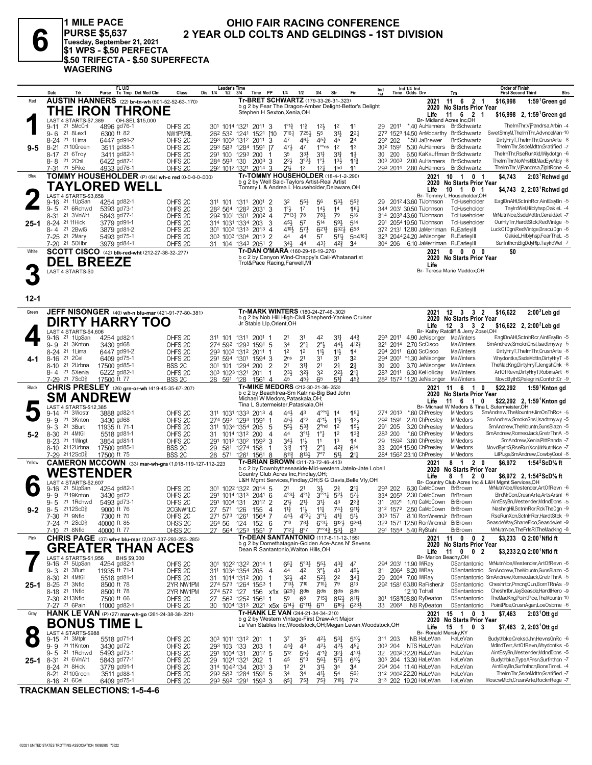

**1 MILE PACE** PURSE \$5,637<br>Tuesday, September 21, 2021<br>\$1 WPS - \$.50 PERFECTA \$.50 TRIFECTA - \$.50 SUPERFECTA **WAGERING** 

## OHIO FAIR RACING CONFERENCE 2 YEAR OLD COLTS AND GELDINGS - 1ST DIVISION

|          | Date<br>Trk                                | FL U/D<br>Purse Tc Tmp Det Med Clm                            | Class                                    | Leader's Time<br>Dis 1/4<br>$1/2$ $3/4$ | Time PP                                                                                                       | 1/4<br>1/2                                                              | 3/4<br>Str                                                   | Fin                         | Ind                  | Ind $1/4$ Ind<br>Time Odds Drv                  | Trn                                                                  | Order of Finish<br><b>First Second Third</b>                           | <b>Strs</b> |
|----------|--------------------------------------------|---------------------------------------------------------------|------------------------------------------|-----------------------------------------|---------------------------------------------------------------------------------------------------------------|-------------------------------------------------------------------------|--------------------------------------------------------------|-----------------------------|----------------------|-------------------------------------------------|----------------------------------------------------------------------|------------------------------------------------------------------------|-------------|
| Red      |                                            | <b>AUSTIN HANNERS</b> (22) br-tn-wh (601-52-52-63-.170)       |                                          |                                         | Tr-BRET SCHWARTZ (179-33-26-31-.323)                                                                          |                                                                         |                                                              |                             |                      |                                                 | 11 6 2 1<br>2021                                                     | \$16,998<br>$1:59^1$ Green gd                                          |             |
|          |                                            | THE IRON THRONE                                               |                                          |                                         | b g 2 by Fear The Dragon-Amber Delight-Bettor's Delight<br>Stephen H Sexton, Xenia, OH                        |                                                                         |                                                              |                             |                      |                                                 | 2020 No Starts Prior Year                                            |                                                                        |             |
|          |                                            |                                                               |                                          |                                         |                                                                                                               |                                                                         |                                                              |                             |                      | Life                                            | 11 6 2<br>-1                                                         | \$16,998 2, 1:59 Green gd                                              |             |
|          | LAST 4 STARTS-\$7,389<br>9-11 21 5McCnl    | OH-SEL \$15,000<br>4896 gd76-1                                | OHFS <sub>2C</sub>                       |                                         | 301 1014 1321 2011 3                                                                                          | $1^{\circ}1^{\circ}$<br>$11\frac{3}{4}$                                 | 1 <sup>2</sup><br>$12\frac{1}{2}$                            | 1 <sup>1</sup>              | 29                   | 2011                                            | Br- Midland Acres Inc.OH<br>*.40 AuHanners BrtSchwartz               | ThelrnThr,VjPandrsa,Arbin -4                                           |             |
|          | 21 8Lex1<br>9-6                            | 6300 ft 82                                                    | NW1PMRL                                  |                                         | 26 <sup>2</sup> 53 <sup>2</sup> 124 <sup>1</sup> 1521<br><b>F10</b>                                           | $7^{16}\frac{1}{4}$<br>725}                                             | $3^{11}$<br>55                                               | $2^{2}$                     |                      |                                                 | 272 1523 14.50 AnMccarthy BrtSchwartz                                | SwetShnyM, TheIrnThr, AdvnceMan-10                                     |             |
|          | 8-24 <sup>21</sup> 1 Lima                  | 6447 gd91-2                                                   | OHFS <sub>2C</sub>                       |                                         | 293 1003 1312 2011<br>3                                                                                       | 461<br>47                                                               | $45\frac{3}{4}$<br>45                                        | 2 <sup>4</sup>              | 292 202              | *.50 JaBrewer                                   | <b>BrtSchwartz</b>                                                   | DirtvHrvT.TheIrnThr.CrusnArte -8                                       |             |
| 9-5      | 8-21 <sup>21</sup> 10Green                 | 3511 gd88-1                                                   | OHFS <sub>2C</sub>                       |                                         | 293 583 1284 1591 7                                                                                           | 471<br>47                                                               | $1^{\circ \circ}$ ns<br>1 <sup>2</sup>                       | 1 <sup>3</sup>              | 30 <sup>2</sup> 1591 |                                                 | 5.30 AuHanners BrtSchwartz                                           | ThelrnThr,SsdeMdttn,Gratified -7                                       |             |
|          | 8-17 21 6Troy                              | 3411 gd82-1                                                   | OHFS <sub>2C</sub>                       | 291 100 1293 200                        | -1                                                                                                            | 35<br>33}                                                               | $3^{12}$<br>$3^{13}$                                         | $1\frac{1}{2}$              | 30<br>200            |                                                 | 6.50 KaKauffman BrtSchwartz                                          | TheIrnThr,RseRunXld,Wilydotgn -6                                       |             |
|          | 8-8 <sup>21</sup> 2Chil                    | 6422 gd87-1                                                   | OHFS <sub>2C</sub>                       | 284 593 130                             | $200^3$ 3                                                                                                     | $2^{2}$<br>$3^{°2}4$                                                    | $1^{\circ}$ $\frac{1}{2}$<br>$13\frac{1}{2}$                 | $1^{13}$                    | 303 2003             |                                                 | 2.00 AuHanners BrtSchwartz                                           | TheirnThr,NoWhstiBl,MadEyeMdy -8                                       |             |
|          | 7-31 21 5 Pike                             | 4933 gd76-1                                                   | OHFS <sub>20</sub>                       |                                         | 292 1012 1321 2014 3                                                                                          | 21,<br>12                                                               | 12 <sup>1</sup><br>1hd                                       | 11                          |                      |                                                 | 293 2014 2.80 AuHanners BrtSchwartz                                  | ThelrnThr,VjPandrsa,ZipItRone -6                                       |             |
| Blue     |                                            | TOMMY HOUSEHOLDER (P) (64) wh-c red (0-0-0-0-000)             |                                          |                                         | <b>Tr-TOMMY HOUSEHOLDER (18-4-1-2-290)</b>                                                                    |                                                                         |                                                              |                             |                      |                                                 | 2021<br>- 10<br>$\overline{1}$<br>0 <sub>1</sub>                     | \$4,743<br>2:03 <sup>1</sup> Rchwd gd                                  |             |
|          |                                            | TAYLORED WELL                                                 |                                          |                                         | b g 2 by Well Said-Taylors Artist-Real Artist<br>Tommy L & Andrea L Householder, Delaware, OH                 |                                                                         |                                                              |                             |                      |                                                 | 2020 No Starts Prior Year                                            |                                                                        |             |
|          |                                            |                                                               |                                          |                                         |                                                                                                               |                                                                         |                                                              |                             |                      | Life                                            | 10 1<br>0 <sub>1</sub><br>Br- Tommy L Householder, OH                | \$4,743 $2, 2:03$ <sup>1</sup> Rchwd gd                                |             |
|          | LAST 4 STARTS-\$3,658<br>21 1UpSan<br>9-16 | 4254 gd82-1                                                   | OHFS <sub>2C</sub>                       | 311 101 1311                            | 2001<br>-2                                                                                                    | 32<br>$55\frac{3}{4}$                                                   | 56<br>$5^{3}\frac{1}{2}$                                     | $55\frac{3}{4}$             | 29                   | 2012 43.60 TiJohnson                            | ToHuseholder                                                         | EaglOnAHI,SctnInRcr,AintEsyBn -5                                       |             |
|          | $9 - 5$<br>21 6Rchwd                       | 5393 gd73-1                                                   | OHFS <sub>2C</sub>                       |                                         | 282 564 1282 2031<br>3                                                                                        | $1^{\circ}$ $\frac{1}{2}$<br>17                                         | $14\frac{1}{2}$<br>1 <sup>4</sup>                            | 16 <sub>1</sub>             |                      | 344 2031 30.50 TiJohnson                        | ToHuseholder                                                         | TavirdWel.Hilblvhsp.OakieL -4                                          |             |
|          | 8-31 21 3VnWrt                             | 5843 gd77-1                                                   | OHFS <sub>2C</sub>                       | 292 1001 1301                           | $200^2$ 4                                                                                                     | $7^{\circ}13\frac{1}{4}$<br>78                                          | 781<br>79                                                    | $5^{16}$                    |                      | 314 2033 43.60 TiJohnson                        | ToHuseholder                                                         | MrNutnNce.SsdeMdttn.GeraldJet -7                                       |             |
| $25 - 1$ | 8-24 21 11 Hick                            | 3779 gd91-1                                                   | OHFS <sub>2C</sub>                       | 314 1031 1334                           | 3<br>203                                                                                                      | 451<br>57                                                               | 593<br>514                                                   | 514                         |                      | 291 2054 19.50 TiJohnson                        | ToHuseholder                                                         | OurHlyTrr,HardtStck,RedVintge -5                                       |             |
|          | 8-4 <sup>21</sup> 2BwlG                    | 3879 gd81-2                                                   | OHFS <sub>2C</sub>                       |                                         | 301 1003 1313 2013 4                                                                                          | 4104<br>$5^{7}$                                                         | $6^{21}$<br>$6^{32}$                                         | 658                         |                      | 372 2131 12.80 JaMerriman                       | RuEarleyIII                                                          | LuckOfDgn,RedVintge,DraculDgn -6                                       |             |
|          | 7-25 <sup>21</sup> 2Mary                   | 5493 gd75-1                                                   | OHFS <sub>2C</sub>                       |                                         | 303 1003 1304 2013 2                                                                                          | 44<br>4 <sup>4</sup>                                                    | 5 <sup>7</sup><br>$5^{11}$                                   | 5p4161                      |                      | 323 204424.20 JeNisonger                        | RuEarleyIII                                                          | OakieLHilblyhsp,FearTheL -5                                            |             |
|          | 7-20 21 50Hbr                              | 3979 gd84-1                                                   | OHFS <sub>2C</sub>                       | 31                                      | 104 1343 2051<br>$\overline{2}$                                                                               | 34}<br>44                                                               | $43\frac{1}{4}$<br>$4^{2}\frac{3}{4}$                        | 3 <sup>4</sup>              |                      |                                                 | 304 206 6.10 JaMerriman RuEarleyIII                                  | Surfnthcn,BigDdyRlp,TaylrdWel -7                                       |             |
| White    |                                            | SCOTT CISCO (42) blk-red-wht (212-27-38-32-.277)              |                                          |                                         | Tr-DAN O'MARA (160-29-16-19-.276)                                                                             |                                                                         |                                                              |                             |                      | 2021                                            | $0\quad 0$<br>$0\quad 0$                                             | \$0                                                                    |             |
|          | <b>DEL BREEZE</b>                          |                                                               |                                          |                                         | b c 2 by Canyon Wind-Chappy's Cali-Whatanartist<br>Trot&Pace Racing,Farwell,MI                                |                                                                         |                                                              |                             |                      |                                                 | 2020 No Starts Prior Year                                            |                                                                        |             |
|          | LAST 4 STARTS-\$0                          |                                                               |                                          |                                         |                                                                                                               |                                                                         |                                                              |                             |                      | Life                                            | Br- Teresa Marie Maddox, OH                                          |                                                                        |             |
|          |                                            |                                                               |                                          |                                         |                                                                                                               |                                                                         |                                                              |                             |                      |                                                 |                                                                      |                                                                        |             |
|          |                                            |                                                               |                                          |                                         |                                                                                                               |                                                                         |                                                              |                             |                      |                                                 |                                                                      |                                                                        |             |
|          |                                            |                                                               |                                          |                                         |                                                                                                               |                                                                         |                                                              |                             |                      |                                                 |                                                                      |                                                                        |             |
| $12 - 1$ |                                            |                                                               |                                          |                                         |                                                                                                               |                                                                         |                                                              |                             |                      |                                                 |                                                                      |                                                                        |             |
| Green    |                                            | JEFF NISONGER (40) wh-n blu-mar (421-91-77-80-.381)           |                                          |                                         | Tr-MARK WINTERS (180-24-27-46-302)                                                                            |                                                                         |                                                              |                             |                      |                                                 | 2021<br>$12 \quad 3$<br>3 <sub>2</sub>                               | $2:002$ Leb gd<br>\$16,622                                             |             |
|          |                                            | <b>DIRTY HARRY TOO</b>                                        |                                          |                                         | b g 2 by Nob Hill High-Civil Shepherd-Yankee Cruiser                                                          |                                                                         |                                                              |                             |                      |                                                 | 2020 No Starts Prior Year                                            |                                                                        |             |
|          |                                            |                                                               |                                          |                                         | Jr Stable Llp, Orient, OH                                                                                     |                                                                         |                                                              |                             |                      | Life                                            | $12 \quad 3 \quad 3 \quad 2$<br>Br- Kathy Ratcliff & Jerry Zosel, OH | \$16,622 2, 2:00 <sup>2</sup> Leb gd                                   |             |
|          | LAST 4 STARTS-\$4,606<br>21 1UpSan<br>9-16 | 4254 gd82-1                                                   | OHFS <sub>2C</sub>                       | 311 101 1311                            | $2001$ 1                                                                                                      | 21<br>31                                                                | 42<br>31                                                     | $44\frac{3}{4}$             |                      | 293 2011 4.90 JeNisonger                        | MaWinters                                                            | EaglOnAHI,SctnInRcr,AintEsyBn -5                                       |             |
|          | 21 3Knton<br>9-9                           | 3430 gd68                                                     | OHFS <sub>2C</sub>                       |                                         | 274 592 1293 1591 5                                                                                           | $2^{\circ}1$<br>34                                                      | $2^{\circ}$<br>443                                           | 4123                        |                      | 321 2014 2.70 ScCisco                           | MaWinters                                                            | SmAndrew,SmoknGnsl,Isadtmywy -5                                        |             |
|          | 8-24 <sup>21</sup> 1 Lima                  | 6447 gd91-2                                                   | OHFS <sub>2C</sub>                       |                                         | 293 1003 1312 2011<br>-1                                                                                      | 1 <sup>2</sup><br>12                                                    | $11\frac{1}{2}$<br>11}                                       | 1 <sup>4</sup>              | 294 2011             | 6.00 ScCisco                                    | MaWinters                                                            | DirtyHryT,TheIrnThr,CrusnArte -8                                       |             |
| 4-1      | 8-16 <sup>21</sup> 2Cel                    | 6409 gd75-1                                                   | OHFS <sub>2C</sub>                       | 291 594 1301                            | 1594 3                                                                                                        | 2 <sub>ns</sub><br>2 <sup>1</sup>                                       | 3 <sup>1</sup><br>3 <sup>1</sup>                             | 3 <sup>2</sup>              | 294 2001             | *1.30 JeNisonger                                | MaWinters                                                            | Whydontks,SsdeMdttn,DirtyHryT -8                                       |             |
|          | 8-10 <sup>21</sup> 2Urbna                  | 17500 gd85-1                                                  | BSS <sub>2C</sub>                        | 301                                     | 101 1294 200<br>$\overline{2}$                                                                                | 2 <sup>1</sup><br>34                                                    | 2 <sup>1</sup><br>21                                         | $2\frac{1}{2}$              | 200<br>30            | 3.70 JeNisonger                                 | MaWinters                                                            | TheMadKng,DirtyHryT,JengshChk -8                                       |             |
|          | 8-4 21 5Xenia                              | 6222 gd82-1                                                   | OHFS <sub>2C</sub>                       | 303 1023 1321                           | 201<br>-1                                                                                                     | $2^{3}\frac{1}{2}$<br>$3^{2}\frac{3}{4}$                                | 32<br>$2^{2}\frac{1}{2}$                                     | 2 <sup>11</sup>             |                      | 283 2011 6.30 KeHolliday                        | MaWinters                                                            | ArtOfRevn,DirtyHryT,RobinsArt -6                                       |             |
|          | 7-29 21 7 ScD <sup>5</sup>                 | 17500 ft 77                                                   | BSS <sub>2C</sub>                        |                                         |                                                                                                               | 45<br>45}                                                               | $5^{13}$<br>65                                               | 45 <sup>3</sup>             |                      |                                                 | 28 <sup>2</sup> 157 <sup>2</sup> 11.20 JeNisonger MaWinters          | MovdBythS,Pelegrini,ConfdrtCr -9                                       |             |
|          |                                            |                                                               |                                          | 28 591 128                              | 1561 4                                                                                                        |                                                                         |                                                              |                             |                      |                                                 |                                                                      |                                                                        |             |
| Black    |                                            | <b>CHRIS PRESLEY</b> (26) grn-or-wh (419-45-35-67-207)        |                                          |                                         | Tr-MIKE MEDORS (212-30-21-36-.253)                                                                            |                                                                         |                                                              |                             |                      |                                                 | 2021 11 6<br>0<br>- 1                                                | \$22,292<br>1:59 <sup>1</sup> Knton gd                                 |             |
|          |                                            |                                                               |                                          |                                         | b c 2 by Beachtrea-Sm Katrina-Big Bad John<br>Michael W Medors, Pataskala, OH;                                |                                                                         |                                                              |                             |                      |                                                 | 2020 No Starts Prior Year                                            |                                                                        |             |
|          | <b>SM ANDREW</b><br>LAST 4 STARTS-\$12.385 |                                                               |                                          |                                         | Tina L Sutermeister, Pataskala, OH                                                                            |                                                                         |                                                              |                             |                      | Life                                            | 11<br>6<br>0<br>-1<br>Br- Michael W Medors & Tina L Sutermeister, OH | \$22,292 2, 1:59 Knton gd                                              |             |
|          | 9-14 21 3Wostr                             | 3888 gd82-1                                                   | OHFS <sub>2C</sub>                       |                                         | 311 1031 1333 2013 4                                                                                          | 443<br>43                                                               | $4^{\circ\circ}1\frac{1}{4}$<br>1 <sup>4</sup>               | $15\frac{1}{4}$             | 274 2013             | *.60 ChPresley                                  | MiMedors                                                             | SmAndrew,TheMountn+JimOnThRc+ -5                                       |             |
|          | 21 3Knton<br>9-9                           | 3430 gd68                                                     | OHFS <sub>2C</sub>                       |                                         | 274 592 1293 1591 1                                                                                           | 454<br>$4^{\circ}2$                                                     | $4^{011}$<br>11}                                             | $13\frac{1}{2}$             | 292 1591             | 2.70 ChPresley                                  | MiMedors                                                             | SmAndrew,SmoknGnsl,Isadtmywy -5                                        |             |
|          | 9-3 <sup>21</sup> 3Burt                    | 11935 ft 71-1                                                 | OHFS <sub>2C</sub>                       | 311 1034 1354 205                       | -5                                                                                                            | 55}<br>$53\frac{1}{2}$                                                  | 2 <sup>ohd</sup><br>1 <sup>2</sup>                           | 15 <sup>3</sup>             | 291 205              | 3.20 ChPresley                                  | MiMedors                                                             | SmAndrew,TheMountn,GunsBlazn -5                                        |             |
| $5 - 2$  | 8-30 <sup>21</sup> 4MtGil                  | 5518 gd81-1                                                   | OHFS <sub>2C</sub>                       | 31                                      | 1014 1312 200<br>4                                                                                            | 44<br>$3^{01}$                                                          | $1^{\circ}1^{\circ}$<br>1 <sup>2</sup>                       | $13\frac{3}{4}$             | 283 200              | *.60 ChPresley                                  | <b>MiMedors</b>                                                      | SmAndrew,RomeoJack,GretrThnA -5                                        |             |
|          | 8-23 <sup>21</sup> 1 Wingt                 | 3854 gd81-1                                                   | OHFS <sub>2C</sub>                       | 291                                     | 1012 1302 1592 3                                                                                              | 34}<br>$11\frac{1}{2}$                                                  | 1 <sup>3</sup><br>11                                         | 1 <sup>4</sup>              | 29                   | 1592 3.80 ChPresley                             | <b>MiMedors</b>                                                      | SmAndrew,Xenia,PittPanda -7                                            |             |
|          | 8-10 2112Urbna                             | 17500 gd85-1                                                  | BSS <sub>2C</sub>                        | 29                                      | 581 1274 158<br>-1                                                                                            | $3^{13}$<br>$1^\circ \frac{1}{2}$                                       | $2^{\circ}$ $\frac{1}{4}$<br>$4^{2}\frac{3}{4}$              | 614                         | 33                   | 2004 15.90 ChPresley                            | MiMedors<br>MiMedors                                                 | MovdBythS,RseRunXcn,MrNutnNce -7<br>LilPlugs,SmAndrew,CowbyCool -8     |             |
| Yellow   | 7-29 2112ScD <sup>5</sup>                  | 17500 ft 75                                                   | <b>BSS 2C</b>                            | 28 571                                  | 1261 1561 8<br>Tr-BRIAN BROWN (311-73-72-46-.413)                                                             | 8131<br>811}                                                            | 7°7<br>51}                                                   | 2 <sup>11</sup>             |                      | 284 1562 23.10 ChPresley<br>2021                | 2 <sub>0</sub><br>8<br>$\overline{1}$                                |                                                                        |             |
|          |                                            | <b>CAMERON MCCOWN</b> (33) mar-wh-gra (1,018-119-127-112-.223 |                                          |                                         | b c 2 by Downbytheseaside-Mid-western Jatelo-Jate Lobell                                                      |                                                                         |                                                              |                             |                      |                                                 | 2020 No Starts Prior Year                                            | \$6,972<br>1:54 $2$ ScD $\%$ ft                                        |             |
|          | <b>WESTENDER</b>                           |                                                               |                                          |                                         | Country Club Acres Inc, Findlay, OH;                                                                          |                                                                         |                                                              |                             |                      | Life                                            | 8 1 2 0                                                              | \$6.972 2. 1:54 <sup>2</sup> ScD <sup>5</sup> / <sub>8</sub> ft        |             |
|          | LAST 4 STARTS-\$2.607                      |                                                               |                                          |                                         | L&H Mgmt Services, Findlay, OH; S G Davis, Belle Vly, OH                                                      |                                                                         |                                                              |                             |                      |                                                 |                                                                      | Br- Country Club Acres Inc & L&H Mamt Services.OH                      |             |
|          | 21 5UpSan<br>9-16                          | 4254 gd82-1                                                   | OHFS <sub>2C</sub>                       | 301                                     | 1022 1322 2014 5                                                                                              | 21<br>21                                                                | 3}                                                           | $2^{1}$                     | 293 202              |                                                 | 6.30 CaMcCown BrBrown                                                | MrNutnNce, Westender, ArtOfRevn -6                                     |             |
|          | 2119Knton<br>9-9                           | 3430 gd72                                                     | OHFS <sub>2C</sub>                       | 291                                     | 1014 1313 2041 6                                                                                              | $4^{\circ}3\frac{1}{4}$<br>$4^{013}$                                    | $3^{00}14$ $5^{2}3$                                          | $5^{71}$                    | 334 2053<br>31       | 2.30 CaMcCown                                   | BrBrown<br>BrBrown                                                   | BirdMrCon,CrusnArte,ArtsArsni -6<br>AintEsyBn, Westender, MdIndDbns -5 |             |
|          | 21 1Rchwd<br>9-5<br>2112ScD <sup>5</sup>   | 5493 gd73-1<br>9000 ft 76                                     | OHFS <sub>2C</sub>                       | 291<br>1004 131                         | 2012 2<br>-4                                                                                                  | $21\frac{1}{2}$<br>$21\frac{1}{4}$                                      | 34<br>43<br>$74\frac{1}{4}$                                  | $2^{3}$<br>$9^{11}$         | 312 1572             | 2021<br>1.70 CaMcCown<br>2.50 CaMcCown          | BrBrown                                                              | NashngHil,SctnInRcr,RckTheDgn -9                                       |             |
| $9 - 2$  | 8-5<br>7-30 <sup>21</sup> 9Nfld            | 7300 ft 70                                                    | 2CGNW1LC<br>OHFS <sub>2C</sub>           | 27 571 126<br>271 573 1261              | 155<br>1564 7                                                                                                 | $11\frac{3}{4}$<br>$11\frac{1}{2}$<br>443<br>$4^{\circ}2^{\frac{1}{4}}$ | $11\frac{1}{4}$<br>$3^{011}$<br>$4^{13}$                     | $51\frac{1}{2}$             | 303 157              |                                                 | 8.10 RonWrennJr BrBrown                                              | RseRunXcn.SctnlnRcr.HardtStck -9                                       |             |
|          | 7-24 <sup>21</sup> 2ScD <sup>3</sup>       | 40000 ft 85                                                   | OHSS <sub>2C</sub>                       | 264 56                                  | 124 152 6                                                                                                     | 710 781                                                                 | $6^{o3}\frac{1}{4}$ $9^{12}\frac{1}{2}$ $9^{26}\frac{1}{2}$  |                             |                      |                                                 | 323 1571 12.50 RonWrennJr BrBrown                                    | SeasdeWay,ShaneFlco,SeasdeJet -9                                       |             |
|          | 7-10 21 8Nfld                              | 40000 ft 77                                                   | OHSS <sub>2C</sub>                       |                                         | 27 564 1253 1551 7                                                                                            | $7^{12}\frac{1}{4}$ $8^{97}$                                            | $7^{\circ}$ <sup>43</sup> $5^3$ 8 <sup>3</sup>               |                             |                      | 291 1554 5.40 RyStahl                           | BrBrown                                                              | MrNutnNce, The FrIsRI, The MadKng -8                                   |             |
| Pink     |                                            | CHRIS PAGE (37) wh-r blu-mar (2,047-337-293-253-.285)         |                                          |                                         | Tr-DEAN SANTANTONIO (117-8-11-12-.155)                                                                        |                                                                         |                                                              |                             |                      |                                                 | 11 0<br>0 <sub>2</sub><br>2021                                       | \$3,233 Q 2:00 <sup>1</sup> Nfld ft                                    |             |
|          |                                            | <b>GREATER THAN ACES</b>                                      |                                          |                                         | b q 2 by Domethatagain-Golden Ace-Aces N' Sevens<br>Dean R Santantonio, Walton Hills, OH                      |                                                                         |                                                              |                             |                      |                                                 | 2020 No Starts Prior Year                                            |                                                                        |             |
|          | LAST 4 STARTS-\$1,956                      | BHS \$9,000                                                   |                                          |                                         |                                                                                                               |                                                                         |                                                              |                             |                      | Life                                            | 11 0 0 2<br>Br- Marion Beachy, OH                                    | \$3,233 2,Q 2:00 Nfld ft                                               |             |
|          | 9-16 <sup>21</sup> 5UpSan                  | 4254 gd82-1                                                   | OHFS <sub>2C</sub>                       |                                         | 301 1022 1322 2014 1                                                                                          | 651<br>$5^{\circ}3\frac{1}{4}$                                          | $55\frac{1}{2}$<br>$4^{3}_{4}$                               | 47                          |                      | 294 2031 11.90 WiRay                            |                                                                      | DSantantonio MrNutnNce,Westender,ArtOfRevn -6                          |             |
|          | 9-3 21 3Burt                               | 11935 ft 71-1                                                 | OHFS <sub>2C</sub>                       |                                         | 311 1034 1354 205<br>$\overline{4}$                                                                           | 44<br>42                                                                | $3^{\circ \frac{1}{2}}$<br>43                                | 491                         |                      | 31 2064 8.20 WiRay                              |                                                                      | DSantantonio SmAndrew,TheMountn,GunsBlazn -5                           |             |
|          | 8-30 21 4MtGil                             | 5518 gd81-1                                                   | OHFS <sub>2C</sub>                       | 31                                      | 1014 1312 200<br>-1                                                                                           | 32}<br>42                                                               | $5^{2}$<br>2 <sup>2</sup>                                    | $34\frac{1}{4}$             |                      | 29 2004 7.00 WiRay                              |                                                                      | DSantantonio SmAndrew,RomeoJack,GretrThnA -5                           |             |
| 25-1     | 8-25 <sup>21</sup> 3Nfld                   | 8500 ft 78                                                    | 2YR NW1PM                                |                                         | 274 573 1264 1553 1                                                                                           | $7^{10}$<br>710                                                         | $7^{10}$ <sup>1</sup><br>79                                  | 813                         |                      | 292 1581 63.80 RaFisherJr                       | DSantantonio                                                         | Cheshrtbr, PrncngQun, BornTRnAs -9                                     |             |
|          | 8-18 <sup>21</sup> 1Nfld                   | 8500 ft 78                                                    | 2YR NW1PM                                | 274 572 127                             | 156 x1x 9291                                                                                                  | 8 <sub>dis</sub>                                                        | 8 <sub>dis</sub><br>8 <sub>dis</sub>                         | 8 <sub>dis</sub>            |                      | 12.10 ToHall                                    | DSantantonio                                                         | Cheshrtbr, JaySeasde, HardtHero -9                                     |             |
|          | 7-30 2113Nfld                              | 7500 ft 66                                                    | OHFS <sub>2C</sub>                       |                                         | 27 563 1252 1561 1                                                                                            | 59<br>6 <sup>8</sup>                                                    | $7^{15\frac{1}{2}}$<br>$8^{12}\frac{1}{2}$                   | $8^{11}\frac{3}{4}$<br>6233 |                      | 301 1583108.80 RyDeaton<br>33 2064 NB RyDeaton  | DSantantonio<br>DSantantonio                                         | TheMadKng,PointPlce,TheMountn-10<br>PointPlce,CrusnAgan,LoeOsbrne -6   |             |
| Gray     | 7-27 21 6 Pain                             | 11000 gd82-1                                                  | OHFS <sub>2C</sub>                       |                                         | 30 1004 1313 2021 x5x 6 <sup>141</sup> 2 6°11 <sup>1</sup> 2 611<br><b>Tr-HANK LE VAN</b> (244-21-34-34-.210) |                                                                         | 6163                                                         |                             |                      |                                                 | 15 1 0 3<br>2021                                                     | \$7,463                                                                |             |
|          |                                            | HANK LE VAN (P) (27) mar-wh-go (261-24-38-38-.221)            |                                          |                                         | b g 2 by Western Vintage-First Draw-Art Major                                                                 |                                                                         |                                                              |                             |                      |                                                 | 2020 No Starts Prior Year                                            | $2:03^{\circ}$ Ott gd                                                  |             |
|          | <b>BONUS TIME L</b>                        |                                                               |                                          |                                         | Le Van Stables Inc, Woodstock, OH; Megan Levan, Woodstock, OH                                                 |                                                                         |                                                              |                             |                      | Life                                            | 15<br>$\overline{1}$<br>0 <sup>3</sup>                               | $$7,463$ 2, 2:03 Ott gd                                                |             |
|          | LAST 4 STARTS-\$988                        |                                                               |                                          |                                         |                                                                                                               |                                                                         |                                                              |                             |                      |                                                 | Br- Ronald Mersky, KY                                                |                                                                        |             |
|          | 9-15 21 3Mtplr                             | 5518 gd71-1                                                   | OHFS <sub>2C</sub>                       |                                         | 303 1011 1312 201 1                                                                                           | 37<br>35                                                                | $4^{2}\frac{1}{2}$<br>$5^{31}$                               | $5^{10}$                    | 311 203              | NB HaLeVan                                      | HaLeVan<br>HaLeVan                                                   | Budythbke,CreksdJhn,HevnsGnRc -6<br>MdIndTerr, ArtOfRevn, Whydontks -6 |             |
|          | 9-9 2111Knton<br>9-5 <sup>21</sup> 1Rchwd  | 3430 gd72                                                     | OHFS <sub>2C</sub>                       | 293 103 133                             | 203<br>$\overline{1}$                                                                                         | $44\frac{3}{4}$<br>43<br>512<br>$55\frac{3}{4}$                         | $42\frac{1}{2}$<br>$4^{21}$<br>$4^{013}$                     | $45\frac{1}{4}$<br>410}     |                      | 303 204 NTS HaLeVan<br>32 2032 32.20 HaLeVan    | HaLeVan                                                              | AintEsyBn, Westender, MdIndDbns -5                                     |             |
|          | 8-31 <sup>21</sup> 6VnWrt                  | 5493 gd73-1<br>5843 gd77-1                                    | OHFS <sub>2C</sub><br>OHFS <sub>2C</sub> | 291 1004 131<br>1021 1321<br>29         | $201^2$ 5<br>202<br>-1                                                                                        | 45<br>5°3                                                               | $3^{2}$<br>$56\frac{1}{2}$<br>$5^{7}$                        | $6^{10}$                    |                      | 303 204 13.30 HaLeVan                           | HaLeVan                                                              | Budythbke, TypeAPrsn, Surfnthcn -7                                     |             |
| 25-1     | 8-24 <sup>21</sup> 8Hick                   | 3779 gd91-1                                                   | OHFS <sub>2C</sub>                       |                                         | 314 1042 134 2031<br>3                                                                                        | 1 <sup>2</sup><br>2 <sup>1</sup>                                        | 3 <sup>1</sup><br>34                                         | 3 <sup>4</sup>              |                      | 294 204 11.40 HaLeVan                           | HaLeVan                                                              | AintEsyBn,Surfnthcn,BonsTimeL -4                                       |             |
|          | 8-21 21 10 Green<br>8-16 21 6 Cel          | 3511 gd88-1<br>6409 gd75-1                                    | OHFS <sub>2C</sub><br>OHFS <sub>2C</sub> |                                         | 293 583 1284 1591 5<br>293 592 1291 1593 3                                                                    | 34<br>34<br>$65\frac{1}{4}$<br>75}                                      | $41\frac{1}{2}$<br>5 <sup>4</sup><br>$75\frac{3}{4}$<br>7101 | $56\frac{1}{4}$<br>712      |                      | 312 2002 22.20 HaLeVan<br>313 202 19.20 HaLeVan | HaLeVan<br>HaLeVan                                                   | ThelrnThr,SsdeMdttn,Gratified -7<br>MoscwMtch,CrusnArte,RocknRege -7   |             |

**TRACKMAN SELECTIONS: 1-5-4-6**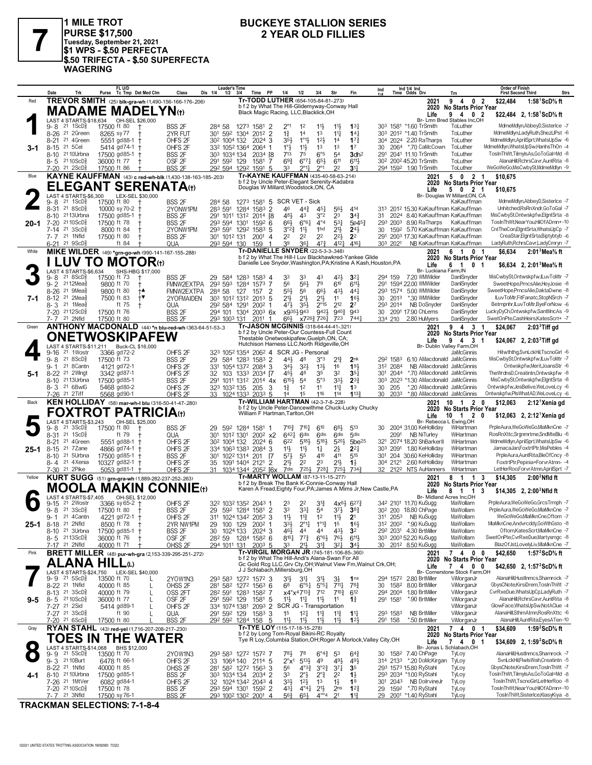

1 MILE TROT || INILE || INO I<br>|PURSE \$17,500<br>|Tuesday, September 21, 2021<br>|\$1 WPS - \$.50 PERFECTA<br>!\$.50 TRIFECTA - \$.50 SUPERFECTA **WAGERING** 

## **BUCKEYE STALLION SERIES 2 YEAR OLD FILLIES**

|           | Date<br>Trk                                                         | FL U/D<br>Purse Tc Tmp Det Med Clm                          | Class                                   | <b>Leader's Time</b><br>Dis 1/4<br>$1/2$ $3/4$ | <b>PP</b><br>Time                                                                       | 1/4<br>1/2                                                                 | 3/4                               | Str<br>Fin                                                                | Ind                                                               | Ind $1/4$ Ind<br>Time Odds Drv |                                                                          | Trn                                         | <b>Order of Finish</b><br><b>First Second Third</b>                    | Strs |
|-----------|---------------------------------------------------------------------|-------------------------------------------------------------|-----------------------------------------|------------------------------------------------|-----------------------------------------------------------------------------------------|----------------------------------------------------------------------------|-----------------------------------|---------------------------------------------------------------------------|-------------------------------------------------------------------|--------------------------------|--------------------------------------------------------------------------|---------------------------------------------|------------------------------------------------------------------------|------|
| Red       |                                                                     | TREVOR SMITH (25) blk-gra-wh (1,490-156-166-176-206)        |                                         |                                                | Tr-TODD LUTHER (654-105-84-81-273)                                                      |                                                                            |                                   |                                                                           |                                                                   |                                | 2021                                                                     | 9 4 0 2                                     | \$22,484<br>1:58 <sup>1</sup> ScD% ft                                  |      |
|           |                                                                     | <b>MADAME MADELYN</b> (t)                                   |                                         |                                                | b f 2 by What The Hill-Glidemyway-Conway Hall<br>Black Magic Racing, LLC, Blacklick, OH |                                                                            |                                   |                                                                           |                                                                   |                                | 2020                                                                     | No Starts Prior Year                        |                                                                        |      |
|           |                                                                     | LAST 4 STARTS-\$18,634 OH-SEL \$26,000                      |                                         |                                                |                                                                                         |                                                                            |                                   |                                                                           |                                                                   |                                | Life                                                                     | 9 4 0 2<br>Br- Lmn Bred Stables Inc,OH      | \$22,484 2, 1:58 ScD% ft                                               |      |
|           | $21 \text{ } 1$ ScD $\frac{5}{8}$<br>9-8                            | 17500 ft 80<br>Ť                                            | <b>BSS 2F</b>                           | 284 58                                         | 1273 1581 2                                                                             | $2^{\circ}1$<br>1 <sup>2</sup>                                             | 11}                               | $13\frac{1}{4}$<br>$11\frac{1}{2}$                                        |                                                                   |                                | 303 1581 *1.60 TrSmith                                                   | ToLuther                                    | MdmeMdlyn, AbbeyD, SisterIce -7                                        |      |
|           | 8-26 <sup>21</sup> 2Green                                           | 8265 sy 77                                                  | 2YR FUT                                 |                                                | 301 592 1304 2012 2                                                                     | $1\frac{3}{4}$<br>14                                                       | 1 <sup>3</sup>                    | $11\frac{1}{4}$<br>$14\frac{1}{4}$                                        |                                                                   |                                | 303 2012 *1.40 TrSmith                                                   | ToLuther                                    | MdmeMdlyn,LadyRuth,ShezLIPst -6                                        |      |
|           | 21 4Green<br>$8 - 21$                                               | 5551 gd88-1<br>$^{\mathrm{+}}$                              | OHFS <sub>2F</sub>                      | 30 <sup>2</sup> 100 <sup>4</sup> 132           | 2024 3                                                                                  | $35\frac{1}{2}$<br>$1^{\circ}1\frac{1}{2}$                                 | 12 <sup>1</sup>                   | 1 <sup>4</sup><br>$1^{73}$                                                |                                                                   |                                | 304 2024 2.20 RaTharps                                                   | ToLuther                                    | MdmeMdlyn.AprilSprt.WhatsUpSw -6                                       |      |
| 3-1       | 8-15 <sup>21</sup> 5 Cel                                            | 5414 gd74-1 +                                               | OHFS <sub>2F</sub>                      | 332 1052 1364                                  | 2064 1                                                                                  | $1^{\circ}$<br>$11\frac{1}{2}$<br>713<br>75                                | 1 <sup>3</sup><br>$6^{\circ}5$    | 1 <sup>3</sup><br>17                                                      | 30                                                                |                                | 2064 *.70 CaMcCown                                                       | ToLuther                                    | MdmeMdlyn, WhatsUpSw, HanhsThOn -4                                     |      |
|           | 8-10 <sup>21</sup> 10 Urbna<br>8-5 2110ScD <sup>3</sup>             | 17500 gd85-1<br>36000 ft 77                                 | <b>BSS 2F</b><br>OSF <sub>2F</sub>      | 303 1034 134<br>291 592 129                    | 2034 [8]<br>1581<br>-7                                                                  | $69\frac{3}{4}$<br>$6^{o7}$ <sup>1</sup>                                   | $65\frac{1}{2}$                   | 54<br>611<br>6111                                                         | 3dh <sup>2</sup>                                                  |                                | 291 2041 11.10 TrSmith<br>30 <sup>2</sup> 200 <sup>2</sup> 45.20 TrSmith | ToLuther<br>ToLuther                        | TosInThWt,TilmyIsAs,GoToGal=Md -8<br>AlanaHill, RchrsCavr, AuntRita -8 |      |
|           | 7-20 21 2ScD                                                        | 17500 ft 86                                                 | <b>BSS 2F</b>                           | 292 594 1292                                   | 1591 5                                                                                  | 33<br>$2^{\circ}11$                                                        | $2^{\circ}1$                      | 2 <sup>2</sup><br>$3^{11}$                                                |                                                                   |                                | 294 1592 1.90 TrSmith                                                    | ToLuther                                    | WeGoWeGo, MisCwbySt, MdmeMdlyn -9                                      |      |
| Blue      |                                                                     | KAYNE KAUFFMAN (43) c red-wh-blk (1,430-138-163-185-203)    |                                         |                                                | Tr-KAYNE KAUFFMAN (435-40-58-63-.214)                                                   |                                                                            |                                   |                                                                           |                                                                   |                                | 2021                                                                     | 5 0 2 1                                     | \$10,675                                                               |      |
|           |                                                                     | <b>ELEGANT SERENATA(t)</b>                                  |                                         |                                                | b f 2 by Uncle Peter-Elegant Serenity-Kadabra                                           |                                                                            |                                   |                                                                           |                                                                   |                                | 2020                                                                     | No Starts Prior Year                        |                                                                        |      |
|           |                                                                     |                                                             |                                         |                                                | Douglas W Millard, Woodstock, ON, CA                                                    |                                                                            |                                   |                                                                           |                                                                   |                                | Life                                                                     | $0 \t2 \t1$<br>5                            | \$10,675                                                               |      |
|           | LAST 4 STARTS-\$6.300<br>$21 \text{ 1ScD}$ $\frac{5}{8}$<br>$9 - 8$ | LEX-SEL \$30,000<br>17500 ft 80                             | <b>BSS 2F</b>                           | 284 58                                         | 1273 1581 5 SCR VET - Sick                                                              |                                                                            |                                   |                                                                           |                                                                   |                                |                                                                          | Br- Douglas W Millard, ON, CA<br>KaKauffman | MdmeMdlyn, AbbeyD, SisterIce -7                                        |      |
|           | 8-31 21 8ScD <sup>5</sup>                                           | 10000 sy 70-2                                               | 2YONW1PM                                | 283 591                                        | 1284 1583 2                                                                             | 46<br>$44\frac{3}{4}$                                                      | $45\frac{1}{4}$                   | 414<br>56}                                                                |                                                                   |                                | 313 2012 15.30 KaKauffman KaKauffman                                     |                                             | Unhitched,RsRnXndr,GoToGal -7                                          |      |
|           | 8-10 2113Urbna                                                      | 17500 gd85-1<br>$^{\mathrm{+}}$                             | BSS 2F                                  |                                                | 291 1011 1312 2014 [8                                                                   | 483<br>43                                                                  | 3°2                               | 23<br>$34\frac{3}{4}$                                                     | 31                                                                | 2024                           | 8.40 KaKauffman KaKauffman                                               |                                             | MisCwbySt,Ontwskpfw,ElgntSrta -8                                       |      |
| $20 - 1$  | 7-20 21 10 ScD <sup>5</sup>                                         | 17500 ft 78                                                 | BSS 2F                                  | 293 594 1301                                   | $159^2$ 6                                                                               | 66}<br>6°64                                                                | $4^{\circ}4$                      | $53\frac{1}{4}$                                                           | $5p45\frac{3}{4}$<br>293 2003                                     |                                | 8.90 RaTharps                                                            | KaKauffman                                  | TosInThWt,NearYou,HilOfADmn+-10                                        |      |
|           | $7-14$ 21 $3$ ScD $\frac{5}{8}$                                     | 8000 ft 84                                                  | 2YONW1PM                                |                                                | 293 591 1292 1583 5                                                                     | $3^{°2}$<br>11                                                             | 1hd                               | $21\frac{1}{2}$<br>$2^{4}$                                                | 30                                                                |                                | 1592 5.70 KaKauffman KaKauffman                                          |                                             | CntTheCon,ElgntSrta,WhatsUpCp -7                                       |      |
|           | 7-7 <sup>21</sup> 1Nfld<br>6-21 21 9ScD <sup>5</sup>                | 17500 ft 80<br>ft $84$                                      | <b>BSS 2F</b><br>QUA                    | 301 1012 131<br>293 594 130                    | $2001$ 4                                                                                | 2 <sup>2</sup><br>2 <sup>2</sup><br>39<br>364                              | 2 <sup>2</sup><br>$47\frac{3}{4}$ | $2^{2}$<br>2 <sup>2</sup><br>4161<br>4121                                 | 303 2021                                                          |                                | 291 2003 17.30 KaKauffman KaKauffman<br>NB KaKauffman KaKauffman         |                                             | CreaStar,ElgntSrta,Biptybtyb -6<br>LadyRuth,RchrsCavr,LadyCmryn -7     |      |
| White     |                                                                     | MIKE WILDER (49) *grn-go-wh (990-141-167-155-288)           |                                         |                                                | 159<br>Tr-DANIELLE SNYDER (22-5-3-3-348)                                                |                                                                            |                                   |                                                                           |                                                                   |                                | 2021                                                                     | 6 1 0 1                                     | \$6,634<br>$2:013$ Mea <sup>5</sup> / <sub>8</sub> ft                  |      |
|           |                                                                     |                                                             |                                         |                                                | b f 2 by What The Hill-I Luv Blackhawkred-Yankee Glide                                  |                                                                            |                                   |                                                                           |                                                                   |                                |                                                                          | 2020 No Starts Prior Year                   |                                                                        |      |
|           |                                                                     | LUV TO MOTOR(t)                                             |                                         |                                                |                                                                                         |                                                                            |                                   |                                                                           | Danielle Lee Snyder, Washington, PA; Kristine A Kash, Houston, PA |                                | Life                                                                     | $\blacksquare$<br>6<br>0 <sub>1</sub>       | \$6,634 2, 2:01 <sup>3</sup> Mea <sup>5</sup> / <sub>8</sub> ft        |      |
|           | LAST 4 STARTS-\$6,634<br>$218SCD\frac{5}{8}$<br>$9 - 8$             | SHS-HBG \$17,000<br>17500 ft 73                             |                                         |                                                |                                                                                         |                                                                            | 43                                | 421                                                                       | 294 159                                                           |                                | Br- Luckiana Farm, IN<br>7.20 WMWilder                                   | DanlSnyder                                  | MisCwbySt,Ontwskpfw,ILuvToMtr -7                                       |      |
|           | $9 - 2$<br>2112Mea§                                                 | Ť<br>9800 ft 70                                             | <b>BSS 2F</b><br>FMNW2EXTPA             | 29<br>584<br>293 593                           | 1283<br>$1583$ 4<br>1284 1573<br>7                                                      | 33<br>33<br>56<br>56}                                                      | 79                                | $3^{2}$<br>610<br>6111                                                    |                                                                   |                                | 291 1594 22.00 WMWilder                                                  | DanlSnyder                                  | SweetHope.PrncsAlie.HevJosie -8                                        |      |
|           | 8-26 <sup>21</sup> 9 Mea <sub>8</sub>                               | 9800 ft 80<br>$^{+ \blacktriangle}$                         | FMNW2EXTPA                              | 284 58                                         | 127<br>157<br>2                                                                         | $5^{5}\frac{1}{2}$<br>56                                                   | $66\frac{1}{2}$                   | $43\frac{1}{2}$<br>$44\frac{1}{4}$                                        |                                                                   |                                | 293 1574 5.00 WMWilder                                                   | DanlSnyder                                  | SweetHope.PrncsAlie.DaktaDwne -8                                       |      |
| 7-1       | 8-12 <sup>21</sup> 2Mea <sup>5</sup>                                | $+^{\blacktriangledown}$<br>7500 ft 83                      | 2YOFMAIDEN                              |                                                | 303 1012 1312 2013 5                                                                    | $21\frac{1}{2}$<br>$21\frac{1}{2}$                                         | $21\frac{1}{2}$                   | 11<br>16 <sup>1</sup>                                                     | 30                                                                | 2013                           | *.30 WMWilder                                                            | DanlSnyder                                  | ILuvToMtr,FitFanatc,StopNSrch -7                                       |      |
|           | 8-3 <sup>21</sup> 1Mea <sup>5</sup>                                 | ft 75<br>Ť                                                  | QUA                                     |                                                | 292 584 1291 2002 1                                                                     | 471<br>$35\frac{1}{2}$                                                     | $2^{\circ}15$                     | 212<br>2 <sup>7</sup>                                                     | 293 2014                                                          |                                | NB DoSnyder                                                              | DanlSnyder                                  | Betrnpnhr,ILuvToMtr,ByeForNow -6                                       |      |
|           | 7-20 2112ScD                                                        | 17500 ft 76                                                 | <b>BSS 2F</b>                           |                                                | 294 101 1304 2003 6x                                                                    | x9351943                                                                   | 942}                              | $9^{40}\frac{3}{4}$<br>943                                                |                                                                   |                                | 30 2091 17.90 ChLems                                                     | DanlSnyder                                  | LuckyDyCh,Ontwskpfw,SantMncAs -9                                       |      |
|           | 7-7 21 2Nfld                                                        | 17500 ft 80                                                 | <b>BSS 2F</b>                           | 293 1003 131                                   | 2011<br>Tr-JASON MCGINNIS (318-64-44-41-321)                                            | 66}                                                                        | x72637261                         | 723                                                                       | 7441<br>334 210                                                   |                                | 2.80 HuMyers                                                             | DanlSnyder                                  | SwetOnPte,CashHeirs,KatesScrt+ -7                                      |      |
| Green     |                                                                     | ANTHONY MACDONALD (44) *n blu-red-wh (363-64-51-53-.3       |                                         |                                                | b f 2 by Uncle Peter-Our Countess-Full Count                                            |                                                                            |                                   |                                                                           |                                                                   |                                | 2021<br>2020                                                             | 9 4 3 1<br><b>No Starts Prior Year</b>      | \$24,067<br>$2:033$ Tiff gd                                            |      |
|           |                                                                     | <b>ONETWOSKIPAFEW</b>                                       |                                         |                                                | Thestable Onetwoskipafew, Guelph, ON, CA;                                               |                                                                            |                                   |                                                                           |                                                                   |                                | Life                                                                     | 4 3 1<br>9                                  | \$24,067 2, $2:033$ Tiff gd                                            |      |
|           |                                                                     | LAST 4 STARTS-\$11.211 Buck-CL \$16.000                     |                                         |                                                | Hutchison Harness LLC, North Ridgeville, OH                                             |                                                                            |                                   |                                                                           |                                                                   |                                |                                                                          | Br- Dublin Valley Farm, OH                  |                                                                        |      |
|           | 21 1Wostr<br>$9 - 16$<br>$9 - 8$ 21 8 ScD <sup>5</sup>              | 3366 gd72-2<br>17500 ft 73                                  | OHFS <sub>2F</sub><br><b>BSS 2F</b>     | 29                                             | 323 1052 1354 2062 4 SCR JG - Personal<br>584 1283 1583 2                               | 441<br>48                                                                  | 3°3                               | 2 <sub>nk</sub>                                                           | 292 1583                                                          |                                | 6.10 AMacdonald JaMcGinnis                                               | <b>JaMcGinnis</b>                           | Hitwththg,SvnLckHil,TscnoGirl -6<br>MisCwbvSt.Ontwskpfw.ILuvToMtr -7   |      |
|           | 21 8 Cantn<br>$9 - 1$                                               | 4121 gd72-1                                                 | OHFS <sub>2F</sub>                      |                                                | 331 1054 1372 2084 3                                                                    | $34\frac{1}{2}$<br>3 <sup>2</sup>                                          | $13\frac{1}{2}$                   | $2^{13}$<br>193<br>16                                                     | 312 2084                                                          |                                | NB AMacdonald JaMcGinnis                                                 |                                             | Ontwskpfw,Merit,JoansStr -6                                            |      |
| $5-1$     | 8-22 <sup>21</sup> 2Wingt                                           | 3342 gd87-1                                                 | OHFS <sub>2F</sub>                      | 32                                             | 103 1333 2034 [7                                                                        | 454<br>48                                                                  | 35                                | 3 <sup>2</sup><br>35 <sub>7</sub>                                         | 301                                                               | 2044                           | *.70 AMacdonald JaMcGinnis                                               |                                             | TheWrdnsD,Creatintn,Ontwskpfw -8                                       |      |
|           | 8-10 2113Urbna                                                      | 17500 gd85-1                                                | <b>BSS 2F</b>                           |                                                | 291 1011 1312 2014 4x                                                                   | 6153<br>5 <sup>4</sup>                                                     | 5°3                               | 3 <sup>3</sup><br>$2^{3}$                                                 |                                                                   |                                | 303 2023 *1.30 AMacdonald JaMcGinnis                                     |                                             | MisCwbySt,Ontwskpfw,ElgntSrta -8                                       |      |
|           | 8-3 <sup>21</sup> 6BwlG                                             | 5468 gd80-2                                                 | OHFS <sub>2F</sub>                      |                                                | 323 1032 135 205 3                                                                      | $1\frac{3}{4}$<br>1 <sup>2</sup>                                           | 11                                | $11\frac{1}{4}$<br>1 <sup>3</sup>                                         | 30                                                                | 205                            | *.20 AMacdonald JaMcGinnis                                               |                                             | Ontwskpfw,JesBelive,WeLoveLcy -6                                       |      |
|           |                                                                     |                                                             |                                         |                                                |                                                                                         |                                                                            |                                   |                                                                           |                                                                   |                                |                                                                          |                                             |                                                                        |      |
|           | 7-26 21 2Tiff                                                       | 5568_gd90-1                                                 | OHFS <sub>2F</sub>                      |                                                | 33 1024 1333 2033 5                                                                     | 14<br>15                                                                   | 116                               | 1133<br>114                                                               | 30                                                                | 2033                           | *.80 AMacdonald JaMcGinnis                                               |                                             | Ontwskpfw,PIsWhatAD,WeLoveLcy -6                                       |      |
| Black     |                                                                     | KEN HOLLIDAY (58) mar-wh-I blu (316-50-41-47-280)           |                                         |                                                | Tr-WILLIAM HARTMAN (42-3-7-8-.228)                                                      |                                                                            |                                   |                                                                           |                                                                   |                                | 2021                                                                     | 10 1 2<br>0                                 | \$12,063<br>2:12 <sup>1</sup> Xenia gd                                 |      |
|           |                                                                     | <b>FOXTROT PATRICIA</b> (t)                                 |                                         |                                                | b f 2 by Uncle Peter-Dancewithme Chuck-Lucky Chucky<br>William F Hartman, Tarlton, OH   |                                                                            |                                   |                                                                           |                                                                   |                                |                                                                          | 2020 No Starts Prior Year                   |                                                                        |      |
|           | LAST 4 STARTS-\$3,243                                               | OH-SEL \$25,000                                             |                                         |                                                |                                                                                         |                                                                            |                                   |                                                                           |                                                                   |                                | Life<br>Br- Rebecca L Ewing, OH                                          | $1\quad 2$<br>10<br>0                       | \$12,063 2, 2:12 Xenia gd                                              |      |
|           | $21 \text{ 3ScD}$<br>9-8                                            | 17500 ft 80<br>Ť                                            | <b>BSS 2F</b>                           | 29                                             | 592 1284 1581 1                                                                         | 710}<br>710 <sub>7</sub>                                                   | 610                               | 681<br>513                                                                | 30                                                                |                                | 2004 31.00 KeHolliday                                                    | WiHartman                                   | PrpleAura,WeGoWeGo,MlaMknCne -7                                        |      |
|           | 21 $1$ ScD $\frac{5}{8}$<br>$8 - 31$                                | ft 79                                                       | QUA                                     |                                                | 301 1012 1301 2002 x2                                                                   | 6421<br>6 <sup>dis</sup>                                                   | 6 <sub>dis</sub>                  | 5 <sub>dis</sub><br>6 <sup>dis</sup>                                      |                                                                   |                                | 2091 NB NiTurley                                                         | WiHartman                                   | RosRnXttc,Srgnmrtme,SndMteBlu -6                                       |      |
|           | 21 4Green<br>$8 - 21$                                               | 5551 gd88-1<br>$^{\mathrm{+}}$                              | OHFS <sub>2F</sub>                      | 30 <sup>2</sup> 100 <sup>4</sup> 132           | $2024$ 6                                                                                | 622<br>5183                                                                | $5^{18}$                          | $5^{20}$                                                                  | $5be^{25}$<br>321                                                 |                                | 2074 18.20 ShBarkerII                                                    | WiHartman<br>WiHartman                      | MdmeMdlyn, AprilSprt, WhatsUpSw -6<br>JamacaJanFoxtrtPtr, MisPebles -4 |      |
| 25-1      | 8-15 <sup>21</sup> 7Zane<br>8-10 <sup>21</sup> 5Urbna               | 4866 gd74-1<br>17500 gd85-1                                 | OHFS <sub>2F</sub><br><b>BSS 2F</b>     |                                                | 334 1063 1383 2084 3<br>301 1022 1314 201<br>- 17                                       | 11}<br>$11\frac{1}{2}$<br>$5^{7}\frac{1}{2}$<br>55                         | $1\frac{1}{4}$<br>410             | $2\frac{1}{2}$<br>$2^{2}$<br>411<br>515                                   |                                                                   |                                | 303 2091 1.80 KeHolliday<br>301 204 30.60 KeHolliday                     | WiHartman                                   | PrpleAura,AuntRita,BleOfCncy -8                                        |      |
|           | 8-4 <sup>21</sup> 4Xenia                                            | 10327 gd82-1<br>$\pm$                                       | OHFS <sub>2F</sub>                      | 35                                             | 1091 1404 2121<br>2                                                                     | $21\frac{1}{2}$<br>2 <sup>2</sup>                                          | 2 <sup>3</sup>                    | 2 <sup>1</sup><br>$1\frac{1}{2}$                                          |                                                                   |                                | 304 2121 2.60 KeHolliday                                                 | WiHartman                                   | FoxtrtPtr,Pepinia+ForvrAtmn-4                                          |      |
|           | 7-30 21 2Pike                                                       | 5053 gd81-1                                                 | OHFS <sub>2F</sub>                      | 31                                             | 1034 1344 2052 [6x                                                                      | 7dis<br>$725\frac{1}{2}$                                                   | 7281                              | 725}                                                                      | 7343                                                              |                                | 32 212 <sup>2</sup> NTS AuHanners                                        | WiHartman                                   | LetHerRoo,ForvrAtmn,AprilSprt -7                                       |      |
| Yellow    |                                                                     | KURT SUGG (51) grn-gra-wh (1,889-282-237-252-.263)          |                                         |                                                | Tr-MARTY WOLLAM (87-13-11-15-277)                                                       |                                                                            |                                   |                                                                           |                                                                   |                                | 2021                                                                     | 8 1 1 3                                     | \$14,305<br>$2:002$ Nfld ft                                            |      |
|           |                                                                     | MOOLA MAKIN CONNIE⑾                                         |                                         |                                                | b f 2 by Break The Bank K-Connie-Conway Hall                                            |                                                                            |                                   |                                                                           | Karen A Fread, Eighty Four, PA; James A Mims Jr, New Castle, PA   |                                | 2020                                                                     | No Starts Prior Year                        |                                                                        |      |
|           | LAST 4 STARTS-\$7.405                                               | OH-SEL \$12,000                                             |                                         |                                                |                                                                                         |                                                                            |                                   |                                                                           |                                                                   |                                | Life<br>Br- Midland Acres Inc,OH                                         | 8<br>1 1<br>-3                              | \$14,305 2, 2:00 <sup>2</sup> Nfld ft                                  |      |
|           | 21 2Wostr<br>$9 - 15$                                               | 3366 sy 65-2                                                | OHFS <sub>2F</sub>                      |                                                | 322 1032 1352 2043 1                                                                    | 22<br>23                                                                   | 31}                               | $4x^{6}\frac{1}{2}6^{27}\frac{3}{4}$                                      |                                                                   |                                | 342 2101 11.70 KuSugg                                                    | MaWollam                                    | PrpleAura, WeGoWeGo, GrcsTrmph -7                                      |      |
|           | $9 - 8$ 21 3ScD <sup>5</sup> <sub>8</sub>                           | 17500 ft 80                                                 | <b>BSS 2F</b>                           | 29                                             | 592 1284 1581 2                                                                         | 33<br>$33\frac{1}{4}$                                                      | 54                                | $3^{7}\frac{1}{2}$<br>$38\frac{3}{4}$                                     |                                                                   |                                | 30 <sup>2</sup> 200 18.80 ChPage                                         | MaWollam                                    | PrpleAura,WeGoWeGo,MlaMknCne -7                                        |      |
|           | 9-1 21 4 Cantn                                                      | 4221 gd72-1 +                                               | OHFS <sub>2F</sub>                      |                                                | 311 1024 1342 2052 3                                                                    | 11}<br>$11\frac{3}{4}$                                                     | 1 <sup>2</sup>                    | 11号<br>2 <sup>1</sup><br>1 <sup>5</sup>                                   |                                                                   |                                | 311 2053 NB KuSugg                                                       | MaWollam                                    | WeGoWeGo,MlaMknCne,Oftom -7<br>MlaMknCne,Andvrcddy,GoWthGsto -8        |      |
| 25-1      | 8-18 <sup>21</sup> 2Nfld<br>8-10 <sup>21</sup> 3Urbna               | 8500 ft 78<br>17500 gd85-1<br>$^{\mathrm{+}}$               | 2YR NW1PM<br>BSS 2F                     | 29<br>100 129<br>30                            | $2002$ 1<br>1024 133 2024 3                                                             | 3 <sup>3</sup><br>$2^{\circ}1\frac{1}{4}$<br>46}<br>44                     | $1^{\circ}1^{\circ}$<br>44        | $16\frac{1}{2}$<br>$43\frac{1}{2}$<br>3 <sup>2</sup>                      |                                                                   |                                | 312 2002 *.90 KuSugg<br>292 2031 4.30 BrtMiller                          | MaWollam<br>MaWollam                        | Oftom.KatesScrt.MlaMknCne -7                                           |      |
|           | 8-5 2113ScD <sup>5</sup>                                            | 36000 ft 76<br>$\ddagger$                                   | OSF <sub>2F</sub>                       |                                                | 28 <sup>2</sup> 59 1284 1582 6                                                          | 8101<br>$77\frac{3}{4}$                                                    | $6^{\circ}6^{\frac{1}{2}}$        | 76}<br>6111                                                               |                                                                   |                                | 303 2003 52.20 KuSugg                                                    | MaWollam                                    | SwetOnPte,CvrRxeDue,Martysmgc -8                                       |      |
|           | 7-17 21 2Nfld                                                       | 40000 ft 71                                                 | OHSS <sub>2F</sub>                      | 294 1011 131                                   | $200^3$ 5                                                                               | 33<br>211,                                                                 | $3^{12}$                          | 3 <sup>2</sup><br>$34\frac{1}{2}$                                         |                                                                   |                                | 30 201 <sup>2</sup> 8.50 KuSugg                                          | MaWollam                                    | BlazOfJst,LovelyLiv,MlaMknCne -7                                       |      |
| Pink      |                                                                     | <b>BRETT MILLER</b> (48) pur-wh-gra (2,153-339-295-251-272) |                                         |                                                | Tr-VIRGIL MORGAN JR (745-181-106-85-.360)                                               |                                                                            |                                   |                                                                           |                                                                   |                                | 2021                                                                     | $7400$                                      | \$42,650<br>1:57 $2$ ScD $\%$ ft                                       |      |
|           | <b>ALANA HILL</b> L                                                 |                                                             |                                         |                                                | b f 2 by What The Hill-Andi's Alana-Swan For All                                        |                                                                            |                                   |                                                                           | Gc Gold Rcg LLC, Grv Cty, OH; Walnut View Fm, Walnut Crk, OH;     |                                | 2020                                                                     | No Starts Prior Year                        |                                                                        |      |
|           | LAST 4 STARTS-\$24,750                                              | LEX-SEL \$40,000                                            |                                         |                                                | J J Schlabach, Millersburg, OH                                                          |                                                                            |                                   |                                                                           |                                                                   |                                | Life                                                                     | 7 4 0 0<br>Br- Cornerstone Stock Farm, OH   | \$42,650 2, 1:57 <sup>2</sup> ScD <sup>5</sup> / <sub>8</sub> ft       |      |
|           | 9-9 21 5ScD <sup>5</sup>                                            | 13500 ft 70                                                 | 2YOW1N3                                 |                                                | 293 583 1272 1572 3                                                                     | 31}<br>$3^{11}$                                                            | 3½                                | $3\frac{1}{2}$<br>1 <sub>ns</sub>                                         |                                                                   |                                | 294 1572 2.80 BrtMiller                                                  | ViMorganJr                                  | AlanaHill,HustInmcs,Shamrock -7                                        |      |
|           | 8-22 <sup>21</sup> 1Nfld                                            | 40000 ft 85<br>L                                            | OHSS 2F                                 |                                                | 281 582 1272 1563 6                                                                     | $6^8$<br>$6^{\circ 51}$                                                    | $5^{\circ 5}$ <sup>1</sup>        | $711\frac{1}{4}$<br>$78\frac{3}{4}$                                       |                                                                   |                                | 30 1582 8.00 BrtMiller                                                   | ViMorganJr                                  | GbysCNote,KirsiDrem,TosInThWt -7                                       |      |
|           | 8-13 21 3ScD <sup>3</sup>                                           | 40000 ft 79                                                 | OSS <sub>2FT</sub>                      |                                                | 282 591 1283 1582 7                                                                     | $x4^{\circ}x47^{13}\frac{3}{4}$                                            | 712                               | $7^{10\frac{3}{4}}$<br>$6^{12}$                                           |                                                                   |                                | 294 2004 1.80 BrtMiller                                                  | ViMorganJr                                  | CvrRxeDue, WhatsUpCp, LadyRuth -7                                      |      |
| $9 - 5$   | $8 - 5$ 21 10 ScD <sup>3</sup><br>7-27 <sup>21</sup> 2Sid           | 36000 ft 77<br>L<br>5414 gd89-1<br>L                        | OSF <sub>2F</sub><br>OHFS <sub>2F</sub> | 291 592 129                                    | 1581 5<br>334 1074 1381 2093 2 SCR JG - Transportation                                  | 11}<br>$11\frac{1}{4}$                                                     | $11\frac{1}{2}$                   | 11<br>$1\frac{3}{4}$                                                      | 291 1581                                                          |                                | *.90 BrtMiller                                                           | ViMorganJr<br>ViMorganJr                    | AlanaHill,RchrsCavr,AuntRita -8<br>GlowFace, WhatsUpSw, NotAClue -4    |      |
|           | 7-27 21 3ScDs                                                       | ft 90                                                       | QUA                                     | 291 592 129                                    | $1583$ 3                                                                                | 1 <sup>5</sup><br>$12\frac{1}{4}$                                          | $11\frac{3}{4}$                   | 11월<br>$1\frac{11}{4}$                                                    | 293 1583                                                          |                                | <b>NB BrtMiller</b>                                                      | ViMorganJr                                  | AlanaHill,SthrnAtmn,RosRnXttc -6                                       |      |
|           | 7-20 21 6ScD                                                        | 17500 ft 80                                                 | <b>BSS 2F</b>                           |                                                | 292 592 1284 158 5                                                                      | 11号<br>$11\frac{1}{2}$                                                     | 11}                               | 11}<br>123                                                                | 291 158                                                           |                                | *.50 BrtMiller                                                           | ViMorganJr                                  | AlanaHill, AuntRita, Eyes ATen-10                                      |      |
| Gray      |                                                                     | RYAN STAHL (43) red-yel (1,716-207-208-217-.230)            |                                         |                                                | Tr-TYE LOY (115-17-18-15-278)                                                           |                                                                            |                                   |                                                                           |                                                                   |                                | 2021                                                                     | 7 4 0 1                                     | \$34,609<br>1:59 $2$ ScD $%$ ft                                        |      |
|           |                                                                     |                                                             |                                         |                                                | b f 2 by Long Tom-Royal Bikini-RC Royalty                                               |                                                                            |                                   |                                                                           | Tye R Loy, Columbia Station, OH; Roger A Morlock, Valley City, OH |                                | 2020                                                                     | No Starts Prior Year                        |                                                                        |      |
| $\bullet$ |                                                                     | TOES IN THE WATER                                           |                                         |                                                |                                                                                         |                                                                            |                                   |                                                                           |                                                                   |                                | Life                                                                     | 7 4 0 1<br>Br- Jonas L Schlabach, OH        | \$34,609 2, 1:59 <sup>2</sup> ScD <sup>5</sup> / <sub>8</sub> ft       |      |
|           | $21 \, 5$ ScD $\frac{5}{8}$<br>9-9                                  | LAST 4 STARTS-\$14,068 BHS \$12,000<br>13500 ft 70          | 2YOW1N3                                 |                                                | 293 583 1272 1572 7                                                                     | 78}<br>78                                                                  | $6^{o_4}\frac{3}{4}$              | -53<br>$64\frac{3}{4}$                                                    |                                                                   |                                | 30 158 <sup>2</sup> 7.40 ChPage                                          | TyLoy                                       | AlanaHill,HustInmcs,Shamrock -7                                        |      |
|           | 9-3 2110Burt                                                        | 6478 ft 66-1                                                | OHFS <sub>2F</sub>                      |                                                | 33 1064 140 2114 5                                                                      | $2^{\circ}x^1$<br>$5^{13}\frac{1}{2}$                                      | 49                                | 491<br>491                                                                |                                                                   |                                | 314 2133 *.20 DoMcKirgan                                                 | TyLoy                                       | SvnLckHilFlwlsWish,Creatintn -5                                        |      |
|           | 8-22 21 1Nfld                                                       | 40000 ft 85                                                 | OHSS <sub>2F</sub>                      |                                                | 281 582 1272 1563 3                                                                     | $4^{\circ}3^{\frac{3}{4}}$<br>56                                           | $3^{°2}\frac{3}{4}$               | $3^{7}$<br>3 <sub>5</sub>                                                 |                                                                   |                                | 293 1573 15.80 RyStahl                                                   | TyLoy                                       | GbysCNoteKirsiDrem,TosInThWt -7                                        |      |
| 4-1       | 8-10 <sup>21</sup> 10 Urbna                                         | 17500 gd85-1                                                | BSS 2F                                  |                                                | 303 1034 134 2034 2                                                                     | 33<br>2°}                                                                  | $2^{\circ}$ $\frac{3}{4}$         | 2 <sup>2</sup><br>$1\frac{1}{2}$                                          |                                                                   |                                | 293 2034 *1.00 RyStahl                                                   | TyLoy                                       | TosInThWt,TilmyIsAs,GoToGal=Md -8                                      |      |
|           | 7-26 <sup>21</sup> 1MtVer<br>7-20 2110ScD <sup>3</sup>              | 6082 gd84-1<br>17500 ft 78                                  | OHFS <sub>2F</sub><br>BSS <sub>2F</sub> |                                                | 32 1024 1342 2043 4<br>293 594 1301 1592 2                                              | $3^{3}\frac{1}{2}$<br>$12\frac{1}{2}$<br>431<br>$4^{\circ}4^{\frac{1}{4}}$ | 1 <sup>3</sup><br>$2^{11}$        | $1\frac{1}{2}$<br>1 <sup>9</sup><br>2 <sub>ns</sub><br>$1^{2}\frac{3}{4}$ |                                                                   |                                | 301 2043 NB DolrvineJr<br>29 1592 *.70 RyStahl                           | TyLoy<br>TyLoy                              | TosInThWt,TscnoGirl,LetHerRoo -8<br>TosInThWt,NearYou,HilOfADmn+-10    |      |

**TRACKMAN SELECTIONS: 7-1-8-4**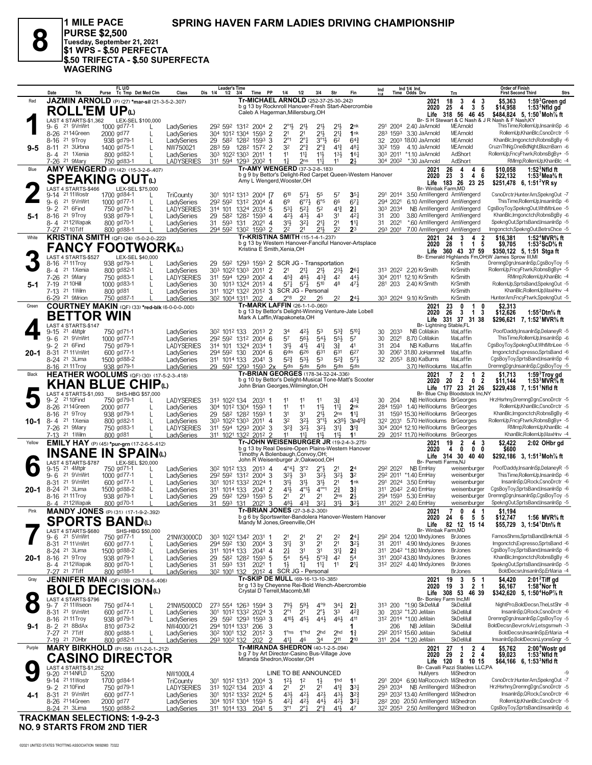**SPRING HAVEN FARM LADIES DRIVING CHAMPIONSHIP**

**PURSE \$2,500 Tuesday, September 21, 2021 \$1 WPS - \$.50 PERFECTA \$.50 TRIFECTA - \$.50 SUPERFECTA WAGERING**

**1 MILE PACE**

**8**

|         | Date                                                    | Trk                   | FL U/D<br>Tc Tmp Det Med Clm<br>Purse                       | Class                           | <b>Leader's Time</b><br>Dis 1/4<br>$1/2$ $3/4$        | <b>PP</b><br>Time                                                                              | 1/4                                        | 1/2                              | 3/4                              | Str                              |                                    | Ind                    | Ind 1/4 Ind<br>Time Odds Drv                                            | Trn                                                                                                          | <b>Order of Finish</b><br><b>First Second Third</b><br>Strs                                     |
|---------|---------------------------------------------------------|-----------------------|-------------------------------------------------------------|---------------------------------|-------------------------------------------------------|------------------------------------------------------------------------------------------------|--------------------------------------------|----------------------------------|----------------------------------|----------------------------------|------------------------------------|------------------------|-------------------------------------------------------------------------|--------------------------------------------------------------------------------------------------------------|-------------------------------------------------------------------------------------------------|
| Red     |                                                         |                       | JAZMIN ARNOLD (P) (27) *mar-sil (21-3-5-2-.307)             |                                 |                                                       | Tr-MICHAEL ARNOLD (252-37-25-30-242)                                                           |                                            |                                  |                                  |                                  |                                    |                        | 2021                                                                    | 18<br>3<br>4<br>$\overline{\mathbf{3}}$                                                                      | \$5,363<br>1:59 <sup>3</sup> Green gd                                                           |
|         |                                                         |                       | <b>ROLL'EM UP</b> ധ                                         |                                 |                                                       | b g 13 by Rocknroll Hanover-Fresh Start-Abercrombie<br>Caleb A Hagerman, Millersburg, OH       |                                            |                                  |                                  |                                  |                                    |                        | 2020                                                                    | 3 <sub>5</sub><br>25<br>4<br>Life 318 56 46 45                                                               | \$14,958<br>$1:533$ Nfld gd<br>\$484,824 5, 1:50 Moh % ft                                       |
|         |                                                         | LAST 4 STARTS-\$1.362 | LEX-SEL \$100,000                                           |                                 |                                                       |                                                                                                |                                            |                                  |                                  |                                  |                                    |                        |                                                                         |                                                                                                              | Br- S H Stewart & C Nash & J R Nash & F Nash, KY                                                |
|         | 9-6                                                     | 21 9VnWrt             | 1000 gd77-1<br>L                                            | LadySeries                      |                                                       | 292 592 1312 2004 2                                                                            | 2°1}                                       | $2^{11}$                         | 2 <sup>1</sup>                   | 2 <sup>1</sup>                   | 2 <sub>nk</sub>                    | 291 2004               | 2.40 JaArnold                                                           | MEArnold                                                                                                     | ThisTime,RollemUp,InsanInSp -6                                                                  |
|         | 8-26 2114Green<br>8-16                                  | 21 9Troy              | 2000 gd77<br>938 gd79-1                                     | LadySeries<br>LadySeries        | 29                                                    | 304 1012 1304 1593 2<br>582 1282 1593 3                                                        | 21<br>$2^{\circ}1$                         | 2 <sup>1</sup><br>$2^{\circ}1$   | $21\frac{1}{2}$<br>$3^{01}$      | $2^{11}$<br>6 <sup>2</sup>       | 1nk<br>$64\frac{3}{4}$             |                        | 283 1593 3.30 JaArnold<br>32 2003 18.00 JaArnold                        | MEArnold<br>MEArnold                                                                                         | RollemUp,KhanBlc,CsnoDrctr -5<br>KhanBlc, Imgonctch, RobnsBgBy -6                               |
| $9 - 5$ | 8-11 <sup>21</sup> 3Urbna                               |                       | 1400 gd75-1<br>L                                            | NW750021                        | 283 59                                                | 1282 1572 2                                                                                    | 32                                         | $2^{\circ}$                      | $2^{\circ}$ $\frac{3}{4}$        | $4^{13}$                         | $48\frac{1}{4}$                    | 30 <sup>2</sup> 159    | 4.10 JaArnold                                                           | MEArnold                                                                                                     | CruznThNg,OneBdNght,BlaznBarn -6                                                                |
|         | 8-4 <sup>21</sup> 1Xenia                                |                       | 800 gd82-1<br>L                                             | LadySeries                      |                                                       | 303 1022 1303 2011 1                                                                           | 11                                         | $11\frac{1}{4}$                  | $11\frac{1}{2}$                  | $13\frac{1}{2}$                  | 16 <sub>1</sub>                    |                        | 303 2011 *1.10 JaArnold                                                 | AdShort                                                                                                      | RollemUp.FncvFtwrk.RobnsBaBv+ -5                                                                |
|         | 7-26 <sup>21</sup> 9Mary                                |                       | 750 gd83-1                                                  | <b>LADYSERIES</b>               |                                                       | 311 594 1293 2002 1                                                                            | 11                                         | 2 <sub>ns</sub>                  | $11\frac{1}{4}$                  | 11                               | 2 <sup>1</sup>                     |                        | 304 200 <sup>2</sup> *.30 JaArnold                                      | AdShort                                                                                                      | RMImp, RollemUp, Khan Blc -4                                                                    |
| Blue    |                                                         |                       | <b>AMY WENGERD</b> (P) (42) (15-3-2-6-407)                  |                                 |                                                       | Tr-AMY WENGERD (37-3-2-8-.183)<br>b g 9 by Bettor's Delight-Red Carpet Queen-Western Hanover   |                                            |                                  |                                  |                                  |                                    |                        | 2021<br>2020                                                            | 26<br>4<br>4<br>-6<br>23<br>3<br>$\overline{4}$<br>6                                                         | $1:523$ Nfld ft<br>\$10.058<br>\$22,132<br>1:53 <sup>2</sup> Mea <sup>5</sup> / <sub>8</sub> ft |
|         |                                                         |                       | SPEAKING OUTധ                                               |                                 |                                                       | Amy L Wengerd, Wooster, OH                                                                     |                                            |                                  |                                  |                                  |                                    |                        | Life                                                                    | 183 26<br>23 25                                                                                              | \$251,478 6, 1:51 <sup>2</sup> YR sy                                                            |
|         |                                                         | LAST 4 STARTS-\$466   | LEX-SEL \$75,000                                            |                                 |                                                       |                                                                                                |                                            |                                  |                                  |                                  |                                    |                        | Br- Winbak Farm, MD                                                     |                                                                                                              | CsnoDrctr,HunterAm,SpekngOut -7                                                                 |
|         | 9-14 <sup>21</sup> 11 Wostr<br>9-6 <sup>21</sup> 9VnWrt |                       | 1700 gd84-1<br>1000 gd77-1<br>L                             | <b>TriCounty</b><br>LadySeries  |                                                       | 301 1012 1313 2004 [7<br>292 592 1312 2004 4                                                   | 610<br>69                                  | $5^{7}\frac{1}{2}$<br>$6^{97}$   | 55<br>$6^{\circ 5}$              | 57<br>66                         | $35\frac{1}{4}$<br>67 <sup>1</sup> | 291 2014<br>294 2021   | 3.50 AmWengerd AmWengerd<br>6.10 AmWengerd AmWengerd                    |                                                                                                              | ThisTime,RollemUp,InsanInSp -6                                                                  |
|         | 9-2 <sup>21</sup> 6Find                                 |                       | 750 gd79-1                                                  | <b>LADYSERIES</b>               |                                                       | 314 101 1324 2034 5                                                                            | 531                                        | $5^{21}$                         | 5 <sup>2</sup>                   | $4^{13}$                         | 2 <sup>1</sup>                     | 303 2034               | NB AmWengerd AmWengerd                                                  |                                                                                                              | CgsBoyToy,SpekngOut,WhtMtnLee -5                                                                |
| 5-1     | 8-16 21 9Troy                                           |                       | 938 gd79-1<br>L                                             | LadySeries                      | 29                                                    | 582 1282 1593 4                                                                                | 421,                                       | 431                              | 43                               | 3 <sup>1</sup>                   | $4^{2}$                            | 200<br>31              | 3.80 AmWengerd AmWengerd                                                |                                                                                                              | KhanBlc, Imgonctch, RobnsBgBy -6                                                                |
|         |                                                         | 8-4 2112 Wapak        | 800 gd70-1                                                  | LadySeries                      | 31 593 131                                            | $2021$ 4<br>294 592 1302 1593 2                                                                | 31}                                        | 321<br>21                        | 2 <sup>11</sup><br>21}           | 2 <sup>1</sup><br>2 <sup>2</sup> | $11\frac{1}{4}$<br>2 <sup>3</sup>  | 2021<br>31<br>293 2001 | *.60 AmWengerd AmWengerd                                                |                                                                                                              | SpekngOut,SprtsBand,InsanInSp -5<br>Imgonctch,SpekngOut,BetrsChce -5                            |
| White   | 7-27 2110Tiff                                           |                       | 800 gd88-1<br><b>KRISTINA SMITH</b> (QF) (24) (5-0-2-0-222) | LadySeries                      |                                                       | <b>Tr-KRISTINA SMITH (15-1-4-1-237)</b>                                                        | 22                                         |                                  |                                  |                                  |                                    |                        | 7.00 AmWengerd AmWengerd<br>2021                                        | 24<br>$\overline{\mathbf{2}}$<br>3<br>4                                                                      | 1:52 $4$ MVR $\%$ ft<br>\$16,381                                                                |
|         |                                                         |                       |                                                             |                                 |                                                       | b g 13 by Western Hanover-Fanciful Hanover-Artsplace                                           |                                            |                                  |                                  |                                  |                                    |                        | 2020                                                                    | $\mathbf{1}$<br>28<br>$\overline{1}$<br>5                                                                    | \$9,705<br>1:53 $2$ ScD $\%$ ft                                                                 |
|         |                                                         |                       | <b>FANCY FOOTWORK</b> <sup>(L)</sup>                        |                                 |                                                       | Kristina E Smith, Xenia, OH                                                                    |                                            |                                  |                                  |                                  |                                    |                        | Life                                                                    | 360 43 37 59                                                                                                 | \$350,122 5, 1:51 Stga ft                                                                       |
|         | 8-16 21 11 Troy                                         | LAST 4 STARTS-\$527   | LEX-SEL \$40,000<br>938 gd79-1                              | LadySeries                      |                                                       | 29 592 1293 1593 2 SCR JG - Transportation                                                     |                                            |                                  |                                  |                                  |                                    |                        |                                                                         | KrSmith                                                                                                      | Br- Emerald Highlands Fm, OH; W James Sprow III, MI<br>DremngDgn,InsanInSp,CgsBoyToy -5         |
|         | 8-4 <sup>21</sup> 1Xenia                                |                       | 800 gd82-1<br>L                                             | LadySeries                      |                                                       | 303 1022 1303 2011 2                                                                           | 2 <sup>1</sup>                             | $21\frac{1}{4}$                  | 2 <sup>11</sup>                  | $2^{3}\frac{1}{2}$               | $26\frac{1}{4}$                    |                        | 313 2022 2.20 KrSmith                                                   | KrSmith                                                                                                      | RollemUp,FncyFtwrk,RobnsBgBy+ -5                                                                |
|         | 7-26                                                    | 21 9Mary              | 750 gd83-1<br>L                                             | LADYSERIES                      |                                                       | 311 594 1293 2002 4                                                                            | $45\frac{3}{4}$                            | 461                              | $4^{3}\frac{3}{4}$               | 42                               | 443                                |                        | 304 2011 12.10 KrSmith                                                  | KrSmith                                                                                                      | RMImp,RollemUp,KhanBlc -4                                                                       |
| 5-1     | 7-19 21 10Hill<br>7-13 21 1 Wilm                        |                       | 1000 gd83-1<br>800 gd81<br>L                                | LadySeries<br>LadySeries        | 30                                                    | 1013 1324 2013 4<br>311 1021 1322 2012 3 SCR JG - Personal                                     | 571                                        | 573                              | 510                              | 48                               | 471                                |                        | 281 203 2.40 KrSmith                                                    | KrSmith<br>KrSmith                                                                                           | RollemUp,SprtsBand,SpekngOut -5<br>KhanBlc, RollemUp, MaxHnv -4                                 |
|         | 6-29 <sup>21</sup> 9Mrion                               |                       | 750 gd87-1                                                  | LadySeries                      | 30 <sup>2</sup> 100 <sup>4</sup> 131 <sup>1</sup> 202 | $\overline{4}$                                                                                 | $2^{\circ}8$                               | 2 <sup>2</sup>                   | 25                               | 2 <sup>2</sup>                   | $2^{4}$                            |                        | 303 2024 9.10 KrSmith                                                   | KrSmith                                                                                                      | HunterAm,FncyFtwrk,SpekngOut -5                                                                 |
| Green   |                                                         |                       | COURTNEY MAKIN (QF) (33) *red-blk (6-0-0-0-.000)            |                                 |                                                       | Tr-MARK LAFFIN (26-1-1-0-.060)                                                                 |                                            |                                  |                                  |                                  |                                    |                        | 2021                                                                    | $\frac{23}{26}$<br>0<br>$\mathbf{1}$<br>0                                                                    | \$2,313                                                                                         |
|         |                                                         |                       | <b>BETTOR WIN</b>                                           |                                 |                                                       | b g 13 by Bettor's Delight-Winning Venture-Jate Lobell<br>Mark A Laffin, Wapakoneta, OH        |                                            |                                  |                                  |                                  |                                    |                        | 2020                                                                    | $\mathbf{3}$<br>$\overline{1}$<br>-3                                                                         | \$12,626<br>1:55 Dtn% ft                                                                        |
|         |                                                         | LAST 4 STARTS-\$147   |                                                             |                                 |                                                       |                                                                                                |                                            |                                  |                                  |                                  |                                    |                        | Life<br>Br- Lightning Stable,FL                                         | 331 37 31 38                                                                                                 | \$296,621 7, 1:52 MVR% ft                                                                       |
|         | 9-15                                                    | 21 4Mtplr             | 750 gd71-1                                                  | LadySeries                      | 302 1012 133                                          | 2013 2                                                                                         | 34                                         | 42}                              | 53                               | $5^{3}\frac{3}{4}$               | $5^{10}$                           | 30<br>2033             | NB CoMakin                                                              | MaLaffin                                                                                                     | PoofDaddy,InsanInSp,DelaneyR -5                                                                 |
|         | $9 - 6$                                                 | 21 9VnWrt             | 1000 gd77-1                                                 | LadySeries                      |                                                       | 292 592 1312 2004 6                                                                            | 57                                         | 56}                              | $5^{4}$                          | $55\frac{1}{2}$                  | 5 <sup>7</sup>                     | 30                     | 2021 8.70 CoMakin                                                       | MaLaffin                                                                                                     | ThisTime.RollemUp.InsanInSp -6                                                                  |
| 20-1    | 9-2 <sup>21</sup> 6Find<br>8-31 2111 Vn Wrt             |                       | 750 gd79-1<br>600 gd77-1                                    | LADYSERIES<br>LadySeries        | 294 592 130                                           | 314 101 1324 2034 1<br>$2004$ 6                                                                | 31}<br>6 <sup>dis</sup>                    | 41}<br>626                       | $41\frac{1}{4}$<br>631           | 31<br>631                        | 41<br>627                          | 31<br>204<br>30        | NB KaBurns<br>2061 31.80 JoHammell                                      | MaLaffin<br>MaLaffin                                                                                         | CgsBoyToy,SpekngOut,WhtMtnLee -5<br>Imgonctch,Expresso,SprtsBand -6                             |
|         | 8-24 21 3Lima                                           |                       | 1500 gd88-2                                                 | LadySeries                      | 311 1014 133                                          | $2041$ 3                                                                                       | $5^{2}\frac{3}{4}$                         | $5^{3}$                          | 53                               | $5^{2}$                          | $5^{7}$                            |                        | 32 2053 8.80 KaBurns                                                    | MaLaffin                                                                                                     | CgsBoyToy,SprtsBand,InsanInSp -6                                                                |
|         | 8-16 21 11 Troy                                         |                       | 938 gd79-1                                                  | LadySeries                      |                                                       | 29 59 <sup>2</sup> 129 <sup>3</sup> 159 <sup>3</sup> 2x                                        | 5 <sub>dis</sub>                           | 5 <sub>dis</sub>                 | 5 <sub>dis</sub>                 | 5 <sub>dis</sub>                 | 5 <sub>dis</sub>                   |                        | 3.70 HeWoolums MaLaffin                                                 |                                                                                                              | DremngDgn,InsanInSp,CgsBoyToy -5                                                                |
| Black   |                                                         |                       | HEATHER WOOLUMS (QF) (30) (17-5-2-3-418)                    |                                 |                                                       | Tr-BRIAN GEORGES (178-34-32-24-.336)<br>b g 10 by Bettor's Delight-Musical Tone-Matt's Scooter |                                            |                                  |                                  |                                  |                                    |                        | 2021<br>2020                                                            | $\overline{2}$<br>$\overline{7}$<br>$\overline{2}$<br>$\overline{1}$<br>20<br>$\mathbf{0}$<br>$\overline{2}$ | 1:59 <sup>3</sup> Troy gd<br>\$1.713<br>1:53 $3$ MVR $\%$ ft                                    |
|         |                                                         |                       | <b>KHAN BLUE CHIPO</b>                                      |                                 |                                                       | John Brian Georges, Wilmington, OH                                                             |                                            |                                  |                                  |                                  |                                    |                        |                                                                         | $\mathbf{2}$<br>Life 177 23 21 26                                                                            | \$11,144<br>\$229,438 7, 1:51 Nfld ft                                                           |
|         |                                                         | LAST 4 STARTS-\$1,093 | SHS-HBG \$57,000                                            |                                 |                                                       |                                                                                                |                                            |                                  |                                  |                                  |                                    |                        |                                                                         | Br- Blue Chip Bloodstock Inc, NY                                                                             |                                                                                                 |
|         | $9 - 2$<br>8-26 2114Green                               | 21 10 Find            | 750 gd79-1<br>2000 gd77<br>L                                | <b>LADYSERIES</b><br>LadySeries | 313 1022 134                                          | 2031<br>304 1012 1304 1593 1                                                                   | 11<br>1 <sup>1</sup>                       | 11<br>11                         | 11<br>$11\frac{1}{2}$            | 3∛<br>11                         | $43\frac{3}{4}$<br>2nk             | 30 204                 | NB HeWoolums BrGeorges<br>284 1593 1.40 HeWoolums BrGeorges             |                                                                                                              | HrzHsrhny,DremngDgn,CsnoDrctr -5<br>RollemUp,KhanBlc,CsnoDrctr -5                               |
|         | 8-16 <sup>21</sup> 9Troy                                |                       | 938 gd79-1<br>L                                             | LadySeries                      |                                                       | 29 582 1282 1593 1                                                                             | 31                                         | 31                               | 21}                              | 2 <sub>ns</sub>                  | $11\frac{1}{4}$                    |                        | 31 1593 15.30 HeWoolums BrGeorges                                       |                                                                                                              | KhanBlc, Imgonctch, RobnsBgBy -6                                                                |
| 10-1    | 8-4 <sup>21</sup> 1Xenia                                |                       | 800 gd82-1<br>L                                             | LadySeries                      |                                                       | 303 1022 1303 2011 4                                                                           | 32                                         | $3^{2}$                          | $3^{01}$                         | $x39\frac{1}{2}$                 | $3p49\frac{3}{4}$                  |                        | 32 <sup>2</sup> 203 <sup>1</sup> 5.70 HeWoolums BrGeorges               |                                                                                                              | RollemUp,FncyFtwrk,RobnsBgBy+ -5                                                                |
|         | 7-26 <sup>21</sup> 9Mary<br>7-13 21 1 Wilm              |                       | 750 gd83-1<br>L<br>800 gd 81                                | LADYSERIES<br>LadySeries        |                                                       | 311 594 1293 2002 3<br>311 1021 1322 2012 2                                                    | $3^{2}\frac{3}{4}$<br>11                   | $3^{21}$<br>11 <sup>11</sup>     | $3^{21}$<br>$11\frac{1}{2}$      | $3^{11}$<br>11}                  | 3 <sup>13</sup><br>11              |                        | 304 2004 12.10 HeWoolums BrGeorges<br>29 2012 11.70 HeWoolums BrGeorges |                                                                                                              | RMImp, RollemUp, Khan Blc -4<br>KhanBlc,RollemUp,MaxHnv -4                                      |
| Yellow  |                                                         |                       | <b>EMILY HAY</b> (P) (45) *pur-grn (17-2-6-5-.412)          |                                 |                                                       | Tr-JOHN WEISENBURGER JR (19-2-4-3-275)                                                         |                                            |                                  |                                  |                                  |                                    |                        | 2021                                                                    | 19<br>$\overline{2}$<br>4 <sub>3</sub>                                                                       | \$2,422<br>2:02 OHbr gd                                                                         |
|         |                                                         | INSANE                | <b>IN SPAIN</b>                                             |                                 |                                                       | b g 13 by Real Desire-Open Plains-Western Hanover                                              |                                            |                                  |                                  |                                  |                                    |                        | 2020                                                                    | $0\quad 0$<br>4<br>0                                                                                         | \$600                                                                                           |
|         |                                                         | LAST 4 STARTS-\$787   | LEX-SEL \$20,000                                            |                                 |                                                       | Timothy A Bolenbaugh, Convoy, OH;<br>John R Weisenburger Jr, Oakwood, OH                       |                                            |                                  |                                  |                                  |                                    |                        | Br- Perretti Farms, NJ                                                  | Life 314 30 40 40                                                                                            | \$292,186 3, 1:51 Moh % ft                                                                      |
|         | 9-15                                                    | 21 4Mtplr             | 750 gd71-1<br>L                                             | LadySeries                      | 30 <sup>2</sup> 101 <sup>2</sup> 133                  | $201^3$ 4                                                                                      | $4^{\circ}4^{\frac{1}{4}}$                 | 3°2                              | $2^{\circ}$                      | 2 <sup>1</sup>                   | 2 <sup>4</sup>                     | 292 2022               | NB EmHay                                                                | weisenburger                                                                                                 | PoofDaddy,InsanInSp,DelaneyR -5                                                                 |
|         | 9-6 21 9VnWrt                                           |                       | 1000 gd77-1<br>L                                            | LadySeries                      |                                                       | 292 592 1312 2004 3                                                                            | 323                                        | 33                               | 3 <sup>2</sup>                   | 3 <sup>2</sup>                   | 3 <sup>2</sup>                     |                        | 292 2011 *1.40 EmHay                                                    | weisenburger                                                                                                 | ThisTime,RollemUp,InsanInSp -6                                                                  |
| 20-1    | 8-31 21 9VnWrt<br>8-24 <sup>21</sup> 3 Lima             |                       | 600 gd77-1<br>L<br>L<br>1500 gd88-2                         | LadySeries<br>LadySeries        |                                                       | 301 1012 1332 2024 1<br>311 1014 133 2041 2                                                    | 31}<br>41}                                 | 3 <sup>1</sup><br>$4^{01}$       | 31}<br>$4^{\circ\circ}1$         | 2 <sup>1</sup><br>$2^{3}_{4}$    | 1nk<br>3 <sup>3</sup>              |                        | 291 2024 3.50 EmHay<br>311 2042 2.40 EmHay                              | weisenburger<br>weisenburger                                                                                 | InsanInSp, QRock, CsnoDrctr -6<br>CgsBoyToy,SprtsBand,InsanInSp -6                              |
|         | 8-16 2111Troy                                           |                       | 938 gd79-1<br>L                                             | LadySeries                      |                                                       | 29 592 1293 1593 5                                                                             | 2 <sup>1</sup>                             | 2 <sup>1</sup>                   | 2 <sup>1</sup>                   | 2 <sub>ns</sub>                  | $2\frac{1}{2}$                     |                        | 294 1593 5.30 EmHay                                                     | weisenburger                                                                                                 | DremngDgn,InsanInSp,CgsBoyToy -5                                                                |
|         |                                                         | 8-4 2112Wapak         | 800 gd70-1                                                  | LadySeries                      | 31<br>593 131                                         | 2021 3                                                                                         | 48}                                        | $4^{3}\frac{3}{4}$               | $3^{2}$                          | $31\frac{1}{2}$                  | 3 <sup>2</sup>                     |                        | 311 2023 2.40 EmHay                                                     | weisenburger                                                                                                 | SpekngOut,SprtsBand,InsanInSp -5                                                                |
| Pink    |                                                         |                       | <b>MANDY JONES</b> (P) (31) (17-1-9-2-392)                  |                                 |                                                       | Tr-BRIAN JONES (27-3-8-2-.300)<br>b g 6 by Sportswriter-Bandolera Hanover-Western Hanover      |                                            |                                  |                                  |                                  |                                    |                        | 2021<br>2020                                                            | 7<br>0<br>4<br>- 1<br>5<br>- 5                                                                               | \$1.194                                                                                         |
|         |                                                         |                       | <b>SPORTS BAND</b> W                                        |                                 |                                                       | Mandy M Jones, Greenville, OH                                                                  |                                            |                                  |                                  |                                  |                                    |                        | Life                                                                    | 24<br>6<br>82 12 15 14                                                                                       | \$12,747<br>1:56 MVR% ft<br>\$55,729 3, 1:54 Dtn% ft                                            |
|         |                                                         | LAST 4 STARTS-\$680   | SHS-HBG \$50,000                                            |                                 |                                                       |                                                                                                |                                            |                                  |                                  |                                  |                                    |                        | Br- Winbak Farm, MD                                                     |                                                                                                              |                                                                                                 |
|         | 9- 6<br>8-31 <sup>21</sup> 11 Vn Wrt                    | 21 5VnWrt             | 750 gd77-1<br>L<br>600 gd77-1<br>L                          | 21NW3000CD<br>LadySeries        | 294 592 130                                           | 303 1022 1342 2031 1<br>$2004$ 3                                                               | 21<br>$3^{11}$                             | 2 <sup>1</sup><br>3 <sup>1</sup> | 2 <sup>1</sup><br>2 <sup>1</sup> | 2 <sup>2</sup><br>2 <sup>1</sup> | $2^{4}$<br>3 <sup>2</sup>          | 31                     | 29 <sup>2</sup> 204 12.00 MndyJones<br>2011 4.90 MndyJones              | <b>BrJones</b><br><b>BrJones</b>                                                                             | FamosShms.SprtsBand.BnkrhlJil -5<br>Imgonctch,Expresso,SprtsBand -6                             |
|         | 8-24 21 3Lima                                           |                       | 1500 gd88-2                                                 | LadySeries                      | 311 1014 133                                          | 2041 4                                                                                         | 2 <sup>1</sup>                             | 3 <sup>1</sup>                   | 3 <sup>1</sup>                   | 31                               | $2\frac{3}{4}$                     |                        | 311 2042 *1.80 MndyJones                                                | <b>BrJones</b>                                                                                               | CgsBoyToy,SprtsBand,InsanInSp -6                                                                |
|         | 20-1 8-16 21 9Troy                                      |                       | 938 gd79-1<br>L                                             | LadySeries                      | 29                                                    | 582 1282 1593 5                                                                                | 54                                         | $5^{4}$                          | $5^{03}\frac{3}{4}$              | 42                               | 5 <sup>4</sup>                     |                        | 311 2002 43.80 MndyJones                                                | BrJones                                                                                                      | KhanBlc, Imgonctch, RobnsBgBy -6                                                                |
|         | 7-27 <sup>21</sup> 7 Tiff                               | 8-4 2112Wapak         | 800 gd70-1<br>800 gd88-1                                    | LadySeries<br>LadvSeries        | 31<br>593 131<br>30 <sup>2</sup> 100 <sup>1</sup> 132 | $2021$ 1                                                                                       | $1\frac{1}{2}$<br>2012 4 SCR JG - Personal | $1\frac{1}{4}$                   | $11\frac{1}{4}$                  | 11                               | $2^{11}$                           |                        | 312 2022 4.40 MndyJones                                                 | <b>BrJones</b><br><b>BrJones</b>                                                                             | SpekngOut,SprtsBand,InsanInSp -5<br>BoldDecsn.InsanInSp.ErMaria -4                              |
| Gray    |                                                         |                       | <b>JENNIFER MAIN</b> (QF) (39) (29-7-5-6-406)               |                                 |                                                       | Tr-SKIP DE MULL (69-16-13-10-.385)                                                             |                                            |                                  |                                  |                                  |                                    |                        | 2021                                                                    | 3<br>5<br>19<br>- 1                                                                                          | \$4.420<br>$2:012$ Tiff gd                                                                      |
|         |                                                         |                       | BOLD DECISIONധ                                              |                                 |                                                       | br g 13 by Cheyenne Rei-Bold Wench-Abercrombie                                                 |                                            |                                  |                                  |                                  |                                    |                        | 2020                                                                    | $\ddot{3}$<br>19<br>2 <sub>1</sub>                                                                           | \$6,167<br>1:58 <sup>4</sup> Nor ft                                                             |
| - 1     |                                                         | LAST 4 STARTS-\$796   |                                                             |                                 |                                                       | Crystal D Terrell, Macomb, MI                                                                  |                                            |                                  |                                  |                                  |                                    |                        | Life<br>Br- Bonley Farm Inc, MI                                         | 308 53 46 39                                                                                                 | \$342,620 5, 1:50 <sup>4</sup> HoP% ft                                                          |
|         |                                                         | 9-7 2111Wseon         | 750 gd74-1                                                  | 21NW5000CD                      |                                                       | 273 554 1263 1594 3                                                                            | 79}                                        | $59\frac{1}{2}$                  | $4^{\circ}9$                     | $34\frac{1}{4}$                  | $2\frac{3}{4}$                     |                        | 313 200 *1.90 SkDeMull                                                  | SkDeMull                                                                                                     | NightPro,BoldDecsn,TheLstShr -8                                                                 |
|         | 8-31 <sup>21</sup> 9VnWrt                               |                       | 600 gd77-1<br>L                                             | LadySeries                      |                                                       | 301 1012 1332 2024 3                                                                           | $2^{\circ_1}$                              | 2 <sup>1</sup>                   | $2^{\circ}$                      | 3 <sup>3</sup>                   | $4^{2}3$                           |                        | 30 203 <sup>2</sup> *1.20 JeMain                                        | SkDeMull                                                                                                     | InsanInSp, QRock, CsnoDrctr -6                                                                  |
|         | 8-16 21 11 Troy                                         |                       | 938 gd79-1<br>L                                             | LadySeries                      |                                                       | 29 592 1293 1593 3                                                                             | 410}                                       | $45\frac{1}{2}$                  | $44\frac{1}{2}$                  | 46}                              | 411                                |                        | 312 2014 *1.00 JeMain                                                   | SkDeMull<br>SkDeMull                                                                                         | DremngDgn,InsanInSp,CgsBoyToy -5<br>BoldDecsn,BevrcrkAr,Letsgsmwh -3                            |
| 9-1     | 8-2 <sup>21</sup> 8BdAx<br>7-27 21 7 Tiff               |                       | 810 gd73-2<br>800 gd88-1<br>L                               | NW4000/21<br>LadySeries         | 294 1014 1331 206                                     | 3<br>30 <sup>2</sup> 100 <sup>1</sup> 132 201 <sup>2</sup> 3                                   |                                            | $1^\circ$ ns $1^\circ$ hd        | 2 <sub>hd</sub>                  | 2 <sub>hd</sub>                  | $1\frac{3}{4}$                     | 206                    | NB JeMain<br>292 2012 15.60 JeMain                                      | SkDeMull                                                                                                     | BoldDecsn, InsanInSp, ErMaria -4                                                                |
|         | 7-19 21 70Hbr                                           |                       | 800 gd82-1                                                  | LadySeries                      | 293 1002 132                                          | 202<br>$\overline{2}$                                                                          | 411                                        | 46                               | 34                               | 211                              | $2^{10}$                           |                        | 311 204 *1.20 JeMain                                                    | SkDeMull                                                                                                     | InsanInSp,BoldDecsn,LyonsGngr -5                                                                |
| Purple  |                                                         |                       | <b>MARY BIRKHOLD</b> (P) (58) (11-2-0-1-212)                |                                 |                                                       | Tr-MIRANDA SHEDRON (40-1-2-5-.094)                                                             |                                            |                                  |                                  |                                  |                                    |                        | 2021                                                                    | 27<br>$\begin{array}{cc} 1 & 2 \\ 2 & 2 \end{array}$<br>-4                                                   | \$5,762<br>2:00 <sup>*</sup> Wostr gd                                                           |
|         |                                                         |                       | <b>CASINO DIRECTOR</b>                                      |                                 |                                                       | b g 7 by Art Director-Casino Bus-Village Jove<br>Miranda Shedron, Wooster, OH                  |                                            |                                  |                                  |                                  |                                    |                        | 2020<br>Life                                                            | 29<br>4<br>120<br>8 10 15                                                                                    | \$9,023<br>$1:533$ Nfld ft<br>\$64,166 6, 1:53 Nfld ft                                          |
|         |                                                         | LAST 4 STARTS-\$1,252 |                                                             |                                 |                                                       |                                                                                                |                                            |                                  |                                  |                                  |                                    |                        |                                                                         | Br- Cavalli Pazzi Stables LLC,PA                                                                             |                                                                                                 |
|         | 9-20 2114NFLD<br>9-14 21 11 Wostr                       |                       | 5200                                                        | NW1000L4                        |                                                       |                                                                                                | LINE TO BE ANNOUNCED                       |                                  |                                  |                                  |                                    |                        | HuMyers                                                                 | MiShedron                                                                                                    | -9<br>CsnoDrctr, Hunter Am, SpekngOut -7                                                        |
|         | 9-2 <sup>21</sup> 10 Find                               |                       | 1700 gd84-1<br>750 gd79-1                                   | <b>TriCounty</b><br>LADYSERIES  |                                                       | 301 1012 1313 2004 3<br>313 1022 134 2031 4                                                    | $12\frac{1}{2}$<br>21                      | $1^2$<br>2 <sup>1</sup>          | $1\frac{1}{2}$<br>2 <sup>1</sup> | 1 <sup>hd</sup><br>$4^{13}$      | 1 <sup>1</sup><br>33 <sub>1</sub>  |                        | 291 2004 6.90 MaRocovich MiShedron<br>293 2034 NB AmWengerd MiShedron   |                                                                                                              | HrzHsrhny,DremngDgn,CsnoDrctr -5                                                                |
| 4-1     | 8-31 <sup>21</sup> 9VnWrt                               |                       | 600 gd77-1                                                  | LadySeries                      |                                                       | 301 1012 1332 2024 5                                                                           | $43\frac{1}{2}$                            | $4^{2}\frac{1}{2}$               | $4^{21}$                         | $43\frac{1}{2}$                  | $3^{2}3$                           |                        | 293 2032 13.40 AmWengerd MiShedron                                      |                                                                                                              | InsanInSp, QRock, CsnoDrctr -6                                                                  |
|         | 8-26 2114Green                                          |                       | 2000 gd77                                                   | LadySeries                      |                                                       | 304 1012 1304 1593 5                                                                           | 421                                        | $4^{2}\frac{1}{2}$               | $44\frac{1}{2}$                  | $4^{21}$                         | $3^{2}$                            |                        | 28 <sup>2</sup> 200 20.50 AmWengerd MiShedron                           |                                                                                                              | RollemUp,KhanBlc,CsnoDrctr -5                                                                   |
|         | 8-24 <sup>21</sup> 3 Lima                               |                       | 1500 gd88-2                                                 | LadySeries                      |                                                       | 311 1014 133 2041 5                                                                            | $3^{\circ}1$                               | $2^{\circ}1$                     | $2^{\circ}$                      | 41}                              | 47                                 |                        | 322 2053 2.50 AmWengerd MiShedron                                       |                                                                                                              | CgsBoyToy,SprtsBand,InsanInSp -6                                                                |

**TRACKMAN SELECTIONS: 1-9-2-3 NO. 9 STARTS FROM 2ND TIER**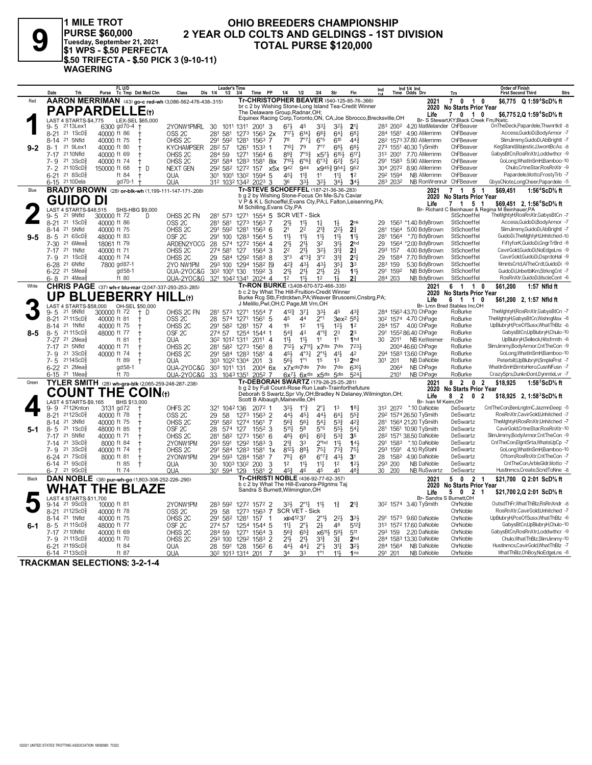

1 MILE TROT<br>|PURSE \$60,000<br>|Tuesday, September 21, 2021<br>|\$1 WPS - \$.50 PERFECTA \$.50 TRIFECTA - \$.50 PICK 3 (9-10-11) **WAGERING** 

## OHIO BREEDERS CHAMPIONSHIP 2 YEAR OLD COLTS AND GELDINGS - 1ST DIVISION **TOTAL PURSE \$120,000**

|         | Trk<br>Date                                                     | FL U/D<br>Tc Tmp Det Med Clm<br>Purse                     | Class                                   | <b>Leader's Time</b><br>Dis 1/4<br>1/2            | <b>PP</b><br>3/4<br><b>Time</b>                                                                             | 1/4<br>1/2                                                      | 3/4                                        | Str                               | Fin                               | Ind                                                                | Ind 1/4 Ind<br>Time Odds Drv                                  | Trn                                                  | <b>Order of Finish</b><br><b>First Second Third</b>                                 | <b>Strs</b> |
|---------|-----------------------------------------------------------------|-----------------------------------------------------------|-----------------------------------------|---------------------------------------------------|-------------------------------------------------------------------------------------------------------------|-----------------------------------------------------------------|--------------------------------------------|-----------------------------------|-----------------------------------|--------------------------------------------------------------------|---------------------------------------------------------------|------------------------------------------------------|-------------------------------------------------------------------------------------|-------------|
| Red     |                                                                 | AARON MERRIMAN (43) go-c red-wh (3,086-562-476-438-.315)  |                                         |                                                   | Tr-CHRISTOPHER BEAVER (540-125-85-76-.366)                                                                  |                                                                 |                                            |                                   |                                   |                                                                    | 2021                                                          | $\overline{7}$<br>$\mathbf 0$<br>$\overline{1}$<br>0 | \$6,775 Q 1:59 <sup>4</sup> ScD% ft                                                 |             |
|         |                                                                 | <b>PAPPARDELLE</b> (t)                                    |                                         |                                                   | br c 2 by Wishing Stone-Long Island Tea-Credit Winner<br>The Delaware Group, Radnar, OH;                    |                                                                 |                                            |                                   |                                   |                                                                    | 2020<br>Life                                                  | No Starts Prior Year<br>$\mathbf{7}$<br>$0 \t10$     | \$6.775 2.Q 1:59 <sup>4</sup> ScD% ft                                               |             |
|         | LAST 4 STARTS-\$4,775                                           | LEX-SEL \$65,000                                          |                                         |                                                   |                                                                                                             |                                                                 |                                            |                                   |                                   | Equinex Racing Corp, Toronto, ON, CA; Joe Sbrocco, Brecksville, OH |                                                               | Br- S Stewart, KY; Black Creek Fm, IN; etc.          |                                                                                     |             |
|         | 2113Lex1<br>9-5                                                 | 6300 gd70-4 +                                             | 2YONW1PMRL                              | 30<br>1011 1311                                   | 2001<br>-3                                                                                                  | $67\frac{1}{2}$<br>45                                           | 331                                        | $3^{2}\frac{1}{2}$                | 2 <sup>11</sup>                   |                                                                    | 283 2002 4.20 MatMelander ChFBeaver                           |                                                      | OnTheDeck,Papardele,Thwnrtktl -8                                                    |             |
|         | $8 - 21$<br>21 1ScD                                             | 40000 ft 86                                               | OSS <sub>2C</sub>                       | 281<br>581                                        | 1273<br>1563<br>2x                                                                                          | 7171<br>$6^{14}$<br>78                                          | $68\frac{3}{4}$                            | $64\overline{4}$                  | $6^{8}1$                          | 284 1581                                                           | 4.90 AMerrimn                                                 | ChFBeaver<br>ChFBeaver                               | Access, GuidoDi, Body Armor -7                                                      |             |
| $9 - 2$ | 21 5Nfld<br>$8 - 14$<br>21 9Lex1<br>8-1                         | 40000 ft 75<br>40000 ft 80                                | OHSS <sub>2C</sub><br><b>KYCHAMPSER</b> | 291<br>592<br>282 57                              | 1281<br>1563<br>7<br>1261<br>$1533$ 1                                                                       | 7°71<br>7101<br>79                                              | 6°5<br>7°7                                 | 610<br>683                        | $44\frac{3}{4}$<br>683            |                                                                    | 28 <sup>2</sup> 1573 37.80 AMerrimn<br>273 1551 40.30 TySmith | ChFBeaver                                            | SlimJimmy, GuidoDi, AbBrightl -7<br>KegStand, MajesticJ, I wontBcAs -8              |             |
|         | 21 10Nfld<br>$7 - 17$                                           | 40000 ft 69                                               | OHSS <sub>2C</sub>                      | 284 59                                            | 1564 6<br>1271                                                                                              | 893<br>7°5 <sup>3</sup>                                         | $x5^{7}\frac{1}{2}$                        | $6^{15\frac{1}{2}}$               | $6^{17}$                          | 313 2001                                                           | 7.70 AMerrimn                                                 | ChFBeaver                                            | GabysBtCn,RosRnXtr,Loddwthcr -9                                                     |             |
|         | $7 - 9$<br>21 3 ScD                                             | 40000 ft 74                                               | OHSS <sub>2C</sub>                      | 291 584 1283                                      | 1581<br>8ix                                                                                                 | 7101<br>$6^{o6}\frac{3}{4}$                                     | $6^{o_{32}}$                               | $6^{2}\frac{3}{4}$                | $5^{2}$                           | 291 1583                                                           | 5.90 AMerrimn                                                 | ChFBeaver                                            | GoLong, What In SmH, Bamboo-10                                                      |             |
|         | $7 - 2$<br>21 10 ScD                                            | 150000 ft 68<br>D<br>$^+$                                 | <b>NEXT GEN</b>                         | 292 582 1272                                      | 157<br>x5x                                                                                                  | 942<br>944                                                      |                                            | x9453 9541                        | 952                               |                                                                    | 304 2072 8.90 AMerrimn                                        | ChFBeaver                                            | Chulo.CrtneStar.RosRnXtr -9                                                         |             |
|         | 218SCD <sub>8</sub><br>$6 - 21$                                 | ft 84                                                     | QUA                                     | 301 1001 1302                                     | 1594<br>5                                                                                                   | 451<br>$11\frac{3}{4}$                                          | 11                                         | $11\frac{1}{4}$                   | 1 <sup>2</sup>                    | 292 1594                                                           | NB AMerrimn                                                   | ChFBeaver                                            | Papardele, Motto, Frosty Trb - 7                                                    |             |
| Blue    | 6-15 21 10 Dela                                                 | gd70-1                                                    | QUA                                     | 312 1032 1342                                     | $202^3$ 3<br>Tr-STEVE SCHOEFFEL (187-21-36-36-283)                                                          | 36<br>333                                                       | 32}                                        | 341                               | 341                               | 283 2032                                                           | NB RonWrennJr ChFBeaver                                       | 7                                                    | GbysCNote,LongCheer,Papardele -5                                                    |             |
|         |                                                                 | <b>BRADY BROWN</b> (28) or-blk-wh (1,199-111-147-171-208) |                                         |                                                   | b g 2 by Wishing Stone-Focus On Me-SJ's Caviar                                                              |                                                                 |                                            |                                   |                                   |                                                                    | 2021                                                          | 5<br>$\mathbf{1}$<br>2020 No Starts Prior Year       | \$69,451<br>1:56 $4$ ScD $\%$ ft                                                    |             |
|         | GUIDO DI                                                        |                                                           |                                         |                                                   | V P & K L Schoeffel, Evans Cty, PA; L Falton, Leisenring, PA;                                               |                                                                 |                                            |                                   |                                   |                                                                    | Life                                                          | 1 5 1<br>7                                           | \$69,451 2, 1:56 <sup>4</sup> ScD% ft                                               |             |
|         | LAST 4 STARTS-\$48,515<br>21 9Nfld                              | SHS-HBG \$9,000                                           |                                         |                                                   | M Schilling, Evans Cty, PA                                                                                  |                                                                 |                                            |                                   |                                   |                                                                    |                                                               | StSchoeffel                                          | Br- Richard C Beinhauer & Regina M Beinhauer, PA<br>TheMghtyH,RosRnXtr,GabysBtCn -7 |             |
|         | $9 - 5$<br>$8 - 21$<br>21 $1$ ScD <sup>5</sup> <sup>2</sup>     | 300000 ft 72<br>D<br>40000 ft 86                          | OHSS 2C FN<br>OSS <sub>2C</sub>         | 281 573<br>281<br>581                             | 1271 1554 5 SCR VET - Sick<br>1563 7<br>1273                                                                | 11}<br>21}                                                      | $1\frac{1}{4}$                             | $1\frac{1}{2}$                    | 2nk                               | 29                                                                 | 1563 *1.40 BdyBrown                                           | StSchoeffel                                          | Access.GuidoDi.BodvArmor -7                                                         |             |
|         | 21 5Nfld<br>8-14                                                | 40000 ft 75                                               | OHSS <sub>2C</sub>                      | 592<br>291                                        | 1281<br>$156^3$ 6                                                                                           | 2 <sup>2</sup><br>2 <sup>1</sup>                                | $2^{13}$                                   | $2^{2}$                           | 2 <sup>3</sup>                    | 281<br>1564                                                        | 5.00 BdyBrown                                                 | StSchoeffel                                          | SlimJimmy, GuidoDi, AbBrightl -7                                                    |             |
| $9 - 5$ | $8 - 5$<br>21 6 ScD                                             | 48000 ft 83                                               | OSF <sub>2C</sub>                       | 291<br>100                                        | 1283<br>1564 5                                                                                              | 11,<br>$11\frac{1}{2}$                                          | 11}                                        | 11}                               | $11\frac{1}{2}$                   | 281<br>1564                                                        | *.70 BdvBrown                                                 | StSchoeffel                                          | GuidoDi, The MghtyH, Unhitched-10                                                   |             |
|         | $21.6$ Mea $\frac{5}{8}$<br>$7 - 30$                            | 18061 ft 79                                               | ARDEN2YOCG                              | 28<br>574                                         | 1272<br>$1564$ 4                                                                                            | 213<br>$21\frac{1}{2}$                                          | 32                                         | 311                               | 2 <sub>hd</sub>                   | 29                                                                 | 1564 *2.00 BdyBrown                                           | StSchoeffel                                          | FiftyforK,GuidoDi,GngrTrBrd -8                                                      |             |
|         | 7-17 21 1Nfld<br>21 1ScD <sup>5</sup>                           | 40000 ft 71                                               | OHSS <sub>2C</sub>                      | 274 581                                           | 127<br>1564 3                                                                                               | 2 <sup>2</sup><br>$21\frac{1}{2}$<br>$4^{\circ}3^{\frac{3}{2}}$ | 321                                        | $3^{13}$                          | 2 <sup>3</sup>                    | 293 157                                                            | 4.00 BdyBrown                                                 | StSchoeffel<br>StSchoeffel                           | CavirGold,GuidoDi,NoEdgeLns -9<br>CavirGold,GuidoDi,DsprdoHal -9                    |             |
|         | 7-9<br>6-28 <sup>21</sup> 6Nfld                                 | 40000 ft 74<br>7800 gd87-1                                | OHSS <sub>2C</sub><br>2YO NW1PM         | 29<br>584 1292<br>293 100                         | 1583 8<br>1582 [9<br>1294                                                                                   | 3°3<br>$4^{2}3$<br>431                                          | 3°2<br>431                                 | $3^{13}$<br>35 <sub>1</sub>       | 21 <sup>1</sup><br>3 <sup>3</sup> | 1584<br>29<br>159<br>283                                           | 7.70 BdvBrown<br>5.30 BdyBrown                                | StSchoeffel                                          | MmntsCrtd.AlTheCrdt.GuidoDi -9                                                      |             |
|         | 6-22 <sup>21</sup> 5Mea <sup>5</sup>                            | gd 58-1                                                   | QUA-2YOC&G                              | 30 <sup>2</sup> 100 <sup>1</sup> 130              | $159^2$ 3                                                                                                   | $21\frac{1}{2}$<br>21}                                          | $21\frac{1}{2}$                            | $2\frac{1}{2}$                    | $11\frac{1}{2}$                   | 1592<br>291                                                        | NB BdyBrown                                                   | StSchoeffel                                          | GuidoDi,UnbetblKm,StrkngCnt -7                                                      |             |
|         | 21 4Mea<br>6-8                                                  | ft 80                                                     | QUA-2YOC&G                              | 321 1042 1341                                     | $2024$ 4                                                                                                    | 1 <sup>2</sup><br>$11\frac{1}{2}$                               | 12                                         | $1\frac{1}{2}$                    | 21                                | 284 203                                                            | NB BdyBrown                                                   | StSchoeffel                                          | RosRnXtr,GuidoDi,MscleCont -6                                                       |             |
| White   |                                                                 | CHRIS PAGE (37) wh-r blu-mar (2,047-337-293-253-285)      |                                         |                                                   | Tr-RON BURKE (3,408-670-572-466-.335)                                                                       |                                                                 |                                            |                                   |                                   |                                                                    | 2021                                                          | $\overline{1}$<br>61                                 | \$61,200<br>1:57 Nfld ft<br>0                                                       |             |
|         | UP                                                              | <b>BLUEBERRY HILL(t)</b>                                  |                                         |                                                   | b c 2 by What The Hill-Fruition-Credit Winner<br>Burke Rcg Stb, Frdrcktwn, PA; Weaver Bruscemi, Cnsbrg, PA; |                                                                 |                                            |                                   |                                   |                                                                    | 2020<br>Life                                                  | No Starts Prior Year<br>6 1 1 0                      | \$61,200 2, 1:57 Nfld ft                                                            |             |
|         | LAST 4 STARTS-\$58,000                                          | OH-SEL \$50,000                                           |                                         |                                                   | J Melillo, Pwl, OH; C Page, Mt Vrn, OH                                                                      |                                                                 |                                            |                                   |                                   |                                                                    |                                                               | Br- Lmn Bred Stables Inc,OH                          |                                                                                     |             |
|         | 21 9Nfld<br>$9 - 5$                                             | 300000 ft 72<br>$+$ D                                     | OHSS 2C FN                              | 281 573                                           | 1271<br>1554 7                                                                                              | 4123<br>$3^{7}$                                                 | 33}                                        | 45                                | 433                               |                                                                    | 284 1563 43.70 ChPage                                         | RoBurke                                              | TheMghtyH,RosRnXtr,GabysBtCn -7                                                     |             |
|         | 21 11 ScD <sup>3</sup><br>$8 - 21$<br>21 1Nfld                  | 40000 ft 81<br>40000 ft 75                                | OSS <sub>2C</sub>                       | 28<br>574<br>291                                  | 1561 5<br>1271<br>1281<br>157<br>$\Delta$                                                                   | 45<br>44<br>16<br>12                                            | $2^{\circ}1$<br>$11\frac{1}{2}$            | $3ex^2 581$                       | 1 <sup>2</sup>                    | 284                                                                | 30 <sup>2</sup> 1574 4.70 ChPage<br>157 4.00 ChPage           | RoBurke<br>RoBurke                                   | TheMghtyH,GabysBtCn,WishngMax -8<br>UpBlubryH,PceOfSusx,WhatThBlz -6                |             |
| 8-5     | $8 - 14$<br>21 11 ScD<br>$8 - 5$                                | 48000 ft 77                                               | OHSS <sub>2C</sub><br>OSF <sub>2C</sub> | 582<br>274 57                                     | 1254<br>1544 1                                                                                              | 543<br>4 <sup>3</sup>                                           | $4^{\circ}13$                              | 12 <sup>1</sup><br>23             | 2 <sup>3</sup>                    | 291                                                                | 155 <sup>2</sup> 86.40 ChPage                                 | RoBurke                                              | GabysBtCn,UpBlubryH,Chulo-10                                                        |             |
|         | 21 2Mea<br>7-27                                                 | ft 81                                                     | <b>QUA</b>                              | 30 <sup>2</sup> 101 <sup>2</sup> 131 <sup>1</sup> | 2011 4                                                                                                      | 11}<br>$11\frac{1}{2}$                                          | 11                                         | 11                                | 1 <sub>hd</sub>                   | 2011<br>30                                                         | NB KeWeimer                                                   | RoBurke                                              | UpBlubryH,Selleck,Hitsfrmth -6                                                      |             |
|         | 21 5Nfld<br>$7 - 17$                                            | 40000 ft 71                                               | OHSS <sub>2C</sub>                      | 281 582                                           | 1273<br>1561<br>8                                                                                           | 7121                                                            | $x7^{11}\frac{1}{4}$                       | x7dis 7dis                        | 7231                              |                                                                    | 2004 46.60 ChPage                                             | RoBurke                                              | SlimJimmy,BodyArmor,CntTheCon -9                                                    |             |
|         | $21 \text{ 3ScD}$<br>$7 - 9$                                    | 40000 ft 74                                               | OHSS <sub>2C</sub>                      | 584 1283<br>291                                   | 1581<br>$\overline{4}$                                                                                      | 451<br>$4^{\circ}3\frac{1}{4}$                                  | $2^{\circ}1\frac{1}{2}$                    | $41\frac{1}{2}$                   | 42                                |                                                                    | 294 1583 13.60 ChPage                                         | RoBurke                                              | GoLong.WhatInSmH.Bamboo-10                                                          |             |
|         | $2114$ ScD $\frac{5}{6}$<br>$7 - 5$                             | ft 89                                                     | QUA                                     | 303 1022 1304                                     | 201<br>3                                                                                                    | $1^{\circ}1$<br>561                                             | 1 <sup>5</sup>                             | 13                                | 2 <sub>hd</sub>                   | 201<br>30 <sup>1</sup>                                             | NB DaNoble                                                    | RoBurke                                              | Peterbilt,UpBlubryH,SmplePrst -7<br>WhatInSmH,BrntsHero,CusnNFusn -7                |             |
|         | $6 - 22$<br>$21$ 2Mea $\frac{5}{8}$<br>6-15 <sup>21</sup> 1Meas | gd 58-1<br>ft 70                                          | QUA-2YOC&G<br>QUA-2YOC&G                | 303 1011 131<br>33 1043 1351                      | 200 <sup>4</sup> 6x<br>2052 7                                                                               | x7xdis7dis<br>$6x^{71}$ $6x^{dis}$                              | 7dis<br>$x$ 5 $dis$                        | 7dis<br>5 <sub>dis</sub>          | 6301<br>5241                      | 2064<br>2101                                                       | NB ChPage<br>NB ChPage                                        | RoBurke<br>RoBurke                                   | CrazySprs,DunknDont,DynmteLvr -7                                                    |             |
| Green   |                                                                 | TYLER SMITH (28) wh-gra-blk (2,065-259-248-287-238)       |                                         |                                                   | Tr-DEBORAH SWARTZ (179-28-25-25-281)                                                                        |                                                                 |                                            |                                   |                                   |                                                                    | 2021                                                          | 8<br>$\overline{2}$<br>$\mathbf 0$                   | \$18.925<br>1:58 $3$ ScD $\%$ ft<br>$\overline{2}$                                  |             |
|         |                                                                 |                                                           |                                         |                                                   | b g 2 by Full Count-Rose Run Leah-Trainforthefuture                                                         |                                                                 |                                            |                                   |                                   |                                                                    | 2020                                                          | No Starts Prior Year                                 |                                                                                     |             |
|         |                                                                 | <b>COUNT THE COIN(t)</b>                                  |                                         |                                                   | Scott B Albaugh, Maineville, OH                                                                             |                                                                 |                                            |                                   |                                   | Deborah S Swartz, Spr Vly, OH; Bradley N Delaney, Wilmington, OH;  | Life                                                          | 8<br>$\overline{2}$<br>0 <sub>2</sub>                | \$18,925 2, 1:58 ${}^{3}$ ScD ${}^{5}$ s ft                                         |             |
|         | LAST 4 STARTS-\$9,165<br>2112Knton<br>9- 9                      | BHS \$13,000<br>3131 gd72<br>$^{+}$                       | OHFS <sub>2C</sub>                      | 321 1042 136                                      | 2072 1                                                                                                      | 33}<br>$1^{\circ}$                                              | $2^{\circ}$ <sup>1</sup>                   | 1 <sup>3</sup>                    | $18\frac{1}{4}$                   |                                                                    | Br- Ivan M Keim, OH<br>312 2072 *.10 DaNoble                  | DeSwartz                                             | CntTheCon,BenLngtmC,JazmnDeep -5                                                    |             |
|         | $8 - 21$<br>$2112$ ScD $\frac{5}{8}$                            | 40000 ft 78                                               | OSS <sub>2C</sub>                       | 29<br>58                                          | 1563 2<br>1273                                                                                              | 44}<br>$45\frac{1}{4}$                                          | 441                                        | $64\frac{1}{4}$                   | $55\frac{3}{4}$                   |                                                                    | 292 1574 26.50 TySmith                                        | DeSwartz                                             | RosRnXtr,CavirGold,Unhitched -7                                                     |             |
|         | 21 3Nfld<br>$8 - 14$                                            | 40000 ft 75                                               | OHSS <sub>2C</sub>                      | 291<br>582                                        | 1274 1561<br>-7                                                                                             | 56 <sup>3</sup><br>561                                          | $54\frac{1}{4}$                            | $5^{3}\frac{3}{4}$                | 42 <sup>3</sup>                   |                                                                    | 281 1564 21.20 TySmith                                        | DeSwartz                                             | TheMghtyH,RosRnXtr,Unhitched -7                                                     |             |
| $5-1$   | $8 - 5$<br>21 1ScD                                              | 48000 ft 85                                               | OSF <sub>2C</sub>                       | 28<br>574                                         | 127<br>$155^2$ 3                                                                                            | 5111<br>58                                                      | 5°5                                        | 55}                               | 54 <sup>1</sup>                   |                                                                    | 281 1561 10.90 TySmith                                        | DeSwartz                                             | CavirGold.CrtneStar.RosRnXtr-10                                                     |             |
|         | 21 5Nfld<br>7-17                                                | 40000 ft 71                                               | OHSS <sub>2C</sub>                      | 281<br>582                                        | 1273<br>1561<br>6                                                                                           | 481,<br>661                                                     | $65\frac{3}{4}$                            | $5^{3}{}_{2}^{3}$                 | 3 <sub>5</sub><br>143             |                                                                    | 28 <sup>2</sup> 1571 38.50 DaNoble                            | DeSwartz                                             | SlimJimmy,BodyArmor,CntTheCon -9<br>CntTheCon,ElgntSrta,WhatsUpCp -7                |             |
|         | $21 \text{ 3ScD}$<br>7-14<br>$21 \text{ 3ScD}$<br>$7 - 9$       | 8000 ft 84<br>40000 ft 74                                 | 2YONW1PM<br>OHSS <sub>2C</sub>          | 293 591<br>291 584                                | 1583<br>1292<br>3<br>1581<br>1283<br>1x                                                                     | $2^{13}$<br>33<br>8123<br>$8^{8}$                               | 2 <sup>o</sup> hd<br>$75\frac{1}{4}$       | 11}<br>$7^{3}\frac{3}{4}$         | $75\frac{1}{4}$                   | 291 1583<br>293 1591                                               | *.10 DaNoble<br>4.10 RyStahl                                  | DeSwartz<br>DeSwartz                                 | GoLong.WhatInSmH.Bamboo-10                                                          |             |
|         | 6-24 <sup>21</sup> 7 ScD                                        | 8000 ft 81                                                | 2YONW1PM                                | 294 593                                           | 1284<br>1581<br>7                                                                                           | 781<br>6 <sup>8</sup>                                           | $6^{07}\frac{3}{4}$                        | 431                               | 3 <sup>1</sup>                    | 1582<br>28                                                         | 4.90 DaNoble                                                  | DeSwartz                                             | Oftom,RosRnXtr,CntTheCon -7                                                         |             |
|         | 21 9 ScD<br>$6-14$                                              | ft 85<br>$^{\mathrm{+}}$                                  | QUA                                     | 30                                                | 1003 1302 200<br>3                                                                                          | 12<br>$11\frac{1}{2}$                                           | $11\frac{1}{4}$                            | 1 <sup>2</sup>                    | 123                               | 293 200                                                            | NB DaNoble                                                    | DeSwartz                                             | CntTheCon.ArblsGldr.Motto -7                                                        |             |
|         | $6 - 7$ 21 $9$ ScD $\frac{1}{3}$                                | ft 74                                                     | QUA                                     | 301 594 129                                       | 1581                                                                                                        | 453<br>46                                                       | 45                                         | 45                                | 483                               | 30 200                                                             | NB RuSwartz                                                   | DeSwartz                                             | HustInmcs.Create.ScndToNne -8                                                       |             |
| Black   |                                                                 | DAN NOBLE (38) pur-wh-go (1,803-308-252-226-.290)         |                                         |                                                   | Tr-CHRISTI NOBLE (436-92-77-62-.357)<br>b c 2 by What The Hill-Evanora-Pilgrims Taj                         |                                                                 |                                            |                                   |                                   |                                                                    | 2021                                                          | 5<br>$\mathbf 0$<br>$\mathbf{2}$                     | \$21,700 Q 2:01 ScD% ft                                                             |             |
|         | <b>WHAT</b>                                                     | THE BLAZE                                                 |                                         |                                                   | Sandra S Burnett, Wilmington, OH                                                                            |                                                                 |                                            |                                   |                                   |                                                                    | 2020<br>Life                                                  | No Starts Prior Year<br>50<br>21                     | \$21,700 2,Q 2:01 ScD% ft                                                           |             |
|         | LAST 4 STARTS-\$11,700                                          |                                                           |                                         |                                                   |                                                                                                             |                                                                 |                                            |                                   |                                   |                                                                    | Br- Sandra S Burnett, OH                                      |                                                      |                                                                                     |             |
|         | 21 9ScD<br>9-14                                                 | 10000 ft 81                                               | 2YONW1PM                                | 283 592                                           | 1272 1572 2                                                                                                 | 331                                                             | $2^{\circ}1\frac{1}{4}$<br>$11\frac{1}{2}$ | $1\frac{3}{4}$                    | $2^{13}$                          |                                                                    | 30 <sup>2</sup> 1574 3.40 TySmith                             | ChrNoble                                             | OutsdThFr,WhatThBlz,RsRnXndr -8                                                     |             |
|         | 2112ScD <sup>5</sup><br>$8 - 21$<br>21 1Nfld                    | 40000 ft 78                                               | OSS <sub>2C</sub>                       | 29<br>58                                          | 1563 7<br>1273<br>-1                                                                                        | SCR VET - Sick<br>xip41237                                      |                                            |                                   | 334                               |                                                                    | 291 1573 9.60 DaNoble                                         | ChrNoble<br>ChrNoble                                 | RosRnXtr.CavirGold.Unhitched -7<br>UpBlubryH,PceOfSusx,WhatThBlz -6                 |             |
| 6-1     | $8 - 14$<br>21 11 ScD<br>$8 - 5$                                | 40000 ft 75<br>48000 ft 77                                | OHSS <sub>2C</sub><br>OSF <sub>2C</sub> | 291 582<br>274 57                                 | 1281<br>157<br>1254<br>1544 5                                                                               | $11\frac{1}{4}$<br>$2^{\circ}3$                                 | $2^{\circ}1\frac{1}{2}$<br>2 <sup>1</sup>  | $2^{2}$<br>48                     | $5^{12}$                          |                                                                    | 313 1572 17.60 DaNoble                                        | ChrNoble                                             | GabysBtCn,UpBlubryH,Chulo-10                                                        |             |
|         | 21 10Nfld<br>7-17                                               | 40000 ft 69                                               | OHSS <sub>2C</sub>                      | 284 59                                            | 1271<br>$1564$ 3                                                                                            | 563<br>$65\frac{3}{4}$                                          |                                            | x6 <sup>11}</sup> 5 <sup>9}</sup> | 511                               |                                                                    | 293 159 2.20 DaNoble                                          | ChrNoble                                             | GabysBtCn,RosRnXtr,Loddwthcr -9                                                     |             |
|         | 21 11 ScD<br>7-9                                                | 40000 ft 70                                               | OHSS <sub>2C</sub>                      | 293 100                                           | 1292<br>1583 2                                                                                              | 21}<br>$21\frac{1}{2}$                                          | 31}                                        | $3\frac{3}{4}$                    | 2 <sub>hd</sub>                   |                                                                    | 284 1583 13.30 DaNoble                                        | ChrNoble                                             | Chulo, What ThBlz, SlimJimmy-10                                                     |             |
|         | 2119ScD <sup>5</sup><br>$6 - 21$                                | ft 84                                                     | QUA                                     | 28 591                                            | 128<br>1562 6                                                                                               | 443<br>$44\frac{1}{4}$                                          | $2^{\circ}$                                | $3^{11}$                          | $3^{2}$                           | 284 1564                                                           | NB DaNoble                                                    | ChrNoble                                             | HustInmcs.CavirGold.WhatThBlz -7                                                    |             |
|         | 6-14 2113ScD                                                    | ft 87                                                     | <b>QUA</b>                              | 30 <sup>2</sup> 101 <sup>3</sup> 1314             | 201<br>7                                                                                                    | 34<br>33                                                        | 1°1                                        | 11                                | 1ns                               | 291 201                                                            | NB DaNoble                                                    | ChrNoble                                             | WhatThBlz,OhBoy,NoEdgeLns -8                                                        |             |

**TRACKMAN SELECTIONS: 3-2-1-4**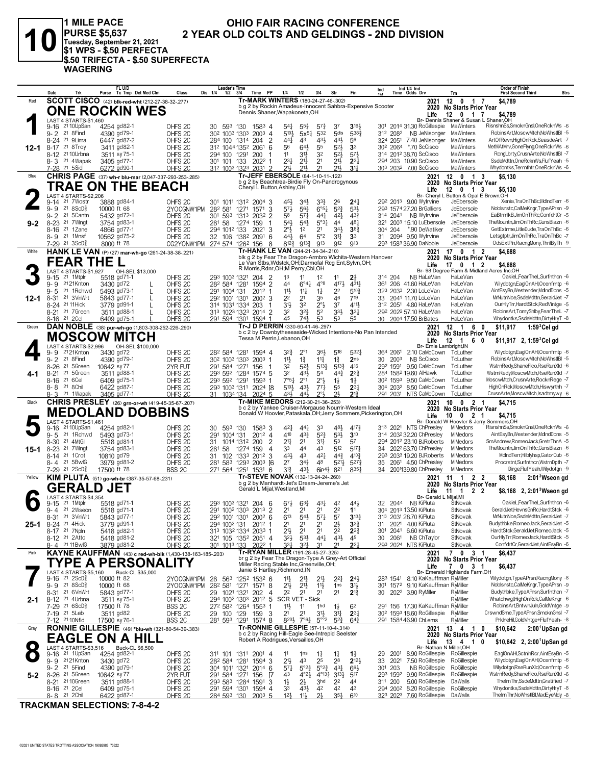

**1 MILE PACE OHIO FAIR RACING CONFERENCE PURSE \$5,637** 2 YEAR OLD COLTS AND GELDINGS - 2ND DIVISION Tuesday, September 21. 2021 \$1 WPS - \$.50 PERFECTA \$.50 TRIFECTA - \$.50 SUPERFECTA **WAGERING** 

### $FL$  U/D Leader's Time Order of Finish<br>First Second Third Ind 1/4 Ind<br>Time Odds Drv  $\ln d$ **Strs** Trk Purse Tc Tmp Det Med Clm Class Dis 1/4  $\frac{1}{1/2}$  $3/4$ Time PP  $1/4$  $1/2$  $3/4$ Str Fin Trn **Tr-MARK WINTERS** (180-24-27-46-302) **SCOTT CISCO** (42) blk-red-wht (212-27-38-32-277) Red 2021  $12<sub>0</sub>$  $\overline{1}$ \$4.789 7 to 2 by Rockin Amadeus-Innocent Sahbra-Expensive Scooter<br>Dennis Shaner, Wapakoneta, OH 2020 No Starts Prior Year **ONE ROCKIN WES** 2020 11 Mars ...<br>
Life 12 0 1 7 \$4,789<br>
Br- Dennis Shaner & Susan L Shaner, OH<br>
An Orlinear MalWinters RisnshnSs, SmoknGnsl, OneRcknWs -6 LAST 4 STARTS-\$1,460<br>9-16 <sup>21</sup> 10UpSan 42 ◢ 4254 gd82-1 OHFS<sub>2C</sub> 30 593 130 1583 4 541 553  $5^{7}\frac{3}{4}$  $37$  $3161$ 301 2014 31.30 RoGillespie MaWinters 21 8 Find  $31^2$  208<sup>2</sup> 4390 gd79-1  $30^2$  1003 1303 2003 4  $5^{32}$  $5$ dis  $5383$ NB JeNisonger RobinsArt, MoscwMtch, NoWhstIBI -5  $5101$  $9 - 2$ OHES 2C  $5x^{51}$ 324 2051 7.40 JeNisonger<br>302 2064 \*.70 ScCisco 8-24 21 9Lima 6447 gd87-2 OHFS<sub>2C</sub> 284 100 1314 204 2  $44\frac{1}{4}$  $\frac{3}{43}$  $43\frac{1}{2}$  $43\frac{1}{2}$  $\frac{8}{5}$ MaWinters ArtOfRevn,HighOnRck,SeasdeArt -7  $12 - 1$ 8-17 21 8Troy 3411 gd82-1 OHFS<sub>2C</sub> 312 1044 1352 2061 6  $5<sup>6</sup>$  $64\frac{1}{2}$  $\overline{5}5$  $5^{2}\frac{1}{2}$  $\bar{3}^3$ MaWinters MetMAtMrv,GoneFlyng,OneRcknWs -6 RcngLbrty,CrusnArte,NoWhstIBI -7 8-12 <sup>21</sup> 10Urbna 3511 sy 75-1 OHFS 2C<br>OHFS 2C 294 100 1291 200<br>301 101 133 2022  $\frac{11}{234}$  $\frac{3^{11}}{2^{11}}$ 32  $\frac{5^2}{2^{11}}$  $\frac{5^{7\frac{1}{2}}}{2^{3\frac{1}{2}}}$ 314 2012 38 70 ScCisco MaWinters 3405 gd77-1  $\frac{6}{21}$ SsdeMdttn, OneRcknWs, FlufYeah -5 8-3 21 4Wapak 294 203 10.90 ScCisco MaWinters  $\overline{1}$ 31<sup>2</sup> 101 133 2031 2  $21\frac{1}{2}$   $21\frac{1}{2}$   $21\frac{1}{2}$   $21\frac{1}{2}$   $21\frac{1}{2}$ <br>312 1003 1323 2031 2  $21\frac{1}{2}$   $21\frac{1}{2}$   $21\frac{1}{2}$ 21 5Sid 6272 gd90-1 303 2032 7.00 ScCisco MaWinters Whydontks,Terrnthtr,OneRcknWs -6 OHFS<sub>20</sub> **CHRIS PAGE** (37) wh-r blu-mar (2,047-337-293-253-.285) Blue  $2021$  $12 \quad 0$  $1<sup>3</sup>$  $$5,130$  $\begin{array}{cccccc}\n&\cdots&\mathsf{v}\mathsf{catis} \;\mathsf{Prior}\;\mathsf{Year}\;{^{7}}\n\end{array}\n\quad 29^2 \;\; 201^3 & 9.00 \;\text{Wylritie} & \text{Jefibersule} \;\; 120^2 & 3.51^2 & 3.00 \;\text{Mylirvine} & \text{Jefbersule} \;\; \\ \text{292 31574 27 20.8-20.7} & & \text{Jefbersule} & & \text{Jefbersule} \end{array}$ b g 2 by Beachtrea-Birdie Fly On-Pandrogynous TRAE ON THE BEACH Cheryl L Button, Ashley, OH \$5.130 On<br>Xenia,Tra0nThBc,MdlndTerr -6  $9-14$ OHES 20 301 1011 1312 2004 3  $45<sup>1</sup>$  $341$  $33<sup>3</sup>$ 26  $241$ 21 8ScD<sup>5</sup>  $9 - 9$ 10000 ft 68 2YOCGNW1PM 28<sup>2</sup> 58<sup>1</sup> 1271 1571 3<br>301 593 1313 2032 2  $5^{7\frac{1}{2}}$  $56\frac{3}{4}$  $6^{\circ 5\frac{1}{4}}$  $5^{2}\frac{3}{4}$  $\frac{1}{2}$ <br> $\frac{1}{4}$ 293 1574 27.20 BrGalliers Noblsnstc,CalMeKngr,TypeAPrsn -9  $21.5Canh$  $42\frac{1}{2}$  $9 - 2$ 5432 gd72-1 OHES 2C  $58$  $571$  $\overline{441}$ 314 2041 NR Wylrvine JeEbersole EaBtrmlkB.JimOnThRc.ConfdrtCr -5 TheMountn,JimOnThRc,GunsBlazn -6 8-23 <sup>21</sup> 7 Wingt  $543$  $5^{\circ}3^{\frac{1}{4}}$  44 321 2003 15.10 LuEbersole  $1274$  159  $48\overline{1}$ JeEbersole  $9 - 2$ 3754 ad83-1 OHES<sub>20</sub> 281 58  $\overline{1}$ 544 294 1012 133 2021 3<br>32 106 138<sup>2</sup> 2091 6 8-16 21 1Zane  $\frac{2^{o_1}}{4^{o_2}}$ GetExtrme,LitleDude,TraOnThBc -6 4866 gd77-1  $\overline{1}$ <sup>2</sup>  $\overline{2}$ 1  $34\frac{1}{2}$ 304 204 \*.90 DeWatiker JeEbersole OHFS<sub>2C</sub>  $3^{8}$  $\overline{5}^{\circ}2$ 31 2094 9.50 Wylrvine  $8 - 9$ 21 1Mnsf 10562 gd75-2 OHFS<sub>20</sub>  $6<sup>4</sup>$  $3^{11}$ 33 JeEbersole Letsatptr.JimOnThRc.TraOnThBc -7  $9^{13}\frac{3}{4}$ OdsExtPln,RacngMony,ThrilByTh -9 21 3ScD  $\frac{126^2}{126^2} \frac{156}{156} \frac{8}{156} \frac{8^{12} \frac{3}{4}}{126} \frac{13 \frac{3}{4}}{136 \frac{3}{4}} \frac{13}{136} \frac{13}{136} \frac{13}{136} \frac{13}{136}$ 8000 ft 78 CG2YONW1PM 274 574  $Q12$ Q13 293 1583 36.90 DaNoble JeEbersole חכ HANK LE VAN (P) (27) mar-wh-go (261-24-38-38-.221) 2021 17 0 1 2<br>2020 No Starts Prior Year White \$4.688 bik g 2 by Fear The Dragon-Armbro Wichita-Western Hanover<br>Le Van Stbs, Wdstck, OH; Darmofal Rcg Ent, Sylvn, OH; **FEAR THE L** Life 17 0 1 2 \$4,688<br>Br- 98 Degree Farm & Midland Acres Inc,OH R Morris, Rdnr, OH; M Perry, Cbl, OH OH-SEL \$13,000 LAST 4 STARTS-\$1.927  $\frac{27}{5518}$  gd 71-1 293 1003 1321 204 2 9-15 <sup>21</sup> 1Mtplr OHFS<sub>20</sub>  $13$  $11$  $12$  $11$  $2<sup>1</sup>$ 314 204 NB HaLeVan<br>361 206 41.60 HaLeVan HaLeVan 9-9 2121Knton<br>9-5 21 1Rchwr  $6^{o_4}\frac{1}{4}$ <br> $1^{1}\frac{1}{4}$  $4^{\circ}8$ Wilydotgn,EaglOnAHI,Ocenfrntp -6 28<sup>2</sup> 58<sup>4</sup> 128<sup>1</sup> 159<sup>4</sup> 2<br>29<sup>1</sup> 100<sup>4</sup> 131 201<sup>2</sup> 1  $4^{17}\frac{1}{2}$ 3430 gd72 OHFS<sub>2C</sub>  $4<sup>4</sup>$  $431$ HaLeVan OHFS<sub>20</sub> 21 1Rchwd 5493 gd73-1  $11\frac{1}{2}$  $1\frac{1}{4}$  $2<sup>2</sup>$  $5^{10\frac{3}{4}}$ 323 2033 2.30 LoLeVan HaLeVan AintEsyBn,Westender,MdlndDbns -5  $\mathbf{L}$ 8-31 21 3VnWrt 5843 gd77-1 292 1001 1301 2002 3  $2<sup>2</sup>$  $2<sup>1</sup>$  $\overline{4}6$  $7^{19}$ 33 2041 11.70 LoLeVan HaLeVan MrNutnNce.SsdeMdttn.GeraldJet -7  $12 - 1$  $\mathsf{L}$ OHFS<sub>2C</sub>  $3<sub>5</sub>$ 3779 ad91-1 8-24 <sup>21</sup> 11 Hick  $\frac{3^{11}}{3^{2}}$  $\frac{2^{o_1}}{5^2}$  $4^{11}\frac{1}{2}$ <br>3<sup>3</sup> OurHIvTrr.HardtStck.RedVintge -5 OHFS<sub>2C</sub> 314 1031 1334 203 1<br>313 1023 1323 2014 2  $3<sup>2</sup>$  $3<sup>7</sup>$ 312 2051 4.80 HaLeVan Hal eVan L 8-21 21 7Green 3511 gd88-1  $3^{2}$  $333$ 292 2022 57.10 HaLeVan HaLeVan RobinsArt,TomyShlby,FearTheL -7  $\mathbf{I}$ OHES 2C 21 2Cel  $\frac{291\ 594\ 1301\ 1594\ 1}{\text{Tr-J D PERRIN}}$  (330-60-41-46-297) 2004 17.50 BrBates HaLeVan Whydontks,SsdeMdttn,DirtyHryT -8 6409 gd75-1 30 OHFS<sub>20</sub> 55  $8-16$ DAN NOBLE (38) pur-wh-go (1,803-308-252-226-290)  $$11.917$  $1:59<sup>3</sup>$ Cel ad Green 2021  $12<sup>12</sup>$  $\mathbf{1}$ 6 0 b c 2 by Downbytheseaside-Wicked Intentions-No Pan Intended<br>Tessa M Perrin, Lebanon, OH 2020 No Starts Prior Year **MOSCOW MITCH** Life 12 1 6 0<br>Br- Ernie Lambright, IN ,<br>\$11,917 2, 1:59<sup>3</sup>Cel gd 4 STARTS-\$2,996<br>21 21 Knton 3 96 OH-SEL \$100,000<br>3430 gd72 364 2061 2.10 CaMcCown Wilydotgn,EaglOnAHI,Ocenfrntp -6 OHFS<sub>2C</sub> 282 584 1281 1594 4  $3^{2}$  $36\frac{1}{2}$ 518  $5^{32\frac{1}{4}}$  $2^{\circ}1$  $9 - 9$ ToLuther 21 8 Find  $9 - 2$ 4390 gd79-1 OHFS<sub>2C</sub> 302 1003 1303 2003 1  $\frac{113}{32}$  $\bar{1}^3_4$  $11\frac{1}{4}$  $1\frac{3}{4}$  $\bar{2}$ ns 30 2003 NB ScCisco ToLuther RobinsArt,MoscwMtch,NoWhstIBI -5 8-26 21 5Green  $416$ 292 1591 9.50 CaMcCown  $5^{13}\frac{1}{2}$  $5133$ WstrnRedy,ShaneFlco,RseRunXld -6<br>WstrnRedy,MoscwMtch,RseRunXld -7 10642 sy 77 2YR FLIT 291 584 1271 156  $\overline{1}$  $523$ Tol uther 293 592 1284 1574 5 8-21 21 5Green  $\overline{3}2$  $2^{2^3}$ 284 1582 19.60 AlHawk OHES<sub>20</sub>  $44\frac{3}{4}$  $4-1$ 3511 gd88-1 434 54 ToLuther 8-16 21 6Cel 302 1593 9.50 CaMcCown 6409 gd75-1 293 592 1291 1593 1  $7°5<sub>4</sub>$  $2^{\circ 1}$  $2^{o_1}\over 7^{o_2}$ ToLuther MoscwMtch,CrusnArte,RocknRege -7 OHFS<sub>2C</sub>  $\frac{1\frac{1}{2}}{2^{3\frac{1}{4}}}$  $\frac{1}{2}$ <br>55 21 8 Chil 6422 gd87-1 OHFS<sub>2C</sub> 293 1003 1311 2024 [8]  $5^{10}\frac{1}{2}$  $\overline{431}$ 304 2032 8.50 CaMcCown ToLuther HighOnRckMoscwMtch.Hiswyrthh -7  $8 - 8$  $\frac{100^{3} \cdot 134}{103^{4} 134} \frac{2024}{202^{4}} \frac{5}{5}$   $\frac{432}{43} \frac{442}{2} \frac{2^{6}2}{2^{1}} \frac{22}{25}$ <br>Tr-MIKE MEDORS (212-30-21-36-253) 21 1Wapak CrusnArte, MoscwMtch, Isadtmywy -6 3405 gd77-1 291 2031 NTS CaMcCown ToLuther OHFS<sub>20</sub> CHRIS PRESLEY (26) grn-or-wh (419-45-35-67-.207)  $2021$  10 0 Black  $\overline{\phantom{a}}$ \$4.715 **T-MILINE MICLURE CONSECTED AND SERVE THE SUPPORT OF A CONSECTION OF A CONSECTION CONSECTION**<br>Donald W Hoovier, Pataskala, OH; Jerry Sommers, Pickerington, OH 2020 No Starts Prior Year **MEDOLAND DOBBINS** Life 10 0 2 1 \$4,715<br>Br- Donald W Hoovler & Jerry Sommers,OH LAST 4 STARTS-\$1.461 MiMedors RisnshnSs SmoknGnsl OneRcknWs -6 Ó  $9 - 16$ 2110UpSan 4254 gd82-1 OHFS<sub>2C</sub> 30 593 130 1583 3  $42<sup>1</sup>$  $44<sub>1</sub>$  $3<sup>3</sup>$ 481  $4^{17}$ 313 2021 NTS ChPresley 21 1Rchwd AintEsvBn.Westender.MdlndDbns -5 9-5 <sup>21</sup> 1Rchv<br>8-30 <sup>21</sup> 4MtGil 5493 gd73-1<br>5518 gd81-1 OHFS 2C<br>OHFS 2C 291 1004 131 2012 4<br>31 1014 1312 200 2  $\frac{43\frac{3}{4}}{21}$  $\frac{5^{2}\frac{3}{4}}{3^{1}\frac{1}{4}}$  $\frac{53}{5^3}$ 314 2032 32.20 ChPresley  $410$ 310 **MiMedors** 294 2012 23.10 BJRoberts  $2^{11}$  $\frac{9}{57}$ MiMedors SmAndrew,RomeoJack,GretrThnA -5 8-23 21 7Wingt  $\overline{5}$ <sup>12</sup>  $5^{17}$ 2022 63.70 ChPresley MiMedors TheMountn,JimOnThRc,GunsBlazn -6  $15 - 1$ 3754 gd83-1 OHFS<sub>2C</sub> 281 58 1274 159  $\overline{4}$ 33 44  $4<sup>3</sup>$ 34 31 102 133<sup>3</sup> 201<sup>2</sup> 3<br>28<sup>1</sup> 58<sup>3</sup> 129<sup>3</sup> 200<sup>3</sup> [6 8-14 <sup>21</sup> 10rot 10810 gd79  $43\frac{1}{2}$  $4^{21}$  $44\frac{3}{4}$ <br>521  $4^{10}\frac{3}{4}$ <br>527<sup>3</sup> 293 2033 19.20 BJRoberts MiMedors MdlndTerr Hilblyhsn GatorCub -6 OHFS<sub>2C</sub> 43 8-4 21 5BwlG  $48$ 35 2061 4.50 ChPresley Procrstnt,Surfnthcn,WstrnDpth -7 3979 gd81-2  $27$  $343$ MiMedors OHES 2C  $\frac{25^{1} \times 10^{10}}{25^{1} \times 15^{3} \times 16} = \frac{31\frac{3}{4}}{31\frac{3}{4}} = \frac{31\frac{3}{4}}{61^{1} \times 16} = \frac{32}{15}$ <br> **Tr-STEVE NOVAK** (132-13-24-24-260)  $21$  $2ScD$ 17500 ft 78 271 564  $125<sup>1</sup>$  $6ip43$   $821$  $8^{35}$ 200139.80 ChPresley MiMedors Dirge,FlufYeah,Wilydotgn -9 **BSS 20** 34 KIM PLUTA (51) go-wh-br (387-35-57-68-231)  $2021$  11 1 2 2 \$8,168 2:01<sup>3</sup> Wseon gd Yellow b g 2 by Manhardt-Jet's Dream-Jereme's Jet<br>Gerald L Mijal, Westland, MI 2020 No Starts Prior Year **GERALD JET** Life 11 1 2 2<br>Br-Gerald L Mijal, MI<br>} KiPluta \$8,168 2, 2:01<sup>3</sup> Wseon gd LAST 4 STARTS-\$4,354<br>9-15 <sup>21</sup> 1Mtplr 5 6 5518 gd71-1 OHES 2C 293 1003 1321 204 6  $6^{7\frac{1}{2}}$  $43<sup>1</sup>$ NR KiPluta Oakiel FearThel Surfnthon -6  $633$  $4<sup>2</sup>$  $44\frac{1}{2}$ StNovak 32 2044 21 2Wseon 5518 gd71-1 291 1002 1303 2013  $\frac{6}{2}$  $\overline{2^2}$ 304 2013 13.50 KiPluta StNovak GeraldJetHevnsGnRc,HardtStck -6  $9 - 4$ OHFS<sub>2C</sub>  $2<sup>1</sup>$  $21$  $1<sup>1</sup>$  $\overline{6}$ <sup>13</sup> 8-31 21 3VnWrt 5843 gd77-1 OHFS<sub>20</sub> 292 1001 1301 2002 6  $541$  $\overline{573}$  $\overline{5}$ 3133 313 2031 28.70 KiPluta StNovak MrNutnNce.SsdeMdttn.GeraldJet -7 Budythbke,RomeoJack,GeraldJet -5  $25 - 1$ 8-24 21 4Hick 3779 ad91-1 OHES<sub>20</sub> 294 1002 131  $201^2$  1  $21$  $21$  $21$  $\frac{2\frac{1}{2}}{2^2}$ 333  $31$ 2021 4.00 KiPluta StNovak  $\frac{21}{2}$ 21 7Nnln 5418 gd82-1 313 1032 1334 2033 1  $\overline{2}$ <sup>1</sup>  $\overline{2}$ <sup>1</sup> 2041 6.60 KiPluta StNovak HardtStck.GeraldJetRomeoJack -5  $2^{2}$  $30<sup>1</sup>$  $8 - 17$ OHES<sub>20</sub>  $\bar{5}^{3}\frac{1}{2}$ NB ChTaylor 8-12 <sup>21</sup> 2Attc  $32^1$  105 135<sup>2</sup> 205<sup>1</sup> 4  $3^{2}$  $44\frac{1}{4}$  $\frac{1}{4}$ <sup>3</sup><sup>2</sup>  $\overline{4}5$ StNovak OurHIvTrr.RomeoJack.HardtStck -5 5418 gd81-2 OHFS<sub>20</sub> 30 2061 30<sup>1</sup> 101<sup>3</sup> 1332 202<sup>2</sup> 1 334<sup>2</sup> 334<sup>2</sup> 31<sup>2</sup> 2<sup>1</sup><br>5-203) **Tr-RYAN MILLER** (191-28-45-27-325)<br>15-203) **Tr-RYAN MILLER** (191-28-45-27-325)<br>Miller Racing Stable Inc.,Greenville,OH; 21 11 BwlG 3879 gd81-2 OHFS<sub>20</sub> 293 2024 NTS KiPluta StNovak ConfdrtCr,GeraldJet,AintEsyBn -6 KAYNE KAUFFMAN (43) c red-wh-blk (1,430-138-163-185-.203) Pink 2021  $7<sub>0</sub>$  $\overline{\mathbf{3}}$ \$6.437 2020 No Starts Prior Year **TYPE A PERSONALITY** Life 7 0 3 1<br>Br- Emerald Highlands Farm.OH \$6,437 Janie S Hartley, Richmond, IN **LAST 4 STARTS-\$5 160** Buck-CL \$35,000 10000 ft 82  $11\frac{1}{2}$ .<br>Wilydotgn,TypeAPrsn,RacngMony -8  $9 - 16$  $^{21}$  2ScD<sup>5</sup> 2YOCGNW1PM 28 563 1252 1532 6  $21\frac{1}{2}$  $211$  $2^{2}$  $243$ 283 1541 8.10 KaKauffman RyMiller Noblsnstc,CalMeKngr,TypeAPrsn -9  $9 - 9$  21 8ScDs 10000 ft 68 2YOCGNW1PM 28<sup>2</sup> 58<sup>1</sup> 1271 1571 8<br>29 1021 1321 202 4  $\frac{2^{11}}{2^2}$  $\frac{2^{11}}{2^{1}}$  $\frac{11}{21}$  $\frac{7}{21}$  $\frac{3}{12}$ <br>2<sup>1</sup>/<sub>2</sub> 301 1572 9.10 KaKauffman RyMiller OHFS<sub>2C</sub> RyMiller 8-31 21 6VnWrt 5843 gd77-1 Budythbke,TypeAPrsn,Surfnthcn -7 30 2022 3.90 RyMiller 8-12 <sup>21</sup> 4Urbna 294 1002 1303 2012 5 SCR VET - Sick Whatchwgl,HighOnRck,CalMeKngr -6 3511 sy 75-1 OHFS<sub>2C</sub> Rwille  $2 - 1$  $7-29$  21  $6$ ScD $\frac{5}{8}$ 17500 ft 78  $1<sup>hd</sup>$ 291 156 17.30 KaKauffman RyMiller RobinsArt,BntwnJuln,GoldVntge -9 BSS<sub>2C</sub> 272 582 1264 1553 1  $1\frac{11}{2}$  11  $1\frac{1}{2}$  $6<sup>2</sup>$ CrswndSme,TypeAPrsn,SmoknGnsl -7 7-19 21 5Leb  $21$ 30<sup>2</sup> 159<sup>3</sup> 18.60 RoGillespie RyMiller 3511 gd82 OHES 2C 29 100 129 159 3  $21$  $311$  $311$  $231$ 21 10 N fld  $8^{201}$ PrklneHil,GoldVntge+FlufYeah- -8  $\frac{1291}{15748} \frac{1574}{8} \frac{8^{20}\frac{1}{2}7^{0}6\frac{1}{4}5^{00}\frac{2}{2}5^{2}\frac{3}{4}}{17 \cdot RONNIE GILLESPIE}$  (57-11-10-4-314) 291 1584 46.90 ChLems Rwiller 17500 sv 76-1 BSS<sub>2C</sub> 281 593  $6^{4}3$ RONNIE GILLESPIE (49) \*blu-wh (321-80-54-39-383)  $13 \quad 4$ \$10,642 2:00<sup>1</sup>UpSan gd Gray 2021  $1 \quad 0$ b c 2 by Racing Hill-Eagle See-Intrepid Seelster<br>Robert A Rodrigues, Versailles, OH 2020 No Starts Prior Year **EAGLE ON A HILL** Life 13 4 1 0<br>Br- Nathan N Miller, OH \$10,642 2, 2:00<sup>1</sup>UpSan gd LAST 4 STARTS-\$3,516 Buck-CL \$6,500<br>9-16 <sup>21</sup> 1UpSan 4254 gd82-1 EaglOnAHI,SctnInRcr,AintEsyBn -5 OHES 2C O 311 101 1311 2001 4  $11$  $Ans$  $1<sup>1</sup>$  $1<sup>1</sup>$  $1<sup>1</sup>$ 29 2001<br>2021 8.90 RoGillespie RoGillespie 2121Knton  $\overline{33}$ RoGillespie OHFS<sub>2C</sub> 282 584  $128^1$  1594 3  $\overline{4^3}$  $2^{12}$ 7.50 RoGillespie Wilydotgn,EaglOnAHl,Ocenfrntp -6  $\frac{9-9}{9-2}$ 3430 gd72  $21\frac{1}{2}$ 25  $2^8$ RoGillespie 21 5Find OHFS<sub>2C</sub> 304 1011 1321 2014 6  $\overline{57}^{\frac{2}{3}}$  $5^{\circ}2\frac{3}{4}$  $5^{o}2^{3}$  $\frac{1}{4}$ 3<sup>1</sup>  $66\frac{1}{2}$ NB RoGillespie Wilydotgn,RseRunXld,Ocenfrntp -6 4390 gd79-1  $30<sup>1</sup>$ 203 8-26 <sup>21</sup> 5Green  $4^{\circ}2^{\frac{7}{2}}$   $4^{\circ}13^{\frac{1}{4}}$   $3^{13^{\frac{1}{2}}}$ 293 1592 9.90 RoGillespie RoGillespie 291 584 1271 156 7 WstrnRedv.ShaneFlco.RseRunXld -6 10642 sy 77 2YR FUT  $4<sup>3</sup>$  $5^{17}$  $5-2$ 8-21 2110Green 3511 gd88-1 5.00 RoGillespie DaWalls TheirnThr,SsdeMdttn,Gratified -7 293 583 1284 1591  $3<sub>hd</sub>$ 311 200 293 583 1284 1591 3<br>291 594 1301 1594 4  $\frac{1}{3}$ <sup>3</sup>  $2<sup>1</sup>$  $2<sup>2</sup>$ OHFS<sub>2C</sub> 44 OHFS<sub>2C</sub>  $433$  $\overline{4}$ <sup>2</sup>  $\overline{4^3}$ Whydontks,SsdeMdttn,DirtyHryT -8 8-16 <sup>21</sup> 20el 6409 gd75-1  $\Delta^2$ 294 2002 8.20 RoGillespie RoGillespie 21\_2Chil TheIrnThr,NoWhstlBl,MadEyeMdy -8 6422 gd87-1 OHFS<sub>20</sub> 284 593 2003  $610$ 323 2023 7.60 RoGillespie DaWalls  $8 - 8$ 130

### **TRACKMAN SELECTIONS: 7-8-4-2**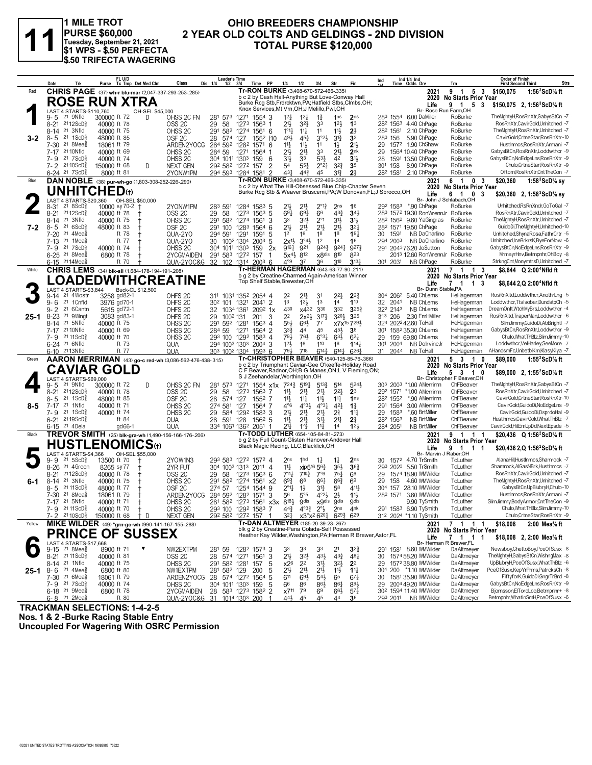

# 1 MILE TROT<br>PURSE \$60,000<br>Tuesday, September 21, 2021<br>\$1 WPS = \$.50 PERFECTA **\$.50 TRIFECTA WAGERING**

## OHIO BREEDERS CHAMPIONSHIP 2 YEAR OLD COLTS AND GELDINGS - 2ND DIVISION **TOTAL PURSE \$120,000**

|         | Date<br>Trk                                                         | FL U/D                                                                            | Class<br>Dis 1/4<br>1/2                                      | <b>Leader's Time</b><br>3/4<br>Time PP        |                                                                                            |                                                                       | Fin<br>Str                                                             | Ind 1/4 Ind<br>Time Odds Drv<br>Ind                         |                                         | Order of Finish<br><b>First Second Third</b><br>Strs                      |
|---------|---------------------------------------------------------------------|-----------------------------------------------------------------------------------|--------------------------------------------------------------|-----------------------------------------------|--------------------------------------------------------------------------------------------|-----------------------------------------------------------------------|------------------------------------------------------------------------|-------------------------------------------------------------|-----------------------------------------|---------------------------------------------------------------------------|
| Red     |                                                                     | Purse Tc Tmp Det Med Clm<br>CHRIS PAGE (37) wh-r blu-mar (2,047-337-293-253-.285) |                                                              |                                               | 1/4<br>1/2<br>Tr-RON BURKE (3,408-670-572-466-.335)                                        | 3/4                                                                   |                                                                        | 2021                                                        | Trn<br>9 1 5 3 \$150,075                | 1:56 $3$ ScD $\%$ ft                                                      |
|         |                                                                     | <b>ROSE RUN XTRA</b>                                                              |                                                              |                                               | b c 2 by Cash Hall-Anything But Love-Conway Hall                                           |                                                                       |                                                                        |                                                             | 2020 No Starts Prior Year               |                                                                           |
|         | 4 STARTS-\$110.760                                                  |                                                                                   |                                                              |                                               | Knox Services, Mt Vrn, OH; J Melillo, Pwl, OH                                              |                                                                       | Burke Rcg Stb, Frdrcktwn, PA; Hatfield Stbs, Clmbs, OH;                | Life<br>Br- Rose Run Farm, OH                               | 1 5 3<br>9                              | \$150,075 2, 1:56 ${}^3$ ScD% ft                                          |
|         | LAST<br>21 9Nfld<br>9-5                                             | OH-SEL \$45,000<br>300000 ft 72<br>D                                              | OHSS 2C FN<br>281 573                                        | 1271 1554 3                                   | $12\frac{1}{4}$<br>$1^{2}$                                                                 | $1\frac{3}{4}$                                                        | 1 <sub>ns</sub><br>2 <sub>ns</sub>                                     | 283 1554 6.00 DaMiller                                      | RoBurke                                 | TheMghtyHRosRnXtr,GabysBtCn -7                                            |
|         | 2112ScD<br>8-21                                                     | 40000 ft 78                                                                       | OSS <sub>2C</sub><br>29<br>58                                | 1273<br>$1563$ 1                              | 21}                                                                                        | $3^{2}\frac{3}{4}$<br>33                                              | 12 <sup>1</sup><br>1 <sup>3</sup>                                      | 28 <sup>2</sup> 156 <sup>3</sup> 4.40 ChPage                | RoBurke                                 | RosRnXtr,CavirGold,Unhitched -7                                           |
|         | 21 3Nfld<br>8-14                                                    | 40000 ft 75                                                                       | 291<br>OHSS <sub>2C</sub><br>582                             | 1274<br>$1561$ 6                              | $1^{\circ}1\frac{1}{2}$<br>$11\frac{1}{4}$                                                 | 11                                                                    | $11\frac{1}{2}$<br>$2\frac{1}{2}$                                      | 2.10 ChPage<br>282 1561                                     | RoBurke                                 | TheMghtyH,RosRnXtr,Unhitched -7                                           |
| $3 - 2$ | $21 \text{ } 1$ ScD $\frac{5}{8}$<br>$8 - 5$<br>$7 - 30$<br>21 8Mea | 48000 ft 85<br>18061 ft 79                                                        | OSF <sub>2C</sub><br>28<br>574<br>ARDEN2YOCG                 | 127<br>1552 [10<br>284 592 1282<br>1571 6     | 491<br>453<br>$11\frac{1}{2}$<br>11支                                                       | 3°23<br>11                                                            | 3 <sup>3</sup><br>$3^{13}$<br>$21\frac{1}{2}$<br>$1\frac{1}{2}$        | 283 156<br>5.90 ChPage<br>1572 1.90 ChShaw<br>29            | RoBurke<br>RoBurke                      | CavirGold,CrtneStar,RosRnXtr-10<br>HustInmcs.RosRnXtr.Armani -7           |
|         | 21 10Nfld<br>$7 - 17$                                               | 40000 ft 69                                                                       | OHSS <sub>2C</sub><br>284 59                                 | 1271<br>1564 1                                | 21}<br>21}                                                                                 | 33                                                                    | 2 <sup>11</sup><br>2 <sub>nk</sub>                                     | 1564 10.40 ChPage<br>29                                     | RoBurke                                 | GabysBtCn,RosRnXtr,Loddwthcr -9                                           |
|         | 7-9 21 7 ScD                                                        | 40000 ft 74                                                                       | OHSS <sub>2C</sub>                                           | 304 1011 1303<br>159<br>- 6                   | 3½<br>33                                                                                   | $5^{31}$                                                              | 3 <sup>1</sup><br>42                                                   | 28<br>1591 13.50 ChPage                                     | RoBurke                                 | GabysBtCn, NoEdgeLns, RosRnXtr -9                                         |
|         | 7-2 2110ScD                                                         | 150000 ft 68<br>D                                                                 | <b>NEXT GEN</b><br>292 582                                   | 1272 157                                      | 553<br>$\overline{2}$<br>54                                                                | $2^{\circ}2^{\frac{1}{4}}$                                            | $3^{2^{3}}$<br>3 <sub>5</sub>                                          | 301<br>158<br>8.90 ChPage                                   | RoBurke                                 | Chulo,CrtneStar,RosRnXtr -9                                               |
|         | 6-24 <sup>21</sup> 7 ScD                                            | 8000 ft 81                                                                        | 2YONW1PM                                                     | 294 593 1284 1581<br>$\overline{\phantom{a}}$ | 431                                                                                        | $44\frac{3}{4}$<br>45                                                 | 2 <sup>1</sup><br>$3^{13}$                                             | 282 1581<br>2.10 ChPage                                     | RoBurke                                 | Oftom.RosRnXtr.CntTheCon -7                                               |
| Blue    |                                                                     | DAN NOBLE (38) pur-wh-go (1,803-308-252-226-.290)                                 |                                                              |                                               | Tr-RON BURKE (3,408-670-572-466-.335)                                                      |                                                                       | b c 2 by What The Hill-Obsessed Blue Chip-Chapter Seven                | 2021<br>2020                                                | 6 1 0 3<br><b>No Starts Prior Year</b>  | \$20,360<br>1:58 $3$ ScD $\%$ sy                                          |
|         | <b>UNHITCHED(1)</b>                                                 |                                                                                   |                                                              |                                               |                                                                                            |                                                                       | Burke Rcg Stb & Weaver Bruscemi, PA; W Donovan, FL; J Sbrocco, OH      | Life                                                        | 1 0 3<br>6                              | \$20,360 2, 1:58 ${}^{3}$ ScD ${}^{5}$ sv                                 |
|         | LAST 4 STARTS-\$20,360                                              | OH-SEL \$50,000                                                                   |                                                              |                                               |                                                                                            |                                                                       |                                                                        |                                                             | Br- John J Schlabach.OH                 | Unhitched.RsRnXndr.GoToGal -7                                             |
|         | $8 - 31$<br>218SCD <sub>8</sub><br>2112ScD<br>$8 - 21$              | 10000 sy 70-2 +<br>40000 ft 78                                                    | 2YONW1PM<br>283 591<br>29<br>58<br>OSS <sub>2C</sub>         | 1284<br>$1583$ 5<br>1273<br>$156^3$ 5         | 21号<br>21}<br>$69\frac{1}{4}$<br>691                                                       | $2^{\circ}1_{4}^{3}$<br>66                                            | 2 <sub>ns</sub><br>16<br>$4^{3}\frac{3}{4}$<br>343                     | 292 1583 *.90 ChPage<br>283 1572 19.30 RonWrennJr RoBurke   | RoBurke                                 | RosRnXtr,CavirGold,Unhitched -7                                           |
|         | 21 3Nfld<br>8-14                                                    | 40000 ft 75                                                                       | OHSS <sub>2C</sub><br>291 582                                | 1274<br>1561<br>3                             | 33                                                                                         | 32}<br>$2^{\circ}1$                                                   | 3 <sup>1</sup><br>3 <sup>1</sup>                                       | 28 <sup>2</sup> 156 <sup>2</sup> 9.60 YaGingras             | RoBurke                                 | TheMghtyH,RosRnXtr,Unhitched -7                                           |
| 7-2     | $216$ ScD $\frac{1}{2}$<br>$8 - 5$                                  | 48000 ft 83                                                                       | OSF <sub>2C</sub><br>291 100                                 | 1283<br>15646                                 | $21\frac{1}{2}$<br>$21\frac{1}{2}$                                                         | $21\frac{1}{2}$                                                       | 2 <sup>11</sup><br>$3^{2}$                                             | 28 <sup>2</sup> 1571 19.50 ChPage                           | RoBurke                                 | GuidoDi,TheMghtyH,Unhitched-10                                            |
|         | $21.4$ Mea $\frac{3}{8}$<br>$7 - 20$                                | ft 78                                                                             | QUA-2YO<br>294 591                                           | 1291<br>1591<br>5                             | 1 <sup>2</sup><br>16                                                                       | 18                                                                    | 19 <sub>7</sub><br>1 <sup>8</sup>                                      | 1591<br>NB DaCharlino<br>30                                 | RoBurke                                 | Unhitched, ShynaRosa, FathrCrtr - 5                                       |
|         | $7-13$<br>$21$ 1Mea $\frac{3}{8}$<br>$7 - 9$<br>217SCD <sub>2</sub> | ft 77<br>40000 ft 74                                                              | QUA-2YO<br>30<br>OHSS <sub>2C</sub>                          | 1002 1304<br>2003<br>304 1011 1303<br>159     | 2x1}<br>5<br>2x<br>$9^{16}\frac{1}{4}$<br>921                                              | 3°43<br>1 <sup>2</sup><br>9243                                        | 14<br>16<br>9273<br>9241                                               | NB DaCharlino<br>294 2003<br>291 2043 76.20 JoSutton        | RoBurke<br>RoBurke                      | Unhitched,IceBrkrsK,ByeForNow -6<br>GabysBtCn, NoEdgeLns, RosRnXtr -9     |
|         | 6-25 <sup>21</sup> 8Mea                                             | 6800 ft 78                                                                        | 2YCGMAIDEN                                                   | 291 583 1272 157<br>$\mathbf{1}$              | $5x^{4}\frac{1}{2}$<br>812                                                                 | $x8$ <sub>dis</sub>                                                   | 819<br>823                                                             | 2013 12.60 RonWrennJr                                       | RoBurke                                 | MrmayrHnv,Betrnpnhr,OhBoy -8                                              |
|         | 6-15 <sup>21</sup> 14Mea                                            | ft 70                                                                             | QUA-2YOC&G                                                   | 32 102 1314 2003 6                            | $4^{\circ}9$<br>37                                                                         | 36                                                                    | 310<br>$3^{13}$                                                        | 301 2031<br>NB ChPage                                       | RoBurke                                 | StrkngCnt,MonymtrsD,Unhitched -7                                          |
| White   |                                                                     | CHRIS LEMS (34) blk-sil (1,684-178-194-191-208)                                   |                                                              |                                               | Tr-HERMAN HAGERMAN (643-63-77-90-.211)                                                     |                                                                       |                                                                        | 2021                                                        | 7 1 1<br>3                              | \$8.644 Q 2:00 <sup>4</sup> Nfld ft                                       |
|         |                                                                     | <b>OADEDWITHCREATINE</b>                                                          |                                                              |                                               | Top Shelf Stable, Brewster, OH                                                             |                                                                       | b q 2 by Creatine-Charmed Again-American Winner                        | 2020<br>Life                                                | No Starts Prior Year<br>7 1 1 3         |                                                                           |
|         | LAST 4 STARTS-\$3,844                                               | Buck-CL \$12,500                                                                  |                                                              |                                               |                                                                                            |                                                                       |                                                                        | Br- Dunn Stable, PA                                         |                                         | \$8,644 2,Q 2:00 <sup>4</sup> Nfld ft                                     |
|         | 21 4Wostr<br>$9 - 14$                                               | 3258 gd82-1                                                                       | OHFS <sub>2C</sub>                                           | 311 1031 1352 2054 4                          | 22<br>21}                                                                                  | 31                                                                    | $2^{2}\frac{1}{2}$<br>$2^{2}\frac{3}{4}$                               | 304 2062 5.40 ChLems                                        | HeHagerman                              | RosRnXltd,Loddwthcr,AnothrLng -5                                          |
|         | 21 1 Cnfld<br>$9 - 6$                                               | 3976 gd70-1                                                                       | OHFS <sub>2C</sub><br>30 <sup>2</sup> 101                    | 2041<br>$\overline{2}$<br>1321                | 1 <sup>3</sup>                                                                             | $12\frac{1}{2}$<br>1 <sup>3</sup>                                     | 14<br>110                                                              | 2041<br>NB ChLems<br>32                                     | HeHagerman                              | Loddwthcr.TtsIsobar.DundstpCh -5                                          |
| 25-1    | $9 - 2$<br>21 6 Cantn<br>$8 - 23$<br>21 9Wlnat                      | 5615 gd72-1<br>3083 gd83-1                                                        | OHFS <sub>2C</sub><br>32<br>OHFS <sub>20</sub><br>29         | 1034 1361<br>$209^2$ 1x<br>1002 131<br>201    | 430<br>2 <sup>2</sup><br>3                                                                 | x432<br>330<br>$3^{17}$<br>$2x^{2}\frac{1}{2}$                        | 332<br>$3^{25}$<br>3201<br>$3^{25}$                                    | 322 2143<br>NB ChLems<br>313 206<br>2.30 EmHMiller          | HeHagerman<br>HeHagerman                | DreamOnIt, WtchMyBrs, Loddwthcr -4<br>RosRnXltd,TraperMan,Loddwthcr -6    |
|         | 21 5Nfld<br>8-14                                                    | 40000 ft 75                                                                       | OHSS <sub>2C</sub>                                           | 291 592 1281<br>$156^3$ 4                     | 55}                                                                                        | 66}<br>$7^7$                                                          | x7x <sup>15</sup> 729}                                                 | 324 2022 42.60 ToHall                                       | HeHagerman                              | SlimJimmy, GuidoDi, AbBrightl -7                                          |
|         | 7-17 21 10 Nfld                                                     | 40000 ft 69                                                                       | OHSS <sub>2C</sub><br>284 59                                 | 1271<br>1564 2                                | 33}<br>44                                                                                  | 45                                                                    | 3 <sup>8</sup><br>$45\frac{1}{2}$                                      | 1582 35.30 ChLems<br>301                                    | HeHagerman                              | GabysBtCn,RosRnXtr,Loddwthcr -9                                           |
|         | 21 11 ScD <sup>5</sup><br>7-9                                       | 40000 ft 70                                                                       | OHSS <sub>2C</sub>                                           | 293 100 1292<br>1583 4                        | 791                                                                                        | 6°3 <sup>1</sup><br>76}                                               | $63\frac{1}{2}$<br>$6^{2}$                                             | 29<br>159 69.80 ChLems                                      | HeHagerman                              | Chulo, What ThBIz, SlimJimmy-10                                           |
|         | 6-24 <sup>21</sup> 6Nfld                                            | ft 73<br>ft 77                                                                    | QUA                                                          | 294 1003 1303 2004 3                          | 12 <sup>1</sup><br>16<br>793                                                               | 110<br>$6^{14}$                                                       | 1 <sup>8</sup><br>1143<br>$6^{26}$                                     | 301 2004<br>NB DolrvineJr                                   | HeHagerman<br>HeHagerman                | Loddwthcr.VelHarlev.SeeMore -7<br>AHandsmFc,UnbetblKm,KlasyKiya -7        |
| Green   | 6-10 2113Nfld                                                       | AARON MERRIMAN (43) go-c red-wh (3,086-562-476-438-.315)                          | QUA                                                          | 303 1002 1304 1593 6                          | $7^{18}$                                                                                   |                                                                       | $6^{14}$<br>Tr-CHRISTOPHER BEAVER (540-125-85-76-366)                  | 31 2044<br>NB ToHall<br>2021                                | 5310                                    | 1:55 $2$ ScD $\%$ ft<br>\$89,000                                          |
|         |                                                                     |                                                                                   |                                                              |                                               |                                                                                            |                                                                       | b c 2 by Triumphant Caviar-Gee O'keeffe-Holiday Road                   | 2020                                                        | No Starts Prior Year                    |                                                                           |
|         |                                                                     | <b>CAVIAR GOLD</b>                                                                |                                                              |                                               | S J Zeehandelar, Worthington, OH                                                           |                                                                       | C F Beaver, Radnor, OH; B G Manes, ON; L V Fleming, ON;                | Life                                                        | 5 3 1 0<br>Br- Christopher F Beaver, OH | \$89,000 2, 1:55 <sup>2</sup> ScD <sup>5</sup> / <sub>8</sub> ft          |
|         | LAST 4 STARTS-\$69,000<br>21 9Nfld<br>9-5                           | 300000 ft 72<br>D                                                                 | OHSS 2C FN<br>281<br>573                                     | 1271                                          | 1554 $x1x$ 724 $\frac{3}{4}$                                                               | $5^{19}$<br>$5^{13}\frac{3}{4}$                                       | 514<br>5243                                                            | 303 2003 *1.00 AMerrimn                                     | ChFBeaver                               | TheMghtyH,RosRnXtr,GabysBtCn -7                                           |
|         | 2112ScD <sup>3</sup><br>$8 - 21$                                    | 40000 ft 78                                                                       | OSS <sub>2C</sub><br>29<br>58                                | $1563$ 7<br>1273                              | $21\frac{1}{2}$<br>$11\frac{1}{2}$                                                         | 21}                                                                   | $2^{2}$<br>2 <sup>3</sup>                                              | 292 1571 *1.00 AMerrimn                                     | ChFBeaver                               | RosRnXtr,CavirGold,Unhitched -7                                           |
|         | 21 1ScD <sup>3</sup><br>8-5                                         | 48000 ft 85                                                                       | OSF <sub>2C</sub><br>28<br>574                               | 127<br>1552 7                                 | 11}<br>11                                                                                  | $11\frac{1}{2}$                                                       | $11\frac{1}{4}$<br>1 <sub>ns</sub>                                     | 282 1552<br>*.90 AMerrimn                                   | ChFBeaver                               | CavirGold,CrtneStar,RosRnXtr-10                                           |
| 8-5     | 21 1Nfld<br>7-17<br>$21 \text{ } 1$ ScD $\frac{5}{8}$<br>7- 9       | 40000 ft 71<br>40000 ft 74                                                        | OHSS <sub>2C</sub><br>274 581<br>OHSS <sub>2C</sub><br>29    | 127<br>1564 7<br>584 1292<br>$1583$ 3         | $4^{\circ}6$<br>$21\frac{1}{2}$<br>21}                                                     | $4^{\circ}3\frac{1}{2}$<br>$4^{\circ}3^{\frac{1}{4}}$<br>21}          | $1\frac{3}{4}$<br>421<br>$11\frac{1}{4}$                               | 291 1564<br>3.00 AMerrimn<br>1583<br>*.60 BrtMiller<br>29   | ChFBeaver<br>ChFBeaver                  | CavirGold,GuidoDi,NoEdgeLns -9<br>CavirGold,GuidoDi,DsprdoHal -9          |
|         | 6-21 2119ScD <sup>5</sup>                                           | ft 84                                                                             | QUA<br>28                                                    | 591 128<br>$156^2$ 5                          | 11<br>2 <sup>11</sup>                                                                      | 3½                                                                    | $2\frac{3}{4}$<br>2 <sup>11</sup><br>21                                | <b>NB BrtMiller</b><br>282 1563                             | ChFBeaver                               | HustInmcs,CavirGold,WhatThBlz -7                                          |
|         | 6-15 <sup>21</sup> 4Dela                                            | gd66-1                                                                            | QUA                                                          | 334 1061 1362 2051 1                          | $21\frac{1}{4}$<br>$1^{\circ}$                                                             | $11\frac{1}{2}$                                                       | 123<br>14                                                              | <b>NB BrtMiller</b><br>284 2051                             | ChFBeaver                               | CavirGold,HitEmUpDd,NextEpsde -5                                          |
| Black   |                                                                     | TREVOR SMITH (25) blk-gra-wh (1,490-156-166-176-.206)                             |                                                              |                                               | Tr-TODD LUTHER (654-105-84-81-273)                                                         |                                                                       |                                                                        | 2021                                                        | 9 1 1 1                                 | \$20,436 Q 1:56 <sup>2</sup> ScD% ft                                      |
|         |                                                                     | <b>HUSTLENOMICS(t)</b>                                                            |                                                              |                                               | b g 2 by Full Count-Glisten Hanover-Andover Hall<br>Black Magic Racing, LLC, Blacklick, OH |                                                                       |                                                                        | 2020<br>Life                                                | No Starts Prior Year<br>9 1 1<br>-1     | \$20,436 2,Q 1:56 'ScD% ft                                                |
|         | LAST 4 STARTS-\$4,366                                               | OH-SEL \$55,000                                                                   |                                                              |                                               |                                                                                            |                                                                       |                                                                        | Br- Marvin J Raber, OH                                      |                                         |                                                                           |
|         | $21\,5$ ScD $\frac{3}{8}$<br>9-9                                    | 13500 ft 70                                                                       | 2YOW1N3                                                      | 293 583 1272 1572 4                           | 2 <sub>ns</sub><br>1 <sub>hd</sub>                                                         | $1\frac{1}{4}$                                                        | $1\frac{1}{4}$<br>2 <sub>ns</sub>                                      | 1572 4.70 TrSmith<br>30                                     | ToLuther<br>ToLuther                    | AlanaHill,HustInmcs,Shamrock -7                                           |
|         | 21 4Green<br>$8 - 26$                                               |                                                                                   | 2YR FUT                                                      | 304 1003 1313<br>$2011$ 4                     | $11\frac{1}{4}$                                                                            | xip516 563                                                            | 3 <sup>5</sup><br>$36\frac{3}{4}$                                      | 293 2023 5.50 TrSmith                                       |                                         | Shamrock, AlGasNBrk, HustInmcs -7<br>RosRnXtr.CavirGold.Unhitched -7      |
|         |                                                                     | 8265 sy 77                                                                        |                                                              |                                               |                                                                                            |                                                                       |                                                                        |                                                             |                                         |                                                                           |
|         | $2112$ ScD $\frac{5}{8}$<br>8-21                                    | 40000 ft 78                                                                       | 58<br>OSS <sub>2C</sub><br>29                                | 1273<br>$156^3$ 6                             | $711\frac{1}{4}$                                                                           | $7^{10\frac{3}{4}}$<br>7°6                                            | $75\frac{1}{4}$<br>66                                                  | 29<br>1574 18.90 WMWilder                                   | ToLuther                                |                                                                           |
| 6-1     | 21 3Nfld<br>$8 - 14$<br>21 11 ScD<br>8-5                            | 40000 ft 75<br>48000 ft 77                                                        | OHSS <sub>2C</sub><br>291 582<br>OSF <sub>2C</sub><br>274 57 | 1274 1561<br>1254 1544 9                      | $69\frac{3}{4}$<br>6 <sup>8</sup><br>х2<br>2°1<br>$1\frac{1}{2}$                           | 661<br>31}                                                            | $66\frac{3}{4}$<br>6 <sup>9</sup><br>4111<br>58                        | 29<br>158<br>4.60 WMWilder<br>304<br>157<br>28.10 WMWilder  | ToLuther<br>ToLuther                    | TheMghtyH,RosRnXtr,Unhitched -7<br>GabysBtCn,UpBlubryH,Chulo-10           |
|         | 7-30 21 8Meas                                                       | 18061 ft 79                                                                       | ARDEN2YOCG                                                   | 284 592 1282 1571 3                           | 56                                                                                         | $4^{\circ}2\frac{1}{2}$<br>$5^{\circ}5$                               | $2\frac{1}{2}$<br>$1\frac{11}{2}$                                      | 282 1571 3.60 WMWilder                                      | ToLuther                                | HustInmcs.RosRnXtr.Armani -7                                              |
|         | 7-17 21 5Nfld                                                       | 40000 ft 71                                                                       | OHSS <sub>2C</sub>                                           | 281 582 1273 1561 x3x 8181                    |                                                                                            | <b>gdis</b><br>x9dis                                                  | <b>gdis</b><br><b>Odis</b>                                             | 9.90 TySmith                                                | ToLuther                                | SlimJimmy,BodyArmor,CntTheCon -9                                          |
|         | 7-9 2111ScD <sup>3</sup>                                            | 40000 ft 70<br>$\ddagger$                                                         | OHSS <sub>2C</sub>                                           | 293 100 1292 1583 7                           | 44}                                                                                        | $4^{\circ}3^3_4$ $2^{\circ}3_2$                                       | 2 <sub>ns</sub><br>4 <sup>nk</sup>                                     | 291 1583 6.90 TySmith                                       | ToLuther                                | Chulo, What ThBlz, SlimJimmy-10                                           |
| Yellow  | 7-2 2110ScD <sup>3</sup>                                            | 150000 ft 68 + D                                                                  | NEXT GEN                                                     | 292 582 1272 157 1                            | $3^{21}$<br>Tr-DAN ALTMEYER (185-20-39-23-.267)                                            | x3°x <sup>2</sup> 6 <sup>20</sup> 4 6 <sup>29</sup> 4 6 <sup>29</sup> |                                                                        | 312 2024 *1.10 TySmith                                      | ToLuther                                | Chulo,CrtneStar,RosRnXtr -9                                               |
|         |                                                                     | MIKE WILDER (49) *grn-go-wh (990-141-167-155-288)                                 |                                                              |                                               | blk g 2 by Creatine-Pana Colada-Self Possessed                                             |                                                                       |                                                                        | 2021<br>2020                                                | 7 1 1 1<br>No Starts Prior Year         | \$18,008<br>2:00 Mea <sup>5</sup> / <sub>s</sub> ft                       |
|         |                                                                     | <b>PRINCE OF SUSSEX</b>                                                           |                                                              |                                               |                                                                                            |                                                                       | Heather Kay Wilder, Washington, PA; Herman R Brewer, Astor, FL         | Life                                                        | 7 1 1 1                                 | \$18,008 2, 2:00 Mea <sup>5</sup> / <sub>8</sub> ft                       |
|         | LAST 4 STARTS-\$17,668<br>$9-15$ 21 8Mea $\frac{5}{8}$              | 8900 ft 71<br>▼                                                                   | NW2EXTPM<br>281 59                                           | 128 <sup>2</sup> 1573 3                       | 33<br>33                                                                                   | 33                                                                    | 2 <sup>1</sup><br>$3^{24}$                                             | Br- Herman R Brewer, FL<br>291 1581 8.60 WMWilder           | DaAltmeyer                              | Newsboy, GhettoBoy, PceOfSusx -8                                          |
|         | 8-21 2111ScD <sup>3</sup>                                           | 40000 ft 81                                                                       | OSS <sub>2C</sub><br>28                                      | 574 1271 1561 3                               | 21}<br>$3^{2}$                                                                             | 43}                                                                   | $4^{3}\frac{3}{4}$<br>481                                              | 30<br>1574 58.20 WMWilder                                   | DaAltmeyer                              | TheMghtyH,GabysBtCn,WishngMax -8                                          |
|         | 8-14 <sup>21</sup> 1Nfld                                            | 40000 ft 75                                                                       | OHSS <sub>2C</sub>                                           | 291 582 1281 157                              | 5<br>x2 <sup>6</sup><br>2 <sup>2</sup>                                                     | 34                                                                    | $3^{2}\frac{1}{2}$<br>2 <sup>2</sup>                                   | 1572 38.80 WMWilder<br>29                                   | DaAltmeyer                              | UpBlubrvH.PceOfSusx.WhatThBlz -6                                          |
|         | <b>25-1</b> 8-6 <sup>21</sup> 4Mea <sup>§</sup>                     | 6800 ft 80                                                                        | NW1EXTPM                                                     | 281 582 129<br>200<br>5                       | $21\frac{1}{2}$<br>2 <sup>11</sup>                                                         | 21}                                                                   | 11号<br>$1^{11}$                                                        | 304 200 *1.10 WMWilder                                      | DaAltmeyer                              | PceOfSusx,KepYrPrms,PatrcksCh -8                                          |
|         | 7-30 <sup>21</sup> 6Mea}<br>$7 - 9$ 21 $7 \text{ScD} \frac{5}{8}$   | 18061 ft 79<br>40000 ft 74                                                        | ARDEN2YOCG                                                   | 28 574 1272 1564 5                            | 611<br>$69\frac{1}{2}$<br>66<br>86                                                         | $5^{4}$<br>86}                                                        | 65<br>$67\frac{1}{4}$<br>$89\frac{1}{2}$                               | 1581 35.90 WMWilder<br>30<br>29 2004 49.20 WMWilder         | DaAltmeyer<br>DaAltmeyer                | FiftyforK,GuidoDi,GngrTrBrd -8<br>GabysBtCn,NoEdgeLns,RosRnXtr -9         |
|         | 6-18 <sup>21</sup> 9 Meas<br>$6 - 8$ 21 2Mea $\frac{3}{8}$          | 6800 ft 78<br>ft $80$                                                             | OHSS 2C<br>2YCGMAIDEN<br>QUA-2YOC&G 31 1014 1303 200 1       | 304 1011 1303 159 5<br>28 583 1273 1582 2     | 79<br>x711<br>44}<br>45                                                                    | 6 <sup>9</sup><br>45                                                  | $86\frac{1}{4}$<br>$66\frac{1}{2}$<br>$5^{71}$<br>44<br>3 <sup>6</sup> | 30 <sup>2</sup> 1594 11.40 WMWilder<br>293 2011 NB WMWilder | DaAltmeyer<br>DaAltmeyer                | Bjornsson,ElToroLco,Betrnpnhr+ -8<br>Betrnpnhr, What In SmH, PceOfSusx -6 |

TRACKMAN SELECTIONS: 1-4-2-5<br>Nos. 1 & 2 -Burke Racing Stable Entry<br>Uncoupled For Wagering With OSRC Permission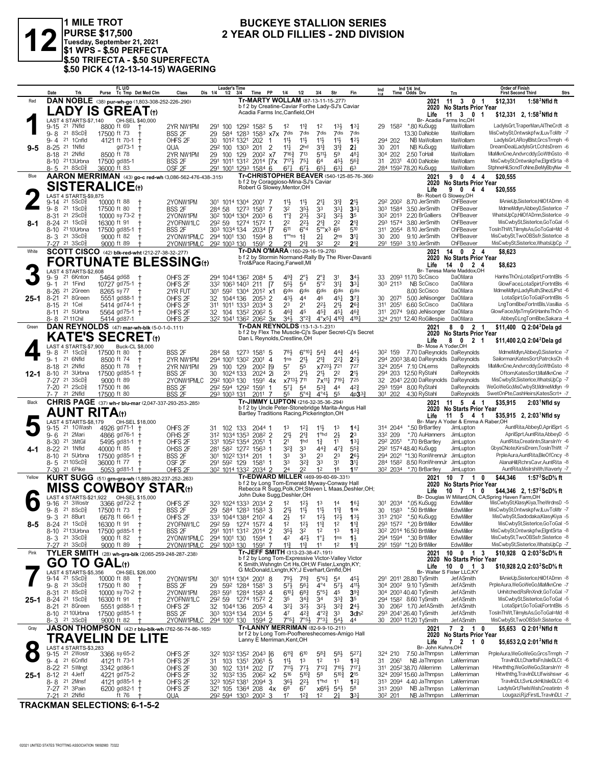

1 MILE TROT<br>PURSE \$17,500<br>Tuesday, September 21, 2021<br>\$1 WPS - \$.50 PERFECTA<br>J\$.50 TRIFECTA - \$.50 SUPERFECTA \$.50 PICK 4 (12-13-14-15) WAGERING

## **BUCKEYE STALLION SERIES** 2 YEAR OLD FILLIES - 2ND DIVISION

|         | Date<br>Trk                                                                 | FL U/D<br>Purse Tc Tmp Det Med Clm                           | Class                                    | <b>Leader's Time</b><br>$1/2$ $3/4$<br>Dis 1/4 | Time PP                                                                                                 | 1/4                                     | 1/2                                          | 3/4                                                                  | Str                               | Fin                                    | Ind                              |      | Ind 1/4 Ind<br>Time Odds Drv                                              | Trn                                                                 | <b>Order of Finish</b><br><b>Strs</b><br><b>First Second Third</b>     |
|---------|-----------------------------------------------------------------------------|--------------------------------------------------------------|------------------------------------------|------------------------------------------------|---------------------------------------------------------------------------------------------------------|-----------------------------------------|----------------------------------------------|----------------------------------------------------------------------|-----------------------------------|----------------------------------------|----------------------------------|------|---------------------------------------------------------------------------|---------------------------------------------------------------------|------------------------------------------------------------------------|
| Red     |                                                                             | DAN NOBLE (38) pur-wh-go (1,803-308-252-226-.290)            |                                          |                                                | Tr-MARTY WOLLAM (87-13-11-15-277)                                                                       |                                         |                                              |                                                                      |                                   |                                        |                                  |      | 2021                                                                      | 11<br>$\mathbf{3}$<br>0 <sub>1</sub>                                | \$12,331<br>1:58 $2$ Nfld ft                                           |
|         |                                                                             | <b>LADY IS GREAT</b> (t)                                     |                                          |                                                | b f 2 by Creatine-Caviar Forthe Lady-SJ's Caviar<br>Acadia Farms Inc, Canfield, OH                      |                                         |                                              |                                                                      |                                   |                                        |                                  |      | Life                                                                      | 2020 No Starts Prior Year<br>11 3 0 1                               | \$12,331 2, 1:58 <sup>2</sup> Nfld ft                                  |
|         | LAST 4 STARTS-\$7.140                                                       | OH-SEL \$40,000                                              |                                          |                                                |                                                                                                         |                                         |                                              |                                                                      |                                   |                                        |                                  |      |                                                                           | Br- Acadia Farms Inc,OH                                             |                                                                        |
|         | 21 7Nfld<br>$9-15$<br>21 8 ScD <sup>3</sup>                                 | 8800 ft 69                                                   | 2YR NW1PM                                | 291 100                                        | 1292 1582 5                                                                                             | 1 <sup>2</sup>                          | $11\frac{3}{4}$<br>7dis                      | 1 <sup>2</sup><br>7dis                                               | 13}<br>7dis                       | $13\frac{1}{4}$<br>7dis                | 29                               | 1582 | *.80 KuSugg<br>13.30 DaNoble                                              | MaWollam<br>MaWollam                                                | LadylsGrt, TraperMan, AlTheCrdt -8<br>MisCwbySt,Ontwskpfw,ILuvToMtr -7 |
|         | $9 - 8$<br>21 1 Cnfld<br>9-4                                                | 17500 ft 73<br>4121 ft 70-1<br>$^{\mathrm{+}}$               | BSS 2F<br>OHFS <sub>2F</sub>             | 29<br>584<br>30<br>1012 1321                   | 1283 1583 x7x<br>-202<br>-1                                                                             | 7dis<br>$11\frac{1}{2}$                 | $11\frac{1}{2}$                              | $11\frac{1}{2}$                                                      | 11}                               | 123                                    | 294 202                          |      | NB MaWollam                                                               | MaWollam                                                            | LadyIsGrt,ARoylBlst,GrcsTrmph -6                                       |
| $9 - 5$ | 8-25 <sup>21</sup> 1Nfld                                                    | $gd73-1 +$                                                   | QUA                                      | 292 100 1303                                   | 2<br>201                                                                                                | 11                                      | 2 <sub>hd</sub>                              | 3 <sup>12</sup>                                                      | $3^{13}$                          | 2 <sup>1</sup>                         | 30                               | 201  | NB KuSugg                                                                 | MaWollam                                                            | DreamDeal,LadyIsGrt,CchtsDrem -6                                       |
|         | 8-18 <sup>21</sup> 2Nfld                                                    | 8500 ft 78                                                   | 2YR NW1PM                                | 29<br>100                                      | 129<br>$200^2$ x7                                                                                       | $7^{16}\frac{3}{4}$                     | $7^{13}$                                     | $5^{11}$                                                             | 59                                | 48 <sub>1</sub>                        | 304 202                          |      | 2.50 ToHall                                                               | MaWollam                                                            | MlaMknCne, And vrcddy, GoWth Gsto -8                                   |
|         | 8-10 <sup>21</sup> 13Urbna<br>8-5 21 8 ScD <sup>3</sup>                     | 17500 gd85-1<br>36000 ft 83                                  | <b>BSS 2F</b><br>OSF <sub>2F</sub>       |                                                | 291 1011 1312 2014 [7x]<br>291 1001 1293 1584 6                                                         | $7^{17}\frac{1}{2}$<br>$67\frac{1}{4}$  | $75\frac{1}{4}$<br>$67\frac{1}{2}$           | 64<br>$65\frac{1}{4}$                                                | 45}<br>$63\frac{1}{4}$            | $56\frac{3}{4}$<br>6 <sup>3</sup>      | 31                               |      | 2031 4.00 DaNoble<br>284 1592 78.20 KuSugg                                | MaWollam<br>MaWollam                                                | MisCwbySt,Ontwskpfw,ElgntSrta -8<br>StphneHil,ScndToNne,BeMyBbyNw -8   |
| Blue    |                                                                             | AARON MERRIMAN (43) go-c red-wh (3,086-562-476-438-.315)     |                                          |                                                | Tr-CHRISTOPHER BEAVER (540-125-85-76-366)                                                               |                                         |                                              |                                                                      |                                   |                                        |                                  |      | 2021                                                                      | 9 0 4 4                                                             | \$20,555                                                               |
|         |                                                                             | <b>SISTERALICE</b> (t)                                       |                                          |                                                | b f 2 by Coraggioso-Mina-SJ's Caviar<br>Robert G Slowey, Mentor, OH                                     |                                         |                                              |                                                                      |                                   |                                        |                                  |      | 2020                                                                      | <b>No Starts Prior Year</b>                                         |                                                                        |
|         | <b>LAST 4 STARTS-\$9,875</b>                                                |                                                              |                                          |                                                |                                                                                                         |                                         |                                              |                                                                      |                                   |                                        |                                  |      | Life                                                                      | 9 0 4 4<br>Br- Robert G Slowey, OH                                  | \$20,555                                                               |
|         | $9-14$ 21 5 ScD                                                             | 10000 ft 88                                                  | 2YONW1PM                                 | 301 1014 1304 2001                             | -7                                                                                                      | $11\frac{1}{2}$                         | $11\frac{1}{2}$                              | 2 <sup>11</sup>                                                      | 31}                               | 2 <sup>1</sup>                         |                                  |      | 292 2002 8.70 JerSmith                                                    | ChFBeaver                                                           | IlAnieUp.SisterIce.HilOfADmn -8                                        |
|         | 21 1ScD<br>$9 - 8$<br>8-31 21 2ScD <sup>5</sup>                             | 17500 ft 80<br>$\pm$<br>10000 sy 73-2 $+$                    | <b>BSS 2F</b><br>2YONW1PM                | 284 58<br>302 1004 1304                        | 1273 1581<br>-7<br>$200^3$ 6                                                                            | 32<br>$1^{\circ}$                       | $35\frac{1}{2}$<br>$2^{3}$                   | 33<br>$3^{2}$                                                        | 331<br>$3^{2}$                    | 3 <sup>3</sup><br>3 <sub>5</sub>       | 303 1584<br>30 <sup>2</sup> 2013 |      | 3.50 JerSmith<br>2.20 BrGalliers                                          | ChFBeaver<br>ChFBeaver                                              | MdmeMdlyn, AbbeyD, SisterIce -7<br>WhatsUpCp,HilOfADmn,SisterIce -9    |
| 8-1     | 8-24 <sup>21</sup> 1ScD <sup>5</sup>                                        | 16300 ft 91                                                  | 2YOFNW1LC                                | 292 59                                         | 1274<br>1572 1                                                                                          | 22                                      | $2^{2}$                                      | $2^{13}$                                                             | 2 <sup>2</sup>                    | $2^{13}$                               | 293 1574                         |      | 3.80 JerSmith                                                             | ChFBeaver                                                           | MisCwbySt,SisterIce,GoToGal -5                                         |
|         | 8-10 21 10 Urbna                                                            | 17500 gd85-1                                                 | BSS 2F                                   | 303 1034 134                                   | 2034 [7                                                                                                 | 611                                     | $6^{\circ}4$                                 | $5^{\circ}$ x <sup>3</sup> 6 <sup>6</sup>                            |                                   | 510                                    | 311 2054                         |      | 8.10 JerSmith                                                             | ChFBeaver                                                           | TosInThWt,TilmyIsAs,GoToGal=Md -8                                      |
|         | $8 - 3$ 21 $3$ ScD <sup>5</sup> <sub>8</sub><br>7-27 21 3ScD <sup>5</sup>   | 9000 ft 82<br>$^{\mathrm{+}}$<br>9000 ft 89                  | 2YONW1PMLC<br>2YONW1PMLC                 | 294 1001 130<br>292 1003 130                   | 15948<br>$\mathcal{P}$<br>1591                                                                          | $1^{\circ \circ}$ ns<br>$2^{13}$        | $1\frac{3}{4}$<br>$2^{13}$                   | 2 <sup>1</sup><br>32                                                 | 2 <sub>ns</sub><br>2 <sup>2</sup> | 3 <sup>11</sup><br>$2^{13}$            | 30<br>291 1593                   | 200  | 9.10 JerSmith<br>3.10 JerSmith                                            | ChFBeaver<br>ChFBeaver                                              | MisCwbySt,TwoOBSsfr,SisterIce -8<br>MisCwbySt,SisterIce,WhatsUpCp -7   |
| White   |                                                                             | <b>SCOTT CISCO</b> (42) blk-red-wht (212-27-38-32-.277)      |                                          |                                                | Tr-DAN O'MARA (160-29-16-19-.276)                                                                       |                                         |                                              |                                                                      |                                   |                                        |                                  |      | 2021                                                                      | 14 0 2 4                                                            | \$8,623                                                                |
|         |                                                                             | <b>FORTUNATE BLESSING</b> (t)                                |                                          |                                                | b f 2 by Stormin Normand-Rally By The River-Davanti<br>Trot&Pace Racing,Farwell,MI                      |                                         |                                              |                                                                      |                                   |                                        |                                  |      | 2020                                                                      | No Starts Prior Year                                                |                                                                        |
|         | LAST 4 STARTS-\$2,608                                                       |                                                              |                                          |                                                |                                                                                                         |                                         |                                              |                                                                      |                                   |                                        |                                  |      | Life                                                                      | 14 0 2 4<br>Br- Teresa Marie Maddox, OH                             | \$8,623                                                                |
|         | $9 - 9$<br>21 6Knton                                                        | 5464 gd68                                                    | OHFS <sub>2F</sub>                       |                                                | 294 1044 1362 2084 5                                                                                    | 49}                                     | $2^{\circ}$ <sub>2</sub>                     | 2°‡                                                                  | 31                                | $34\frac{1}{2}$                        | 33                               |      | 2093 11.70 ScCisco                                                        | DaOMara                                                             | HanhsThOn,LotaSpirt,FortntBls -5                                       |
|         | 21 1Find<br>$9 - 1$<br>21 2Green<br>$8 - 26$                                | 10727 gd75-1 +<br>8265 sy 77                                 | OHFS <sub>2F</sub><br>2YR FUT            |                                                | 33 <sup>2</sup> 106 <sup>3</sup> 140 <sup>3</sup> 211 <b>7</b><br>301 592 1304 2012 x1                  | 55}<br>6 <sup>dis</sup>                 | 5 <sup>4</sup><br>6 <sub>dis</sub>           | 5°2<br>6 <sup>dis</sup>                                              | 31<br>6 <sup>dis</sup>            | 33 <sub>1</sub><br><b>Gdis</b>         |                                  |      | 303 2113 NB ScCisco<br>8.00 ScCisco                                       | <b>DaOMara</b><br><b>DaOMara</b>                                    | GlowFace,LotaSpirt,FortntBls -6<br>MdmeMdlyn,LadyRuth,ShezLIPst -6     |
| 25-1    | $8 - 21$<br>21 8Green                                                       | 5551 gd88-1 +                                                | OHFS <sub>2F</sub>                       | 1044 136<br>32                                 | 2053<br>2                                                                                               | $43\frac{1}{2}$                         | 4 <sup>4</sup>                               | 46                                                                   | $45\frac{1}{4}$                   | $3^{7}$                                | 30                               | 2071 | 5.00 JeNisonger                                                           | <b>DaOMara</b>                                                      | LotaSpirt,GoToGal,FortntBls -5                                         |
|         | 8-15 <sup>21</sup> 10el                                                     | 5414 gd74-1 +                                                | OHFS <sub>2F</sub>                       |                                                | 311 1011 1333 2034 3                                                                                    | 23                                      | 2 <sup>1</sup>                               | $2^{21}$                                                             | 2 <sup>1</sup>                    | $2^{6}$                                | 31 <sup>1</sup>                  | 2051 | 6.60 ScCisco                                                              | <b>DaOMara</b>                                                      | LngTomBbe,FortntBls,Vasillia -5                                        |
|         | 8-11 <sup>21</sup> 5 Urbna<br>8-8 2111Chil                                  | 5564 gd75-1 †<br>5414 gd87-1                                 | OHFS <sub>2F</sub><br>OHFS <sub>2F</sub> |                                                | 32 104 135 <sup>2</sup> 206 <sup>2</sup> 5<br>32 <sup>2</sup> 1041 136 <sup>2</sup> 206 <sup>2</sup> 3x | $46\frac{3}{4}$<br>$34\frac{1}{2}$      | 45<br>$3^{°2}$                               | $45\frac{3}{4}$<br>$4^{\circ}x^{5\frac{1}{4}}4^{10\frac{3}{4}}$      | $45\frac{1}{4}$                   | $46\frac{3}{4}$<br>4191                |                                  |      | 311 2074 9.60 JeNisonger DaOMara<br>324 2101 12.40 RoGillespie            | DaOMara                                                             | GlowFace, MisTmyGrl, HanhsThOn -5<br>AbbeyD,LngTomBbe,Sakara -4        |
| Green   |                                                                             | DAN REYNOLDS (47) mar-wh-blk (5-0-1-0-111)                   |                                          |                                                | Tr-DAN REYNOLDS (13-1-3-1-231)                                                                          |                                         |                                              |                                                                      |                                   |                                        |                                  |      | 2021                                                                      | 2 <sub>1</sub><br>80                                                | \$11,400 $Q$ 2:04 <sup>2</sup> Dela gd                                 |
|         |                                                                             | <b>KATE'S SECRET</b> ⊕                                       |                                          |                                                | b f 2 by Flex The Muscle-Cj's Super Secret-Cj's Secret<br>Dan L Reynolds, Crestline, OH                 |                                         |                                              |                                                                      |                                   |                                        |                                  |      |                                                                           | 2020 No Starts Prior Year                                           |                                                                        |
|         | LAST 4 STARTS-\$7,900                                                       | <b>Buck-CL \$8,000</b>                                       |                                          |                                                |                                                                                                         |                                         |                                              |                                                                      |                                   |                                        |                                  |      | Life<br>Br- Mose A Yoder, OH                                              | 0<br>2 <sub>1</sub><br>8                                            | \$11,400 2,Q 2:04 Dela gd                                              |
|         | $21 \text{ } 1$ ScD $\frac{5}{2}$<br>9-8                                    | 17500 ft 80                                                  | BSS <sub>2F</sub>                        | 284 58                                         | 1273 1581<br>-5                                                                                         | $78\frac{1}{2}$                         | $6^{\circ}10^{\frac{1}{4}}$                  | $5^{4}$                                                              | $44\frac{3}{4}$                   | 443                                    | 30 <sup>2</sup> 159              |      | 7.70 DaReynolds DaReynolds                                                |                                                                     | MdmeMdlyn, AbbeyD, SisterIce -7                                        |
|         | 21 6Nfld<br>$9 - 1$<br>21 2Nfld<br>8-18                                     | 8500 ft 74<br>8500 ft 78<br>$\pm$                            | 2YR NW1PM<br>2YR NW1PM                   | 294 1001 1302<br>29<br>100 129                 | 2001<br>$\overline{4}$<br>$2002$ [9                                                                     | 1 <sub>ns</sub><br>57                   | $21\frac{1}{2}$<br>55                        | $2^{13}$<br>x720} 721                                                | $2^{2}$                           | $2^{2}$<br>727                         |                                  |      | 294 2003 38.40 DaReynolds DaReynolds<br>324 2054 7.10 ChLems              | DaReynolds                                                          | Sailorman,KatesScrt,PatrcksCh -8<br>MlaMknCne, Andvrcddy, GoWthGsto -8 |
| 12-1    | 21 3Urbna<br>8-10                                                           | 17500 gd85-1 +                                               | <b>BSS 2F</b>                            | 30 1024 133                                    | 2024<br>2i                                                                                              | 2 <sup>3</sup>                          | $21\frac{1}{2}$                              | 2 <sup>1</sup>                                                       | 2 <sup>2</sup>                    | 2 <sup>11</sup>                        |                                  |      | 294 203 12.50 RyStahl                                                     | DaReynolds                                                          | Oftom,KatesScrt,MlaMknCne -7                                           |
|         | 7-27 21 3ScD <sup>5</sup>                                                   | 9000 ft 89                                                   | 2YONW1PMLC                               | 292 1003 130                                   | 1591                                                                                                    | x7131 711<br>4x                         |                                              | $7x^{11}\frac{1}{4}$                                                 | $7^{19}$                          | 725                                    |                                  |      | 32 2041 22.00 DaReynolds DaReynolds                                       |                                                                     | MisCwbySt,SisterIce,WhatsUpCp -7                                       |
|         | 7-20 <sup>21</sup> 2ScD <sup>3</sup><br>7-7 21 2Nfld                        | 17500 ft 86<br>17500 ft 80                                   | <b>BSS 2F</b><br><b>BSS 2F</b>           | 292 594 1292 1591<br>293 1003 131              | -1<br>2011 7                                                                                            | 571<br>55                               | 5 <sup>4</sup><br>$5^{\circ}4^{\frac{3}{4}}$ | $5^{3}\frac{3}{4}$<br>$4^{\circ}4^{\frac{1}{2}}$                     | 4 <sup>4</sup><br>55              | $4^{2}3$<br>$4p33\frac{3}{4}$          | 301 202                          |      | 293 1594 8.00 RyStahl<br>4.30 RyStahl                                     | DaReynolds<br>DaReynolds                                            | WeGoWeGo, MisCwbySt, MdmeMdlyn -9<br>SwetOnPte,CashHeirs,KatesScrt+ -7 |
| Black   |                                                                             | <b>CHRIS PAGE</b> (37) wh-r blu-mar (2,047-337-293-253-.285) |                                          |                                                | Tr-JIMMY LUPTON (216-32-35-36-294)                                                                      |                                         |                                              |                                                                      |                                   |                                        |                                  |      | 2021                                                                      | $11 \t5 \t4 \t1$                                                    | \$35,915<br>$2:031$ Nfld sy                                            |
|         | <b>AUNT RITA</b> (t)                                                        |                                                              |                                          |                                                | b f 2 by Uncle Peter-Stonebridge Marita-Angus Hall<br>Bartley Traditions Racing, Pickerington, OH       |                                         |                                              |                                                                      |                                   |                                        |                                  |      | 2020                                                                      | No Starts Prior Year                                                |                                                                        |
|         | LAST 4 STARTS-\$8.179                                                       | OH-SEL \$18,000                                              |                                          |                                                |                                                                                                         |                                         |                                              |                                                                      |                                   |                                        |                                  |      | Life                                                                      | $11 \quad 5 \quad 4 \quad 1$<br>Br- Mary A Yoder & Emma A Raber, OH | \$35,915 2, 2:03 <sup>1</sup> Nfld sy                                  |
|         | $9 - 15$<br>21 2Mari                                                        | 21 10Wash 4926 gd71-1 +                                      | OHFS <sub>2F</sub>                       | 31 102 133                                     | 2044 1                                                                                                  | 1 <sup>3</sup>                          | $12\frac{1}{4}$                              | $11\frac{1}{2}$                                                      | 1 <sup>3</sup>                    | $14\frac{1}{4}$                        | 314 2044                         |      | *.50 BrBartley                                                            | JimLupton                                                           | AuntRita, Abbey D, April Sprt - 5<br>AprilSprt,AuntRita,AbbeyD -5      |
|         | $9 - 6$<br>21 3MtGil<br>$8 - 30$                                            | 4866 gd76-1 +<br>5495 gd81-1<br>$^{\mathrm{+}}$              | OFHS 2F<br>OHFS <sub>2F</sub>            | 331 1052 1354 2051                             | 312 1034 1353 2082 2                                                                                    | 2 <sup>1</sup><br>2 <sup>1</sup>        | $2^{13}$<br>1hd                              | 1 <sup>o</sup> hd<br>$1\frac{3}{4}$                                  | $2\frac{1}{2}$<br>11              | 2 <sup>3</sup><br>13 <sub>1</sub>      | 332 209<br>292 2051              |      | *.70 AuHanners<br>*.70 BrBartley                                          | JimLupton<br>JimLupton                                              | AuntRita,Creatintn,StarsInYr -6                                        |
| 4-1     | $8 - 22$<br>21 1Nfld                                                        | 40000 ft 85<br>$\mathbf +$                                   | OHSS <sub>2F</sub>                       |                                                | 281 582 1272 1563 1                                                                                     | $3^{2}$                                 | 33                                           | $4^{4^{3}_{2}}$                                                      | $47\frac{3}{4}$                   | $55\frac{3}{4}$                        |                                  |      | 292 1574 48.40 KuSugg                                                     | JimLupton                                                           | GbysCNote,KirsiDrem,TosInThWt -7                                       |
|         | 8-10 <sup>21</sup> 5Urbna<br>8-5 2110ScD <sup>5</sup>                       | 17500 gd85-1<br>36000 ft 77<br>$^{\mathrm{+}}$               | <b>BSS 2F</b><br>OSF <sub>2F</sub>       | 301 1022 1314 201<br>291 592 129 1581          |                                                                                                         | 33<br>33                                | 33<br>$3^{2^{3}}$                            | 23<br>33                                                             | 2 <sup>3</sup><br>3 <sup>1</sup>  | $26\frac{1}{2}$<br>3 <sup>11</sup>     |                                  |      | 294 2021 *1.30 RonWrennJr JimLupton<br>284 1582 8.50 RonWrennJr JimLupton |                                                                     | PrpleAura,AuntRita,BleOfCncy -8<br>AlanaHill, RchrsCavr, AuntRita -8   |
|         | 7-30 21 6 Pike                                                              | 5053 $gd81-1$ +                                              | OHFS <sub>2F</sub>                       |                                                | 302 1014 1332 2034 2                                                                                    | 24                                      | 2 <sup>2</sup>                               | 1 <sup>2</sup>                                                       | 1 <sup>8</sup>                    | 117                                    |                                  |      | 30 <sup>2</sup> 203 <sup>4</sup> *.70 BrBartley                           | JimLupton                                                           | AuntRita, MisIrsh Wh, Waverly -7                                       |
| Yellow  |                                                                             | KURT SUGG (51) grn-gra-wh (1,889-282-237-252-263)            |                                          |                                                | Tr-EDWARD MILLER (469-99-60-69-.331)                                                                    |                                         |                                              |                                                                      |                                   |                                        |                                  |      | 2021                                                                      | 10 7 1 0                                                            | \$44,346<br>1:57 $2$ ScD $%$ ft                                        |
|         |                                                                             | <b>MISS COWBOY STAR(t)</b>                                   |                                          |                                                | b f 2 by Long Tom-Emerald Myway-Conway Hall<br>Rebecca R Sugg, Polk, OH; Steven L Maas, Deshler, OH;    |                                         |                                              |                                                                      |                                   |                                        |                                  |      | 2020<br>Life                                                              | No Starts Prior Year<br>10 7 1 0                                    | \$44,346 2, 1:57 <sup>2</sup> ScD <sup>5</sup> / <sub>8</sub> ft       |
|         |                                                                             |                                                              |                                          |                                                | John Duke Sugg, Deshler, OH                                                                             |                                         |                                              |                                                                      |                                   |                                        |                                  |      |                                                                           |                                                                     | Br- Douglas W Millard, ON, CA; Spring Haven Farm, OH                   |
|         | 21 3Wostr<br>9-16<br>$9 - 8$ 21 8 ScD <sup>5</sup>                          | 3366 gd72-2 +<br>17500 ft 73<br>$^{+}$                       | OHFS <sub>2F</sub><br>BSS <sub>2F</sub>  |                                                | 323 1024 1333 2034 2<br>29 584 1283 1583 3                                                              | 1 <sup>2</sup><br>2 <sup>1</sup>        | $12\frac{1}{2}$<br>11                        | 1 <sup>3</sup><br>$11\frac{1}{2}$                                    | 1 <sup>4</sup><br>$1^{13}$        | 16 <sub>1</sub><br>1 <sub>nk</sub>     | 301 2034<br>30                   | 1583 | *.05 KuSugg<br>*.50 BrtMiller                                             | EdwMiller<br>EdwMiller                                              | MisCwbySt,KlasyKiya,TheWrdnsD -5<br>MisCwbySt,Ontwskpfw,ILuvToMtr -7   |
|         | 9-3 21 8 Burt                                                               | 6678 ft 66-1 +                                               | OHFS <sub>2F</sub>                       |                                                | 333 1044 1384 2102 4                                                                                    | $2\frac{1}{2}$                          | 12                                           | $12\frac{1}{2}$                                                      | $12\frac{1}{2}$                   | 13 <sup>1</sup>                        |                                  |      | 313 2102 *.50 KuSugg                                                      | EdwMiller                                                           | MisCwbySt,Sadodaka,KlasyKiya -5                                        |
| 8-5     | 8-24 <sup>21</sup> 1ScD <sup>3</sup>                                        | 16300 ft 91<br>$\pm$                                         | 2YOFNW1LC                                |                                                | 29 <sup>2</sup> 59 1274 1572 4                                                                          | 1 <sup>2</sup>                          | $12\frac{1}{2}$                              | $11\frac{3}{4}$                                                      | 1 <sup>2</sup>                    | $1\frac{13}{4}$                        |                                  |      | 293 1572 *.20 BrtMiller                                                   | EdwMiller                                                           | MisCwbySt,SisterIce,GoToGal -5                                         |
|         | 8-10 2113Urbna<br>$8 - 3$ 21 $3$ ScD <sup>5</sup> <sub>8</sub>              | 17500 gd85-1 +<br>9000 ft 82<br>$^{+}$                       | BSS <sub>2F</sub><br>2YONW1PMLC          | 294 1001 130 1594                              | 291 1011 1312 2014 2<br>-1                                                                              | $35\frac{1}{2}$<br>42                   | 3 <sup>2</sup><br>$4^{2}\frac{1}{2}$         | 1 <sup>2</sup><br>$1^{\circ}1$                                       | 1 <sup>3</sup><br>1 <sub>ns</sub> | $13\frac{3}{4}$<br>$1\frac{1}{2}$      |                                  |      | 30 <sup>2</sup> 2014 16.50 BrtMiller<br>294 1594 *.30 BrtMiller           | EdwMiller<br>EdwMiller                                              | MisCwbySt,Ontwskpfw,ElgntSrta -8<br>MisCwbySt,TwoOBSsfr,SisterIce -8   |
|         | 7-27 21 3ScD <sup>5</sup>                                                   | 9000 ft 89                                                   | 2YONW1PMLC                               | 292 1003 130                                   | 1591 7                                                                                                  | $11\frac{3}{4}$                         | $11\frac{3}{4}$                              | 11                                                                   | 1 <sup>2</sup>                    | $11\frac{3}{2}$                        |                                  |      | 291 1591 *1.20 BrtMiller                                                  | EdwMiller                                                           | MisCwbySt,SisterIce,WhatsUpCp -7                                       |
| Pink    |                                                                             | TYLER SMITH (28) wh-gra-blk (2,065-259-248-287-238)          |                                          |                                                | Tr-JEFF SMITH (313-23-38-47-.191)<br>b f 2 by Long Tom-Expressive Victor-Valley Victor                  |                                         |                                              |                                                                      |                                   |                                        |                                  |      | 2021                                                                      | 10 0 1 3                                                            | \$10,928 $Q$ 2:03 <sup>2</sup> ScD <sup>5</sup> / <sub>8</sub> ft      |
|         |                                                                             |                                                              |                                          |                                                |                                                                                                         |                                         |                                              |                                                                      |                                   |                                        |                                  |      | 2020                                                                      | No Starts Prior Year                                                |                                                                        |
|         | <b>GO TO GAL</b> ti)                                                        |                                                              |                                          |                                                | K Smith, Wshngtn Crt Hs, OH; W Fister, Lxngtn, KY;                                                      |                                         |                                              |                                                                      |                                   |                                        |                                  |      |                                                                           |                                                                     |                                                                        |
|         | LAST 4 STARTS-\$5,356                                                       | OH-SEL \$26,000                                              |                                          |                                                | G McDonald, Lxngtn, KY; J Everhart, Grnfld, OH                                                          |                                         |                                              |                                                                      |                                   |                                        |                                  |      | Life<br><b>Br-Walter</b>                                                  | 10 0 1 3<br>S Fister LLC, KY                                        | \$10,928 2,Q 2:03 ScD% ft                                              |
|         | $9-14$ $21$ $5$ ScD                                                         | 10000 ft 88<br>$\top$                                        | 2YONW1PM                                 |                                                | 301 1014 1304 2001 8                                                                                    | 791                                     | $7^{8}$                                      | $5^{\circ}61$                                                        | 5 <sup>4</sup>                    | $45\frac{1}{2}$                        |                                  |      | 291 2011 28.80 TySmith                                                    | JefASmith                                                           | IlAnieUp.SisterIce.HilOfADmn -8                                        |
|         | $9 - 8$ 21 $3$ ScD <sup>3</sup><br>8-31 21 8 ScD <sup>3</sup>               | 17500 ft 80<br>10000 sy 70-2 $+$                             | BSS <sub>2F</sub><br>2YONW1PM            | 29                                             | 592 1284 1581<br>3<br>283 591 1284 1583 4                                                               | $5^{7}$<br>$6^{10}\frac{1}{4}$          | 561<br>$6^{8}$ <sub>4</sub>                  | $4^{\circ}4$<br>$5^{\circ 51}$                                       | $5^{7}$<br>45                     | 4111,<br>$39\frac{3}{4}$               |                                  |      | 304 2002 9.10 TySmith<br>304 2003 40.40 TySmith                           | <b>JefASmith</b><br><b>JefASmith</b>                                | PrpleAura,WeGoWeGo,MlaMknCne -7<br>Unhitched,RsRnXndr,GoToGal -7       |
| 25-1    | 8-24 <sup>21</sup> 1ScD <sup>3</sup>                                        | 16300 ft 91<br>$\pm$                                         | 2YOFNW1LC                                | 292 59                                         | 1274 1572 2                                                                                             | 35                                      | $34\frac{3}{4}$                              | 3 <sup>4</sup>                                                       | $3^{3}\frac{3}{4}$                | 35                                     |                                  |      | 294 1582 8.60 TySmith                                                     | <b>JefASmith</b>                                                    | MisCwbySt,SisterIce,GoToGal -5                                         |
|         | 8-21 <sup>21</sup> 8Green                                                   | 5551 gd88-1                                                  | OHFS <sub>2F</sub>                       | 32 1044 136                                    | $205^3$ 4                                                                                               | $3^{21}$                                | 3 <sup>2</sup>                               | $3^{2}\frac{1}{2}$                                                   | $3^{2}\frac{3}{4}$                | $24\frac{1}{2}$                        |                                  |      | 30 206 <sup>2</sup> 1.70 JefASmith                                        | JefASmith                                                           | LotaSpirt.GoToGal.FortntBls -5                                         |
|         | 8-10 <sup>21</sup> 10 Urbna<br>$8 - 3$ 21 $3$ ScD <sup>5</sup> <sub>8</sub> | 17500 gd85-1 †<br>9000 ft 82                                 | <b>BSS 2F</b><br>2YONW1PMLC              | 294 1001 130                                   | 30 <sup>3</sup> 1034 134 2034 5<br>1594 2                                                               | 47<br>$7°5\frac{1}{7}$                  | 42}<br>$7°5\frac{1}{2}$                      | $4^{\circ}2^{\frac{3}{4}}$<br>$7°3\frac{1}{2}$                       | 3 <sup>3</sup><br>$54\frac{1}{2}$ | 3dh <sup>2</sup><br>44                 |                                  |      | 293 2041 26.40 TySmith<br>30 2003 11.20 TySmith                           | JefASmith<br>JefASmith                                              | TosInThWt,TilmyIsAs,GoToGal=Md -8<br>MisCwbySt,TwoOBSsfr,SisterIce -8  |
| Gray    |                                                                             | JASON THOMPSON (42) r blu-blk-wh (762-56-74-86-165)          |                                          |                                                | Tr-LANNY MERRIMAN (82-9-9-10-.211)                                                                      |                                         |                                              |                                                                      |                                   |                                        |                                  |      | 2021                                                                      | 7 2 1 0                                                             | \$5,653 $Q$ 2:01 <sup>2</sup> Nfld ft                                  |
|         |                                                                             | TRAVELIN DE LITE                                             |                                          |                                                | br f 2 by Long Tom-Poofhereshecomes-Amigo Hall<br>Lanny E Merriman, Kent, OH                            |                                         |                                              |                                                                      |                                   |                                        |                                  |      | 2020<br>Life                                                              | <b>No Starts Prior Year</b><br>7210                                 |                                                                        |
|         | LAST 4 STARTS-\$3,283                                                       |                                                              |                                          |                                                |                                                                                                         |                                         |                                              |                                                                      |                                   |                                        |                                  |      | Br- John Kuhns, OH                                                        |                                                                     | \$5,653 2,Q 2:01 Nfld ft                                               |
|         | 9-15 <sup>21</sup> 2Wostr<br>9-4 21 6 Cnfld                                 | 3366 sy 65-2                                                 | OHFS <sub>2F</sub>                       |                                                | 32 <sup>2</sup> 103 <sup>2</sup> 135 <sup>2</sup> 204 <sup>3</sup> [6                                   | $6^{11}\frac{3}{4}$                     | $6^{10}$                                     | $5^{8}$                                                              | $5^{8}$<br>1 <sup>3</sup>         | $5^{27}$                               | 324 210                          |      | 7.50 JaThmpsn                                                             | LaMerriman<br>LaMerriman                                            | PrpleAura,WeGoWeGo,GrcsTrmph -7<br>TravInDLt,CharltsFn,IsleDLCt -6     |
|         | 8-22 <sup>21</sup> 5 Wingt                                                  | 4121 ft 73-1<br>3342 gd86-1                                  | OHFS <sub>2F</sub><br>OHFS <sub>2F</sub> | 31<br>30                                       | 103 1351 2061 5<br>102 1314 202 7                                                                       | $11\frac{1}{2}$<br>711,                 | 1 <sup>3</sup><br>$77\frac{1}{2}$            | 1 <sup>2</sup><br>$7^{12}$                                           | 710}                              | $13\frac{3}{4}$<br>$7^{17}\frac{1}{4}$ | 31                               | 2061 | NB JaThmpsn<br>311 2052 38.70 AMerrimn                                    | LaMerriman                                                          | Hitwththg, WeGoWeGo, StarsIn Yr -8                                     |
| 25-1    | 8-12 <sup>21</sup> 4 Jeff                                                   | 4221 gd75-2                                                  | OHFS <sub>2F</sub>                       | 1032 135<br>32                                 | $206^2$ x2                                                                                              | 516                                     | $5^{10.3}$                                   | 58                                                                   | $5^{10}\frac{3}{4}$               | $2^{15}$                               |                                  |      | 324 2092 15.60 JaThmpsn                                                   | LaMerriman                                                          | Hitwththg,TravInDLt,Ifwishswr -6                                       |
|         | 8-8 <sup>21</sup> 2Mnsf<br>7-27 21 3Pain                                    | 4121 gd85-1 †<br>6200 gd82-1 †                               | OHFS <sub>2F</sub><br>OHFS <sub>2F</sub> | 323 1052 1381<br>321 105 1364 208              | 2094 3                                                                                                  | $36\frac{1}{2}$<br>6 <sup>8</sup><br>4x | $2^{2}\frac{1}{2}$<br>67                     | 1 <sup>o</sup> hd<br>$x66\frac{1}{2}$ 54 <sup>1</sup> / <sub>2</sub> | 11                                | $12\frac{1}{4}$<br>58                  | 313 2093                         |      | 313 2094 4.40 JaThmpsn<br>NB JaThmpsn                                     | LaMerriman<br>LaMerriman                                            | TravInDLt,SvnLckHil,IsleDLCt -6<br>LadylsGrt,FlwlsWish,Creatintn -8    |

## **TRACKMAN SELECTIONS: 6-1-5-2**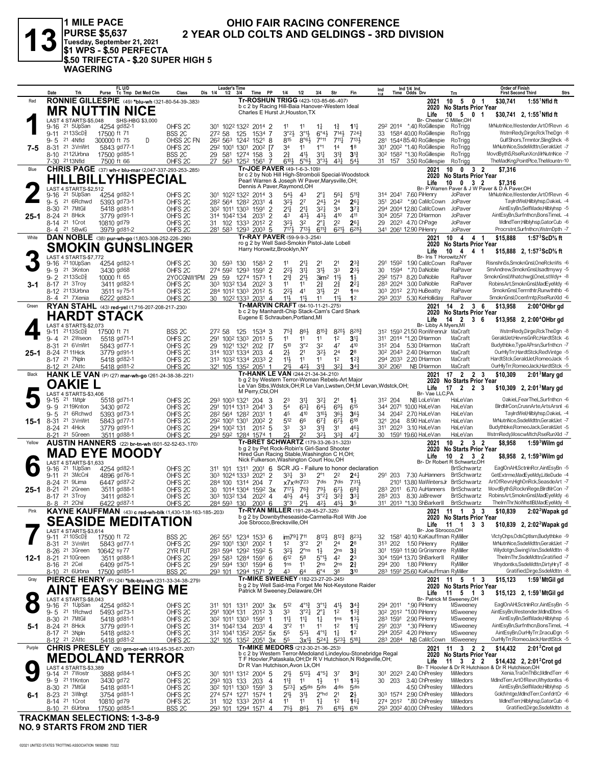

1 MILE PACE<br>|PURSE \$5,637<br>|Tuesday, September 21, 2021<br>|\$1 WPS - \$.50 PERFECTA \$.50 TRIFECTA - \$.20 SUPER HIGH 5 **WAGERING** 

## OHIO FAIR RACING CONFERENCE 2 YEAR OLD COLTS AND GELDINGS - 3RD DIVISION

|           | Date<br>Trk                                                     | FL U/D<br>Purse Tc Tmp Det Med Clm                        | Class                                    | Dis 1/4 | <b>Leader's Time</b><br>$1/2$ $3/4$ | Time PP                                                                                                                         | 1/4                       | 1/2                                | 3/4                                          | Str                                     |                                    | Ind<br>414 |          | Ind 1/4 Ind<br>Time Odds Drv                                    | Trn                                                    | Order of Finish<br>Strs<br><b>First Second Third</b>                              |
|-----------|-----------------------------------------------------------------|-----------------------------------------------------------|------------------------------------------|---------|-------------------------------------|---------------------------------------------------------------------------------------------------------------------------------|---------------------------|------------------------------------|----------------------------------------------|-----------------------------------------|------------------------------------|------------|----------|-----------------------------------------------------------------|--------------------------------------------------------|-----------------------------------------------------------------------------------|
| Red       |                                                                 | RONNIE GILLESPIE (49) *blu-wh (321-80-54-39-.383)         |                                          |         |                                     | Tr-ROSHUN TRIGG (423-103-85-66-.407)                                                                                            |                           |                                    |                                              |                                         |                                    |            |          | 2021                                                            | 10 5<br>0 <sub>1</sub>                                 | \$30,741<br>$1:55^1$ Nfld ft                                                      |
|           |                                                                 | <b>MR NUTTIN NICE</b>                                     |                                          |         |                                     | b c 2 by Racing Hill-Baia Hanover-Western Ideal<br>Charles E Hurst Jr, Houston, TX                                              |                           |                                    |                                              |                                         |                                    |            |          | Life                                                            | 2020 No Starts Prior Year<br>$10 \t 5 \t 0 \t 1$       | \$30,741 2, 1:55 Nfld ft                                                          |
|           | LAST 4 STARTS-\$5.048                                           | SHS-HBG \$3,000                                           |                                          |         |                                     |                                                                                                                                 |                           |                                    |                                              |                                         |                                    |            |          |                                                                 | Br- Chester C Miller, OH                               |                                                                                   |
|           | 9-16 <sup>21</sup> 5UpSan                                       | 4254 gd82-1                                               | OHFS <sub>2C</sub>                       |         |                                     | 301 1022 1322 2014 2                                                                                                            | 11                        | 11                                 | $1\frac{1}{4}$                               | $1\frac{3}{4}$                          | $1^{11}$                           |            |          | 29 <sup>2</sup> 2014 *.40 RoGillespie                           | RoTrigg                                                | MrNutnNce, Westender, ArtOfRevn -6<br>WstrnRedy,Dirge,RckTheDgn -8                |
|           | 9-11 2113ScD <sup>3</sup><br>21 4Nfld<br>9-5                    | 17500 ft 71<br>300000 ft 75<br>D                          | BSS <sub>2C</sub><br>OHSS 2C FN          | 272 58  |                                     | 125<br>1534 7<br>26 <sup>2</sup> 56 <sup>3</sup> 124 <sup>2</sup> 152 <sup>1</sup> 8                                            | 3°23<br>815               | $3^{01}$<br>$8°6\frac{1}{2}$       | $6^{\circ}4\frac{1}{2}$<br>$7^{\circ}11$     | $714\frac{1}{2}$<br>$7^{11}\frac{1}{4}$ | $7^{24}$<br>$713\frac{1}{2}$       | 281        |          | 33 1584 40.00 RoGillespie<br>1544 85.40 RoGillespie             | RoTrigg<br>RoTrigg                                     | GulfShors, Trmntor, SlingShck -8                                                  |
| 7-5       | 21 3VnWrt<br>8-31                                               | 5843 gd77-1                                               | OHFS <sub>2C</sub>                       |         |                                     | 292 1001 1301 2002 [7                                                                                                           | 34                        | 11                                 | 1 <sup>°1</sup>                              | 14                                      | 1 <sup>8</sup>                     |            |          | 301 2002 *1.40 RoGillespie RoTrigg                              |                                                        | MrNutnNce,SsdeMdttn,GeraldJet -7                                                  |
|           | 8-10 <sup>21</sup> 12Urbna                                      | 17500 gd85-1                                              | BSS <sub>2C</sub>                        |         |                                     | 29 581 1274 158 3                                                                                                               | $2^{3}_{4}$               | $4^{11}$                           | 3 <sup>11</sup>                              | $3^{12}$                                | $3^{13}$                           |            |          | 30 <sup>2</sup> 158 <sup>2</sup> *1.30 RoGillespie              | RoTrigg                                                | MovdBythS,RseRunXcn,MrNutnNce -7                                                  |
|           | 7-30 2113Nfld                                                   | 7500 ft 66                                                | OHFS <sub>2C</sub>                       |         |                                     | 27 563 1252 1561                                                                                                                | $6^{10}\frac{1}{2}$<br>-7 | $5^{\circ}6\frac{1}{2}$            | 3°3 <sup>1</sup>                             | 431                                     | 541                                |            | 31 157   | 3.50 RoGillespie                                                | RoTrigg                                                | TheMadKng,PointPlce,TheMountn-10                                                  |
| Blue      |                                                                 | CHRIS PAGE (37) wh-r blu-mar (2,047-337-293-253-285)      |                                          |         |                                     | Tr-JOE PAVER (49-1-6-3-.109)<br>br c 2 by Nob Hill High-Stromboli Special-Woodstock                                             |                           |                                    |                                              |                                         |                                    |            |          | 2021                                                            | 10 0 3 2<br>2020 No Starts Prior Year                  | \$7,316                                                                           |
|           |                                                                 | HILLBILLYHISPECIAL                                        |                                          |         |                                     | Pearl Warren & Joseph W Paver, Marysville, OH;<br>Dennis A Paver, Raymond, OH                                                   |                           |                                    |                                              |                                         |                                    |            |          | Life                                                            | $10 \t 0 \t 3 \t 2$                                    | \$7,316                                                                           |
|           | LAST 4 STARTS-\$2,512<br>21 5UpSan<br>9-16                      | 4254 gd82-1                                               | OHFS <sub>2C</sub>                       |         |                                     | 301 1022 1322 2014 3                                                                                                            | $54\frac{1}{2}$           | 43                                 | $2^{\circ}$ }                                | $56\frac{1}{4}$                         | $5^{11}$                           |            |          | 314 2041 7.60 PiHenry                                           | JoPaver                                                | Br- P Warren Paver & J W Paver & D A Paver.OH<br>MrNutnNce.Westender.ArtOfRevn -6 |
|           | $9 - 5$<br>21 6Rchwd                                            | 5393 gd73-1                                               | OHFS <sub>2C</sub>                       |         |                                     | 28 <sup>2</sup> 564 128 <sup>2</sup> 2031 4                                                                                     | $3^{2}\frac{1}{2}$        | 2 <sup>7</sup>                     | $2^{4}\frac{1}{2}$                           | 2 <sup>4</sup>                          | 26 <sub>7</sub>                    |            |          | 351 2042 *.90 CaMcCown                                          | JoPaver                                                | TaylrdWel.Hilblyhsp.OakieL -4                                                     |
|           | 8-30 21 7MtGil                                                  | 5418 gd81-1                                               | OHFS <sub>2C</sub>                       |         |                                     | 30 <sup>2</sup> 101 <sup>1</sup> 130 <sup>3</sup> 159 <sup>1</sup>                                                              | $\overline{2}$<br>21      | $2^{11}$                           | 321                                          | 3 <sup>4</sup>                          | $3^{7}$                            |            |          | 294 2004 12.80 CaMcCown                                         | JoPaver                                                | AintEsyBn,SelfMade,Hilblyhsp -5                                                   |
| 25-1      | 8-24 <sup>21</sup> 8Hick<br>8-14 <sup>21</sup> 10rot            | 3779 gd91-1<br>10810 gd79                                 | OHFS <sub>2C</sub><br>OHFS <sub>2C</sub> |         | 314 1042 134                        | 2031<br>31 102 1333 2012 2                                                                                                      | 2<br>43<br>$3^{21}$       | 431<br>32                          | 431<br>$2^{\circ}1$                          | 410<br>2 <sup>2</sup>                   | 411<br>$26\frac{1}{4}$             |            |          | 304 2052 7.20 DHarmon<br>29 2023 4.70 ChPage                    | JoPaver<br>JoPaver                                     | AintEsvBn.Surfnthcn.BonsTimeL -4<br>MdIndTerr.Hilblyhsp.GatorCub -6               |
|           | 8-4 21 5BwlG                                                    | 3979 gd81-2                                               | OHFS <sub>2C</sub>                       |         |                                     | 281 583 1293 2003 5                                                                                                             | $717\frac{1}{2}$          | $7^{13}\frac{1}{2}$                | $6^{11}$                                     | 6213                                    | 6281                               |            |          | 341 2061 12.90 PiHenry                                          | JoPaver                                                | Procrstnt,Surfnthcn,WstrnDpth -7                                                  |
| White     |                                                                 | DAN NOBLE (38) pur-wh-go (1,803-308-252-226-.290)         |                                          |         |                                     | Tr-RAY PAVER (59-9-9-3-254)                                                                                                     |                           |                                    |                                              |                                         |                                    |            |          | 2021                                                            | $10 \t4 \t4 \t1$                                       | 1:57 $3$ ScD $\%$ ft<br>\$15,888                                                  |
|           |                                                                 | SMOKIN GUNSLINGER                                         |                                          |         |                                     | ro g 2 by Well Said-Smokin Pistol-Jate Lobell<br>Harry Horowitz, Brooklyn, NY                                                   |                           |                                    |                                              |                                         |                                    |            |          | 2020                                                            | <b>No Starts Prior Year</b>                            |                                                                                   |
|           | LAST 4 STARTS-\$7,772                                           |                                                           |                                          |         |                                     |                                                                                                                                 |                           |                                    |                                              |                                         |                                    |            |          | Life<br>Br- Iris T Horowitz, NY                                 | 10<br>4 4 1                                            | \$15,888 2, 1:57 ${}^{3}$ ScD ${}^{5}$ s ft                                       |
|           | 9-16 <sup>21</sup> 10UpSan                                      | 4254 gd82-1                                               | OHFS <sub>2C</sub>                       | 30 593  |                                     | 130<br>$1583$ 2                                                                                                                 | 11                        | 217                                | 21                                           | 2 <sup>1</sup>                          | $2^{3}\}$                          |            | 291 1592 | 1.90 CaMcCown                                                   | RaPaver                                                | RisnshnSs,SmoknGnsl,OneRcknWs -6                                                  |
|           | 9-9 <sup>21</sup> 3Knton<br>$9 - 2$<br>$2113$ ScD $\frac{5}{8}$ | 3430 gd68<br>10000 ft 65                                  | OHFS <sub>2C</sub>                       | 29 59   |                                     | 274 592 1293 1591 2                                                                                                             | $2^{2}$<br>$2^{13}$       | 34<br>$2^{11}$                     | 3½                                           | 3 <sup>3</sup><br>11支                   | $2^{3}$                            | 30         | 1594     | *.70 DaNoble<br>292 1573 8.20 DaNoble                           | RaPaver<br>RaPaver                                     | SmAndrew,SmoknGnsl,Isadtmywy -5<br>SmoknGnsl, Whatchwgl, OneLstWdy+ -8            |
| 3-1       | 8-17 21 3Troy                                                   | 3411 gd82-1                                               | 2YOCGNW1PM<br>OHFS <sub>2C</sub>         |         | 303 1032 134                        | 1274 1573 1<br>2022 3                                                                                                           | 11                        | 11                                 | 3 <sup>im2</sup><br>21                       | $2^{3}$                                 | $1\frac{1}{2}$<br>$2^{2}$          |            |          | 283 2024 3.00 DaNoble                                           | RaPaver                                                | RobinsArt,SmoknGnsl,MadEyeMdy -6                                                  |
|           | 8-12 2113Urbna                                                  | 3511 sy 75-1                                              | OHFS <sub>2C</sub>                       |         |                                     | 284 1012 1303 2012 5                                                                                                            | $2^{21}$                  | 41                                 | 31}                                          | 2 <sup>1</sup>                          | 1 <sub>ns</sub>                    |            |          | 303 2012 2.70 HuBeatty                                          | RaPaver                                                | SmoknGnsl,Terrnthtr,Runwththb -6                                                  |
|           | 8-4 <sup>21</sup> 7Xenia                                        | 6222 gd82-1                                               | OHFS <sub>20</sub>                       |         |                                     | 30 1022 1333 2031 4                                                                                                             | 11}                       | $11\frac{1}{2}$                    | 11                                           | 11}                                     | 1 <sup>2</sup>                     |            |          | 293 2031 5.30 KeHolliday                                        | RaPaver                                                | SmoknGnsl, Ocenfrntp, RseRunXld -6                                                |
| Green     |                                                                 | RYAN STAHL (43) red-yel (1,716-207-208-217-.230)          |                                          |         |                                     | Tr-MARVIN CRAFT (84-10-11-21-275)<br>b c 2 by Manhardt-Chip Stack-Cam's Card Shark                                              |                           |                                    |                                              |                                         |                                    |            |          | 2021                                                            | 14 2 3 6<br>2020 No Starts Prior Year                  | \$13,958<br>2:00 <sup>4</sup> OHbr gd                                             |
|           |                                                                 | <b>HARDT STACK</b>                                        |                                          |         |                                     | Eugene E Schrauben, Portland, MI                                                                                                |                           |                                    |                                              |                                         |                                    |            |          | Life                                                            | 14<br>$\overline{2}$<br>36                             | \$13,958 2, 2:00 <sup>4</sup> OHbr gd                                             |
|           | LAST 4 STARTS-\$2,073<br>9-11 2113ScD <sup>3</sup>              | 17500 ft 71                                               | BSS <sub>2C</sub>                        | 272 58  |                                     | 125<br>1534 3                                                                                                                   | 75}                       | 86}                                | $8^{15\frac{3}{4}}$                          | 820}                                    | 8283                               |            |          | Br- Libby A Myers, MI<br>312 1593 21.50 RonWrennJr MaCraft      |                                                        | WstrnRedy,Dirge,RckTheDgn -8                                                      |
|           | 9-4 <sup>21</sup> 2Wseon                                        | 5518 gd71-1                                               | OHFS <sub>2C</sub>                       |         |                                     | 291 1002 1303 2013 5                                                                                                            | 11                        | 11                                 | 11                                           | 1 <sup>2</sup>                          | 3 <sup>11</sup>                    |            |          | 311 2014 *1.20 DHarmon                                          | MaCraft                                                | GeraldJetHevnsGnRcHardtStck -6                                                    |
|           | 8-31 21 6VnWrt                                                  | 5843 gd77-1                                               | OHFS <sub>2C</sub>                       |         |                                     | 29 1021 1321 202 [7                                                                                                             | 510                       | 3°2                                | 32                                           | 47                                      | 410                                |            | 312 204  | 5.30 DHarmon                                                    | MaCraft                                                | Budythbke.TypeAPrsn.Surfnthcn -7                                                  |
| 25-1      | 8-24 21 11 Hick<br>8-17 21 7Npln                                | 3779 gd91-1                                               | OHFS <sub>2C</sub>                       |         |                                     | 314 1031 1334 203                                                                                                               | $2\frac{1}{2}$<br>4       | 2 <sup>1</sup>                     | $3^{21}$                                     | 2 <sup>4</sup>                          | 2 <sup>8</sup>                     |            |          | 30 <sup>2</sup> 204 <sup>3</sup> 2.40 DHarmon                   | MaCraft<br>MaCraft                                     | OurHlyTrr,HardtStck,RedVintge -5<br>HardtStck,GeraldJet,RomeoJack -5              |
|           | 8-12 <sup>21</sup> 2Attc                                        | 5418 gd82-1<br>5418 gd81-2                                | OHFS <sub>2C</sub><br>OHFS <sub>2C</sub> |         |                                     | 313 1032 1334 2033 2<br>321 105 1352 2051 1                                                                                     | 11}<br>213                | 1 <sup>1</sup><br>42}              | 11<br>31}                                    | 1 <sup>2</sup><br>$3^{2}$               | $1^{2}$<br>$34\frac{3}{4}$         |            | 302 2061 | 294 2033 2.20 DHarmon<br>NB DHarmon                             | MaCraft                                                | OurHlyTrr,RomeoJack,HardtStck -5                                                  |
| Black     |                                                                 | HANK LE VAN (P) (27) mar-wh-go (261-24-38-38-.221)        |                                          |         |                                     | Tr-HANK LE VAN (244-21-34-34-210)                                                                                               |                           |                                    |                                              |                                         |                                    |            |          | 2021                                                            | $17 \quad 2 \quad 2 \quad 3$                           | $2:013$ Mary gd<br>\$10,309                                                       |
|           | <b>OAKIE L</b>                                                  |                                                           |                                          |         |                                     | b g 2 by Western Terror-Woman Rebels-Art Major<br>Le Van Stbs, Wdstck, OH; R Le Van, Lwstwn, OH; M Levan, Wdstck, OH;           |                           |                                    |                                              |                                         |                                    |            |          | 2020                                                            | <b>No Starts Prior Year</b>                            |                                                                                   |
|           | LAST 4 STARTS-\$3,406                                           |                                                           |                                          |         |                                     | M Perry, Cbl, OH                                                                                                                |                           |                                    |                                              |                                         |                                    |            |          | Life<br>Br- Vae LLC,PA                                          | 17<br>2 2 3                                            | \$10,309 2, 2:01 <sup>3</sup> Mary gd                                             |
|           |                                                                 |                                                           |                                          |         |                                     |                                                                                                                                 |                           |                                    |                                              |                                         |                                    |            |          |                                                                 |                                                        |                                                                                   |
|           | 9-15 21 1Mtplr                                                  | 5518 gd71-1                                               | OHFS <sub>2C</sub>                       |         |                                     | 293 1003 1321 204 3                                                                                                             | 23                        | 34                                 | 321                                          | 2 <sup>1</sup>                          | 13                                 |            | 312 204  | NB LoLeVan                                                      | HaLeVan                                                | OakieL,FearTheL,Surfnthcn -6                                                      |
|           | 9-9 2119Knton                                                   | 3430 gd72                                                 | OHFS <sub>2C</sub>                       |         |                                     | 291 1014 1313 2041 3                                                                                                            | 54                        | $63\frac{1}{4}$                    | $64\frac{1}{2}$                              | 693                                     | $6^{15}$                           |            |          | 344 2071 10.00 HaLeVan                                          | HaLeVan                                                | BirdMrCon,CrusnArte,ArtsArsnl -6                                                  |
|           | $9 - 5$<br>21 6Rchwd                                            | 5393 gd73-1                                               | OHFS <sub>2C</sub>                       |         |                                     | 282 564 1282 2031                                                                                                               | 45<br>512                 | 410<br>66                          | $3^{10}\frac{1}{2}$                          | $36\frac{1}{2}$                         | 36}                                |            |          | 34 2042 2.70 HaLeVan<br>321 204 8.90 HaLeVan                    | HaLeVan<br>HaLeVan                                     | TaylrdWel,Hilblyhsp,OakieL -4<br>MrNutnNce,SsdeMdttn,GeraldJet -7                 |
| 15-1      | 8-31 <sup>21</sup> 3VnWrt<br>8-24 <sup>21</sup> 4Hick           | 5843 gd77-1<br>3779 gd91-1                                | OHFS <sub>2C</sub><br>OHFS <sub>2C</sub> |         | 292 1001 1301<br>294 1002 131       | 200 <sup>2</sup> 2<br>2012 5                                                                                                    | 33                        | 33                                 | $6^{73}$<br>$3^{12}$                         | $6^{7}\frac{1}{2}$<br>3 <sup>1</sup>    | 618<br>461                         |            |          | 311 2023 3.10 HaLeVan                                           | HaLeVan                                                | Budythbke,RomeoJack,GeraldJet -5                                                  |
|           | 8-21 <sup>21</sup> 5Green                                       | 3511 gd88-1                                               | OHFS <sub>2C</sub>                       |         |                                     | 293 592 1284 1574 1                                                                                                             | 21                        | 22                                 | 32}                                          | 33 <sup>3</sup>                         | 471                                |            |          | 30 1591 19.60 HaLeVan                                           | HaLeVan                                                | WstrnRedy,MoscwMtch,RseRunXld -7                                                  |
| Yellow    |                                                                 | <b>AUSTIN HANNERS</b> (22) br-tn-wh (601-52-52-63-.170)   |                                          |         |                                     | Tr-BRET SCHWARTZ (179-33-26-31-323)<br>b g 2 by Pet Rock-Robin's Girl-Sand Shooter                                              |                           |                                    |                                              |                                         |                                    |            |          | 2021                                                            | $10$ 2 3 2<br>2020 No Starts Prior Year                | \$8,958<br>$1:593$ Wilm gd                                                        |
|           |                                                                 | MAD EYE MOODY                                             |                                          |         |                                     | Hired Gun Racing Stable, Washington C H, OH;                                                                                    |                           |                                    |                                              |                                         |                                    |            |          | Life                                                            | $10 \t2 \t3 \t2$                                       | \$8,958 2, 1:59 Wilm gd                                                           |
|           | LAST 4 STARTS-\$1,633                                           |                                                           |                                          |         |                                     | Nick Fulkerson, Washington Court Hou, OH                                                                                        |                           |                                    |                                              |                                         |                                    |            |          |                                                                 | Br- Dr Robert R Schwartz.OH                            |                                                                                   |
|           | 21 1UpSan<br>9-16<br>9-11 21 3McCnl                             | 4254 gd82-1<br>4896 gd76-1                                | OHFS <sub>2C</sub><br>OHFS <sub>2C</sub> |         |                                     | 311 101 1311 2001 6 SCR JG - Failure to honor declaration<br>303 1024 1333 2021 2                                               | 331                       | 33                                 | $2^{\circ}1$                                 | 2 <sup>2</sup>                          | $2^{41}$                           |            |          | 291 203 7.30 AuHanners BrtSchwartz                              | <b>BrtSchwartz</b>                                     | EaglOnAHI,SctnInRcr,AintEsyBn -5<br>GetExtrme, MadEyeMdy, LitleDude -4            |
|           | 8-24 <sup>21</sup> 9 Lima                                       | 6447 gd87-2                                               | OHFS <sub>2C</sub>                       | 284 100 |                                     | 1314 204                                                                                                                        | 7                         | x7xdis723                          | 7dis                                         | 7dis                                    | 7311                               |            |          | 2101 13.80 MaWintersJr BrtSchwartz                              |                                                        | ArtOfRevn,HighOnRck,SeasdeArt -7                                                  |
| $25 - 1$  | 8-21 <sup>21</sup> 2Green                                       | 3511 gd88-1                                               | OHFS <sub>2C</sub>                       |         |                                     | 30 1014 1304 1592 3x                                                                                                            | $717\frac{1}{2}$          | 76}                                | $79\frac{1}{2}$                              | $6^{7}\frac{1}{2}$                      | $68\frac{3}{4}$                    |            |          | 283 2011 6.70 AuHanners BrtSchwartz                             |                                                        | MovdBythS,RocknRege,BlrdMrCon -7                                                  |
|           | 8-17 <sup>21</sup> 3Troy<br>8-8 21 2Chil                        | 3411 gd82-1<br>6422 gd87-1                                | OHFS <sub>2C</sub><br>OHFS <sub>2C</sub> |         | 303 1032 134<br>284 593 130         | $202^2$ 4<br>$200^3$ 6                                                                                                          | 45}<br>3°3                | $44\frac{1}{2}$<br>$21\frac{1}{2}$ | $3^{\circ}2^{\frac{1}{4}}$<br>42}            | $3^{2}\frac{3}{4}$<br>454               | $33\frac{1}{4}$<br>3 <sub>5</sub>  |            | 283 203  | 8.30 JaBrewer<br>311 2013 *1.30 ShBarkerII                      | <b>BrtSchwartz</b><br><b>BrtSchwartz</b>               | RobinsArt,SmoknGnsl,MadEyeMdy -6<br>TheIrnThr,NoWhstIBI,MadEyeMdy -8              |
| Pink      |                                                                 | KAYNE KAUFFMAN (43) c red-wh-blk (1,430-138-163-185-.203) |                                          |         |                                     | Tr-RYAN MILLER (191-28-45-27-.325)                                                                                              |                           |                                    |                                              |                                         |                                    |            |          | 2021                                                            | 11 1 3 3                                               | \$10,839<br>2:02 <sup>2</sup> Wapak gd                                            |
|           |                                                                 |                                                           |                                          |         |                                     | b g 2 by Downbytheseaside-Carmella-Roll With Joe<br>Joe Sbrocco, Brecksville, OH                                                |                           |                                    |                                              |                                         |                                    |            |          |                                                                 | 2020 No Starts Prior Year                              |                                                                                   |
|           | LAST 4 STARTS-\$3,614                                           | <b>SEASIDE MEDITATION</b>                                 |                                          |         |                                     |                                                                                                                                 |                           |                                    |                                              |                                         |                                    |            |          | Life<br>Br- Joe Sbrocco, OH                                     | 3 <sub>3</sub><br>- 11<br>$\overline{\mathbf{1}}$      | \$10,839 2, 2:02 <sup>2</sup> Wapak gd                                            |
|           | $9-11$ $2110$ ScD $\frac{3}{8}$                                 | 17500 ft 72                                               | BSS <sub>2C</sub>                        |         |                                     | 26 <sup>2</sup> 55 <sup>1</sup> 1234 1533 6                                                                                     |                           | im791711                           | $8^{12}\frac{1}{2}$                          | $8^{12\frac{3}{4}}$                     | 8231                               |            |          | 32 1581 40.10 KaKauffman RyMiller                               |                                                        | VictyChps,OdsCptism,Budythbke -9                                                  |
|           | 8-31<br>21 3VnWrt                                               | 5843 gd77-1                                               | OHFS <sub>2C</sub>                       |         |                                     | 292 1001 1301 2002 1                                                                                                            | 1 <sup>2</sup>            | 3°2                                | 2 <sup>1</sup>                               | 2 <sup>4</sup>                          | 2 <sup>8</sup>                     |            |          | 313 202 1.50 PiHenry                                            | RyMiller                                               | MrNutnNce.SsdeMdttn.GeraldJet -7                                                  |
|           | 8-26 <sup>21</sup> 3Green<br>12-1 8-21 2110Green                | 10642 sy 77<br>3511 gd88-1                                | 2YR FUT<br>OHFS <sub>2C</sub>            |         |                                     | 283 594 1292 1592 5<br>293 583 1284 1591 6                                                                                      | $3^{2}\frac{1}{2}$<br>612 | $2o$ ns<br>58                      | $1\frac{1}{2}$<br>$5^{\circ}1\frac{1}{2}$    | 2 <sub>ns</sub><br>42                   | $3\frac{3}{4}$<br>2 <sup>3</sup>   |            |          | 301 1593 11.90 GrGrismore RyMiller<br>304 1594 13.70 ShBarkerII | RyMiller                                               | Wilydotgn,SwingVisn,SsdeMdttn -8<br>ThelmThr.SsdeMdttn.Gratified -7               |
|           | 8-16 <sup>21</sup> 2Cel                                         | 6409 gd75-1                                               | OHFS <sub>2C</sub>                       |         |                                     | 291 594 1301 1594 6                                                                                                             | 1 <sub>ns</sub>           | 11                                 | 2 <sub>ns</sub>                              | 2 <sub>ns</sub>                         | 21                                 |            |          | 294 200 1.80 PiHenry                                            | RyMiller                                               | Whydontks,SsdeMdttn,DirtyHryT -8                                                  |
|           | 8-10 <sup>21</sup> 6Urbna                                       | 17500 gd85-1                                              | BSS <sub>2C</sub>                        |         |                                     | 293 101 1294 1571 2                                                                                                             | 43                        | 64                                 | $6^{\circ}4$                                 | 38                                      | 3 <sup>10</sup>                    |            |          | 283 1591 25.60 KaKauffman RyMiller                              |                                                        | Gratified, Dirge, SsdeMdttn -8                                                    |
| Gray      |                                                                 | PIERCE HENRY (P) (24) *blk-blu-wh (231-33-34-38-279)      |                                          |         |                                     | <b>Tr-MIKE SWEENEY</b> (182-23-27-20-.245)<br>b g 2 by Well Said-Ima Forget Me Not-Keystone Raider                              |                           |                                    |                                              |                                         |                                    |            |          | 2021                                                            | 11 5 1 3<br>2020 No Starts Prior Year                  | \$15,123<br>1:59 MtGil gd                                                         |
|           |                                                                 | <b>AINT EASY BEING ME</b>                                 |                                          |         |                                     | Patrick M Sweeney, Delaware, OH                                                                                                 |                           |                                    |                                              |                                         |                                    |            |          | Life                                                            | $11 \quad 5 \quad 1 \quad 3$                           | \$15,123 2, 1:59 MtGil gd                                                         |
| $\bullet$ | LAST 4 STARTS-\$8,043<br>9-16 <sup>21</sup> 1UpSan              | 4254 gd82-1                                               | OHFS <sub>2C</sub>                       |         |                                     | 311 101 1311 2001 3x                                                                                                            | $5^{12}$                  | $4^{012}$                          | $3^{\circ}1\frac{1}{4}$                      | $4^{11}$                                | $3^{4}$                            |            |          | 294 2011 *.90 PiHenry                                           | Br- Patrick M Sweeney, OH<br>MSweeney                  | EaglOnAHI,SctnInRcr,AintEsyBn -5                                                  |
|           | 9-5 <sup>21</sup> 1Rchwd                                        | 5493 gd73-1                                               | OHFS <sub>2C</sub>                       |         | 291 1004 131                        | $201^2$ 3                                                                                                                       | 33                        | $3^{22}$                           | $2^{\circ}$ <sup>1</sup>                     | 1 <sup>2</sup>                          | $13\frac{3}{4}$                    |            |          | 30 <sup>2</sup> 201 <sup>2</sup> *1.00 PiHenry                  | MSweeney                                               | AintEsvBn.Westender.MdlndDbns -5                                                  |
|           | 8-30 21 7MtGil                                                  | 5418 gd81-1                                               | OHFS <sub>2C</sub>                       |         |                                     | 30 <sup>2</sup> 101 <sup>1</sup> 130 <sup>3</sup> 159 <sup>1</sup>                                                              | $11\frac{1}{4}$<br>-1     | 11                                 | $1\frac{1}{4}$                               | 1 <sub>ns</sub>                         | 1 <sup>31</sup>                    |            |          | 283 1591 2.90 PiHenry                                           | MSweeney                                               | AintEsyBn,SelfMade,Hilblyhsp -5                                                   |
| 5-1       | 8-24 21 8Hick<br>8-17 21 3Npln                                  | 3779 gd91-1<br>5418 gd82-1                                | OHFS <sub>2C</sub><br>OHFS <sub>2C</sub> |         | 314 1042 134                        | $203^1$ 4<br>312 1041 1352 2052 5x                                                                                              | 3°2<br>55                 | 11<br>$5^{31}$                     | 11<br>$4^{\circ}1\frac{1}{4}$                | 1 <sup>2</sup><br>$1\frac{1}{4}$        | $1\frac{11}{4}$<br>1 <sup>2</sup>  |            | 291 2031 | *.30 PiHenry<br>294 2052 4.20 PiHenry                           | MSweeney<br>MSweeney                                   | AintEsyBn,Surfnthcn,BonsTimeL -4<br>AintEsyBn,OurHlyTrr,DraculDgn -5              |
|           | 8-12 <sup>21</sup> 2Attc                                        | 5418 gd81-2                                               | OHFS <sub>20</sub>                       |         |                                     | 321 105 1352 2051 3x                                                                                                            | 55                        | 3x½                                | $5^{24}$                                     | $5^{23}\frac{1}{2}$                     | $5^{18}$                           |            | 283 2084 | NB CaMcCown MSweeney                                            |                                                        | OurHlyTrr,RomeoJack,HardtStck -5                                                  |
| Purple    |                                                                 | CHRIS PRESLEY (26) grn-or-wh (419-45-35-67-207)           |                                          |         |                                     | Tr-MIKE MEDORS (212-30-21-36-.253)                                                                                              |                           |                                    |                                              |                                         |                                    |            |          | 2021                                                            | 11 3 2 2                                               | \$14,432<br>$2:012$ Crot gd                                                       |
|           |                                                                 | <b>MEDOLAND TERROR</b>                                    |                                          |         |                                     | b c 2 by Western Terror-Medoland Lindeylou-Stonebridge Regal<br>T F Hoovler, Pataskala, OH; Dr R V Hutchison, N Ridgeville, OH; |                           |                                    |                                              |                                         |                                    |            |          | Life                                                            | 2020 No Starts Prior Year<br>11<br>$3 \quad 2 \quad 2$ | \$14,432 2, $2:012$ Crot gd                                                       |
|           | LAST 4 STARTS-\$3,389                                           |                                                           |                                          |         |                                     | Dr R Van Hutchison, Avon Lk, OH                                                                                                 |                           |                                    |                                              |                                         |                                    |            |          |                                                                 |                                                        | Br- T Hoovler & Dr R Hutchison & Dr R Hutchison, OH                               |
|           | 9-14 21 7 Wostr<br>9-9 2111Knton                                | 3888 gd84-1<br>3430 gd72                                  | OHFS <sub>2C</sub><br>OHFS <sub>2C</sub> |         | 293 103 133                         | 301 1011 1312 2004 5<br>203 4                                                                                                   | 21}<br>$11\frac{3}{4}$    | $5^{12}$<br>11                     | $4^{\circ}5^{\frac{1}{4}}$<br>$1\frac{1}{2}$ | $3^7$<br>11                             | $39\frac{1}{4}$<br>$13\frac{1}{2}$ |            | 30 203   | 301 2023 2.40 ChPresley<br>3.40 ChPresley                       | MiMedors<br>MiMedors                                   | Xenia, TraOnThBc, MdIndTerr -6<br>MdIndTerr, ArtOfRevn, Whydontks -6              |
|           | 8-30 <sup>21</sup> 7MtGil                                       | 5418 gd81-1                                               | OHFS <sub>2C</sub>                       |         |                                     | 30 <sup>2</sup> 101 <sup>1</sup> 130 <sup>3</sup> 159 <sup>1</sup> 3                                                            | $5^{23}\frac{1}{4}$       | $x5$ dis                           | 5 <sub>dis</sub>                             | 4 <sup>dis</sup>                        | 5 <sub>dis</sub>                   |            |          | 4.50 ChPresley                                                  | MiMedors                                               | AintEsyBn,SelfMade,Hilblyhsp -5                                                   |
| 6-1       | 8-23 <sup>21</sup> 3 Wingt<br>8-14 21 1 Crot                    | 3754 gd81-1<br>10810 gd79                                 | OHFS <sub>2C</sub><br>OHFS <sub>2C</sub> |         |                                     | 274 574 1271 1574 1<br>31 102 1333 2012 4                                                                                       | 21}<br>11                 | 3 <sup>1</sup><br>11               | $2^{\circ}$ hd<br>$1\frac{1}{4}$             | 2 <sup>1</sup><br>1 <sup>2</sup>        | $2\frac{1}{2}$<br>16 <sub>1</sub>  |            |          | 303 1574 2.90 ChPresley<br>274 2012 *.80 ChPresley              | MiMedors<br>MiMedors                                   | GoldVntge,MdIndTerr,ConfdrtCr -6<br>MdIndTerr,Hilblyhsp,GatorCub -6               |

**TRACKMAN SELECTIONS: 1-3-8-9 NO. 9 STARTS FROM 2ND TIER**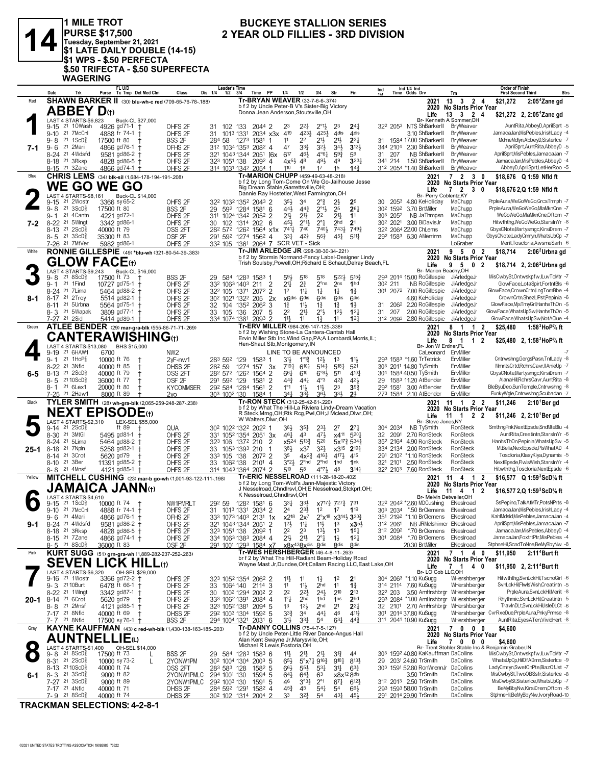

1 MILE TROT<br>|PURSE \$17,500<br>|Tuesday, September 21, 2021<br>|\$1 LATE DAILY DOUBLE (14-15) **SALE STREET AND SERVICE STREET<br>\$1 WPS - \$.50 PERFECTA<br>\$.50 TRIFECTA - \$.50 SUPERFECTA WAGERING** 

## **BUCKEYE STALLION SERIES** 2 YEAR OLD FILLIES - 3RD DIVISION

|           | Date                                                                   | FL U/D<br>Tc Tmp Det Med Clm<br>Purse                     | Class                                    | <b>Leader's Time</b><br>Dis 1/4<br>$1/2$ $3/4$                                                      | Time PP                                                                                                              | 1/4<br>1/2                                            | 3/4                                                            | Str                                                                      | Fin                                                                           | Ind                  |      | Ind 1/4 Ind<br>Time Odds Drv                              | Trn                                                | <b>Order of Finish</b><br><b>Strs</b><br><b>First Second Third</b>       |
|-----------|------------------------------------------------------------------------|-----------------------------------------------------------|------------------------------------------|-----------------------------------------------------------------------------------------------------|----------------------------------------------------------------------------------------------------------------------|-------------------------------------------------------|----------------------------------------------------------------|--------------------------------------------------------------------------|-------------------------------------------------------------------------------|----------------------|------|-----------------------------------------------------------|----------------------------------------------------|--------------------------------------------------------------------------|
| Red       |                                                                        | SHAWN BARKER II (30) blu-wh-c red (709-65-76-78-188)      |                                          |                                                                                                     | Tr-BRYAN WEAVER (33-7-6-6-374)                                                                                       |                                                       |                                                                |                                                                          |                                                                               |                      |      | 2021                                                      | 13   3   2   4                                     | \$21,272<br>$2:054Z$ ane gd                                              |
|           | <b>ABBEY D</b> th                                                      |                                                           |                                          |                                                                                                     | b f 2 by Uncle Peter-B V's Sister-Big Victory<br>Donna Jean Anderson, Stoutsville, OH                                |                                                       |                                                                |                                                                          |                                                                               |                      |      | 2020                                                      | No Starts Prior Year                               |                                                                          |
|           | LAST 4 STARTS-\$6,823                                                  | Buck-CL \$27,000                                          |                                          |                                                                                                     |                                                                                                                      |                                                       |                                                                |                                                                          |                                                                               |                      |      | Life                                                      | 13    3    2    4<br>Br- Kenneth A Sommer, OH      | \$21,272 2, 2:05 <sup>*</sup> Zane gd                                    |
|           | 9-15 <sup>21</sup> 10Wash                                              | 4926 gd71-1                                               | OHFS <sub>2F</sub>                       | 102 133<br>31                                                                                       | 2044 2                                                                                                               | 23                                                    | $2^{21}$<br>$2^{\circ}1\frac{1}{2}$                            | 23                                                                       | $24\frac{1}{4}$                                                               | 322 2053             |      | NTS ShBarkerII BryWeaver                                  |                                                    | AuntRita, Abbey D, April Sprt - 5                                        |
|           | 9-10 21 7McCnl                                                         | 4888 fr 74-1                                              | OHFS <sub>2F</sub>                       | 31<br>1013 1331                                                                                     | 2034 x3x 419                                                                                                         |                                                       | 4231<br>4253                                                   | 4 <sub>dis</sub>                                                         | 4 <sub>dis</sub>                                                              |                      |      | 3.10 ShBarkerII                                           | BryWeaver                                          | JamacaJan, MisPebles, IrishLacy -4                                       |
|           | $21 \text{ } 1SCD_8^5$<br>$9 - 8$                                      | 17500 ft 80                                               | <b>BSS 2F</b>                            | 284 58<br>1273                                                                                      | 1581                                                                                                                 | 2 <sup>2</sup><br>11                                  | $21\frac{1}{2}$                                                | $21\frac{1}{2}$                                                          | $2^{3}$                                                                       |                      |      | 1584 17.00 ShBarkerII                                     | BryWeaver                                          | MdmeMdlyn,AbbeyD,SisterIce -7                                            |
| 7-1       | 21 2Mari<br>9-6<br>8-24 <sup>21</sup> 4Wdsfd                           | 4866 gd76-1<br>9581 gd86-2 †                              | OFHS 2F<br>OHFS <sub>2F</sub>            | 312 1034 1353 2082 4<br>321 1043 1344 2051 [6x                                                      |                                                                                                                      | 47<br>$6^{17}$                                        | $3^{21}$<br>$3^{3}$<br>461<br>$4^{\circ}6^{\frac{1}{4}}$       | $34\frac{1}{2}$<br>$5^{93}$                                              | $3^{12}$<br>59                                                                | 344 2104<br>31       | 207  | 2.30 ShBarkerII<br>NB ShBarkerII                          | BryWeaver<br>BryWeaver                             | AprilSprt,AuntRita,AbbeyD -5<br>AprilSprt, MisPebles, JamacaJan -7       |
|           | 8-18 <sup>21</sup> 3Rksp                                               | 4828 gd86-5                                               | OHFS <sub>2F</sub>                       | 323 1051 138                                                                                        | 2092 4                                                                                                               | $4x^{5}\frac{1}{2}$<br>48                             | 491                                                            | 49                                                                       | $3^{23}$                                                                      | 341 214              |      | 1.50 ShBarkerII                                           | BryWeaver                                          | JamacaJan, MisPebles, AbbeyD -4                                          |
|           | 8-15 21 3Zane                                                          | 4866 gd74-1 +                                             | OHFS <sub>2F</sub>                       | 314 1031 1342 2054 1                                                                                |                                                                                                                      | 110<br>1 <sup>8</sup>                                 | 17                                                             | 1 <sup>5</sup>                                                           | 14 <sup>3</sup>                                                               |                      |      | 312 2054 *1.40 ShBarkerII                                 | BryWeaver                                          | AbbeyD,AprilSprt,LetHerRoo -5                                            |
| Blue      |                                                                        | CHRIS LEMS (34) blk-sil (1,684-178-194-191-.208)          |                                          |                                                                                                     | Tr-MARION CHUPP (459-49-63-48-.218)                                                                                  |                                                       |                                                                |                                                                          |                                                                               |                      |      | 2021                                                      | 7 2 3 0                                            | \$18,676 Q 1:59 Nfld ft                                                  |
|           |                                                                        | <b>WE GO WE GO</b>                                        |                                          |                                                                                                     | b f 2 by Long Tom-Come On We Go-Jailhouse Jesse<br>Big Dream Stable, Garrettsville, OH;                              |                                                       |                                                                |                                                                          |                                                                               |                      |      | 2020                                                      | No Starts Prior Year                               |                                                                          |
|           | LAST 4 STARTS-\$8.161                                                  | Buck-CL \$14,000                                          |                                          |                                                                                                     | Dannie Ray Hostetler, West Farmington, OH                                                                            |                                                       |                                                                |                                                                          |                                                                               |                      |      | Life<br>Br- Perry Coblentz.KY                             | 7 <sub>2</sub><br>$3\quad 0$                       | \$18,676 2,Q 1:59 Nfld ft                                                |
|           | 21 2Wostr<br>9-15                                                      | 3366 sy 65-2                                              | OHFS <sub>2F</sub>                       | 322 1032 1352 2043 2                                                                                |                                                                                                                      | 35}<br>34                                             | 2°}                                                            | $2\frac{1}{2}$                                                           | 25                                                                            | 30                   | 2053 | 4.80 KeHolliday                                           | MaChupp                                            | PrpleAura,WeGoWeGo,GrcsTrmph -7                                          |
|           | 21 3ScD <sup>3</sup><br>9-8                                            | 17500 ft 80                                               | BSS 2F                                   | 29                                                                                                  | 592 1284 1581 6                                                                                                      | 441,                                                  | $44\frac{3}{4}$<br>$2^{\circ}1\frac{1}{2}$                     | 25                                                                       | $26\frac{1}{4}$                                                               | 302 1592             |      | 3.70 BrtMiller                                            | MaChupp                                            | PrpleAura,WeGoWeGo,MlaMknCne -7                                          |
|           | 21 4 Cantn<br>$9 - 1$                                                  | 4221 gd72-1                                               | OHFS <sub>2F</sub>                       | 311 1024 1342                                                                                       | 2052 2                                                                                                               | 21}<br>$2^{13}$                                       | 2 <sup>2</sup>                                                 | $21\frac{1}{2}$                                                          | 11                                                                            | 303 2052             |      | NB JaThmpsn                                               | MaChupp                                            | WeGoWeGo,MlaMknCne,Oftom -7                                              |
| 7-2       | 8-22 <sup>21</sup> 5Wlngt<br>21 2 ScD <sup>5</sup>                     | 3342 gd86-1                                               | OHFS <sub>2F</sub>                       | 30<br>102                                                                                           | 1314 202<br>- 6                                                                                                      | 451,<br>$741\frac{1}{7}$<br>740                       | $2^{\circ}1\frac{1}{2}$<br>$2^{\circ}1$<br>740}                | 2 <sub>hd</sub><br>7433                                                  | 2 <sup>1</sup><br>7493                                                        | 30 <sup>2</sup> 2021 |      | 3.00 BiDavisJr<br>322 2064 22.00 ChLems                   | MaChupp<br>MaChupp                                 | Hitwththg, WeGoWeGo, StarsIn Yr -8<br>GbysCNote,Martysmgc,KirsiDrem -7   |
|           | 8-13<br>8-5 21 3ScD <sup>5</sup>                                       | 40000 ft 79<br>35300 ft 83                                | OSS 2FT<br>OSF <sub>2F</sub>             | 28 <sup>2</sup> 57 <sup>2</sup> 126 <sup>2</sup> 1564 x1x<br>291 592 1274 1562 4                    |                                                                                                                      | $3^{31}$                                              | 42}<br>56}                                                     | 451                                                                      | $5^{11}$                                                                      |                      |      | 292 1583 6.30 AMerrimn                                    | MaChupp                                            | GbysCNote,LadyCmryn,WhatsUpCp -7                                         |
|           | 7-26 21 7MtVer                                                         | 5982 gd86-1                                               | OHFS <sub>2F</sub>                       | 332 105 1361 2064 7 SCR VET - Sick                                                                  |                                                                                                                      |                                                       |                                                                |                                                                          |                                                                               |                      |      |                                                           | LoGraber                                           | Merit, Toscloria, AwsmeSarh -6                                           |
| White     |                                                                        | RONNIE GILLESPIE (49) *blu-wh (321-80-54-39-.383)         |                                          |                                                                                                     | Tr-JIM ARLEDGE JR (298-38-30-34-.221)                                                                                |                                                       |                                                                |                                                                          |                                                                               |                      |      | 2021                                                      | 9 5 0 2                                            | \$18,714<br>$2:062$ Urbna gd                                             |
|           | <b>GLOW FACE(t)</b>                                                    |                                                           |                                          |                                                                                                     | b f 2 by Stormin Normand-Fancy Label-Designer Lindy<br>Trish Soulsby, Powell, OH; Richard E Schaut, Delray Beach, FL |                                                       |                                                                |                                                                          |                                                                               |                      |      | 2020                                                      | No Starts Prior Year                               |                                                                          |
|           | LAST 4 STARTS-\$9,243                                                  | Buck-CL \$16,000                                          |                                          |                                                                                                     |                                                                                                                      |                                                       |                                                                |                                                                          |                                                                               |                      |      | Life<br>Br- Marion Beachy, OH                             | 9 <sub>5</sub><br>$\mathbf{0}$<br>$\overline{2}$   | \$18,714 2, 2:06 Urbna gd                                                |
|           | 218SCD <sub>8</sub><br>9-8                                             | 17500 ft 73                                               | BSS <sub>2F</sub>                        | 29 584 128 <sup>3</sup> 158 <sup>3</sup>                                                            |                                                                                                                      | 518<br>59}                                            | 518                                                            | 5223                                                                     | $5^{15}$                                                                      |                      |      | 293 2014 15.00 RoGillespie                                | JiArledgeJr                                        | MisCwbySt,Ontwskpfw,ILuvToMtr -7                                         |
|           | 21 1Find<br>$9 - 1$                                                    | 10727 gd75-1                                              | OHFS <sub>2F</sub>                       | 332 1063 1403                                                                                       | 211<br>2                                                                                                             | $2\frac{3}{4}$<br>21‡                                 | $2^{\circ}$ ns                                                 | 2 <sub>ns</sub>                                                          | 1 <sub>hd</sub>                                                               | 30 <sup>2</sup> 211  |      | NB RoGillespie                                            | JiArledgeJr                                        | GlowFace,LotaSpirt,FortntBls -6                                          |
|           | 8-24 21 7 Lima                                                         | 5464 gd88-2 +                                             | OHFS <sub>2F</sub>                       | 322 105<br>1371                                                                                     | $\overline{2}$<br>2072                                                                                               | 1 <sup>2</sup><br>$11\frac{1}{4}$                     | $1\frac{1}{4}$                                                 | $1\frac{1}{4}$                                                           | $1\frac{3}{4}$                                                                |                      |      | 301 2072 7.00 RoGillespie                                 | JiArledgeJr                                        | GlowFace,CrownCrtn,LngTomBbe -4                                          |
| 8-1       | 8-17 21 2Troy<br>8-11 <sup>21</sup> 5Urbna                             | 5514 gd82-1<br>5564 gd75-1                                | OHFS <sub>2F</sub><br>OHFS <sub>2F</sub> | 30 <sup>2</sup> 102 <sup>1</sup> 132 <sup>2</sup> 205<br>32 104 135 <sup>2</sup> 206 <sup>2</sup> 3 | 2x                                                                                                                   | x6 <sup>dis</sup><br>$11\frac{1}{2}$<br>11            | 6 <sup>dis</sup><br>6 <sup>dis</sup>                           | 6 <sub>dis</sub>                                                         | 6 <sup>dis</sup><br>$1\frac{1}{2}$                                            | 31                   | 2062 | 4.60 KeHolliday<br>2.20 RoGillespie                       | JiArledgeJr<br>JiArledgeJr                         | CrownCrtn,ShezLIPst,Pepinia -6<br>GlowFace, MisTmyGrl, HannsThOn -5      |
|           | 8-3 <sup>21</sup> 5Wapak                                               | 3809 gd77-1                                               | OHFS <sub>2F</sub>                       | 33 105 136                                                                                          | -5<br>207                                                                                                            | 22<br>2 <sup>11</sup>                                 | $1\frac{3}{4}$<br>$2^{\circ}$                                  | $1\frac{3}{4}$<br>$12\frac{1}{2}$                                        | $12\frac{1}{4}$                                                               | 31                   | 207  | 2.00 RoGillespie                                          | JiArledgeJr                                        | GlowFace, WhatsUpSw, HannsThOn -5                                        |
|           | 7-27 21 2Sid                                                           | 5414 gd89-1                                               | OHFS <sub>2F</sub>                       | 334 1074 1381 2093 2                                                                                |                                                                                                                      | 11}<br>11                                             | 11                                                             | 11                                                                       | 12 <sub>1</sub>                                                               |                      |      | 312 2093 2.80 RoGillespie                                 | JiArledgeJr                                        | GlowFace, WhatsUpSw, NotAClue -4                                         |
| Green     |                                                                        | ATLEE BENDER (29) mar-gra-blk (555-86-71-71-269)          |                                          |                                                                                                     | Tr-ERV MILLER (984-209-147-125-.338)                                                                                 |                                                       |                                                                |                                                                          |                                                                               |                      |      | 2021                                                      | 8 1 1 2                                            | \$25.480<br>1:58 $^3$ HoP $\%$ ft                                        |
|           |                                                                        | <b>CANTERAWISHING(t)</b>                                  |                                          |                                                                                                     | b f 2 by Wishing Stone-La Cantera-Cantab Hall<br>Ervin Miller Stb Inc, Wind Gap, PA; A Lombardi, Morris, IL;         |                                                       |                                                                |                                                                          |                                                                               |                      |      | 2020                                                      | No Starts Prior Year                               |                                                                          |
|           | LAST 4 STARTS-\$13,080                                                 | BHS \$15,000                                              |                                          |                                                                                                     | Hen-Shaut Stb, Montgomery, IN                                                                                        |                                                       |                                                                |                                                                          |                                                                               |                      |      | Life<br>Br- Jon W Erdner,FL                               | 8<br>$\overline{\mathbf{1}}$<br>12                 | \$25,480 2, 1:58 HoP% ft                                                 |
|           | 21 6HAW1<br>9-19                                                       | 6700                                                      | NW <sub>2</sub>                          |                                                                                                     |                                                                                                                      | LINE TO BE ANNOUNCED                                  |                                                                |                                                                          |                                                                               |                      |      | CaLeonard                                                 | ErvMiller                                          |                                                                          |
|           | $9 - 1$ 21 1HoP $\frac{7}{8}$                                          | 10000 ft 76                                               | 2yF-nw1                                  | 283 592 129                                                                                         | 1583                                                                                                                 | 31}                                                   | $1^{\circ}1^{\circ}$<br>$12\frac{1}{2}$                        | 1 <sup>3</sup>                                                           | $11\frac{11}{2}$                                                              |                      |      | 293 1583 *1.60 TrTetrick                                  | ErvMiller                                          | Cntrwshng, GergsPasn, TntLady -8                                         |
|           | 8-22 21 3Nfld                                                          | 40000 ft 85<br>$\mathbf +$                                | OHSS <sub>2F</sub>                       | 282 59                                                                                              | 1274 157<br>3x                                                                                                       | $7^{19}$                                              | $6^{10}$ <sup>1</sup><br>$5^{14}$                              | 5181                                                                     | 521                                                                           |                      |      | 303 2011 14.80 TySmith                                    | ErvMiller                                          | MmntsCrtd,RchrsCavr,IIAnieUp -7<br>GbysCNote, Martysmgc, KirsiDrem -7    |
| $6-5$     | 8-13 <sup>21</sup> 2ScD <sup>5</sup><br>21 10 ScD $\frac{5}{8}$<br>8-5 | 40000 ft 79<br>36000 ft 77                                | OSS <sub>2FT</sub><br>OSF <sub>2F</sub>  | 282 572 1262 1564 2<br>291 592 129                                                                  | 1581<br>$\overline{2}$                                                                                               | 661<br>610<br>$44\frac{3}{4}$                         | $6^{83}$<br>$4^{\circ}3$<br>441                                | 511<br>$4^{2}\frac{3}{4}$                                                | 4101<br>42}                                                                   | 29                   |      | 304 1584 40.50 TySmith<br>1583 11.20 AtBender             | ErvMiller<br>ErvMiller                             | AlanaHill, RchrsCavr, AuntRita -8                                        |
|           | 21 6Lex1<br>8- 1                                                       | 20000 ft 80                                               | <b>KYCOMMSER</b>                         | 292 584 1284 1561                                                                                   | $\overline{2}$                                                                                                       | $1^{\circ}1$<br>$11\frac{1}{2}$                       | $11\frac{1}{2}$                                                | 23                                                                       | $39\frac{3}{4}$                                                               | 292 1581             |      | 3.00 AtBender                                             | ErvMiller                                          | BleByuDeo,SunTemple,Cntrwshng -8                                         |
|           | 7-25 <sup>21</sup> 2Haw1                                               | 8000 ft 89                                                | 2y <sub>0</sub>                          | 303 1002 130                                                                                        | 1584 1                                                                                                               | 341<br>$3^{3}$                                        | $36\frac{1}{2}$                                                | 3 <sup>34</sup>                                                          | 2 <sup>1</sup>                                                                |                      |      | 273 1584 2.10 AtBender                                    | ErvMiller                                          | FunkyWgle,Cntrwshng,Scubadan -7                                          |
| Black     |                                                                        | TYLER SMITH (28) wh-gra-blk (2,065-259-248-287-238)       |                                          |                                                                                                     | Tr-RON STECK (312-25-42-61-.220)                                                                                     |                                                       |                                                                |                                                                          |                                                                               |                      |      | 2021                                                      | 11 1 2 2                                           | \$11.246<br>$2:101$ Bergd                                                |
|           |                                                                        | <b>NEXT EPISODE</b> th                                    |                                          |                                                                                                     | b f 2 by What The Hill-La Riviera Lindy-Dream Vacation<br>R Steck, Mrng, OH; Rtk Rcg, Pwl, OH; J Mclead, Dlwr, OH;   |                                                       |                                                                |                                                                          |                                                                               |                      |      | 2020                                                      | <b>No Starts Prior Year</b><br>$11 \quad 1$<br>2 2 |                                                                          |
|           | LAST 4 STARTS-\$2,310                                                  | LEX-SEL \$55,000                                          |                                          |                                                                                                     | W Walters, Dlwr, OH                                                                                                  |                                                       |                                                                |                                                                          |                                                                               |                      |      | Life<br>Br- Steve Jones, NY                               |                                                    | \$11,246 2, 2:10 Ber gd                                                  |
|           | 21 2 ScD <sup>3</sup><br>9-14                                          | ft 89                                                     | QUA                                      | 302 1022 1322 2022 1                                                                                |                                                                                                                      | 36}                                                   | $35\frac{1}{4}$<br>$2^{3}\frac{1}{2}$                          | 27                                                                       | $2^{7}\frac{1}{4}$                                                            | 304 2034             |      | NB TySmith                                                | RonSteck                                           | SmthngPnk,NextEpsde,SndMteBlu -4                                         |
|           | 8-30 21 3MtGil<br>8-24 21 5Lima                                        | $5495$ gd81-1 +                                           | OHFS <sub>2F</sub>                       | 331 1052 1354 2051                                                                                  | 3x                                                                                                                   | $46\frac{1}{4}$<br>43                                 | 471                                                            |                                                                          | $x4^{11}$ 5 <sup>20</sup>                                                     | 32                   | 2091 | 2.70 RonSteck<br>4.90 RonSteck                            | <b>RonSteck</b><br>RonSteck                        | AuntRita,Creatintn,StarsInYr -6<br>HanhsThOn,Pepinia,WhatsUpSw -5        |
| $25 - 1$  | 8-18 <sup>21</sup> 7Npln                                               | 5464 gd88-2 +<br>5258 gd82-1                              | OHFS <sub>2F</sub><br>OHFS <sub>2F</sub> | 323 106<br>33 1053 1393 210                                                                         | 2<br>1372 210<br>1                                                                                                   | $x5^{24}$<br>383                                      | $5^{13}$<br>520<br>$3^{21}$<br>x3 <sup>7</sup>                 |                                                                          | 5x <sup>17</sup> / <sub>2</sub> 534 <sup>1</sup><br>$x3^{15}$ 2 <sup>19</sup> | 352 2164<br>334 2134 |      | 2.00 RonSteck                                             | <b>RonSteck</b>                                    | MtBella, NextEpsde, PlsWhatAD -4                                         |
|           | 8-14 <sup>21</sup> 3Crot                                               | 5620 gd79                                                 | OHFS <sub>2F</sub>                       | 333 105 138                                                                                         | 2072 2                                                                                                               | 35                                                    | 4161<br>$4x^2\frac{3}{4}$                                      | 4174                                                                     | 415                                                                           |                      |      | 291 2102 *1.10 RonSteck                                   | RonSteck                                           | Toscloria, Klasy Kiya, Dynamis -5                                        |
|           | 8-10 <sup>21</sup> 3Ber                                                | 11391 gd85-2 +                                            | OHFS <sub>2F</sub>                       | 33 106 <sup>2</sup> 138                                                                             | $210^1$ 4                                                                                                            | 3°2 <sup>1</sup>                                      | $2^{\circ}$ hd<br>$2^{\circ}$ hd                               | 1 <sup>hd</sup>                                                          | 1nk                                                                           | 321 2101             |      | 2.50 RonSteck                                             | RonSteck                                           | NextEpsde,FlwlsWish,StarsInYr -4                                         |
|           | 8-8 21 4Mnsf                                                           | 4121 $gd85-1$ +                                           | OHFS <sub>2F</sub>                       | 314 1043 1364 2074 2                                                                                |                                                                                                                      | 510<br>5 <sup>8</sup>                                 | $4^{\circ}7\frac{1}{2}$                                        | 48                                                                       | $3^{14}$                                                                      |                      |      | 32 <sup>2</sup> 210 <sup>3</sup> 7.60 RonSteck            | RonSteck                                           | Hitwththg, Toscloria, NextEpsde -6                                       |
| Yellow    |                                                                        | MITCHELL CUSHING (23) mar-b go-wh (1,001-93-122-111-198)  |                                          |                                                                                                     | Tr-ERIC NESSELROAD (111-28-18-20-.402)<br>b f 2 by Long Tom-Wolf's Jann-Majestic Victory                             |                                                       |                                                                |                                                                          |                                                                               |                      |      | 2021                                                      | 11 4 1 2                                           |                                                                          |
|           |                                                                        | <b>JAMAICA JANN</b> (t)                                   |                                          |                                                                                                     | J Nesselroad, Chndlrsvl, OH; E Nesselroad, Stckprt, OH;                                                              |                                                       |                                                                |                                                                          |                                                                               |                      |      |                                                           |                                                    | \$16,577 Q 1:59 ${}^{3}$ ScD ${}^{6}$ s ft                               |
|           | LAST 4 STARTS-\$4.610                                                  |                                                           |                                          |                                                                                                     |                                                                                                                      |                                                       |                                                                |                                                                          |                                                                               |                      |      | 2020                                                      | No Starts Prior Year                               |                                                                          |
|           | 21 1ScD <sup>3</sup><br>9-15                                           |                                                           |                                          |                                                                                                     |                                                                                                                      | K Nesselroad, Chndlrsvl, OH                           |                                                                |                                                                          |                                                                               |                      |      | Life<br>Br- Melvin Detweiler, OH                          | $11 \quad 4$<br>$\overline{2}$<br>$\overline{1}$   | \$16,577 2,Q 1:59 ScD% ft                                                |
|           |                                                                        | 10000 ft 74                                               | NW1PMRLT                                 | 292 59                                                                                              | 1282 1581 6                                                                                                          | 331<br>$3^{3}\frac{1}{2}$                             |                                                                | x7 <sup>17</sup> <sup>3</sup> <sub>4</sub> 727 <sup>3</sup> <sub>4</sub> | 731                                                                           |                      |      | 322 2042 *2.60 MDCushing                                  | ENeslroad                                          | SsPepino.TalkAtMTr.PotsNPrts -8                                          |
|           | 9-10 21 7McCnl                                                         | 4888 fr 74-1 +                                            | OHFS <sub>2F</sub>                       | 31 1013 1331 2034 2                                                                                 |                                                                                                                      | 2 <sup>4</sup>                                        | $2^{3\frac{1}{2}}$<br>1 <sup>2</sup>                           | 17                                                                       | 119                                                                           |                      |      | 303 2034 *.50 BrClemens ENeslroad                         |                                                    | JamacaJan, MisPebles, IrishLacy -4<br>KahlMdsld, MisPebles, JamacaJan -4 |
| 9-1       | 9-6 21 4Mari<br>8-24 <sup>21</sup> 4Wdsfd                              | 4866 gd76-1 +<br>$9581$ gd $86-2$ †                       | OFHS 2F<br>OHFS <sub>2F</sub>            | 333 1073 1403 2131 1x x218 2x7<br>321 1043 1344 2051 2                                              |                                                                                                                      | 12 <sup>1</sup><br>$11\frac{1}{4}$                    | $11\frac{1}{2}$                                                | $2^{\circ}x^{18}$ $x3^{14}\frac{1}{2}$ 3 <sup>30</sup><br>1 <sup>3</sup> | $x35\frac{1}{2}$                                                              | 312 2061             |      | 351 2192 *1.10 BrClemens<br>NB JRMelshimer ENeslroad      | ENeslroad                                          | AprilSprt, MisPebles, JamacaJan -7                                       |
|           | 8-18 <sup>21</sup> 3Rksp                                               | 4828 gd86-5 †                                             | OHFS <sub>2F</sub>                       | 323 1051 138                                                                                        | 2092 1                                                                                                               | 22<br>23                                              | $13\frac{1}{2}$                                                | 1 <sup>3</sup>                                                           | $15\frac{1}{4}$                                                               | 312 2092             |      | *.70 BrClemens                                            | ENeslroad                                          | JamacaJan, MisPebles, AbbeyD -4                                          |
|           | 8-15 <sup>21</sup> 7 Zane                                              | 4866 gd74-1 †                                             | OHFS <sub>2F</sub>                       | 334 1063 1383 2084 4                                                                                |                                                                                                                      | 21}<br>2 <sup>11</sup>                                | $2^{\circ}$ $\frac{1}{4}$                                      | $1\frac{1}{2}$                                                           | $12\frac{1}{4}$                                                               |                      |      | 301 2084 *.70 BrClemens                                   | ENesIroad                                          | JamacaJan,FoxtrtPtr,MisPebles -4                                         |
|           | 8-5 21 8 ScD <sup>3</sup>                                              | 36000 ft 83                                               | OSF <sub>2F</sub>                        | 291 1001 1293 1584 x7                                                                               |                                                                                                                      |                                                       | x8x <sup>43</sup> 8x <sup>dis</sup> 8dis                       | <b>8dis</b>                                                              | <b><i><u>Rdis</u></i></b>                                                     |                      |      | 20.30 BrtMiller                                           | ENeslroad                                          | StphneHil,ScndToNne,BeMyBbyNw -8                                         |
| Pink      |                                                                        | KURT SUGG (51) grn-gra-wh (1,889-282-237-252-263)         |                                          |                                                                                                     | Tr-WES HERSHBERGER (46-4-8-11-.263)<br>br f 2 by What The Hill-Radiant Beam-Holiday Road                             |                                                       |                                                                |                                                                          |                                                                               |                      |      | 2021                                                      | 7 1 4 0                                            | \$11,950<br>2:11 <sup>4</sup> Burt ft                                    |
|           | <b>SEVEN</b>                                                           | LICK HILL(t)                                              |                                          |                                                                                                     | Wayne Mast Jr, Dundee, OH; Callam Racing LLC, East Lake, OH                                                          |                                                       |                                                                |                                                                          |                                                                               |                      |      | 2020<br>Life                                              | No Starts Prior Year<br>$\overline{1}$<br>40<br>7  | \$11,950 2, 2:11 <sup>+</sup> Burt ft                                    |
|           | LAST 4 STARTS-\$6.320                                                  | OH-SEL \$29,000                                           |                                          |                                                                                                     |                                                                                                                      |                                                       |                                                                |                                                                          |                                                                               |                      |      | Br-LO Cob LLC.OH                                          |                                                    |                                                                          |
|           | 9-16 <sup>21</sup> 1Wostr                                              | 3366 gd72-2 †                                             | OHFS <sub>2F</sub>                       | 32 <sup>3</sup> 105 <sup>2</sup> 1354 206 <sup>2</sup> 2                                            |                                                                                                                      | 11<br>11                                              | $1\frac{1}{2}$                                                 | 1 <sup>2</sup>                                                           | 2 <sup>1</sup>                                                                |                      |      | 304 2063 *1.10 KuSugg                                     | WHershberger                                       | Hitwththg,SvnLckHil,TscnoGirl -6                                         |
|           | 9-3 2110Burt<br>8-22 <sup>21</sup> 1 Wingt                             | 6478 ft 66-1 +<br>3342 gd87-1 +                           | OHFS <sub>2F</sub><br>OHFS <sub>2F</sub> | 33<br>30                                                                                            | 1064 140 2114 3                                                                                                      | $11\frac{1}{2}$<br>11<br>2 <sup>2</sup><br>$2^{2}$    | 2 <sub>hd</sub><br>$2^{4\frac{1}{2}}$                          | 11<br>210                                                                | $1\frac{3}{4}$<br>$2^{13}$                                                    | 322 203              |      | 314 2114 7.60 KuSugg                                      | WHershberger<br>3.50 AmHrshbrgr WHershberger       | SvnLckHil,FlwlsWish,Creatintn -5<br>PrpleAura,SvnLckHil,Merit -8         |
| $20 - 1$  | 8-14 <sup>21</sup> 6Crot                                               | 5620 gd79<br><b>t</b>                                     | OHFS <sub>2F</sub>                       | 333 1062 1391 2084 4                                                                                | 1002 1294 2002 2                                                                                                     | $1^{\circ}1^{\circ}$                                  | 2 <sub>hd</sub><br>1hd                                         | 1 <sub>ns</sub>                                                          | 2 <sub>hd</sub>                                                               |                      |      |                                                           | 293 2084 *1.00 AmHrshbrgr WHershberger             | Rhythmic,SvnLckHil,Creatintn -5                                          |
|           | 8-8 <sup>21</sup> 2Mnsf                                                | 4121 gd85-1 †                                             | OHFS <sub>2F</sub>                       | 323 1052 1381 2094 5                                                                                |                                                                                                                      | $12\frac{1}{2}$<br>1 <sup>3</sup>                     | 2 <sub>hd</sub>                                                | 2 <sup>1</sup>                                                           | $2^{2}$                                                                       | 32                   |      |                                                           | 2101 2.70 AmHrshbrgr WHershberger                  | TravInDLt,SvnLckHil,IsleDLCt -6                                          |
|           | 7-17 21 8Nfld                                                          | 40000 ft 69                                               | OHSS <sub>2F</sub>                       | 292 1003 1304 1592 5                                                                                |                                                                                                                      | $3^{3}\frac{3}{4}$<br>34                              | 441                                                            | 46                                                                       | $4^{11}$                                                                      |                      |      | 301 2014 37.80 KuSugg                                     |                                                    | WHershberger CvrRxeDue,PrpleAura,PnkyPrmse -8                            |
|           | 7-7 21 8Nfld                                                           | 17500 sy 76-1 +                                           | BSS 2F                                   | 294 1004 1321 2031 6                                                                                |                                                                                                                      | 31}                                                   | 33}<br>54                                                      | $63\frac{1}{4}$                                                          | $44\frac{3}{7}$                                                               |                      |      | 311 2041 10.90 KuSugg                                     | WHershberger                                       | AuntRita, Eyes A Ten, VividHert -8                                       |
| Gray      |                                                                        | KAYNE KAUFFMAN (43) c red-wh-blk (1,430-138-163-185-.203) |                                          |                                                                                                     | Tr-DANNY COLLINS (75-4-7-5-.127)<br>b f 2 by Uncle Peter-Little River Dance-Angus Hall                               |                                                       |                                                                |                                                                          |                                                                               |                      |      | 2021<br>2020                                              | 7000<br><b>No Starts Prior Year</b>                | \$4,600                                                                  |
|           |                                                                        | <b>AUNTNELLIE</b> (L)                                     |                                          |                                                                                                     | Alan Kent Swayne Jr, Marysville, OH;                                                                                 |                                                       |                                                                |                                                                          |                                                                               |                      |      | Life                                                      | 7000                                               | \$4,600                                                                  |
| $\bullet$ | LAST 4 STARTS-\$1,400                                                  | OH-SEL \$14,000                                           |                                          |                                                                                                     | Michael R Lewis, Fostoria, OH                                                                                        |                                                       |                                                                |                                                                          |                                                                               |                      |      |                                                           |                                                    | Br- Trent Stohler Stable Inc & Benjamin Graber, IN                       |
|           | 21 8 ScD <sup>3</sup><br>9-8<br>8-31 21 2ScD <sup>5</sup>              | 17500 ft 73<br>L<br>10000 sy 73-2<br>L                    | BSS <sub>2F</sub><br>2YONW1PM            | 29 584 1283 1583 6<br>30 <sup>2</sup> 100 <sup>4</sup> 130 <sup>4</sup> 200 <sup>3</sup> 5          |                                                                                                                      | $11\frac{1}{2}$<br>$21\frac{1}{2}$<br>$65\frac{1}{2}$ | 2 <sup>1</sup><br>$5^{\circ}x^{7}\frac{1}{4}9^{16}\frac{3}{4}$ | $3^{12}$<br>$9^{10}\frac{1}{4}$                                          | 44<br>8134                                                                    | 29                   |      | 303 1592 40.80 KaKauffman DaCollins<br>2031 24.60 TrSmith | DaCollins                                          | MisCwbySt,Ontwskpfw,ILuvToMtr -7<br>WhatsUpCpHilOfADmn,SisterIce -9      |
|           | 8-13 2110ScD <sup>5</sup>                                              | 40000 ft 74                                               | OSS <sub>2FT</sub>                       | 283 583 128                                                                                         | $158^2$ 5                                                                                                            | 66}                                                   | $5^{3}$<br>$55\frac{1}{2}$                                     | 311                                                                      | $63\frac{3}{4}$                                                               |                      |      | 303 1591 52.80 RonWrennJr                                 | DaCollins                                          | LadyCmryn,SwetOnPte,BlazOfJst -7                                         |
| 6-1       | 8-3 21 3ScD <sup>5</sup>                                               | 9000 ft 82                                                | 2YONW1PMLC                               | 294 1001 130                                                                                        | 1594 5                                                                                                               | $64\frac{1}{2}$                                       | 6 <sup>3</sup><br>$64\frac{1}{2}$                              |                                                                          | $x8x^{12}$ $8$ dis                                                            |                      |      | 3.50 TrSmith                                              | DaCollins                                          | MisCwbySt,TwoOBSsfr,SisterIce -8                                         |
|           | 7-27 21 3ScD <sup>5</sup><br>7-17 <sup>21</sup> 4Nfld                  | 9000 ft 89<br>40000 ft 71                                 | 2YONW1PMLC<br>OHSS 2F                    | 292 1003 130<br>284 592 1291 1582 4                                                                 | 1591 5                                                                                                               | 46<br>$45\frac{3}{4}$<br>45                           | $2^{\circ}1$<br>$3^{\circ}3^{\circ}$<br>$5^{4}$                | $67\frac{1}{4}$<br>54                                                    | $6^{12}\frac{1}{2}$<br>$66\frac{1}{2}$                                        |                      |      | 312 2013 2.50 TrSmith<br>293 1593 58.00 TrSmith           | DaCollins<br>DaCollins                             | MisCwbySt,SisterIce,WhatsUpCp -7<br>BeMyBbyNw,KirsiDrem,Oftom -8         |

## **TRACKMAN SELECTIONS: 4-2-8-1**